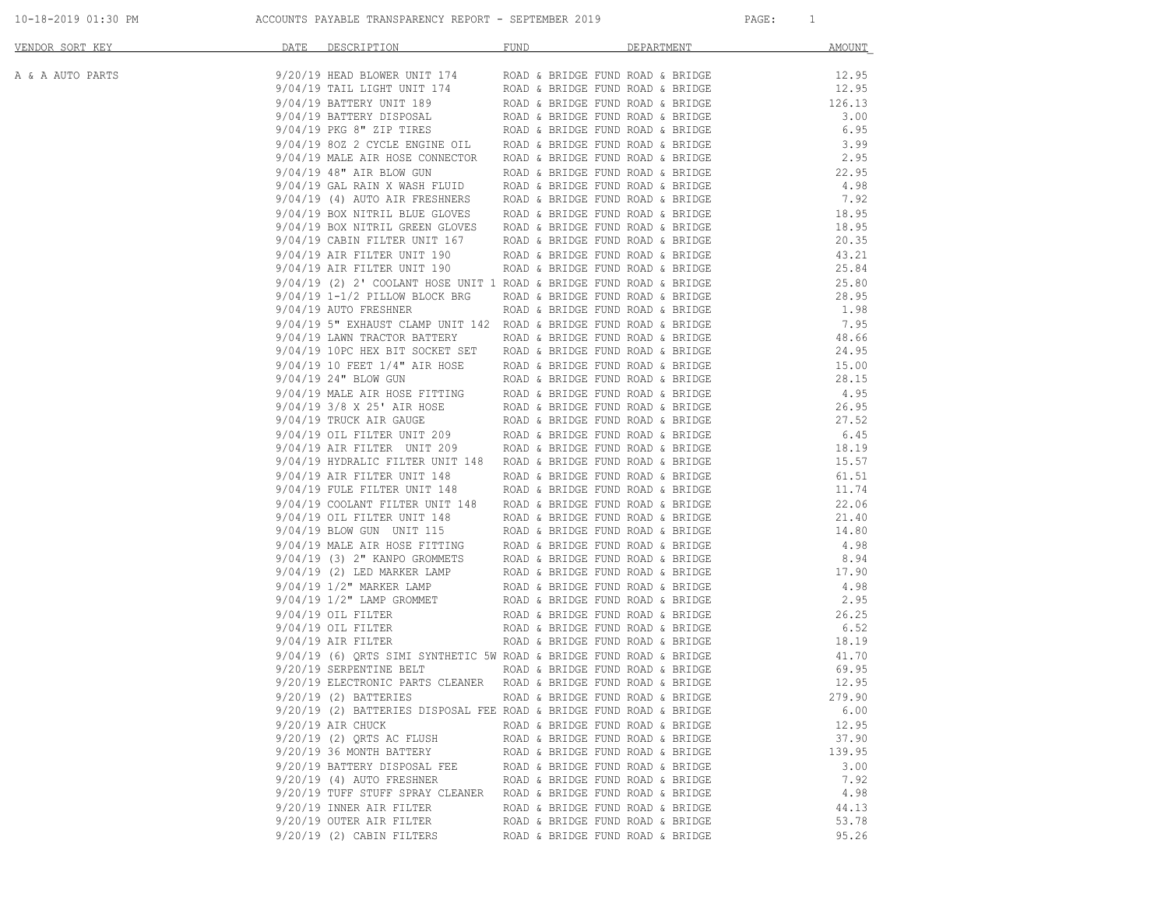| 10-18-2019 01:30 PM |  |  |
|---------------------|--|--|
|---------------------|--|--|

|                  |                                                                                                                                                                                                                                   | <b>DEPARTMENT</b>                | MOUNT  |
|------------------|-----------------------------------------------------------------------------------------------------------------------------------------------------------------------------------------------------------------------------------|----------------------------------|--------|
| A & A AUTO PARTS |                                                                                                                                                                                                                                   |                                  |        |
|                  |                                                                                                                                                                                                                                   |                                  |        |
|                  |                                                                                                                                                                                                                                   |                                  |        |
|                  |                                                                                                                                                                                                                                   |                                  |        |
|                  |                                                                                                                                                                                                                                   |                                  |        |
|                  |                                                                                                                                                                                                                                   |                                  |        |
|                  |                                                                                                                                                                                                                                   |                                  |        |
|                  |                                                                                                                                                                                                                                   |                                  |        |
|                  |                                                                                                                                                                                                                                   |                                  |        |
|                  |                                                                                                                                                                                                                                   |                                  |        |
|                  |                                                                                                                                                                                                                                   |                                  |        |
|                  |                                                                                                                                                                                                                                   |                                  |        |
|                  |                                                                                                                                                                                                                                   |                                  |        |
|                  |                                                                                                                                                                                                                                   |                                  |        |
|                  |                                                                                                                                                                                                                                   |                                  |        |
|                  |                                                                                                                                                                                                                                   |                                  |        |
|                  |                                                                                                                                                                                                                                   |                                  |        |
|                  |                                                                                                                                                                                                                                   |                                  |        |
|                  |                                                                                                                                                                                                                                   |                                  |        |
|                  |                                                                                                                                                                                                                                   |                                  |        |
|                  |                                                                                                                                                                                                                                   |                                  |        |
|                  |                                                                                                                                                                                                                                   |                                  |        |
|                  |                                                                                                                                                                                                                                   |                                  |        |
|                  |                                                                                                                                                                                                                                   |                                  |        |
|                  | 9/04/19 and FILITER ONT 1900 and a sample from bond a sample $4.32$ , $8.94$ , $904/19$ and $1.92$ cross-with 1900 and a sample from bond a sample $904/19$ and $1.96$ , $904/19$ and $1.96$ , $904/19$ and $1.96$ , $904/19$ and |                                  |        |
|                  |                                                                                                                                                                                                                                   |                                  |        |
|                  |                                                                                                                                                                                                                                   |                                  |        |
|                  |                                                                                                                                                                                                                                   |                                  |        |
|                  |                                                                                                                                                                                                                                   |                                  |        |
|                  |                                                                                                                                                                                                                                   |                                  |        |
|                  |                                                                                                                                                                                                                                   |                                  |        |
|                  |                                                                                                                                                                                                                                   |                                  |        |
|                  |                                                                                                                                                                                                                                   |                                  |        |
|                  |                                                                                                                                                                                                                                   |                                  |        |
|                  |                                                                                                                                                                                                                                   |                                  |        |
|                  |                                                                                                                                                                                                                                   |                                  |        |
|                  |                                                                                                                                                                                                                                   |                                  |        |
|                  |                                                                                                                                                                                                                                   |                                  |        |
|                  |                                                                                                                                                                                                                                   |                                  |        |
|                  |                                                                                                                                                                                                                                   |                                  |        |
|                  |                                                                                                                                                                                                                                   |                                  |        |
|                  |                                                                                                                                                                                                                                   |                                  |        |
|                  | 9/20/19 (2) BATTERIES ROAD & BRIDGE FUND ROAD & BRIDGE                                                                                                                                                                            |                                  | 279.90 |
|                  | 9/20/19 (2) BATTERIES DISPOSAL FEE ROAD & BRIDGE FUND ROAD & BRIDGE                                                                                                                                                               |                                  | 6.00   |
|                  | 9/20/19 AIR CHUCK                                                                                                                                                                                                                 | ROAD & BRIDGE FUND ROAD & BRIDGE | 12.95  |
|                  | 9/20/19 (2) ORTS AC FLUSH                                                                                                                                                                                                         | ROAD & BRIDGE FUND ROAD & BRIDGE | 37.90  |
|                  | 9/20/19 36 MONTH BATTERY                                                                                                                                                                                                          | ROAD & BRIDGE FUND ROAD & BRIDGE | 139.95 |
|                  | 9/20/19 BATTERY DISPOSAL FEE                                                                                                                                                                                                      | ROAD & BRIDGE FUND ROAD & BRIDGE | 3.00   |
|                  | $9/20/19$ (4) AUTO FRESHNER                                                                                                                                                                                                       | ROAD & BRIDGE FUND ROAD & BRIDGE | 7.92   |
|                  | 9/20/19 TUFF STUFF SPRAY CLEANER                                                                                                                                                                                                  | ROAD & BRIDGE FUND ROAD & BRIDGE | 4.98   |
|                  | 9/20/19 INNER AIR FILTER                                                                                                                                                                                                          | ROAD & BRIDGE FUND ROAD & BRIDGE | 44.13  |
|                  | 9/20/19 OUTER AIR FILTER<br>9/20/19 (2) CABIN FILTERS                                                                                                                                                                             | ROAD & BRIDGE FUND ROAD & BRIDGE | 53.78  |
|                  |                                                                                                                                                                                                                                   | ROAD & BRIDGE FUND ROAD & BRIDGE | 95.26  |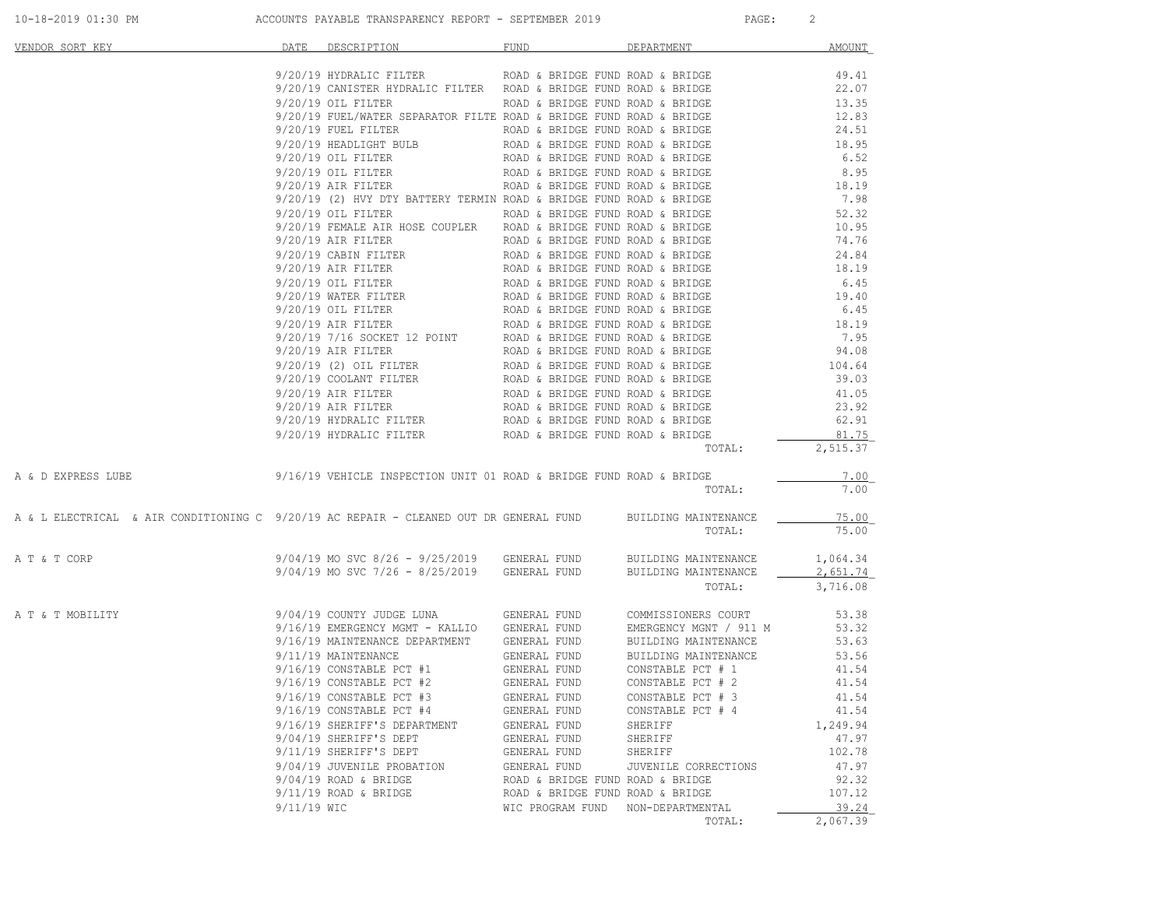| VENDOR SORT KEY                                                                       | DATE        | DESCRIPTION                                                                                                                                                                                                                                     | FUND                                                                 | DEPARTMENT             | <b>AMOUNT</b>     |
|---------------------------------------------------------------------------------------|-------------|-------------------------------------------------------------------------------------------------------------------------------------------------------------------------------------------------------------------------------------------------|----------------------------------------------------------------------|------------------------|-------------------|
|                                                                                       |             | 9/20/19 HYDRALIC FILTER ROAD & BRIDGE FUND ROAD & BRIDGE                                                                                                                                                                                        |                                                                      |                        | 49.41             |
|                                                                                       |             | 9/20/19 CANISTER HYDRALIC FILTER ROAD & BRIDGE FUND ROAD & BRIDGE                                                                                                                                                                               |                                                                      |                        | 22.07             |
|                                                                                       |             | 9/20/19 OIL FILTER                                                                                                                                                                                                                              | ROAD & BRIDGE FUND ROAD & BRIDGE                                     |                        | 13.35             |
|                                                                                       |             | 9/20/19 FUEL/WATER SEPARATOR FILTE ROAD & BRIDGE FUND ROAD & BRIDGE                                                                                                                                                                             |                                                                      |                        | 12.83             |
|                                                                                       |             | 9/20/19 FUEL FILTER ROAD & BRIDGE FUND ROAD & BRIDGE                                                                                                                                                                                            |                                                                      |                        | 24.51             |
|                                                                                       |             | 9/20/19 HEADLIGHT BULB<br>$9/20/19$ OIL FILTER                                                                                                                                                                                                  | ROAD & BRIDGE FUND ROAD & BRIDGE<br>ROAD & BRIDGE FUND ROAD & BRIDGE |                        | 18.95<br>6.52     |
|                                                                                       |             | 9/20/19 OIL FILTER                                                                                                                                                                                                                              | ROAD & BRIDGE FUND ROAD & BRIDGE                                     |                        | 8.95              |
|                                                                                       |             | $9/20/19$ AIR FILTER                                                                                                                                                                                                                            | ROAD & BRIDGE FUND ROAD & BRIDGE                                     |                        | 18.19             |
|                                                                                       |             | 9/20/19 (2) HVY DTY BATTERY TERMIN ROAD & BRIDGE FUND ROAD & BRIDGE                                                                                                                                                                             |                                                                      |                        | 7.98              |
|                                                                                       |             | $9/20/19$ OIL FILTER                                                                                                                                                                                                                            | ROAD & BRIDGE FUND ROAD & BRIDGE                                     |                        | 52.32             |
|                                                                                       |             | 9/20/19 FEMALE AIR HOSE COUPLER ROAD & BRIDGE FUND ROAD & BRIDGE                                                                                                                                                                                |                                                                      |                        | 10.95             |
|                                                                                       |             | $9/20/19$ AIR FILTER                                                                                                                                                                                                                            | ROAD & BRIDGE FUND ROAD & BRIDGE                                     |                        | 74.76             |
|                                                                                       |             | 9/20/19 CABIN FILTER                                                                                                                                                                                                                            | ROAD & BRIDGE FUND ROAD & BRIDGE                                     |                        | 24.84             |
|                                                                                       |             |                                                                                                                                                                                                                                                 |                                                                      |                        | 18.19             |
|                                                                                       |             |                                                                                                                                                                                                                                                 |                                                                      |                        | 6.45              |
|                                                                                       |             |                                                                                                                                                                                                                                                 |                                                                      |                        | 19.40<br>6.45     |
|                                                                                       |             |                                                                                                                                                                                                                                                 |                                                                      |                        | 18.19             |
|                                                                                       |             |                                                                                                                                                                                                                                                 |                                                                      |                        | 7.95              |
|                                                                                       |             |                                                                                                                                                                                                                                                 |                                                                      |                        | 94.08             |
|                                                                                       |             |                                                                                                                                                                                                                                                 |                                                                      |                        | 104.64            |
|                                                                                       |             |                                                                                                                                                                                                                                                 |                                                                      |                        | 39.03             |
|                                                                                       |             |                                                                                                                                                                                                                                                 |                                                                      |                        | 41.05             |
|                                                                                       |             |                                                                                                                                                                                                                                                 |                                                                      |                        | 23.92             |
|                                                                                       |             | 9/20/19 CABIN FILTER<br>9/20/19 AIR FILTER<br>9/20/19 AIR FILTER<br>9/20/19 OIL FILTER<br>9/20/19 OIL FILTER<br>ROAD & BRIDGE FUND ROAD & BRIDGE<br>9/20/19 OIL FILTER<br>ROAD & BRIDGE FUND ROAD & BRIDGE<br>9/20/19 AIR FILTER<br>ROAD & BRID |                                                                      |                        | 62.91             |
|                                                                                       |             | 9/20/19 HYDRALIC FILTER ROAD & BRIDGE FUND ROAD & BRIDGE                                                                                                                                                                                        |                                                                      |                        | 81.75             |
|                                                                                       |             |                                                                                                                                                                                                                                                 |                                                                      | TOTAL:                 | 2,515.37          |
| A & D EXPRESS LUBE                                                                    |             | $9/16/19$ VEHICLE INSPECTION UNIT 01 ROAD & BRIDGE FUND ROAD & BRIDGE                                                                                                                                                                           |                                                                      |                        | 7.00              |
|                                                                                       |             |                                                                                                                                                                                                                                                 |                                                                      | TOTAL:                 | 7.00              |
| A & L ELECTRICAL & AIR CONDITIONING C 9/20/19 AC REPAIR - CLEANED OUT DR GENERAL FUND |             |                                                                                                                                                                                                                                                 |                                                                      | BUILDING MAINTENANCE   | 75.00             |
|                                                                                       |             |                                                                                                                                                                                                                                                 |                                                                      | TOTAL:                 | 75.00             |
| A T & T CORP                                                                          |             | 9/04/19 MO SVC 8/26 - 9/25/2019 GENERAL FUND                                                                                                                                                                                                    |                                                                      | BUILDING MAINTENANCE   | 1,064.34          |
|                                                                                       |             | 9/04/19 MO SVC 7/26 - 8/25/2019 GENERAL FUND                                                                                                                                                                                                    |                                                                      | BUILDING MAINTENANCE   | 2,651.74          |
|                                                                                       |             |                                                                                                                                                                                                                                                 |                                                                      | TOTAL:                 | 3,716.08          |
| A T & T MOBILITY                                                                      |             | 9/04/19 COUNTY JUDGE LUNA                                                                                                                                                                                                                       | GENERAL FUND                                                         | COMMISSIONERS COURT    | 53.38             |
|                                                                                       |             | 9/16/19 EMERGENCY MGMT - KALLIO GENERAL FUND                                                                                                                                                                                                    |                                                                      | EMERGENCY MGNT / 911 M | 53.32             |
|                                                                                       |             | 9/16/19 MAINTENANCE DEPARTMENT GENERAL FUND                                                                                                                                                                                                     |                                                                      | BUILDING MAINTENANCE   | 53.63             |
|                                                                                       |             | 9/11/19 MAINTENANCE                                                                                                                                                                                                                             | GENERAL FUND<br>GENERAL FUND                                         | BUILDING MAINTENANCE   | 53.56             |
|                                                                                       |             | $9/16/19$ CONSTABLE PCT #1                                                                                                                                                                                                                      |                                                                      | CONSTABLE PCT # 1      | 41.54             |
|                                                                                       |             | $9/16/19$ CONSTABLE PCT #2                                                                                                                                                                                                                      | GENERAL FUND                                                         | CONSTABLE PCT # 2      | 41.54             |
|                                                                                       |             | $9/16/19$ CONSTABLE PCT #3                                                                                                                                                                                                                      | GENERAL FUND                                                         | CONSTABLE PCT # 3      | 41.54             |
|                                                                                       |             | $9/16/19$ CONSTABLE PCT #4                                                                                                                                                                                                                      | GENERAL FUND                                                         | CONSTABLE PCT # 4      | 41.54             |
|                                                                                       |             | 9/16/19 SHERIFF'S DEPARTMENT<br>9/04/19 SHERIFF'S DEPT                                                                                                                                                                                          | GENERAL FUND<br>GENERAL FUND                                         | SHERIFF<br>SHERIFF     | 1,249.94<br>47.97 |
|                                                                                       |             | 9/11/19 SHERIFF'S DEPT                                                                                                                                                                                                                          | GENERAL FUND                                                         | SHERIFF                | 102.78            |
|                                                                                       |             | 9/04/19 JUVENILE PROBATION                                                                                                                                                                                                                      | GENERAL FUND                                                         | JUVENILE CORRECTIONS   | 47.97             |
|                                                                                       |             | $9/04/19$ ROAD & BRIDGE                                                                                                                                                                                                                         | ROAD & BRIDGE FUND ROAD & BRIDGE                                     |                        | 92.32             |
|                                                                                       |             | $9/11/19$ ROAD & BRIDGE                                                                                                                                                                                                                         | ROAD & BRIDGE FUND ROAD & BRIDGE                                     |                        | 107.12            |
|                                                                                       | 9/11/19 WIC |                                                                                                                                                                                                                                                 | WIC PROGRAM FUND NON-DEPARTMENTAL                                    |                        | 39.24             |
|                                                                                       |             |                                                                                                                                                                                                                                                 |                                                                      | TOTAL:                 | 2,067.39          |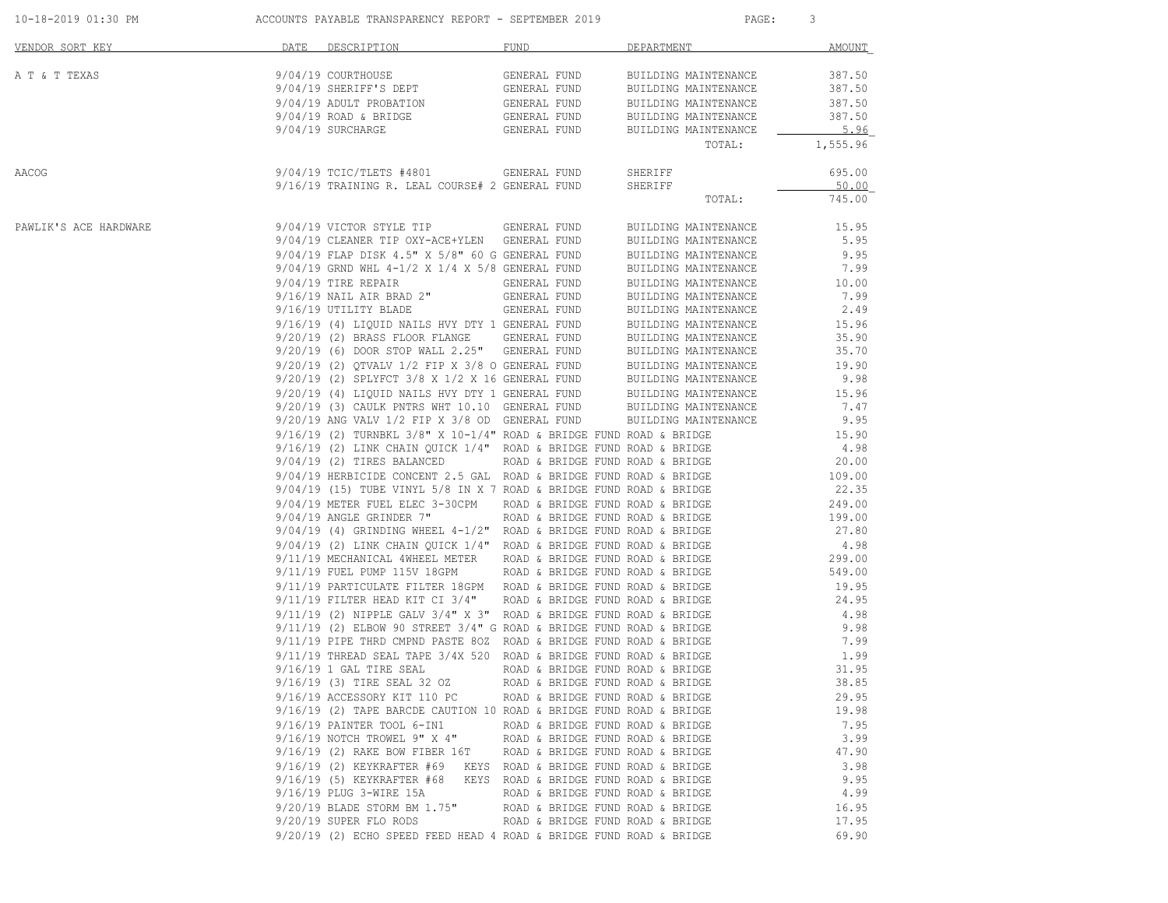|                       | 10-18-2019 01:30 PM                       ACCOUNTS PAYABLE TRANSPARENCY REPORT - SEPTEMBER 2019                                                                                                                                        |                                       | PAGE:                             | 3        |
|-----------------------|----------------------------------------------------------------------------------------------------------------------------------------------------------------------------------------------------------------------------------------|---------------------------------------|-----------------------------------|----------|
| VENDOR SORT KEY       | DATE DESCRIPTION                                                                                                                                                                                                                       | FUND                                  | DEPARTMENT                        | AMOUNT   |
| A T & T TEXAS         |                                                                                                                                                                                                                                        |                                       | BUILDING MAINTENANCE              | 387.50   |
|                       | 9/04/19 COURTHOUSE<br>9/04/19 SHERIFF'S DEPT                                                                                                                                                                                           | GENERAL FUND<br>GENERAL FUND          | BUILDING MAINTENANCE              | 387.50   |
|                       | $9/04/19$ ADULT PROBATION GENERAL FUND BUILDING MAINTENANCE $9/04/19$ ROAD & BRIDGE GENERAL FUND BUILDING MAINTENANCE                                                                                                                  |                                       |                                   | 387.50   |
|                       |                                                                                                                                                                                                                                        |                                       |                                   | 387.50   |
|                       | 9/04/19 SURCHARGE                                                                                                                                                                                                                      |                                       | GENERAL FUND BUILDING MAINTENANCE | 5.96     |
|                       |                                                                                                                                                                                                                                        |                                       | TOTAL:                            | 1,555.96 |
| AACOG                 | 9/04/19 TCIC/TLETS #4801 GENERAL FUND SHERIFF<br>9/16/19 TRAINING R. LEAL COURSE# 2 GENERAL FUND SHERIFF                                                                                                                               |                                       |                                   | 695.00   |
|                       |                                                                                                                                                                                                                                        |                                       |                                   | 50.00    |
|                       |                                                                                                                                                                                                                                        |                                       | TOTAL:                            | 745.00   |
| PAWLIK'S ACE HARDWARE | 9/04/19 VICTOR STYLE TIP GENERAL FUND BUILDING MAINTENANCE                                                                                                                                                                             |                                       |                                   | 15.95    |
|                       | 9/04/19 CLEANER TIP OXY-ACE+YLEN GENERAL FUND                                                                                                                                                                                          |                                       | BUILDING MAINTENANCE              | 5.95     |
|                       | $9/04/19$ FLAP DISK $4.5"$ X $5/8"$ 60 G GENERAL FUND                                                                                                                                                                                  |                                       | BUILDING MAINTENANCE              | 9.95     |
|                       | 9/04/19 GRND WHL $4-1/2 \times 1/4 \times 5/8$ GENERAL FUND<br>9/04/19 TIRE REPAIR GENERAL FUND                                                                                                                                        |                                       | BUILDING MAINTENANCE              | 7.99     |
|                       |                                                                                                                                                                                                                                        |                                       | BUILDING MAINTENANCE              | 10.00    |
|                       | $9/16/19$ NAIL AIR BRAD 2" GENERAL FUND<br>$9/16/19$ UTILITY BLADE GENERAL FUND                                                                                                                                                        |                                       | BUILDING MAINTENANCE              | 7.99     |
|                       |                                                                                                                                                                                                                                        |                                       | BUILDING MAINTENANCE              | 2.49     |
|                       |                                                                                                                                                                                                                                        |                                       |                                   | 15.96    |
|                       |                                                                                                                                                                                                                                        |                                       |                                   | 35.90    |
|                       |                                                                                                                                                                                                                                        |                                       |                                   | 35.70    |
|                       | 9/16/19 (4) LIQUID NAILS HVY DTY 1 GENERAL FUND<br>9/20/19 (2) BRASS FLOOR FLANGE GENERAL FUND BUILDING MAINTENANCE<br>9/20/19 (6) DOOR STOP WALL 2.25" GENERAL FUND BUILDING MAINTENANCE<br>9/20/19 (2) QTVALV 1/2 FIP X 3/8 O GENE   |                                       |                                   | 19.90    |
|                       |                                                                                                                                                                                                                                        |                                       |                                   | 9.98     |
|                       |                                                                                                                                                                                                                                        |                                       |                                   | 15.96    |
|                       |                                                                                                                                                                                                                                        |                                       |                                   | 7.47     |
|                       |                                                                                                                                                                                                                                        |                                       |                                   | 9.95     |
|                       | $9/16/19$ (2) TURNBKL $3/8$ " X $10-1/4$ " ROAD & BRIDGE FUND ROAD & BRIDGE                                                                                                                                                            |                                       |                                   | 15.90    |
|                       | $9/16/19$ (2) LINK CHAIN QUICK 1/4" ROAD & BRIDGE FUND ROAD & BRIDGE                                                                                                                                                                   |                                       |                                   | 4.98     |
|                       | 9/04/19 (2) TIRES BALANCED ROAD & BRIDGE FUND ROAD & BRIDGE                                                                                                                                                                            |                                       |                                   | 20.00    |
|                       |                                                                                                                                                                                                                                        |                                       |                                   |          |
|                       |                                                                                                                                                                                                                                        |                                       |                                   |          |
|                       | 9/04/19 HERBICIDE CONCENT 2.5 GAL ROAD & BRIDGE FUND ROAD & BRIDGE 109.00<br>9/04/19 (15) TUBE VINYL 5/8 IN X 7 ROAD & BRIDGE FUND ROAD & BRIDGE 22.35<br>9/04/19 METER FUEL ELEC 3-30CPM ROAD & BRIDGE FUND ROAD & BRIDGE 249.00<br>2 |                                       |                                   |          |
|                       | $9/04/19$ ANGLE GRINDER 7"<br>ROAD & BRIDGE FUND ROAD & BRIDGE                                                                                                                                                                         |                                       |                                   | 199.00   |
|                       | $9/04/19$ (4) GRINDING WHEEL $4-1/2$ " ROAD & BRIDGE FUND ROAD & BRIDGE                                                                                                                                                                |                                       |                                   | 27.80    |
|                       | 9/04/19 (2) LINK CHAIN QUICK 1/4" ROAD & BRIDGE FUND ROAD & BRIDGE                                                                                                                                                                     |                                       |                                   | 4.98     |
|                       | 9/11/19 MECHANICAL 4WHEEL METER ROAD & BRIDGE FUND ROAD & BRIDGE                                                                                                                                                                       |                                       |                                   | 299.00   |
|                       |                                                                                                                                                                                                                                        |                                       |                                   | 549.00   |
|                       | 9/11/19 FUEL PUMP 115V 18GPM ROAD & BRIDGE FUND ROAD & BRIDGE<br>9/11/19 PARTICULATE FILTER 18GPM ROAD & BRIDGE FUND ROAD & BRIDGE                                                                                                     |                                       |                                   | 19.95    |
|                       | 9/11/19 FILTER HEAD KIT CI 3/4" ROAD & BRIDGE FUND ROAD & BRIDGE                                                                                                                                                                       |                                       |                                   | 24.95    |
|                       | $9/11/19$ (2) NIPPLE GALV $3/4$ " X 3" ROAD & BRIDGE FUND ROAD & BRIDGE                                                                                                                                                                |                                       |                                   | 4.98     |
|                       | $9/11/19$ (2) ELBOW 90 STREET 3/4" G ROAD & BRIDGE FUND ROAD & BRIDGE                                                                                                                                                                  |                                       |                                   | 9.98     |
|                       | 9/11/19 PIPE THRD CMPND PASTE 80Z ROAD & BRIDGE FUND ROAD & BRIDGE                                                                                                                                                                     |                                       |                                   | 7.99     |
|                       | 9/11/19 THREAD SEAL TAPE 3/4X 520 ROAD & BRIDGE FUND ROAD & BRIDGE                                                                                                                                                                     |                                       |                                   | 1.99     |
|                       | $9/16/19$ 1 GAL TIRE SEAL                                                                                                                                                                                                              | ROAD & BRIDGE FUND ROAD & BRIDGE      |                                   | 31.95    |
|                       | 9/16/19 (3) TIRE SEAL 32 OZ                                                                                                                                                                                                            | ROAD & BRIDGE FUND ROAD & BRIDGE      |                                   | 38.85    |
|                       | 9/16/19 ACCESSORY KIT 110 PC                                                                                                                                                                                                           | ROAD & BRIDGE FUND ROAD & BRIDGE      |                                   | 29.95    |
|                       | 9/16/19 (2) TAPE BARCDE CAUTION 10 ROAD & BRIDGE FUND ROAD & BRIDGE                                                                                                                                                                    |                                       |                                   | 19.98    |
|                       | 9/16/19 PAINTER TOOL 6-IN1                                                                                                                                                                                                             | ROAD & BRIDGE FUND ROAD & BRIDGE      |                                   | 7.95     |
|                       | 9/16/19 NOTCH TROWEL 9" X 4"                                                                                                                                                                                                           | ROAD & BRIDGE FUND ROAD & BRIDGE      |                                   | 3.99     |
|                       | 9/16/19 (2) RAKE BOW FIBER 16T                                                                                                                                                                                                         | ROAD & BRIDGE FUND ROAD & BRIDGE      |                                   | 47.90    |
|                       | 9/16/19 (2) KEYKRAFTER #69                                                                                                                                                                                                             | KEYS ROAD & BRIDGE FUND ROAD & BRIDGE |                                   | 3.98     |
|                       | 9/16/19 (5) KEYKRAFTER #68 KEYS ROAD & BRIDGE FUND ROAD & BRIDGE                                                                                                                                                                       |                                       |                                   | 9.95     |
|                       | 9/16/19 PLUG 3-WIRE 15A                                                                                                                                                                                                                | ROAD & BRIDGE FUND ROAD & BRIDGE      |                                   | 4.99     |
|                       | 9/20/19 BLADE STORM BM 1.75"                                                                                                                                                                                                           | ROAD & BRIDGE FUND ROAD & BRIDGE      |                                   | 16.95    |
|                       | 9/20/19 SUPER FLO RODS                                                                                                                                                                                                                 | ROAD & BRIDGE FUND ROAD & BRIDGE      |                                   | 17.95    |
|                       | 9/20/19 (2) ECHO SPEED FEED HEAD 4 ROAD & BRIDGE FUND ROAD & BRIDGE                                                                                                                                                                    |                                       |                                   | 69.90    |
|                       |                                                                                                                                                                                                                                        |                                       |                                   |          |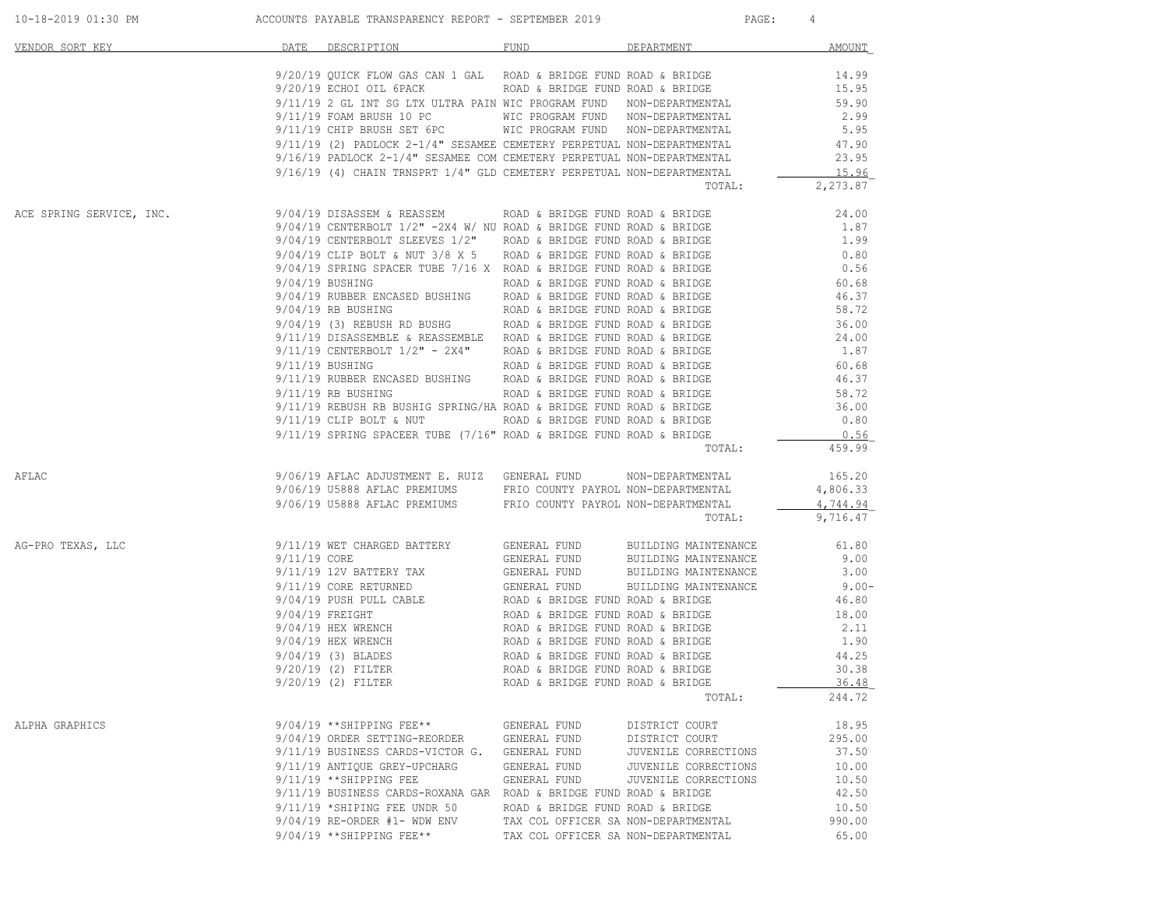| DATE DESCRIPTION FUND FUND DEPARTMENT<br>VENDOR SORT KEY<br>9/20/19 QUICK FLOW GAS CAN 1 GAL ROAD & BRIDGE FUND ROAD & BRIDGE<br>$9/20/19$ ECHOI OIL 6PACK<br>$9/11/19$ 2 GL INT SG LTX ULTRA PAIN WIC PROGRAM FUND NON-DEPARTMENTAL<br>9/11/19 FOAM BRUSH 10 PC WIC PROGRAM FUND NON-DEPARTMENTAL 9/11/19 CHIP BRUSH SET 6PC WIC PROGRAM FUND NON-DEPARTMENTAL<br>$\begin{tabular}{lllllllllllllllllllll} \hline 9/11/19 & (2) PADLOCK & 2-1/4" SESAMEE CEMETERY PERPETERY DERPETUAL NON-DEPARTMENTAL & 47.90 \\ \hline 9/16/19 PADLOCK & 2-1/4" SESAMEE COM CEMETERY PERPETUAL NON-DEPARTMENTAL & 23.95 \\ \hline \end{tabular}$<br>TOTAL:<br>9/04/19 DISASSEM & REASSEM ROAD & BRIDGE FUND ROAD & BRIDGE 24.00<br>9/04/19 CENTERBOLT 1/2" -2X4 W/ NU ROAD & BRIDGE FUND ROAD & BRIDGE 21.87<br>9/04/19 CENTERBOLT SLEEVES 1/2" ROAD & BRIDGE FUND ROAD & BRIDGE 21.87<br>9/04/19 CL<br>ACE SPRING SERVICE, INC.<br>$9/11/19$ RB BUSHING $\sim$ ROAD & BRIDGE FUND ROAD & BRIDGE<br>9/11/19 REBUSH RB BUSHIG SPRING/HA ROAD & BRIDGE FUND ROAD & BRIDGE<br>9/11/19 CLIP BOLT & NUT ROAD & BRIDGE FUND ROAD & BRIDGE<br>$9/11/19$ SPRING SPACEER TUBE (7/16" ROAD & BRIDGE FUND ROAD & BRIDGE<br><b>TOTAL:</b><br>9/06/19 AFLAC ADJUSTMENT E. RUIZ GENERAL FUND MON-DEPARTMENTAL<br>AFLAC<br>9/06/19 U5888 AFLAC PREMIUMS FRIO COUNTY PAYROL NON-DEPARTMENTAL<br>9/06/19 U5888 AFLAC PREMIUMS FRIO COUNTY PAYROL NON-DEPARTMENTAL<br>TOTAL:<br>9/11/19 WET CHARGED BATTERY GENERAL FUND BUILDING MAINTENANCE<br>AG-PRO TEXAS, LLC<br>9/20/19 (2) FILTER<br>ROAD & BRIDGE FUND ROAD & BRIDGE<br>$9/20/19$ (2) FILTER<br>ROAD & BRIDGE FUND ROAD & BRIDGE<br>TOTAL:<br>$9/04/19$ **SHIPPING FEE**<br>ALPHA GRAPHICS<br>GENERAL FUND<br>DISTRICT COURT<br>9/04/19 ORDER SETTING-REORDER<br>GENERAL FUND<br>DISTRICT COURT<br>9/11/19 BUSINESS CARDS-VICTOR G.<br>GENERAL FUND<br>JUVENILE CORRECTIONS<br>9/11/19 ANTIOUE GREY-UPCHARG<br>GENERAL FUND<br>JUVENILE CORRECTIONS<br>9/11/19 ** SHIPPING FEE<br>GENERAL FUND<br>JUVENILE CORRECTIONS<br>9/11/19 BUSINESS CARDS-ROXANA GAR ROAD & BRIDGE FUND ROAD & BRIDGE<br>9/11/19 *SHIPING FEE UNDR 50<br>ROAD & BRIDGE FUND ROAD & BRIDGE<br>$9/04/19$ RE-ORDER #1- WDW ENV<br>TAX COL OFFICER SA NON-DEPARTMENTAL |  |  | 4              |
|-------------------------------------------------------------------------------------------------------------------------------------------------------------------------------------------------------------------------------------------------------------------------------------------------------------------------------------------------------------------------------------------------------------------------------------------------------------------------------------------------------------------------------------------------------------------------------------------------------------------------------------------------------------------------------------------------------------------------------------------------------------------------------------------------------------------------------------------------------------------------------------------------------------------------------------------------------------------------------------------------------------------------------------------------------------------------------------------------------------------------------------------------------------------------------------------------------------------------------------------------------------------------------------------------------------------------------------------------------------------------------------------------------------------------------------------------------------------------------------------------------------------------------------------------------------------------------------------------------------------------------------------------------------------------------------------------------------------------------------------------------------------------------------------------------------------------------------------------------------------------------------------------------------------------------------------------------------------------------------------------------------------------------------------------------------------------------------------------------------------------------------------------------------------------------------------------------------------------------------------------------------------|--|--|----------------|
|                                                                                                                                                                                                                                                                                                                                                                                                                                                                                                                                                                                                                                                                                                                                                                                                                                                                                                                                                                                                                                                                                                                                                                                                                                                                                                                                                                                                                                                                                                                                                                                                                                                                                                                                                                                                                                                                                                                                                                                                                                                                                                                                                                                                                                                                   |  |  | AMOUNT         |
|                                                                                                                                                                                                                                                                                                                                                                                                                                                                                                                                                                                                                                                                                                                                                                                                                                                                                                                                                                                                                                                                                                                                                                                                                                                                                                                                                                                                                                                                                                                                                                                                                                                                                                                                                                                                                                                                                                                                                                                                                                                                                                                                                                                                                                                                   |  |  | 14.99          |
|                                                                                                                                                                                                                                                                                                                                                                                                                                                                                                                                                                                                                                                                                                                                                                                                                                                                                                                                                                                                                                                                                                                                                                                                                                                                                                                                                                                                                                                                                                                                                                                                                                                                                                                                                                                                                                                                                                                                                                                                                                                                                                                                                                                                                                                                   |  |  | 15.95          |
|                                                                                                                                                                                                                                                                                                                                                                                                                                                                                                                                                                                                                                                                                                                                                                                                                                                                                                                                                                                                                                                                                                                                                                                                                                                                                                                                                                                                                                                                                                                                                                                                                                                                                                                                                                                                                                                                                                                                                                                                                                                                                                                                                                                                                                                                   |  |  | 59.90          |
|                                                                                                                                                                                                                                                                                                                                                                                                                                                                                                                                                                                                                                                                                                                                                                                                                                                                                                                                                                                                                                                                                                                                                                                                                                                                                                                                                                                                                                                                                                                                                                                                                                                                                                                                                                                                                                                                                                                                                                                                                                                                                                                                                                                                                                                                   |  |  | $2.99$<br>5.95 |
|                                                                                                                                                                                                                                                                                                                                                                                                                                                                                                                                                                                                                                                                                                                                                                                                                                                                                                                                                                                                                                                                                                                                                                                                                                                                                                                                                                                                                                                                                                                                                                                                                                                                                                                                                                                                                                                                                                                                                                                                                                                                                                                                                                                                                                                                   |  |  |                |
|                                                                                                                                                                                                                                                                                                                                                                                                                                                                                                                                                                                                                                                                                                                                                                                                                                                                                                                                                                                                                                                                                                                                                                                                                                                                                                                                                                                                                                                                                                                                                                                                                                                                                                                                                                                                                                                                                                                                                                                                                                                                                                                                                                                                                                                                   |  |  |                |
|                                                                                                                                                                                                                                                                                                                                                                                                                                                                                                                                                                                                                                                                                                                                                                                                                                                                                                                                                                                                                                                                                                                                                                                                                                                                                                                                                                                                                                                                                                                                                                                                                                                                                                                                                                                                                                                                                                                                                                                                                                                                                                                                                                                                                                                                   |  |  |                |
|                                                                                                                                                                                                                                                                                                                                                                                                                                                                                                                                                                                                                                                                                                                                                                                                                                                                                                                                                                                                                                                                                                                                                                                                                                                                                                                                                                                                                                                                                                                                                                                                                                                                                                                                                                                                                                                                                                                                                                                                                                                                                                                                                                                                                                                                   |  |  | 2,273.87       |
|                                                                                                                                                                                                                                                                                                                                                                                                                                                                                                                                                                                                                                                                                                                                                                                                                                                                                                                                                                                                                                                                                                                                                                                                                                                                                                                                                                                                                                                                                                                                                                                                                                                                                                                                                                                                                                                                                                                                                                                                                                                                                                                                                                                                                                                                   |  |  | 24.00          |
|                                                                                                                                                                                                                                                                                                                                                                                                                                                                                                                                                                                                                                                                                                                                                                                                                                                                                                                                                                                                                                                                                                                                                                                                                                                                                                                                                                                                                                                                                                                                                                                                                                                                                                                                                                                                                                                                                                                                                                                                                                                                                                                                                                                                                                                                   |  |  |                |
|                                                                                                                                                                                                                                                                                                                                                                                                                                                                                                                                                                                                                                                                                                                                                                                                                                                                                                                                                                                                                                                                                                                                                                                                                                                                                                                                                                                                                                                                                                                                                                                                                                                                                                                                                                                                                                                                                                                                                                                                                                                                                                                                                                                                                                                                   |  |  |                |
|                                                                                                                                                                                                                                                                                                                                                                                                                                                                                                                                                                                                                                                                                                                                                                                                                                                                                                                                                                                                                                                                                                                                                                                                                                                                                                                                                                                                                                                                                                                                                                                                                                                                                                                                                                                                                                                                                                                                                                                                                                                                                                                                                                                                                                                                   |  |  |                |
|                                                                                                                                                                                                                                                                                                                                                                                                                                                                                                                                                                                                                                                                                                                                                                                                                                                                                                                                                                                                                                                                                                                                                                                                                                                                                                                                                                                                                                                                                                                                                                                                                                                                                                                                                                                                                                                                                                                                                                                                                                                                                                                                                                                                                                                                   |  |  |                |
|                                                                                                                                                                                                                                                                                                                                                                                                                                                                                                                                                                                                                                                                                                                                                                                                                                                                                                                                                                                                                                                                                                                                                                                                                                                                                                                                                                                                                                                                                                                                                                                                                                                                                                                                                                                                                                                                                                                                                                                                                                                                                                                                                                                                                                                                   |  |  |                |
|                                                                                                                                                                                                                                                                                                                                                                                                                                                                                                                                                                                                                                                                                                                                                                                                                                                                                                                                                                                                                                                                                                                                                                                                                                                                                                                                                                                                                                                                                                                                                                                                                                                                                                                                                                                                                                                                                                                                                                                                                                                                                                                                                                                                                                                                   |  |  |                |
|                                                                                                                                                                                                                                                                                                                                                                                                                                                                                                                                                                                                                                                                                                                                                                                                                                                                                                                                                                                                                                                                                                                                                                                                                                                                                                                                                                                                                                                                                                                                                                                                                                                                                                                                                                                                                                                                                                                                                                                                                                                                                                                                                                                                                                                                   |  |  |                |
|                                                                                                                                                                                                                                                                                                                                                                                                                                                                                                                                                                                                                                                                                                                                                                                                                                                                                                                                                                                                                                                                                                                                                                                                                                                                                                                                                                                                                                                                                                                                                                                                                                                                                                                                                                                                                                                                                                                                                                                                                                                                                                                                                                                                                                                                   |  |  |                |
|                                                                                                                                                                                                                                                                                                                                                                                                                                                                                                                                                                                                                                                                                                                                                                                                                                                                                                                                                                                                                                                                                                                                                                                                                                                                                                                                                                                                                                                                                                                                                                                                                                                                                                                                                                                                                                                                                                                                                                                                                                                                                                                                                                                                                                                                   |  |  |                |
|                                                                                                                                                                                                                                                                                                                                                                                                                                                                                                                                                                                                                                                                                                                                                                                                                                                                                                                                                                                                                                                                                                                                                                                                                                                                                                                                                                                                                                                                                                                                                                                                                                                                                                                                                                                                                                                                                                                                                                                                                                                                                                                                                                                                                                                                   |  |  |                |
|                                                                                                                                                                                                                                                                                                                                                                                                                                                                                                                                                                                                                                                                                                                                                                                                                                                                                                                                                                                                                                                                                                                                                                                                                                                                                                                                                                                                                                                                                                                                                                                                                                                                                                                                                                                                                                                                                                                                                                                                                                                                                                                                                                                                                                                                   |  |  |                |
|                                                                                                                                                                                                                                                                                                                                                                                                                                                                                                                                                                                                                                                                                                                                                                                                                                                                                                                                                                                                                                                                                                                                                                                                                                                                                                                                                                                                                                                                                                                                                                                                                                                                                                                                                                                                                                                                                                                                                                                                                                                                                                                                                                                                                                                                   |  |  |                |
|                                                                                                                                                                                                                                                                                                                                                                                                                                                                                                                                                                                                                                                                                                                                                                                                                                                                                                                                                                                                                                                                                                                                                                                                                                                                                                                                                                                                                                                                                                                                                                                                                                                                                                                                                                                                                                                                                                                                                                                                                                                                                                                                                                                                                                                                   |  |  |                |
|                                                                                                                                                                                                                                                                                                                                                                                                                                                                                                                                                                                                                                                                                                                                                                                                                                                                                                                                                                                                                                                                                                                                                                                                                                                                                                                                                                                                                                                                                                                                                                                                                                                                                                                                                                                                                                                                                                                                                                                                                                                                                                                                                                                                                                                                   |  |  | 58.72          |
|                                                                                                                                                                                                                                                                                                                                                                                                                                                                                                                                                                                                                                                                                                                                                                                                                                                                                                                                                                                                                                                                                                                                                                                                                                                                                                                                                                                                                                                                                                                                                                                                                                                                                                                                                                                                                                                                                                                                                                                                                                                                                                                                                                                                                                                                   |  |  | 36.00          |
|                                                                                                                                                                                                                                                                                                                                                                                                                                                                                                                                                                                                                                                                                                                                                                                                                                                                                                                                                                                                                                                                                                                                                                                                                                                                                                                                                                                                                                                                                                                                                                                                                                                                                                                                                                                                                                                                                                                                                                                                                                                                                                                                                                                                                                                                   |  |  | 0.80           |
|                                                                                                                                                                                                                                                                                                                                                                                                                                                                                                                                                                                                                                                                                                                                                                                                                                                                                                                                                                                                                                                                                                                                                                                                                                                                                                                                                                                                                                                                                                                                                                                                                                                                                                                                                                                                                                                                                                                                                                                                                                                                                                                                                                                                                                                                   |  |  | 0.56           |
|                                                                                                                                                                                                                                                                                                                                                                                                                                                                                                                                                                                                                                                                                                                                                                                                                                                                                                                                                                                                                                                                                                                                                                                                                                                                                                                                                                                                                                                                                                                                                                                                                                                                                                                                                                                                                                                                                                                                                                                                                                                                                                                                                                                                                                                                   |  |  | 459.99         |
|                                                                                                                                                                                                                                                                                                                                                                                                                                                                                                                                                                                                                                                                                                                                                                                                                                                                                                                                                                                                                                                                                                                                                                                                                                                                                                                                                                                                                                                                                                                                                                                                                                                                                                                                                                                                                                                                                                                                                                                                                                                                                                                                                                                                                                                                   |  |  | 165.20         |
|                                                                                                                                                                                                                                                                                                                                                                                                                                                                                                                                                                                                                                                                                                                                                                                                                                                                                                                                                                                                                                                                                                                                                                                                                                                                                                                                                                                                                                                                                                                                                                                                                                                                                                                                                                                                                                                                                                                                                                                                                                                                                                                                                                                                                                                                   |  |  | 4,806.33       |
|                                                                                                                                                                                                                                                                                                                                                                                                                                                                                                                                                                                                                                                                                                                                                                                                                                                                                                                                                                                                                                                                                                                                                                                                                                                                                                                                                                                                                                                                                                                                                                                                                                                                                                                                                                                                                                                                                                                                                                                                                                                                                                                                                                                                                                                                   |  |  | 4,744.94       |
|                                                                                                                                                                                                                                                                                                                                                                                                                                                                                                                                                                                                                                                                                                                                                                                                                                                                                                                                                                                                                                                                                                                                                                                                                                                                                                                                                                                                                                                                                                                                                                                                                                                                                                                                                                                                                                                                                                                                                                                                                                                                                                                                                                                                                                                                   |  |  | 9,716.47       |
|                                                                                                                                                                                                                                                                                                                                                                                                                                                                                                                                                                                                                                                                                                                                                                                                                                                                                                                                                                                                                                                                                                                                                                                                                                                                                                                                                                                                                                                                                                                                                                                                                                                                                                                                                                                                                                                                                                                                                                                                                                                                                                                                                                                                                                                                   |  |  | 61.80          |
|                                                                                                                                                                                                                                                                                                                                                                                                                                                                                                                                                                                                                                                                                                                                                                                                                                                                                                                                                                                                                                                                                                                                                                                                                                                                                                                                                                                                                                                                                                                                                                                                                                                                                                                                                                                                                                                                                                                                                                                                                                                                                                                                                                                                                                                                   |  |  |                |
|                                                                                                                                                                                                                                                                                                                                                                                                                                                                                                                                                                                                                                                                                                                                                                                                                                                                                                                                                                                                                                                                                                                                                                                                                                                                                                                                                                                                                                                                                                                                                                                                                                                                                                                                                                                                                                                                                                                                                                                                                                                                                                                                                                                                                                                                   |  |  |                |
|                                                                                                                                                                                                                                                                                                                                                                                                                                                                                                                                                                                                                                                                                                                                                                                                                                                                                                                                                                                                                                                                                                                                                                                                                                                                                                                                                                                                                                                                                                                                                                                                                                                                                                                                                                                                                                                                                                                                                                                                                                                                                                                                                                                                                                                                   |  |  |                |
|                                                                                                                                                                                                                                                                                                                                                                                                                                                                                                                                                                                                                                                                                                                                                                                                                                                                                                                                                                                                                                                                                                                                                                                                                                                                                                                                                                                                                                                                                                                                                                                                                                                                                                                                                                                                                                                                                                                                                                                                                                                                                                                                                                                                                                                                   |  |  |                |
|                                                                                                                                                                                                                                                                                                                                                                                                                                                                                                                                                                                                                                                                                                                                                                                                                                                                                                                                                                                                                                                                                                                                                                                                                                                                                                                                                                                                                                                                                                                                                                                                                                                                                                                                                                                                                                                                                                                                                                                                                                                                                                                                                                                                                                                                   |  |  |                |
|                                                                                                                                                                                                                                                                                                                                                                                                                                                                                                                                                                                                                                                                                                                                                                                                                                                                                                                                                                                                                                                                                                                                                                                                                                                                                                                                                                                                                                                                                                                                                                                                                                                                                                                                                                                                                                                                                                                                                                                                                                                                                                                                                                                                                                                                   |  |  |                |
|                                                                                                                                                                                                                                                                                                                                                                                                                                                                                                                                                                                                                                                                                                                                                                                                                                                                                                                                                                                                                                                                                                                                                                                                                                                                                                                                                                                                                                                                                                                                                                                                                                                                                                                                                                                                                                                                                                                                                                                                                                                                                                                                                                                                                                                                   |  |  |                |
|                                                                                                                                                                                                                                                                                                                                                                                                                                                                                                                                                                                                                                                                                                                                                                                                                                                                                                                                                                                                                                                                                                                                                                                                                                                                                                                                                                                                                                                                                                                                                                                                                                                                                                                                                                                                                                                                                                                                                                                                                                                                                                                                                                                                                                                                   |  |  |                |
|                                                                                                                                                                                                                                                                                                                                                                                                                                                                                                                                                                                                                                                                                                                                                                                                                                                                                                                                                                                                                                                                                                                                                                                                                                                                                                                                                                                                                                                                                                                                                                                                                                                                                                                                                                                                                                                                                                                                                                                                                                                                                                                                                                                                                                                                   |  |  | 30.38          |
|                                                                                                                                                                                                                                                                                                                                                                                                                                                                                                                                                                                                                                                                                                                                                                                                                                                                                                                                                                                                                                                                                                                                                                                                                                                                                                                                                                                                                                                                                                                                                                                                                                                                                                                                                                                                                                                                                                                                                                                                                                                                                                                                                                                                                                                                   |  |  | 36.48          |
|                                                                                                                                                                                                                                                                                                                                                                                                                                                                                                                                                                                                                                                                                                                                                                                                                                                                                                                                                                                                                                                                                                                                                                                                                                                                                                                                                                                                                                                                                                                                                                                                                                                                                                                                                                                                                                                                                                                                                                                                                                                                                                                                                                                                                                                                   |  |  | 244.72         |
|                                                                                                                                                                                                                                                                                                                                                                                                                                                                                                                                                                                                                                                                                                                                                                                                                                                                                                                                                                                                                                                                                                                                                                                                                                                                                                                                                                                                                                                                                                                                                                                                                                                                                                                                                                                                                                                                                                                                                                                                                                                                                                                                                                                                                                                                   |  |  | 18.95          |
|                                                                                                                                                                                                                                                                                                                                                                                                                                                                                                                                                                                                                                                                                                                                                                                                                                                                                                                                                                                                                                                                                                                                                                                                                                                                                                                                                                                                                                                                                                                                                                                                                                                                                                                                                                                                                                                                                                                                                                                                                                                                                                                                                                                                                                                                   |  |  | 295.00         |
|                                                                                                                                                                                                                                                                                                                                                                                                                                                                                                                                                                                                                                                                                                                                                                                                                                                                                                                                                                                                                                                                                                                                                                                                                                                                                                                                                                                                                                                                                                                                                                                                                                                                                                                                                                                                                                                                                                                                                                                                                                                                                                                                                                                                                                                                   |  |  | 37.50          |
|                                                                                                                                                                                                                                                                                                                                                                                                                                                                                                                                                                                                                                                                                                                                                                                                                                                                                                                                                                                                                                                                                                                                                                                                                                                                                                                                                                                                                                                                                                                                                                                                                                                                                                                                                                                                                                                                                                                                                                                                                                                                                                                                                                                                                                                                   |  |  | 10.00          |
|                                                                                                                                                                                                                                                                                                                                                                                                                                                                                                                                                                                                                                                                                                                                                                                                                                                                                                                                                                                                                                                                                                                                                                                                                                                                                                                                                                                                                                                                                                                                                                                                                                                                                                                                                                                                                                                                                                                                                                                                                                                                                                                                                                                                                                                                   |  |  | 10.50          |
|                                                                                                                                                                                                                                                                                                                                                                                                                                                                                                                                                                                                                                                                                                                                                                                                                                                                                                                                                                                                                                                                                                                                                                                                                                                                                                                                                                                                                                                                                                                                                                                                                                                                                                                                                                                                                                                                                                                                                                                                                                                                                                                                                                                                                                                                   |  |  | 42.50          |
|                                                                                                                                                                                                                                                                                                                                                                                                                                                                                                                                                                                                                                                                                                                                                                                                                                                                                                                                                                                                                                                                                                                                                                                                                                                                                                                                                                                                                                                                                                                                                                                                                                                                                                                                                                                                                                                                                                                                                                                                                                                                                                                                                                                                                                                                   |  |  | 10.50          |
|                                                                                                                                                                                                                                                                                                                                                                                                                                                                                                                                                                                                                                                                                                                                                                                                                                                                                                                                                                                                                                                                                                                                                                                                                                                                                                                                                                                                                                                                                                                                                                                                                                                                                                                                                                                                                                                                                                                                                                                                                                                                                                                                                                                                                                                                   |  |  | 990.00         |
| $9/04/19$ **SHIPPING FEE**<br>TAX COL OFFICER SA NON-DEPARTMENTAL                                                                                                                                                                                                                                                                                                                                                                                                                                                                                                                                                                                                                                                                                                                                                                                                                                                                                                                                                                                                                                                                                                                                                                                                                                                                                                                                                                                                                                                                                                                                                                                                                                                                                                                                                                                                                                                                                                                                                                                                                                                                                                                                                                                                 |  |  | 65.00          |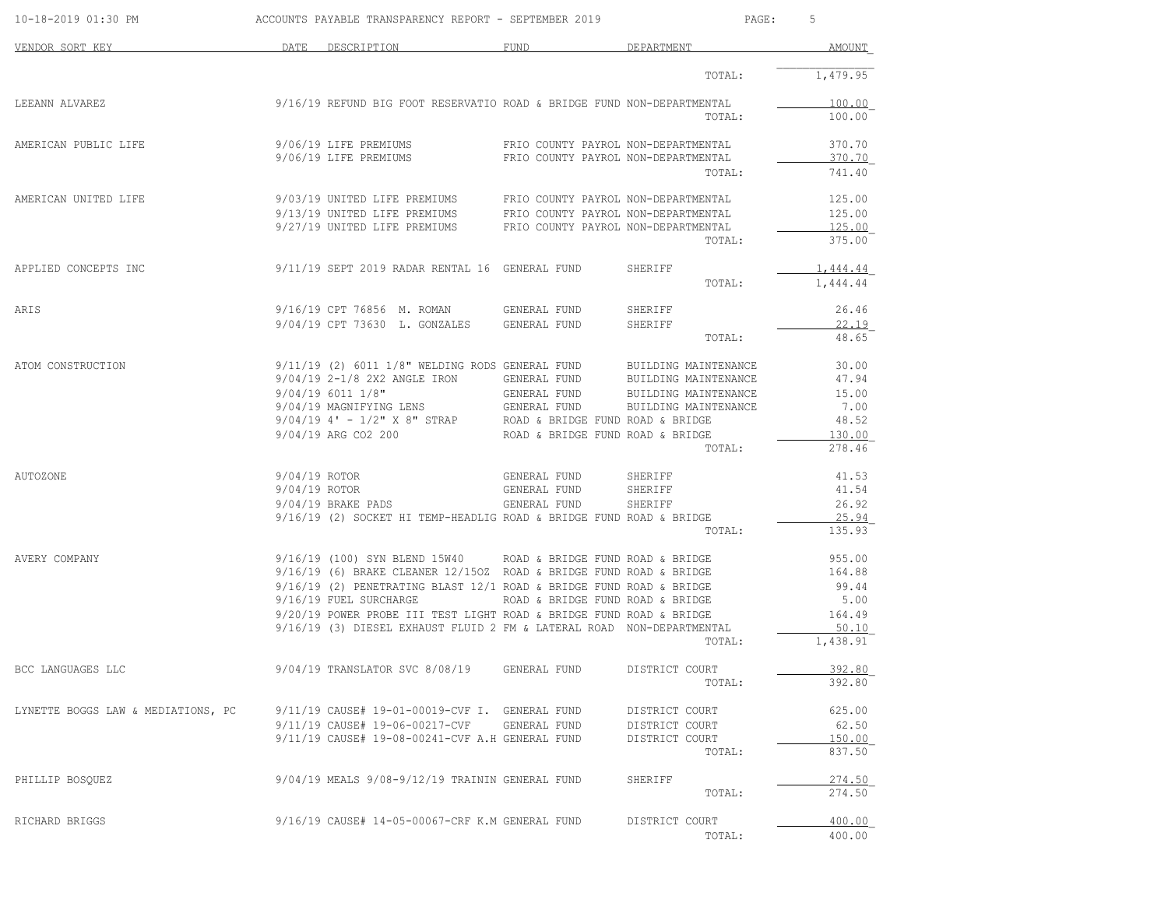| 10-18-2019 01:30 PM                | ACCOUNTS PAYABLE TRANSPARENCY REPORT - SEPTEMBER 2019                                                                                |                                     | PAGE:                    | 5                 |
|------------------------------------|--------------------------------------------------------------------------------------------------------------------------------------|-------------------------------------|--------------------------|-------------------|
| VENDOR SORT KEY                    | DATE DESCRIPTION                                                                                                                     | FUND                                | DEPARTMENT               | AMOUNT            |
|                                    |                                                                                                                                      |                                     | TOTAL:                   | 1,479.95          |
| LEEANN ALVAREZ                     | 9/16/19 REFUND BIG FOOT RESERVATIO ROAD & BRIDGE FUND NON-DEPARTMENTAL                                                               |                                     |                          | 100.00            |
|                                    |                                                                                                                                      |                                     | TOTAL:                   | 100.00            |
| AMERICAN PUBLIC LIFE               | 9/06/19 LIFE PREMIUMS                                                                                                                | FRIO COUNTY PAYROL NON-DEPARTMENTAL |                          | 370.70            |
|                                    | 9/06/19 LIFE PREMIUMS                                                                                                                | FRIO COUNTY PAYROL NON-DEPARTMENTAL | TOTAL:                   | 370.70<br>741.40  |
|                                    |                                                                                                                                      |                                     |                          |                   |
| AMERICAN UNITED LIFE               | 9/03/19 UNITED LIFE PREMIUMS FRIO COUNTY PAYROL NON-DEPARTMENTAL<br>9/13/19 UNITED LIFE PREMIUMS FRIO COUNTY PAYROL NON-DEPARTMENTAL |                                     |                          | 125.00            |
|                                    | 9/27/19 UNITED LIFE PREMIUMS                                                                                                         | FRIO COUNTY PAYROL NON-DEPARTMENTAL |                          | 125.00<br>125.00  |
|                                    |                                                                                                                                      |                                     | TOTAL:                   | 375.00            |
| APPLIED CONCEPTS INC               | 9/11/19 SEPT 2019 RADAR RENTAL 16 GENERAL FUND                                                                                       |                                     | SHERIFF                  | <u>1,444.44</u>   |
|                                    |                                                                                                                                      |                                     | TOTAL:                   | 1,444.44          |
| ARIS                               | 9/16/19 CPT 76856 M. ROMAN GENERAL FUND                                                                                              |                                     | SHERIFF                  | 26.46             |
|                                    | 9/04/19 CPT 73630 L. GONZALES                                                                                                        | GENERAL FUND                        | SHERIFF                  | 22.19             |
|                                    |                                                                                                                                      |                                     | TOTAL:                   | 48.65             |
| ATOM CONSTRUCTION                  | $9/11/19$ (2) 6011 1/8" WELDING RODS GENERAL FUND                                                                                    |                                     | BUILDING MAINTENANCE     | 30.00             |
|                                    | 9/04/19 2-1/8 2X2 ANGLE IRON                                                                                                         | GENERAL FUND                        | BUILDING MAINTENANCE     | 47.94             |
|                                    | 9/04/19 6011 1/8"                                                                                                                    | GENERAL FUND                        | BUILDING MAINTENANCE     | 15.00             |
|                                    | 9/04/19 MAGNIFYING LENS                                                                                                              | GENERAL FUND                        | BUILDING MAINTENANCE     | 7.00              |
|                                    | $9/04/19$ 4' - $1/2$ " X 8" STRAP ROAD & BRIDGE FUND ROAD & BRIDGE                                                                   |                                     |                          | 48.52             |
|                                    | 9/04/19 ARG CO2 200                                                                                                                  | ROAD & BRIDGE FUND ROAD & BRIDGE    | TOTAL:                   | 130.00<br>278.46  |
|                                    |                                                                                                                                      |                                     |                          |                   |
| AUTOZONE                           | 9/04/19 ROTOR                                                                                                                        | GENERAL FUND                        | SHERIFF                  | 41.53             |
|                                    | 9/04/19 ROTOR                                                                                                                        | GENERAL FUND                        | SHERIFF                  | 41.54             |
|                                    | 9/04/19 BRAKE PADS                                                                                                                   | GENERAL FUND                        | SHERIFF                  | 26.92             |
|                                    | 9/16/19 (2) SOCKET HI TEMP-HEADLIG ROAD & BRIDGE FUND ROAD & BRIDGE                                                                  |                                     |                          | 25.94             |
|                                    |                                                                                                                                      |                                     | TOTAL:                   | 135.93            |
| AVERY COMPANY                      | $9/16/19$ (100) SYN BLEND 15W40 ROAD & BRIDGE FUND ROAD & BRIDGE                                                                     |                                     |                          | 955.00            |
|                                    | $9/16/19$ (6) BRAKE CLEANER 12/150Z ROAD & BRIDGE FUND ROAD & BRIDGE                                                                 |                                     |                          | 164.88            |
|                                    | $9/16/19$ (2) PENETRATING BLAST 12/1 ROAD & BRIDGE FUND ROAD & BRIDGE                                                                |                                     |                          | 99.44             |
|                                    | 9/16/19 FUEL SURCHARGE                                                                                                               | ROAD & BRIDGE FUND ROAD & BRIDGE    |                          | 5.00              |
|                                    | 9/20/19 POWER PROBE III TEST LIGHT ROAD & BRIDGE FUND ROAD & BRIDGE                                                                  |                                     |                          | 164.49            |
|                                    | 9/16/19 (3) DIESEL EXHAUST FLUID 2 FM & LATERAL ROAD NON-DEPARTMENTAL                                                                |                                     | TOTAL:                   | 50.10<br>1,438.91 |
|                                    |                                                                                                                                      |                                     |                          |                   |
| BCC LANGUAGES LLC                  | 9/04/19 TRANSLATOR SVC 8/08/19                                                                                                       | GENERAL FUND                        | DISTRICT COURT           | 392.80            |
|                                    |                                                                                                                                      |                                     | TOTAL:                   | 392.80            |
| LYNETTE BOGGS LAW & MEDIATIONS, PC | 9/11/19 CAUSE# 19-01-00019-CVF I. GENERAL FUND                                                                                       |                                     | DISTRICT COURT           | 625.00            |
|                                    | 9/11/19 CAUSE# 19-06-00217-CVF                                                                                                       | GENERAL FUND                        | DISTRICT COURT           | 62.50             |
|                                    | 9/11/19 CAUSE# 19-08-00241-CVF A.H GENERAL FUND                                                                                      |                                     | DISTRICT COURT<br>TOTAL: | 150.00<br>837.50  |
|                                    |                                                                                                                                      |                                     |                          |                   |
| PHILLIP BOSOUEZ                    | 9/04/19 MEALS 9/08-9/12/19 TRAININ GENERAL FUND                                                                                      |                                     | SHERIFF<br>TOTAL:        | 274.50<br>274.50  |
| RICHARD BRIGGS                     | 9/16/19 CAUSE# 14-05-00067-CRF K.M GENERAL FUND                                                                                      |                                     | DISTRICT COURT           | <u>400.00</u>     |
|                                    |                                                                                                                                      |                                     | TOTAL:                   | 400.00            |
|                                    |                                                                                                                                      |                                     |                          |                   |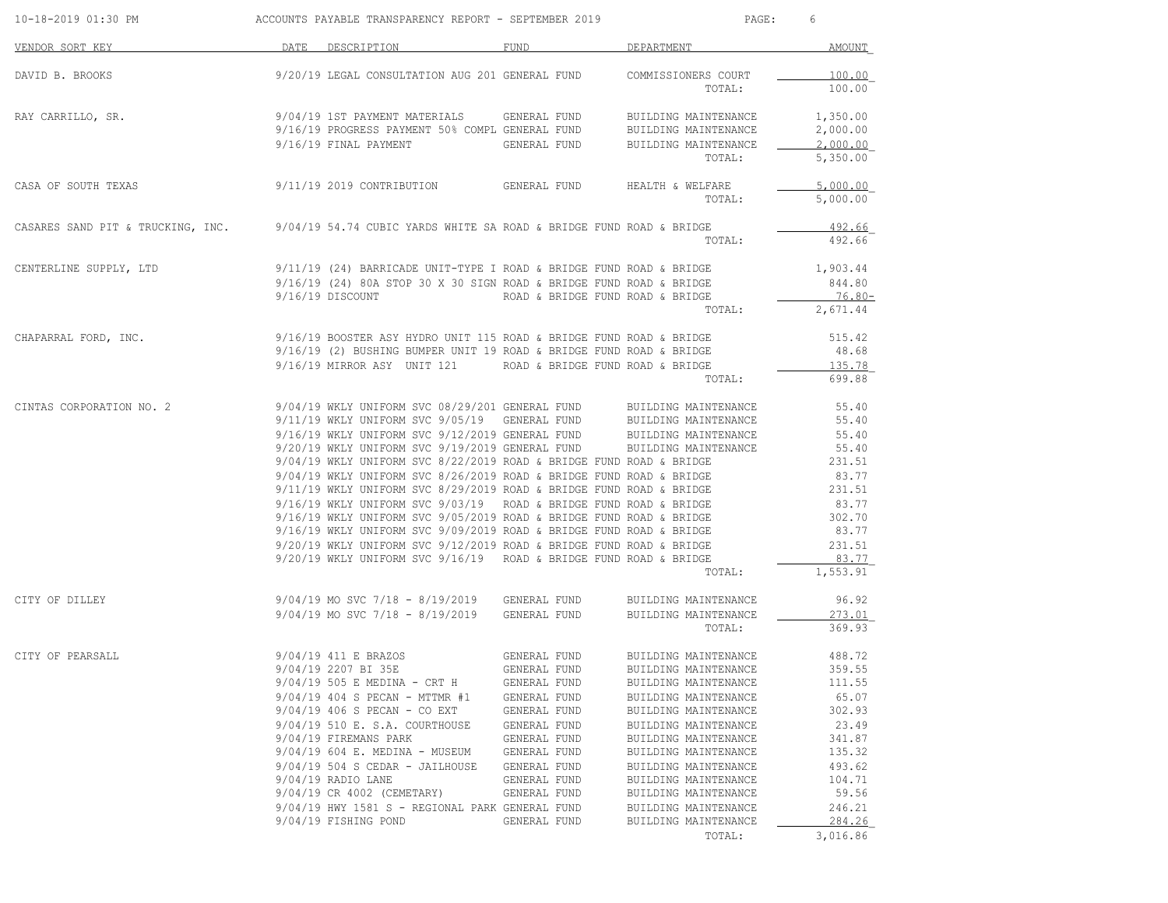| 10-18-2019 01:30 PM                                                                                   | ACCOUNTS PAYABLE TRANSPARENCY REPORT - SEPTEMBER 2019                                                                                                                                                                                                                                                                                                                                                                                                                                                                                                                                                                                                                                                                                                                                                                                                                                                                                            |                                                                                                                                                                                              | PAGE:                                                                                                                                                                                                                                                                                                                       | 6                                                                                                                        |
|-------------------------------------------------------------------------------------------------------|--------------------------------------------------------------------------------------------------------------------------------------------------------------------------------------------------------------------------------------------------------------------------------------------------------------------------------------------------------------------------------------------------------------------------------------------------------------------------------------------------------------------------------------------------------------------------------------------------------------------------------------------------------------------------------------------------------------------------------------------------------------------------------------------------------------------------------------------------------------------------------------------------------------------------------------------------|----------------------------------------------------------------------------------------------------------------------------------------------------------------------------------------------|-----------------------------------------------------------------------------------------------------------------------------------------------------------------------------------------------------------------------------------------------------------------------------------------------------------------------------|--------------------------------------------------------------------------------------------------------------------------|
| VENDOR SORT KEY                                                                                       | DATE DESCRIPTION                                                                                                                                                                                                                                                                                                                                                                                                                                                                                                                                                                                                                                                                                                                                                                                                                                                                                                                                 | FUND                                                                                                                                                                                         | DEPARTMENT                                                                                                                                                                                                                                                                                                                  | AMOUNT                                                                                                                   |
| DAVID B. BROOKS                                                                                       | 9/20/19 LEGAL CONSULTATION AUG 201 GENERAL FUND COMMISSIONERS COURT                                                                                                                                                                                                                                                                                                                                                                                                                                                                                                                                                                                                                                                                                                                                                                                                                                                                              |                                                                                                                                                                                              | TOTAL:                                                                                                                                                                                                                                                                                                                      | 100.00<br>100.00                                                                                                         |
| RAY CARRILLO, SR.                                                                                     | 9/04/19 1ST PAYMENT MATERIALS<br>9/16/19 PROGRESS PAYMENT 50% COMPL GENERAL FUND<br>9/16/19 FINAL PAYMENT                                                                                                                                                                                                                                                                                                                                                                                                                                                                                                                                                                                                                                                                                                                                                                                                                                        | GENERAL FUND<br>GENERAL FUND                                                                                                                                                                 | BUILDING MAINTENANCE<br>BUILDING MAINTENANCE<br>BUILDING MAINTENANCE<br>TOTAL:                                                                                                                                                                                                                                              | 1,350.00<br>2,000.00<br>2,000.00<br>5,350.00                                                                             |
| CASA OF SOUTH TEXAS                                                                                   | 9/11/19 2019 CONTRIBUTION GENERAL FUND                                                                                                                                                                                                                                                                                                                                                                                                                                                                                                                                                                                                                                                                                                                                                                                                                                                                                                           |                                                                                                                                                                                              | HEALTH & WELFARE<br>TOTAL:                                                                                                                                                                                                                                                                                                  | 5,000.00<br>5,000.00                                                                                                     |
| CASARES SAND PIT & TRUCKING, INC. 9/04/19 54.74 CUBIC YARDS WHITE SA ROAD & BRIDGE FUND ROAD & BRIDGE |                                                                                                                                                                                                                                                                                                                                                                                                                                                                                                                                                                                                                                                                                                                                                                                                                                                                                                                                                  |                                                                                                                                                                                              | TOTAL:                                                                                                                                                                                                                                                                                                                      | 492.66<br>492.66                                                                                                         |
| CENTERLINE SUPPLY, LTD                                                                                | 9/11/19 (24) BARRICADE UNIT-TYPE I ROAD & BRIDGE FUND ROAD & BRIDGE<br>$9/16/19$ (24) 80A STOP 30 X 30 SIGN ROAD & BRIDGE FUND ROAD & BRIDGE<br>9/16/19 DISCOUNT                                                                                                                                                                                                                                                                                                                                                                                                                                                                                                                                                                                                                                                                                                                                                                                 | ROAD & BRIDGE FUND ROAD & BRIDGE                                                                                                                                                             | TOTAL:                                                                                                                                                                                                                                                                                                                      | 1,903.44<br>844.80<br>76.80-<br>2,671.44                                                                                 |
| CHAPARRAL FORD, INC.                                                                                  | 9/16/19 BOOSTER ASY HYDRO UNIT 115 ROAD & BRIDGE FUND ROAD & BRIDGE<br>9/16/19 (2) BUSHING BUMPER UNIT 19 ROAD & BRIDGE FUND ROAD & BRIDGE<br>9/16/19 MIRROR ASY UNIT 121 ROAD & BRIDGE FUND ROAD & BRIDGE                                                                                                                                                                                                                                                                                                                                                                                                                                                                                                                                                                                                                                                                                                                                       |                                                                                                                                                                                              | TOTAL:                                                                                                                                                                                                                                                                                                                      | 515.42<br>48.68<br>135.78<br>699.88                                                                                      |
| CINTAS CORPORATION NO. 2                                                                              | 9/04/19 WKLY UNIFORM SVC 08/29/201 GENERAL FUND BUILDING MAINTENANCE<br>9/11/19 WKLY UNIFORM SVC 9/05/19 GENERAL FUND BUILDING MAINTENANCE<br>9/16/19 WKLY UNIFORM SVC 9/12/2019 GENERAL FUND BUILDING MAINTENANCE<br>9/20/19 WKLY UNIFORM SVC 9/19/2019 GENERAL FUND<br>$9/04/19$ WKLY UNIFORM SVC 8/22/2019 ROAD & BRIDGE FUND ROAD & BRIDGE<br>$9/04/19$ WKLY UNIFORM SVC 8/26/2019 ROAD & BRIDGE FUND ROAD & BRIDGE<br>9/04/19 WKLY UNIFORM SVC 8/20/2019 ROAD & BRIDGE FUND ROAD & BRIDGE<br>9/11/19 WKLY UNIFORM SVC 8/29/2019 ROAD & BRIDGE FUND ROAD & BRIDGE<br>9/16/19 WKLY UNIFORM SVC 9/03/19 ROAD & BRIDGE FUND ROAD & BRIDGE<br>$9/16/19$ WKLY UNIFORM SVC $9/05/2019$ ROAD & BRIDGE FUND ROAD & BRIDGE<br>$9/16/19$ WKLY UNIFORM SVC $9/09/2019$ ROAD & BRIDGE FUND ROAD & BRIDGE<br>$9/20/19$ WKLY UNIFORM SVC $9/12/2019$ ROAD & BRIDGE FUND ROAD & BRIDGE<br>9/20/19 WKLY UNIFORM SVC 9/16/19 ROAD & BRIDGE FUND ROAD & BRIDGE |                                                                                                                                                                                              | BUILDING MAINTENANCE<br>TOTAL:                                                                                                                                                                                                                                                                                              | 55.40<br>55.40<br>55.40<br>55.40<br>231.51<br>83.77<br>231.51<br>83.77<br>302.70<br>83.77<br>231.51<br>83.77<br>1,553.91 |
| CITY OF DILLEY                                                                                        | 9/04/19 MO SVC 7/18 - 8/19/2019 GENERAL FUND<br>$9/04/19$ MO SVC $7/18 - 8/19/2019$ GENERAL FUND                                                                                                                                                                                                                                                                                                                                                                                                                                                                                                                                                                                                                                                                                                                                                                                                                                                 |                                                                                                                                                                                              | BUILDING MAINTENANCE<br>BUILDING MAINTENANCE<br>TOTAL:                                                                                                                                                                                                                                                                      | 96.92<br>273.01<br>369.93                                                                                                |
| CITY OF PEARSALL                                                                                      | 9/04/19 411 E BRAZOS<br>9/04/19 2207 BI 35E<br>$9/04/19$ 505 E MEDINA - CRT H<br>9/04/19 404 S PECAN - MTTMR #1<br>$9/04/19$ 406 S PECAN - CO EXT<br>9/04/19 510 E. S.A. COURTHOUSE<br>9/04/19 FIREMANS PARK<br>$9/04/19$ 604 E. MEDINA - MUSEUM<br>$9/04/19$ 504 S CEDAR - JAILHOUSE<br>$9/04/19$ RADIO LANE<br>9/04/19 CR 4002 (CEMETARY)<br>9/04/19 HWY 1581 S - REGIONAL PARK GENERAL FUND<br>9/04/19 FISHING POND                                                                                                                                                                                                                                                                                                                                                                                                                                                                                                                           | GENERAL FUND<br>GENERAL FUND<br>GENERAL FUND<br>GENERAL FUND<br>GENERAL FUND<br>GENERAL FUND<br>GENERAL FUND<br>GENERAL FUND<br>GENERAL FUND<br>GENERAL FUND<br>GENERAL FUND<br>GENERAL FUND | BUILDING MAINTENANCE 488.72<br>BUILDING MAINTENANCE<br>BUILDING MAINTENANCE<br>BUILDING MAINTENANCE<br>BUILDING MAINTENANCE<br>BUILDING MAINTENANCE<br>BUILDING MAINTENANCE<br>BUILDING MAINTENANCE<br>BUILDING MAINTENANCE<br>BUILDING MAINTENANCE<br>BUILDING MAINTENANCE<br>BUILDING MAINTENANCE<br>BUILDING MAINTENANCE | 359.55<br>111.55<br>65.07<br>302.93<br>23.49<br>341.87<br>135.32<br>493.62<br>104.71<br>59.56<br>246.21<br>284.26        |
|                                                                                                       |                                                                                                                                                                                                                                                                                                                                                                                                                                                                                                                                                                                                                                                                                                                                                                                                                                                                                                                                                  |                                                                                                                                                                                              | TOTAL:                                                                                                                                                                                                                                                                                                                      | 3,016.86                                                                                                                 |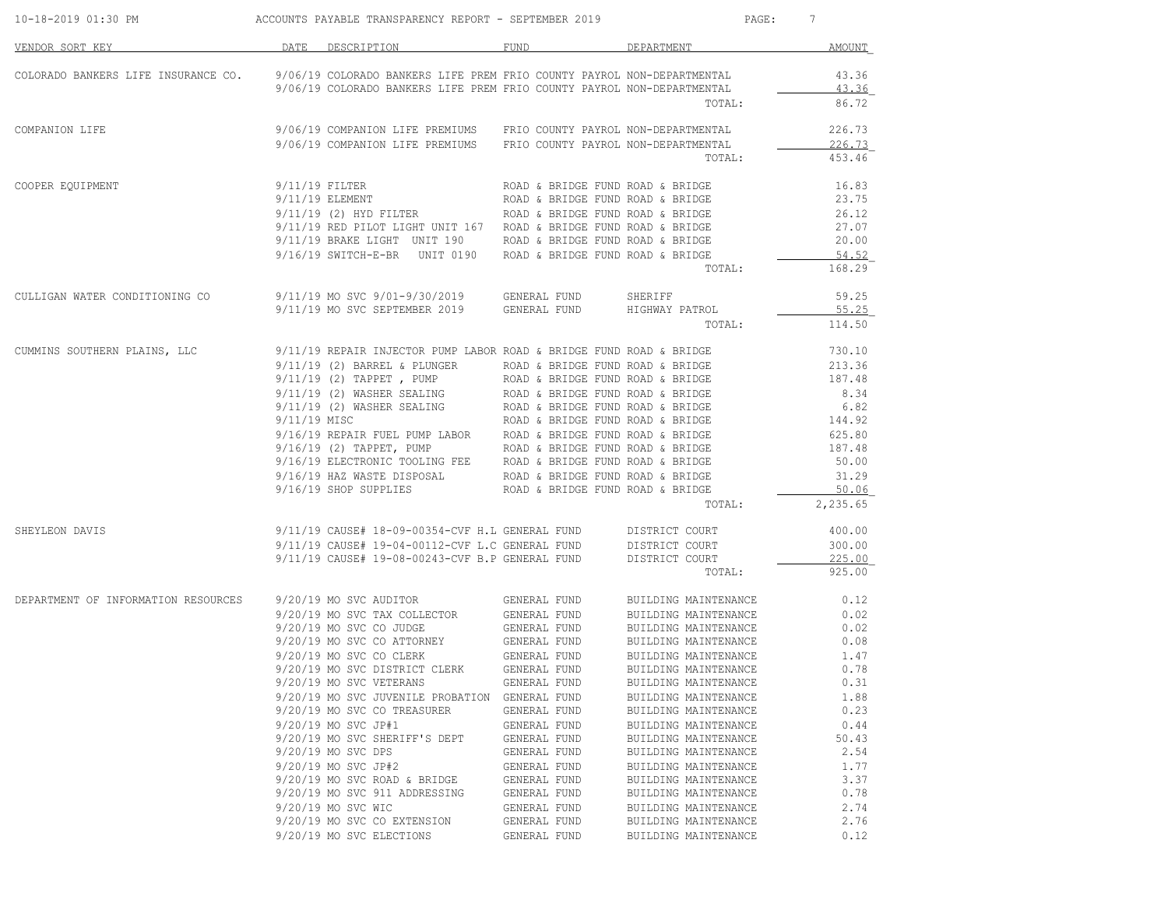| 10-18-2019 01:30 PM                 | ACCOUNTS PAYABLE TRANSPARENCY REPORT - SEPTEMBER 2019                                                                                                                                                                                         |                                  |                      | PAGE: 7  |
|-------------------------------------|-----------------------------------------------------------------------------------------------------------------------------------------------------------------------------------------------------------------------------------------------|----------------------------------|----------------------|----------|
| VENDOR SORT KEY                     | DATE DESCRIPTION                                                                                                                                                                                                                              | FUND                             | DEPARTMENT           | AMOUNT   |
|                                     | COLORADO BANKERS LIFE INSURANCE CO. 9/06/19 COLORADO BANKERS LIFE PREM FRIO COUNTY PAYROL NON-DEPARTMENTAL                                                                                                                                    |                                  |                      | 43.36    |
|                                     | 9/06/19 COLORADO BANKERS LIFE PREM FRIO COUNTY PAYROL NON-DEPARTMENTAL                                                                                                                                                                        |                                  |                      | 43.36    |
|                                     |                                                                                                                                                                                                                                               |                                  | TOTAL:               | 86.72    |
| COMPANION LIFE                      | 9/06/19 COMPANION LIFE PREMIUMS FRIO COUNTY PAYROL NON-DEPARTMENTAL                                                                                                                                                                           |                                  |                      | 226.73   |
|                                     | 9/06/19 COMPANION LIFE PREMIUMS FRIO COUNTY PAYROL NON-DEPARTMENTAL                                                                                                                                                                           |                                  |                      | 226.73   |
|                                     |                                                                                                                                                                                                                                               |                                  | TOTAL:               | 453.46   |
| COOPER EQUIPMENT                    | 9/11/19 FILTER                                                                                                                                                                                                                                | ROAD & BRIDGE FUND ROAD & BRIDGE |                      | 16.83    |
|                                     | $9/11/19$ ELEMENT                                                                                                                                                                                                                             | ROAD & BRIDGE FUND ROAD & BRIDGE |                      | 23.75    |
|                                     | 9/11/19 (2) HYD FILTER                                                                                                                                                                                                                        | ROAD & BRIDGE FUND ROAD & BRIDGE |                      | 26.12    |
|                                     | $9/11/19$ RED PILOT LIGHT UNIT 167 ROAD & BRIDGE FUND ROAD & BRIDGE                                                                                                                                                                           |                                  |                      | 27.07    |
|                                     | $9/11/19$ BRAKE LIGHT UNIT 190 ROAD & BRIDGE FUND ROAD & BRIDGE                                                                                                                                                                               |                                  |                      | 20.00    |
|                                     | $9/16/19$ SWITCH-E-BR UNIT 0190 ROAD & BRIDGE FUND ROAD & BRIDGE                                                                                                                                                                              |                                  |                      | 54.52    |
|                                     |                                                                                                                                                                                                                                               |                                  | TOTAL:               | 168.29   |
| CULLIGAN WATER CONDITIONING CO      | 9/11/19 MO SVC 9/01-9/30/2019 GENERAL FUND                                                                                                                                                                                                    |                                  | SHERIFF              | 59.25    |
|                                     | 9/11/19 MO SVC SEPTEMBER 2019 GENERAL FUND                                                                                                                                                                                                    |                                  | HIGHWAY PATROL       | 55.25    |
|                                     |                                                                                                                                                                                                                                               |                                  | TOTAL:               | 114.50   |
| CUMMINS SOUTHERN PLAINS, LLC        | 9/11/19 REPAIR INJECTOR PUMP LABOR ROAD & BRIDGE FUND ROAD & BRIDGE                                                                                                                                                                           |                                  |                      | 730.10   |
|                                     | $9/11/19$ (2) BARREL & PLUNGER                                                                                                                                                                                                                | ROAD & BRIDGE FUND ROAD & BRIDGE |                      | 213.36   |
|                                     | 9/11/19 (2) TAPPET, PUMP<br>9/11/19 (2) WASHER SEALING<br>9/11/19 (2) WASHER SEALING<br>9/11/19 (2) WASHER SEALING<br>8/11/19 (2) WASHER SEALING<br>8/11/19 MISC<br>8/16/19 ELECTRONIC TOOLING FEE<br>9/16/19 ELECTRONIC TOOLING FEE<br>8/16/ |                                  |                      | 187.48   |
|                                     |                                                                                                                                                                                                                                               |                                  |                      | 8.34     |
|                                     |                                                                                                                                                                                                                                               |                                  |                      | 6.82     |
|                                     |                                                                                                                                                                                                                                               |                                  |                      | 144.92   |
|                                     |                                                                                                                                                                                                                                               |                                  |                      | 625.80   |
|                                     |                                                                                                                                                                                                                                               |                                  |                      | 187.48   |
|                                     |                                                                                                                                                                                                                                               |                                  |                      | 50.00    |
|                                     |                                                                                                                                                                                                                                               |                                  |                      | 31.29    |
|                                     | 9/16/19 HAZ WASTE DISPOSAL ROAD & BRIDGE FUND ROAD & BRIDGE 9/16/19 SHOP SUPPLIES ROAD & BRIDGE FUND ROAD & RETIGE                                                                                                                            | ROAD & BRIDGE FUND ROAD & BRIDGE |                      | 50.06    |
|                                     |                                                                                                                                                                                                                                               |                                  | TOTAL:               | 2,235.65 |
| SHEYLEON DAVIS                      | 9/11/19 CAUSE# 18-09-00354-CVF H.L GENERAL FUND DISTRICT COURT                                                                                                                                                                                |                                  |                      | 400.00   |
|                                     |                                                                                                                                                                                                                                               |                                  |                      | 300.00   |
|                                     | 9/11/19 CAUSE# 19-04-00112-CVF L.C GENERAL FUND DISTRICT COURT 9/11/19 CAUSE# 19-08-00243-CVF B.P GENERAL FUND DISTRICT COURT                                                                                                                 |                                  |                      | 225.00   |
|                                     |                                                                                                                                                                                                                                               |                                  | TOTAL:               | 925.00   |
| DEPARTMENT OF INFORMATION RESOURCES |                                                                                                                                                                                                                                               | GENERAL FUND                     | BUILDING MAINTENANCE | 0.12     |
|                                     | 9/20/19 MO SVC AUDITOR<br>9/20/19 MO SVC TAX COLLECTOR                                                                                                                                                                                        | GENERAL FUND                     | BUILDING MAINTENANCE | 0.02     |
|                                     |                                                                                                                                                                                                                                               |                                  | BUILDING MAINTENANCE | 0.02     |
|                                     | 9/20/19 MO SVC CO JUDGE<br>9/20/19 MO SVC CO ATTORNEY                                                                                                                                                                                         | GENERAL FUND<br>GENERAL FUND     | BUILDING MAINTENANCE | 0.08     |
|                                     | $9/20/19$ MO SVC CO CLERK                                                                                                                                                                                                                     | GENERAL FUND                     | BUILDING MAINTENANCE | 1.47     |
|                                     | 9/20/19 MO SVC DISTRICT CLERK                                                                                                                                                                                                                 | GENERAL FUND                     | BUILDING MAINTENANCE | 0.78     |
|                                     | 9/20/19 MO SVC VETERANS                                                                                                                                                                                                                       | GENERAL FUND                     | BUILDING MAINTENANCE | 0.31     |
|                                     | 9/20/19 MO SVC JUVENILE PROBATION                                                                                                                                                                                                             | GENERAL FUND                     | BUILDING MAINTENANCE | 1.88     |
|                                     | 9/20/19 MO SVC CO TREASURER                                                                                                                                                                                                                   | GENERAL FUND                     | BUILDING MAINTENANCE | 0.23     |
|                                     | 9/20/19 MO SVC JP#1                                                                                                                                                                                                                           | GENERAL FUND                     | BUILDING MAINTENANCE | 0.44     |
|                                     | 9/20/19 MO SVC SHERIFF'S DEPT                                                                                                                                                                                                                 | GENERAL FUND                     | BUILDING MAINTENANCE | 50.43    |
|                                     | 9/20/19 MO SVC DPS                                                                                                                                                                                                                            | GENERAL FUND                     | BUILDING MAINTENANCE | 2.54     |
|                                     | 9/20/19 MO SVC JP#2                                                                                                                                                                                                                           | GENERAL FUND                     | BUILDING MAINTENANCE | 1.77     |
|                                     | 9/20/19 MO SVC ROAD & BRIDGE                                                                                                                                                                                                                  | GENERAL FUND                     | BUILDING MAINTENANCE | 3.37     |
|                                     | 9/20/19 MO SVC 911 ADDRESSING                                                                                                                                                                                                                 | GENERAL FUND                     | BUILDING MAINTENANCE | 0.78     |
|                                     | 9/20/19 MO SVC WIC                                                                                                                                                                                                                            | GENERAL FUND                     | BUILDING MAINTENANCE | 2.74     |
|                                     | 9/20/19 MO SVC CO EXTENSION                                                                                                                                                                                                                   | GENERAL FUND                     | BUILDING MAINTENANCE | 2.76     |
|                                     |                                                                                                                                                                                                                                               |                                  |                      |          |
|                                     | 9/20/19 MO SVC ELECTIONS                                                                                                                                                                                                                      | GENERAL FUND                     | BUILDING MAINTENANCE | 0.12     |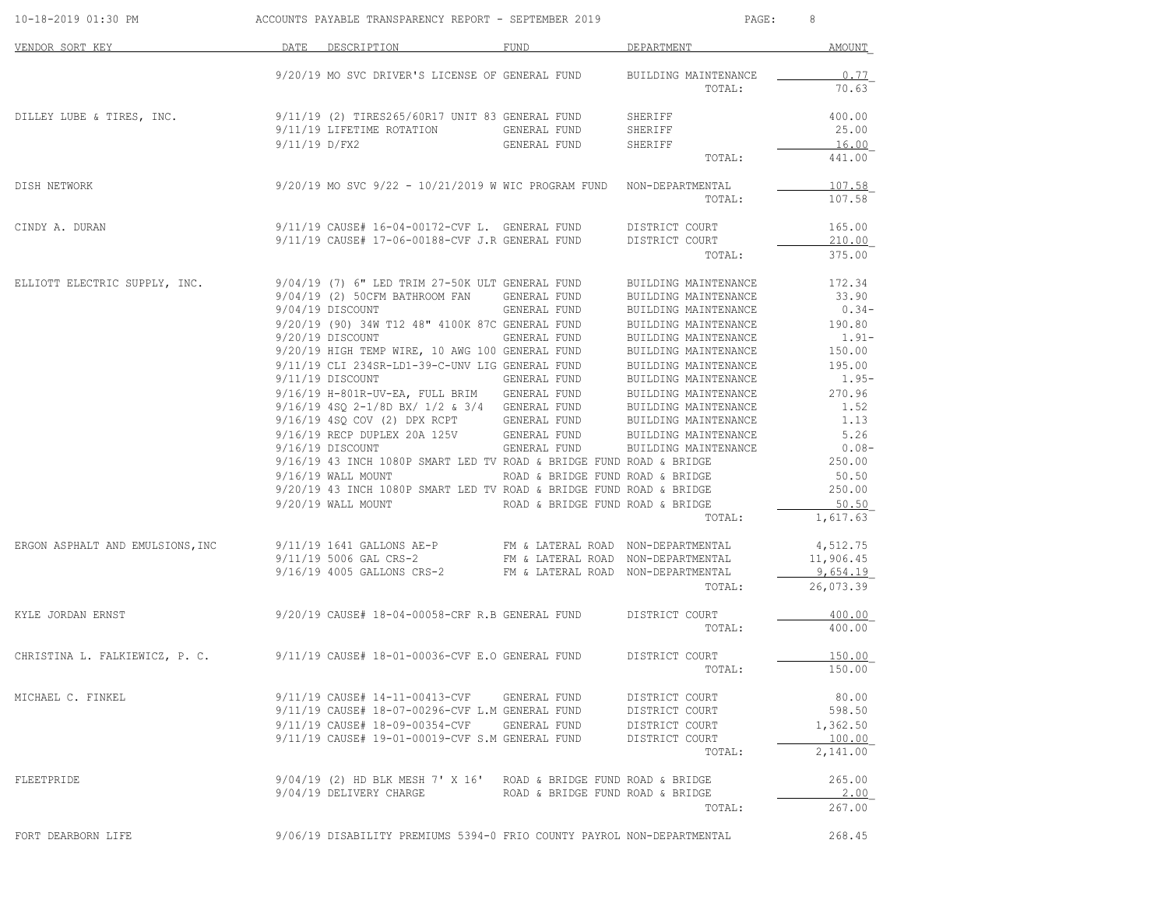| 10-18-2019 01:30 PM                                                                           |               | ACCOUNTS PAYABLE TRANSPARENCY REPORT - SEPTEMBER 2019                                                                   |                                  | PAGE:                                                     | 8                 |
|-----------------------------------------------------------------------------------------------|---------------|-------------------------------------------------------------------------------------------------------------------------|----------------------------------|-----------------------------------------------------------|-------------------|
| VENDOR SORT KEY                                                                               |               | DATE DESCRIPTION                                                                                                        | <b>FUND</b>                      | DEPARTMENT                                                | AMOUNT            |
|                                                                                               |               | 9/20/19 MO SVC DRIVER'S LICENSE OF GENERAL FUND                                                                         |                                  | BUILDING MAINTENANCE                                      | 0.77              |
|                                                                                               |               |                                                                                                                         |                                  | TOTAL:                                                    | 70.63             |
| DILLEY LUBE & TIRES, INC.                                                                     |               | 9/11/19 (2) TIRES265/60R17 UNIT 83 GENERAL FUND                                                                         |                                  | SHERIFF                                                   | 400.00            |
|                                                                                               |               | 9/11/19 LIFETIME ROTATION GENERAL FUND                                                                                  |                                  | SHERIFF                                                   | 25.00             |
|                                                                                               | 9/11/19 D/FX2 |                                                                                                                         | GENERAL FUND                     | SHERIFF                                                   | 16.00             |
|                                                                                               |               |                                                                                                                         |                                  | TOTAL:                                                    | 441.00            |
| DISH NETWORK                                                                                  |               | $9/20/19$ MO SVC $9/22$ - $10/21/2019$ W WIC PROGRAM FUND NON-DEPARTMENTAL                                              |                                  |                                                           | 107.58            |
|                                                                                               |               |                                                                                                                         |                                  | TOTAL:                                                    | 107.58            |
| CINDY A. DURAN                                                                                |               | $9/11/19$ CAUSE# $16-04-00172$ -CVF L. GENERAL FUND                                                                     |                                  | DISTRICT COURT                                            | 165.00            |
|                                                                                               |               | 9/11/19 CAUSE# 17-06-00188-CVF J.R GENERAL FUND                                                                         |                                  | DISTRICT COURT                                            | 210.00            |
|                                                                                               |               |                                                                                                                         |                                  | TOTAL:                                                    | 375.00            |
| ELLIOTT ELECTRIC SUPPLY, INC.                                                                 |               | 9/04/19 (7) 6" LED TRIM 27-50K ULT GENERAL FUND                                                                         |                                  | BUILDING MAINTENANCE                                      | 172.34            |
|                                                                                               |               | 9/04/19 (2) 50CFM BATHROOM FAN GENERAL FUND                                                                             |                                  | BUILDING MAINTENANCE                                      | 33.90             |
|                                                                                               |               | 9/04/19 DISCOUNT                                                                                                        | GENERAL FUND                     | BUILDING MAINTENANCE 0.34-<br>BUILDING MAINTENANCE 190.80 | $0.34-$           |
|                                                                                               |               | 9/20/19 (90) 34W T12 48" 4100K 87C GENERAL FUND<br>9/20/19 DISCOUNT                                                     | GENERAL FUND                     | BUILDING MAINTENANCE                                      | $1.91-$           |
|                                                                                               |               | 9/20/19 HIGH TEMP WIRE, 10 AWG 100 GENERAL FUND                                                                         |                                  | BUILDING MAINTENANCE                                      | 150.00            |
|                                                                                               |               | 9/11/19 CLI 234SR-LD1-39-C-UNV LIG GENERAL FUND                                                                         |                                  | BUILDING MAINTENANCE 195.00                               |                   |
|                                                                                               |               | 9/11/19 DISCOUNT                                                                                                        | GENERAL FUND                     | BUILDING MAINTENANCE                                      | $1.95-$           |
|                                                                                               |               | 9/16/19 H-801R-UV-EA, FULL BRIM GENERAL FUND BUILDING MAINTENANCE 270.96                                                |                                  |                                                           |                   |
|                                                                                               |               | 9/16/19 4SQ 2-1/8D BX/ 1/2 & 3/4 GENERAL FUND                                                                           |                                  | BUILDING MAINTENANCE                                      | 1.52              |
|                                                                                               |               | 9/16/19 4SQ COV (2) DPX RCPT GENERAL FUND BUILDING MAINTENANCE                                                          |                                  |                                                           | 1.13              |
|                                                                                               |               | $9/16/19$ RECP DUPLEX 20A 125V GENERAL FUND BUILDING MAINTENANCE $9/16/19$ DISCOUNT GENERAL FUND BUILDING MAINTENANCE   |                                  |                                                           | 5.26              |
|                                                                                               |               |                                                                                                                         |                                  |                                                           | $0.08-$           |
|                                                                                               |               | 9/16/19 43 INCH 1080P SMART LED TV ROAD & BRIDGE FUND ROAD & BRIDGE                                                     |                                  |                                                           | 250.00            |
|                                                                                               |               | $9/16/19$ WALL MOUNT                                                                                                    | ROAD & BRIDGE FUND ROAD & BRIDGE |                                                           | 50.50             |
|                                                                                               |               | $9/20/19$ 43 INCH 1080P SMART LED TV ROAD & BRIDGE FUND ROAD & BRIDGE                                                   |                                  |                                                           | 250.00            |
|                                                                                               |               | 9/20/19 WALL MOUNT ROAD & BRIDGE FUND ROAD & BRIDGE                                                                     |                                  | TOTAL:                                                    | 50.50<br>1,617.63 |
|                                                                                               |               |                                                                                                                         |                                  |                                                           |                   |
| ERGON ASPHALT AND EMULSIONS, INC 9/11/19 1641 GALLONS AE-P FM & LATERAL ROAD NON-DEPARTMENTAL |               |                                                                                                                         |                                  |                                                           | 4,512.75          |
|                                                                                               |               | 9/11/19 5006 GAL CRS-2 FM & LATERAL ROAD NON-DEPARTMENTAL 9/16/19 4005 GALLONS CRS-2 FM & LATERAL ROAD NON-DEPARTMENTAL |                                  |                                                           | 11,906.45         |
|                                                                                               |               |                                                                                                                         |                                  |                                                           | 9,654.19          |
|                                                                                               |               |                                                                                                                         |                                  | TOTAL:                                                    | 26,073.39         |
| KYLE JORDAN ERNST                                                                             |               | 9/20/19 CAUSE# 18-04-00058-CRF R.B GENERAL FUND DISTRICT COURT                                                          |                                  |                                                           | 400.00            |
|                                                                                               |               |                                                                                                                         |                                  | TOTAL:                                                    | 400.00            |
| CHRISTINA L. FALKIEWICZ, P. C. 9/11/19 CAUSE# 18-01-00036-CVF E.O GENERAL FUND                |               |                                                                                                                         |                                  | DISTRICT COURT                                            | 150.00            |
|                                                                                               |               |                                                                                                                         |                                  | TOTAL:                                                    | 150.00            |
| MICHAEL C. FINKEL                                                                             |               | $9/11/19$ CAUSE# 14-11-00413-CVF GENERAL FUND                                                                           |                                  | DISTRICT COURT                                            | 80.00             |
|                                                                                               |               | 9/11/19 CAUSE# 18-07-00296-CVF L.M GENERAL FUND                                                                         |                                  | DISTRICT COURT                                            | 598.50            |
|                                                                                               |               | $9/11/19$ CAUSE# 18-09-00354-CVF GENERAL FUND                                                                           |                                  | DISTRICT COURT                                            | 1,362.50          |
|                                                                                               |               | 9/11/19 CAUSE# 19-01-00019-CVF S.M GENERAL FUND                                                                         |                                  | DISTRICT COURT                                            | 100.00            |
|                                                                                               |               |                                                                                                                         |                                  | TOTAL:                                                    | 2,141.00          |
| FLEETPRIDE                                                                                    |               | $9/04/19$ (2) HD BLK MESH 7' X 16' ROAD & BRIDGE FUND ROAD & BRIDGE                                                     |                                  |                                                           | 265.00            |
|                                                                                               |               | $9/04/19$ DELIVERY CHARGE ROAD & BRIDGE FUND ROAD & BRIDGE                                                              |                                  |                                                           | 2.00              |
|                                                                                               |               |                                                                                                                         |                                  | TOTAL:                                                    | 267.00            |
| FORT DEARBORN LIFE                                                                            |               | 9/06/19 DISABILITY PREMIUMS 5394-0 FRIO COUNTY PAYROL NON-DEPARTMENTAL                                                  |                                  |                                                           | 268.45            |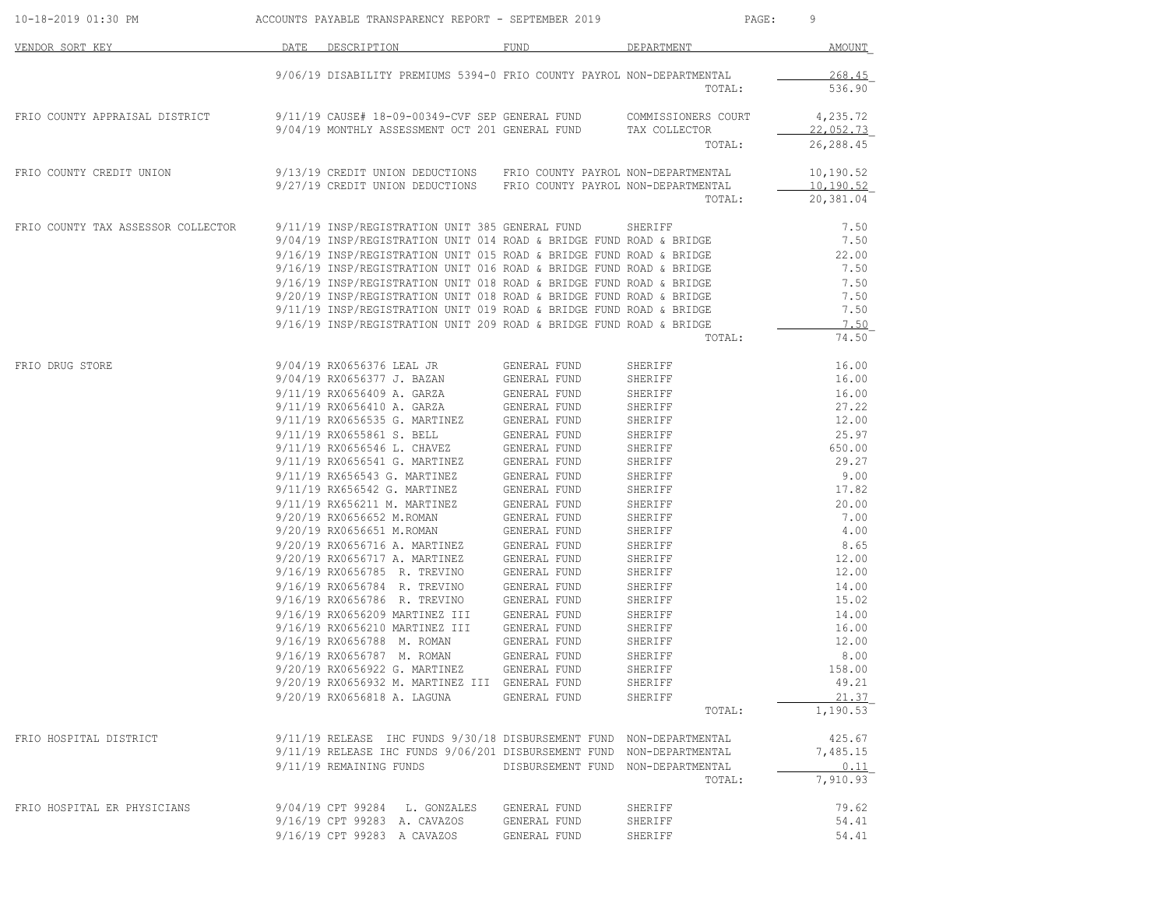| 10-18-2019 01:30 PM                | ACCOUNTS PAYABLE TRANSPARENCY REPORT - SEPTEMBER 2019                                                                                      |                                    | PAGE:                                | 9                                   |
|------------------------------------|--------------------------------------------------------------------------------------------------------------------------------------------|------------------------------------|--------------------------------------|-------------------------------------|
| VENDOR SORT KEY                    | DATE DESCRIPTION                                                                                                                           | FUND                               | DEPARTMENT                           | AMOUNT                              |
|                                    | 9/06/19 DISABILITY PREMIUMS 5394-0 FRIO COUNTY PAYROL NON-DEPARTMENTAL                                                                     |                                    | TOTAL:                               | 268.45<br>536.90                    |
| FRIO COUNTY APPRAISAL DISTRICT     | 9/11/19 CAUSE# 18-09-00349-CVF SEP GENERAL FUND<br>9/04/19 MONTHLY ASSESSMENT OCT 201 GENERAL FUND                                         |                                    | COMMISSIONERS COURT<br>TAX COLLECTOR | 4,235.72<br>22,052.73               |
|                                    |                                                                                                                                            |                                    | TOTAL:                               | 26,288.45                           |
| FRIO COUNTY CREDIT UNION           | 9/13/19 CREDIT UNION DEDUCTIONS FRIO COUNTY PAYROL NON-DEPARTMENTAL<br>9/27/19 CREDIT UNION DEDUCTIONS FRIO COUNTY PAYROL NON-DEPARTMENTAL |                                    | TOTAL:                               | 10,190.52<br>10,190.52<br>20,381.04 |
|                                    |                                                                                                                                            |                                    |                                      |                                     |
| FRIO COUNTY TAX ASSESSOR COLLECTOR | 9/11/19 INSP/REGISTRATION UNIT 385 GENERAL FUND                                                                                            |                                    | SHERIFF                              | 7.50                                |
|                                    | 9/04/19 INSP/REGISTRATION UNIT 014 ROAD & BRIDGE FUND ROAD & BRIDGE                                                                        |                                    |                                      | 7.50                                |
|                                    | 9/16/19 INSP/REGISTRATION UNIT 015 ROAD & BRIDGE FUND ROAD & BRIDGE                                                                        |                                    |                                      | 22,00                               |
|                                    | 9/16/19 INSP/REGISTRATION UNIT 016 ROAD & BRIDGE FUND ROAD & BRIDGE                                                                        |                                    |                                      | 7.50                                |
|                                    | 9/16/19 INSP/REGISTRATION UNIT 018 ROAD & BRIDGE FUND ROAD & BRIDGE                                                                        |                                    |                                      | 7.50                                |
|                                    | 9/20/19 INSP/REGISTRATION UNIT 018 ROAD & BRIDGE FUND ROAD & BRIDGE                                                                        |                                    |                                      | 7.50                                |
|                                    | 9/11/19 INSP/REGISTRATION UNIT 019 ROAD & BRIDGE FUND ROAD & BRIDGE                                                                        |                                    |                                      | 7.50                                |
|                                    | 9/16/19 INSP/REGISTRATION UNIT 209 ROAD & BRIDGE FUND ROAD & BRIDGE                                                                        |                                    |                                      | 7.50                                |
|                                    |                                                                                                                                            |                                    | TOTAL:                               | 74.50                               |
| FRIO DRUG STORE                    | 9/04/19 RX0656376 LEAL JR                                                                                                                  | GENERAL FUND                       | SHERIFF                              | 16.00                               |
|                                    | 9/04/19 RX0656377 J. BAZAN                                                                                                                 | GENERAL FUND                       | SHERIFF                              | 16.00                               |
|                                    | 9/11/19 RX0656409 A. GARZA                                                                                                                 | GENERAL FUND                       | SHERIFF                              | 16.00                               |
|                                    | 9/11/19 RX0656410 A. GARZA                                                                                                                 | GENERAL FUND                       | SHERIFF                              | 27.22                               |
|                                    | 9/11/19 RX0656535 G. MARTINEZ                                                                                                              | GENERAL FUND                       | SHERIFF                              | 12.00                               |
|                                    | 9/11/19 RX0655861 S. BELL                                                                                                                  | GENERAL FUND                       | SHERIFF                              | 25.97                               |
|                                    | 9/11/19 RX0656546 L. CHAVEZ                                                                                                                | GENERAL FUND                       | SHERIFF                              | 650.00                              |
|                                    | 9/11/19 RX0656541 G. MARTINEZ                                                                                                              | GENERAL FUND                       | SHERIFF                              | 29.27                               |
|                                    | 9/11/19 RX656543 G. MARTINEZ                                                                                                               | GENERAL FUND                       | SHERIFF                              | 9.00                                |
|                                    | 9/11/19 RX656542 G. MARTINEZ                                                                                                               | GENERAL FUND                       | SHERIFF                              | 17.82                               |
|                                    | 9/11/19 RX656211 M. MARTINEZ                                                                                                               | GENERAL FUND                       | SHERIFF                              | 20.00                               |
|                                    | 9/20/19 RX0656652 M.ROMAN                                                                                                                  | GENERAL FUND                       | SHERIFF                              | 7.00                                |
|                                    | 9/20/19 RX0656651 M.ROMAN                                                                                                                  | GENERAL FUND                       | SHERIFF                              | 4.00                                |
|                                    | 9/20/19 RX0656716 A. MARTINEZ                                                                                                              | GENERAL FUND                       | SHERIFF                              | 8.65                                |
|                                    | 9/20/19 RX0656717 A. MARTINEZ                                                                                                              | GENERAL FUND                       | SHERIFF                              | 12.00                               |
|                                    | 9/16/19 RX0656785 R. TREVINO                                                                                                               | GENERAL FUND                       | SHERIFF                              | 12.00                               |
|                                    | 9/16/19 RX0656784 R. TREVINO                                                                                                               | GENERAL FUND                       | SHERIFF                              | 14.00                               |
|                                    | 9/16/19 RX0656786 R. TREVINO                                                                                                               | GENERAL FUND                       | SHERIFF                              | 15.02                               |
|                                    | 9/16/19 RX0656209 MARTINEZ III                                                                                                             | GENERAL FUND                       | SHERIFF                              | 14.00                               |
|                                    |                                                                                                                                            | GENERAL FUND                       |                                      |                                     |
|                                    | 9/16/19 RX0656210 MARTINEZ III<br>9/16/19 RX0656788 M. ROMAN                                                                               | GENERAL FUND                       | SHERIFF                              | 16.00<br>12.00                      |
|                                    |                                                                                                                                            |                                    | SHERIFF                              |                                     |
|                                    | 9/16/19 RX0656787 M. ROMAN                                                                                                                 | GENERAL FUND                       | SHERIFF                              | 8.00                                |
|                                    | 9/20/19 RX0656922 G. MARTINEZ                                                                                                              | GENERAL FUND                       | SHERIFF                              | 158.00                              |
|                                    | 9/20/19 RX0656932 M. MARTINEZ III GENERAL FUND                                                                                             |                                    | SHERIFF                              | 49.21                               |
|                                    | 9/20/19 RX0656818 A. LAGUNA                                                                                                                | GENERAL FUND                       | SHERIFF                              | 21.37                               |
|                                    |                                                                                                                                            |                                    | TOTAL:                               | 1,190.53                            |
| FRIO HOSPITAL DISTRICT             | 9/11/19 RELEASE IHC FUNDS 9/30/18 DISBURSEMENT FUND NON-DEPARTMENTAL                                                                       |                                    |                                      | 425.67                              |
|                                    | 9/11/19 RELEASE IHC FUNDS 9/06/201 DISBURSEMENT FUND NON-DEPARTMENTAL                                                                      |                                    |                                      | 7,485.15                            |
|                                    | 9/11/19 REMAINING FUNDS                                                                                                                    | DISBURSEMENT FUND NON-DEPARTMENTAL |                                      | 0.11                                |
|                                    |                                                                                                                                            |                                    | TOTAL:                               | 7,910.93                            |
| FRIO HOSPITAL ER PHYSICIANS        | 9/04/19 CPT 99284 L. GONZALES                                                                                                              | GENERAL FUND                       | SHERIFF                              | 79.62                               |
|                                    | 9/16/19 CPT 99283 A. CAVAZOS                                                                                                               | GENERAL FUND                       | SHERIFF                              | 54.41                               |
|                                    |                                                                                                                                            | GENERAL FUND                       |                                      |                                     |
|                                    | 9/16/19 CPT 99283 A CAVAZOS                                                                                                                |                                    | SHERIFF                              | 54.41                               |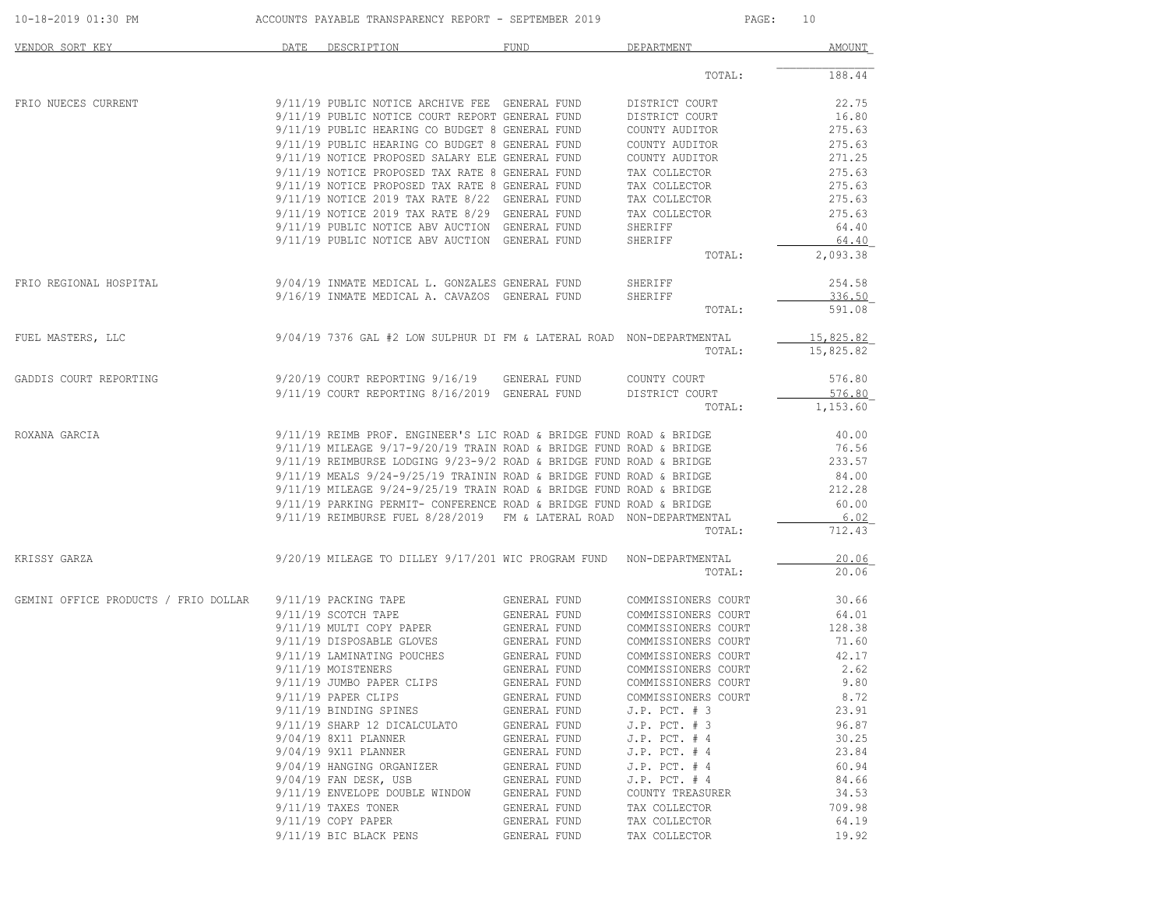| 10-18-2019 01:30 PM                  |      | ACCOUNTS PAYABLE TRANSPARENCY REPORT - SEPTEMBER 2019                                                                                      | 10<br>PAGE:                  |                                            |                  |
|--------------------------------------|------|--------------------------------------------------------------------------------------------------------------------------------------------|------------------------------|--------------------------------------------|------------------|
| VENDOR SORT KEY                      | DATE | DESCRIPTION                                                                                                                                | FUND                         | DEPARTMENT                                 | AMOUNT           |
|                                      |      |                                                                                                                                            |                              | TOTAL:                                     | 188.44           |
| FRIO NUECES CURRENT                  |      | 9/11/19 PUBLIC NOTICE ARCHIVE FEE GENERAL FUND                                                                                             |                              | DISTRICT COURT                             | 22.75            |
|                                      |      | 9/11/19 PUBLIC NOTICE COURT REPORT GENERAL FUND                                                                                            |                              | DISTRICT COURT                             | 16.80            |
|                                      |      | 9/11/19 PUBLIC HEARING CO BUDGET 8 GENERAL FUND<br>9/11/19 PUBLIC HEARING CO BUDGET 8 GENERAL FUND                                         |                              | COUNTY AUDITOR<br>COUNTY AUDITOR           | 275.63<br>275.63 |
|                                      |      | 9/11/19 NOTICE PROPOSED SALARY ELE GENERAL FUND                                                                                            |                              | COUNTY AUDITOR                             | 271.25           |
|                                      |      | 9/11/19 NOTICE PROPOSED TAX RATE 8 GENERAL FUND                                                                                            |                              | TAX COLLECTOR                              | 275.63           |
|                                      |      | 9/11/19 NOTICE PROPOSED TAX RATE 8 GENERAL FUND                                                                                            |                              | TAX COLLECTOR                              | 275.63           |
|                                      |      | 9/11/19 NOTICE 2019 TAX RATE 8/22 GENERAL FUND                                                                                             |                              | TAX COLLECTOR                              | 275.63           |
|                                      |      | 9/11/19 NOTICE 2019 TAX RATE 8/29 GENERAL FUND                                                                                             |                              | TAX COLLECTOR                              | 275.63           |
|                                      |      | 9/11/19 PUBLIC NOTICE ABV AUCTION GENERAL FUND                                                                                             |                              | SHERIFF                                    | 64.40            |
|                                      |      | 9/11/19 PUBLIC NOTICE ABV AUCTION GENERAL FUND                                                                                             |                              | SHERIFF                                    | 64.40            |
|                                      |      |                                                                                                                                            |                              | TOTAL:                                     | 2,093.38         |
| FRIO REGIONAL HOSPITAL               |      | 9/04/19 INMATE MEDICAL L. GONZALES GENERAL FUND                                                                                            |                              | SHERIFF                                    | 254.58           |
|                                      |      | 9/16/19 INMATE MEDICAL A. CAVAZOS GENERAL FUND                                                                                             |                              | SHERIFF                                    | 336.50           |
|                                      |      |                                                                                                                                            |                              | TOTAL:                                     | 591.08           |
| FUEL MASTERS, LLC                    |      | 9/04/19 7376 GAL #2 LOW SULPHUR DI FM & LATERAL ROAD NON-DEPARTMENTAL                                                                      |                              |                                            | 15,825.82        |
|                                      |      |                                                                                                                                            |                              | TOTAL:                                     | 15,825.82        |
| GADDIS COURT REPORTING               |      | 9/20/19 COURT REPORTING 9/16/19 GENERAL FUND                                                                                               |                              | COUNTY COURT                               | 576.80           |
|                                      |      | $9/11/19$ COURT REPORTING $8/16/2019$ GENERAL FUND                                                                                         |                              | DISTRICT COURT                             | 576.80           |
|                                      |      |                                                                                                                                            |                              | TOTAL:                                     | 1,153.60         |
| ROXANA GARCIA                        |      | 9/11/19 REIMB PROF. ENGINEER'S LIC ROAD & BRIDGE FUND ROAD & BRIDGE                                                                        |                              |                                            | 40.00            |
|                                      |      | $9/11/19$ MILEAGE $9/17-9/20/19$ TRAIN ROAD & BRIDGE FUND ROAD & BRIDGE                                                                    |                              |                                            | 76.56            |
|                                      |      | $9/11/19$ REIMBURSE LODGING $9/23-9/2$ ROAD & BRIDGE FUND ROAD & BRIDGE                                                                    |                              |                                            | 233.57           |
|                                      |      | $9/11/19$ MEALS $9/24-9/25/19$ TRAININ ROAD & BRIDGE FUND ROAD & BRIDGE                                                                    |                              |                                            | 84.00            |
|                                      |      | $9/11/19$ MILEAGE $9/24-9/25/19$ TRAIN ROAD & BRIDGE FUND ROAD & BRIDGE                                                                    |                              |                                            | 212.28           |
|                                      |      | 9/11/19 PARKING PERMIT- CONFERENCE ROAD & BRIDGE FUND ROAD & BRIDGE<br>9/11/19 REIMBURSE FUEL 8/28/2019 FM & LATERAL ROAD NON-DEPARTMENTAL |                              |                                            | 60.00            |
|                                      |      |                                                                                                                                            |                              | TOTAL:                                     | 6.02<br>712.43   |
| KRISSY GARZA                         |      | 9/20/19 MILEAGE TO DILLEY 9/17/201 WIC PROGRAM FUND NON-DEPARTMENTAL                                                                       |                              |                                            | 20.06            |
|                                      |      |                                                                                                                                            |                              | TOTAL:                                     | 20.06            |
| GEMINI OFFICE PRODUCTS / FRIO DOLLAR |      | 9/11/19 PACKING TAPE                                                                                                                       | GENERAL FUND                 | COMMISSIONERS COURT                        | 30.66            |
|                                      |      | 9/11/19 SCOTCH TAPE                                                                                                                        | GENERAL FUND                 | COMMISSIONERS COURT                        | 64.01            |
|                                      |      | 9/11/19 MULTI COPY PAPER                                                                                                                   | GENERAL FUND                 | COMMISSIONERS COURT                        | 128.38           |
|                                      |      | 9/11/19 DISPOSABLE GLOVES                                                                                                                  | GENERAL FUND                 | COMMISSIONERS COURT                        | 71.60            |
|                                      |      | 9/11/19 LAMINATING POUCHES<br>9/11/19 MOISTENERS                                                                                           | GENERAL FUND<br>GENERAL FUND | COMMISSIONERS COURT<br>COMMISSIONERS COURT | 42.17<br>2.62    |
|                                      |      | 9/11/19 JUMBO PAPER CLIPS                                                                                                                  | GENERAL FUND                 | COMMISSIONERS COURT                        | 9.80             |
|                                      |      | 9/11/19 PAPER CLIPS                                                                                                                        | GENERAL FUND                 | COMMISSIONERS COURT                        | 8.72             |
|                                      |      | 9/11/19 BINDING SPINES                                                                                                                     | GENERAL FUND                 | $J.P.$ PCT. $# 3$                          | 23.91            |
|                                      |      | 9/11/19 SHARP 12 DICALCULATO                                                                                                               | GENERAL FUND                 | $J.P.$ PCT. $# 3$                          | 96.87            |
|                                      |      | 9/04/19 8X11 PLANNER                                                                                                                       | GENERAL FUND                 | $J.P.$ PCT. $#4$                           | 30.25            |
|                                      |      | 9/04/19 9X11 PLANNER                                                                                                                       | GENERAL FUND                 | $J.P.$ PCT. $# 4$                          | 23.84            |
|                                      |      | 9/04/19 HANGING ORGANIZER                                                                                                                  | GENERAL FUND                 | $J.P.$ PCT. # 4                            | 60.94            |
|                                      |      | 9/04/19 FAN DESK, USB                                                                                                                      | GENERAL FUND                 | $J.P.$ PCT. $#4$                           | 84.66            |
|                                      |      | 9/11/19 ENVELOPE DOUBLE WINDOW                                                                                                             | GENERAL FUND                 | COUNTY TREASURER                           | 34.53            |
|                                      |      | $9/11/19$ TAXES TONER                                                                                                                      | GENERAL FUND                 | TAX COLLECTOR                              | 709.98<br>64.19  |
|                                      |      | $9/11/19$ COPY PAPER<br>9/11/19 BIC BLACK PENS                                                                                             | GENERAL FUND<br>GENERAL FUND | TAX COLLECTOR<br>TAX COLLECTOR             | 19.92            |
|                                      |      |                                                                                                                                            |                              |                                            |                  |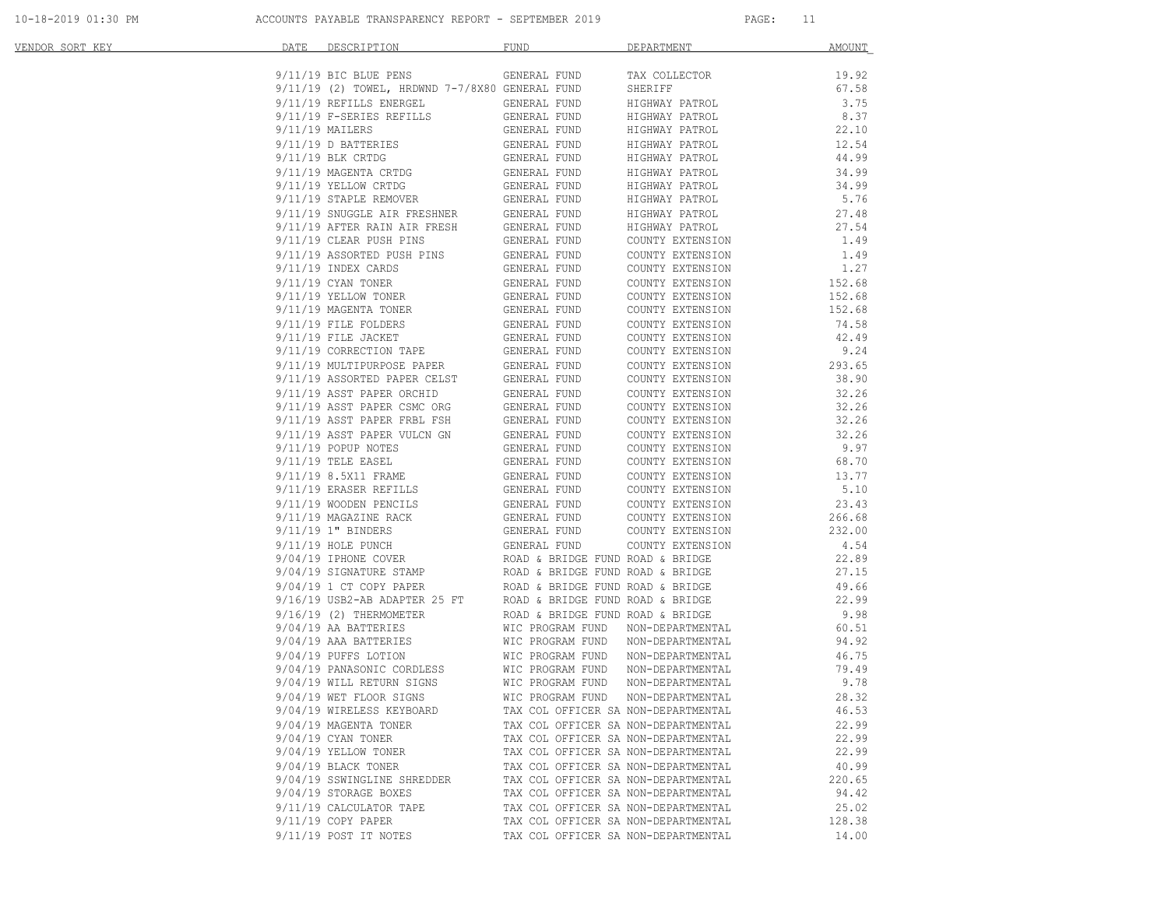| <u>VENDOR SORT KEY</u> | DATE            | DESCRIPTION                                        | <b>FUND</b>                       | DEPARTMENT                                                                 | <b>AMOUNT</b>   |
|------------------------|-----------------|----------------------------------------------------|-----------------------------------|----------------------------------------------------------------------------|-----------------|
|                        |                 | $9/11/19$ BIC BLUE PENS                            | GENERAL FUND                      | TAX COLLECTOR                                                              | 19.92           |
|                        |                 | 9/11/19 (2) TOWEL, HRDWND 7-7/8X80 GENERAL FUND    |                                   | SHERIFF                                                                    | 67.58           |
|                        |                 | 9/11/19 REFILLS ENERGEL                            | GENERAL FUND                      | HIGHWAY PATROL                                                             | 3.75            |
|                        |                 | 9/11/19 F-SERIES REFILLS                           | GENERAL FUND                      | HIGHWAY PATROL                                                             | 8.37            |
|                        | 9/11/19 MAILERS |                                                    | GENERAL FUND                      | HIGHWAY PATROL                                                             | 22.10           |
|                        |                 | $9/11/19$ D BATTERIES                              | GENERAL FUND                      | HIGHWAY PATROL                                                             | 12.54           |
|                        |                 | $9/11/19$ BLK CRTDG                                | GENERAL FUND                      | HIGHWAY PATROL                                                             | 44.99           |
|                        |                 | 9/11/19 MAGENTA CRTDG                              | GENERAL FUND                      | HIGHWAY PATROL                                                             | 34.99           |
|                        |                 | 9/11/19 YELLOW CRTDG<br>9/11/19 STAPLE REMOVER     | GENERAL FUND                      | HIGHWAY PATROL                                                             | 34.99           |
|                        |                 | 9/11/19 STAPLE REMOVER                             | GENERAL FUND                      | HIGHWAY PATROL                                                             | 5.76            |
|                        |                 | 9/11/19 SNUGGLE AIR FRESHNER                       | GENERAL FUND                      | HIGHWAY PATROL                                                             | 27.48           |
|                        |                 | $9/11/19$ AFTER RAIN AIR FRESH                     | GENERAL FUND                      | HIGHWAY PATROL                                                             | 27.54           |
|                        |                 | 9/11/19 CLEAR PUSH PINS                            | GENERAL FUND                      | COUNTY EXTENSION                                                           | 1.49            |
|                        |                 | 9/11/19 ASSORTED PUSH PINS                         | GENERAL FUND                      | COUNTY EXTENSION                                                           | 1.49            |
|                        |                 | 9/11/19 INDEX CARDS                                | GENERAL FUND                      | COUNTY EXTENSION                                                           | 1.27            |
|                        |                 | $9/11/19$ CYAN TONER                               | GENERAL FUND                      | COUNTY EXTENSION                                                           | 152.68          |
|                        |                 | 9/11/19 YELLOW TONER                               | GENERAL FUND                      | COUNTY EXTENSION                                                           | 152.68          |
|                        |                 | 9/11/19 MAGENTA TONER                              | GENERAL FUND                      | COUNTY EXTENSION                                                           | 152.68          |
|                        |                 | 9/11/19 FILE FOLDERS                               | GENERAL FUND                      | COUNTY EXTENSION                                                           | 74.58           |
|                        |                 | 9/11/19 FILE JACKET<br>9/11/19 CORRECTION TAPE     | GENERAL FUND<br>GENERAL FUND      | COUNTY EXTENSION                                                           | 42.49           |
|                        |                 | 9/11/19 MULTIPURPOSE PAPER                         |                                   | COUNTY EXTENSION                                                           | 9.24            |
|                        |                 | 9/11/19 ASSORTED PAPER CELST                       | GENERAL FUND<br>GENERAL FUND      | COUNTY EXTENSION<br>COUNTY EXTENSION                                       | 293.65<br>38.90 |
|                        |                 | 9/11/19 ASST PAPER ORCHID                          | GENERAL FUND                      | COUNTY EXTENSION                                                           | 32.26           |
|                        |                 | 9/11/19 ASST PAPER CSMC ORG                        | GENERAL FUND                      | COUNTY EXTENSION                                                           | 32.26           |
|                        |                 | 9/11/19 ASST PAPER FRBL FSH                        | GENERAL FUND                      | COUNTY EXTENSION                                                           | 32.26           |
|                        |                 | 9/11/19 ASST PAPER VULCN GN                        | GENERAL FUND                      | COUNTY EXTENSION                                                           | 32.26           |
|                        |                 | 9/11/19 POPUP NOTES                                | GENERAL FUND                      | COUNTY EXTENSION                                                           | 9.97            |
|                        |                 | $9/11/19$ TELE EASEL                               | GENERAL FUND                      | COUNTY EXTENSION                                                           | 68.70           |
|                        |                 | 9/11/19 8.5X11 FRAME                               | GENERAL FUND                      | COUNTY EXTENSION                                                           | 13.77           |
|                        |                 | 9/11/19 ERASER REFILLS                             | GENERAL FUND                      | COUNTY EXTENSION                                                           | 5.10            |
|                        |                 | 9/11/19 WOODEN PENCILS                             | GENERAL FUND                      | COUNTY EXTENSION                                                           | 23.43           |
|                        |                 | 9/11/19 MAGAZINE RACK                              | GENERAL FUND                      | COUNTY EXTENSION                                                           | 266.68          |
|                        |                 | 9/11/19 1" BINDERS                                 | GENERAL FUND                      | COUNTY EXTENSION                                                           | 232.00          |
|                        |                 | 9/11/19 HOLE PUNCH                                 | GENERAL FUND                      | COUNTY EXTENSION                                                           | 4.54            |
|                        |                 | 9/04/19 IPHONE COVER                               | ROAD & BRIDGE FUND ROAD & BRIDGE  |                                                                            | 22.89           |
|                        |                 | 9/04/19 SIGNATURE STAMP<br>0/04/19 1 CT COPY PAPER | ROAD & BRIDGE FUND ROAD & BRIDGE  |                                                                            | 27.15           |
|                        |                 | 9/04/19 1 CT COPY PAPER                            | ROAD & BRIDGE FUND ROAD & BRIDGE  |                                                                            | 49.66           |
|                        |                 | 9/16/19 USB2-AB ADAPTER 25 FT                      | ROAD & BRIDGE FUND ROAD & BRIDGE  |                                                                            | 22.99           |
|                        |                 | 9/16/19 (2) THERMOMETER                            | ROAD & BRIDGE FUND ROAD & BRIDGE  |                                                                            | 9.98            |
|                        |                 | 9/04/19 AA BATTERIES                               | WIC PROGRAM FUND                  | NON-DEPARTMENTAL                                                           | 60.51           |
|                        |                 | 9/04/19 AAA BATTERIES                              | WIC PROGRAM FUND                  | NON-DEPARTMENTAL                                                           | 94.92           |
|                        |                 | 9/04/19 PUFFS LOTION                               | WIC PROGRAM FUND                  | NON-DEPARTMENTAL                                                           | 46.75           |
|                        |                 | 9/04/19 PANASONIC CORDLESS                         | WIC PROGRAM FUND                  | NON-DEPARTMENTAL                                                           | 79.49           |
|                        |                 | 9/04/19 WILL RETURN SIGNS                          | WIC PROGRAM FUND                  | NON-DEPARTMENTAL                                                           | 9.78            |
|                        |                 | 9/04/19 WET FLOOR SIGNS                            | WIC PROGRAM FUND NON-DEPARTMENTAL |                                                                            | 28.32           |
|                        |                 | 9/04/19 WIRELESS KEYBOARD                          |                                   | TAX COL OFFICER SA NON-DEPARTMENTAL                                        | 46.53           |
|                        |                 | 9/04/19 MAGENTA TONER                              |                                   | TAX COL OFFICER SA NON-DEPARTMENTAL                                        | 22.99           |
|                        |                 | 9/04/19 CYAN TONER                                 |                                   | TAX COL OFFICER SA NON-DEPARTMENTAL                                        | 22.99           |
|                        |                 | 9/04/19 YELLOW TONER                               |                                   | TAX COL OFFICER SA NON-DEPARTMENTAL                                        | 22.99           |
|                        |                 | 9/04/19 BLACK TONER                                |                                   | TAX COL OFFICER SA NON-DEPARTMENTAL                                        | 40.99           |
|                        |                 | 9/04/19 SSWINGLINE SHREDDER                        |                                   | TAX COL OFFICER SA NON-DEPARTMENTAL                                        | 220.65          |
|                        |                 | 9/04/19 STORAGE BOXES                              |                                   | TAX COL OFFICER SA NON-DEPARTMENTAL                                        | 94.42<br>25.02  |
|                        |                 | 9/11/19 CALCULATOR TAPE<br>9/11/19 COPY PAPER      |                                   | TAX COL OFFICER SA NON-DEPARTMENTAL<br>TAX COL OFFICER SA NON-DEPARTMENTAL | 128.38          |
|                        |                 | 9/11/19 POST IT NOTES                              |                                   | TAX COL OFFICER SA NON-DEPARTMENTAL                                        | 14.00           |
|                        |                 |                                                    |                                   |                                                                            |                 |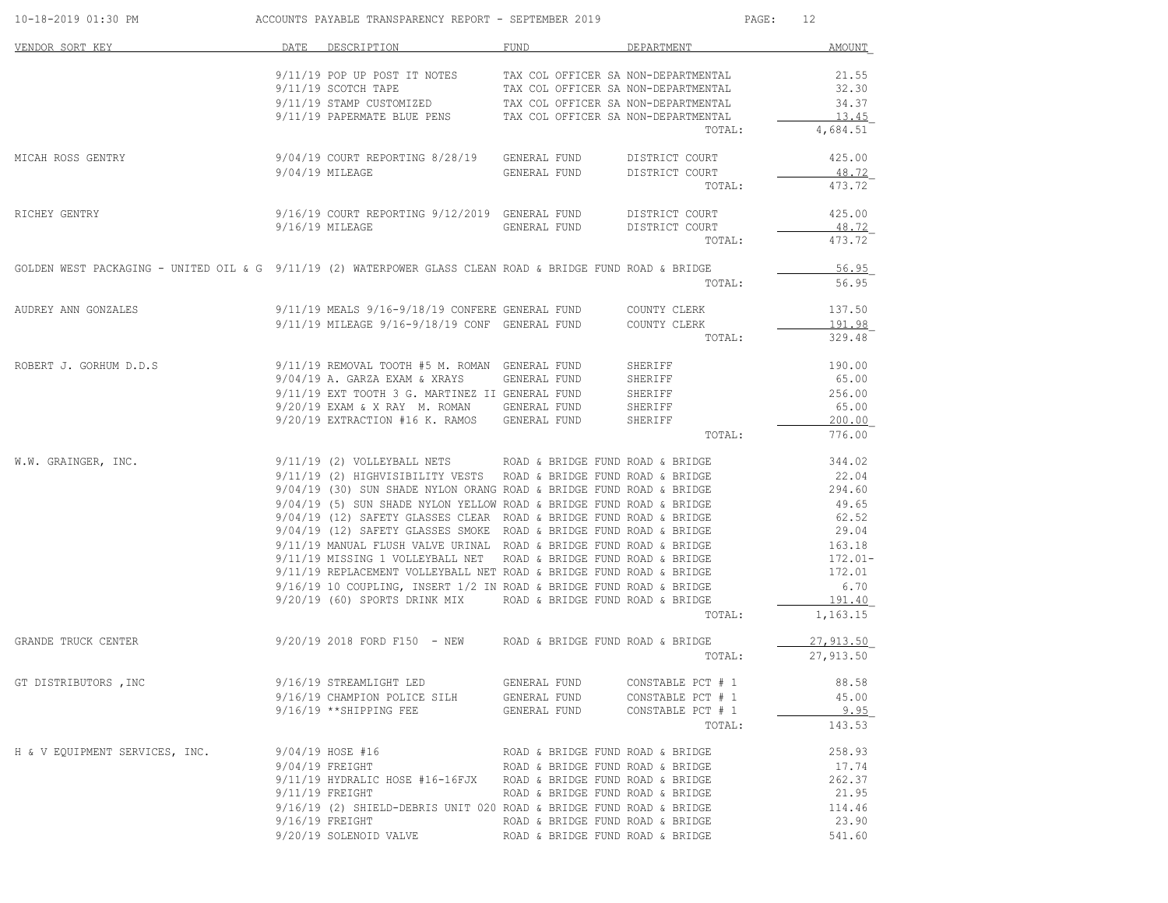| 10-18-2019 01:30 PM                                                                                        |      | ACCOUNTS PAYABLE TRANSPARENCY REPORT - SEPTEMBER 2019                                            |                                  |                                     | 12<br>$\mathtt{PAGE}$ : |
|------------------------------------------------------------------------------------------------------------|------|--------------------------------------------------------------------------------------------------|----------------------------------|-------------------------------------|-------------------------|
| VENDOR SORT KEY                                                                                            | DATE | DESCRIPTION                                                                                      | FUND                             | DEPARTMENT                          | AMOUNT                  |
|                                                                                                            |      | $9/11/19$ POP UP POST IT NOTES TAX COL OFFICER SA NON-DEPARTMENTAL                               |                                  |                                     | 21.55                   |
|                                                                                                            |      | 9/11/19 SCOTCH TAPE                                                                              |                                  | TAX COL OFFICER SA NON-DEPARTMENTAL | 32.30                   |
|                                                                                                            |      | 9/11/19 STAMP CUSTOMIZED TAX COL OFFICER SA NON-DEPARTMENTAL                                     |                                  |                                     | 34.37                   |
|                                                                                                            |      | 9/11/19 PAPERMATE BLUE PENS TAX COL OFFICER SA NON-DEPARTMENTAL                                  |                                  |                                     | 13.45                   |
|                                                                                                            |      |                                                                                                  |                                  | TOTAL:                              | 4,684.51                |
| MICAH ROSS GENTRY                                                                                          |      | 9/04/19 COURT REPORTING 8/28/19 GENERAL FUND                                                     |                                  | DISTRICT COURT                      | 425.00                  |
|                                                                                                            |      | $9/04/19$ MILEAGE                                                                                | GENERAL FUND                     | DISTRICT COURT                      | 48.72                   |
|                                                                                                            |      |                                                                                                  |                                  | TOTAL:                              | 473.72                  |
| RICHEY GENTRY                                                                                              |      | 9/16/19 COURT REPORTING 9/12/2019 GENERAL FUND DISTRICT COURT                                    |                                  |                                     | 425.00                  |
|                                                                                                            |      | $9/16/19$ MILEAGE                                                                                | GENERAL FUND                     | DISTRICT COURT                      | 48.72                   |
|                                                                                                            |      |                                                                                                  |                                  | TOTAL:                              | 473.72                  |
| GOLDEN WEST PACKAGING - UNITED OIL & G 9/11/19 (2) WATERPOWER GLASS CLEAN ROAD & BRIDGE FUND ROAD & BRIDGE |      |                                                                                                  |                                  |                                     | 56.95                   |
|                                                                                                            |      |                                                                                                  |                                  | TOTAL:                              | 56.95                   |
| AUDREY ANN GONZALES                                                                                        |      | 9/11/19 MEALS 9/16-9/18/19 CONFERE GENERAL FUND COUNTY CLERK                                     |                                  |                                     | 137.50                  |
|                                                                                                            |      | 9/11/19 MILEAGE 9/16-9/18/19 CONF GENERAL FUND COUNTY CLERK                                      |                                  |                                     | 191.98                  |
|                                                                                                            |      |                                                                                                  |                                  | TOTAL:                              | 329.48                  |
| ROBERT J. GORHUM D.D.S                                                                                     |      | $9/11/19$ REMOVAL TOOTH #5 M. ROMAN GENERAL FUND<br>$9/04/19$ A. GARZA EXAM & XRAYS GENERAL FUND |                                  | SHERIFF                             | 190.00                  |
|                                                                                                            |      |                                                                                                  |                                  | SHERIFF                             | 65.00                   |
|                                                                                                            |      | 9/11/19 EXT TOOTH 3 G. MARTINEZ II GENERAL FUND                                                  |                                  |                                     | 256.00                  |
|                                                                                                            |      | 9/20/19 EXAM & X RAY M. ROMAN GENERAL FUND                                                       |                                  | SHERIFF<br>SHERIFF                  | 65.00                   |
|                                                                                                            |      | 9/20/19 EXTRACTION #16 K. RAMOS GENERAL FUND                                                     |                                  | SHERIFF                             | 200.00                  |
|                                                                                                            |      |                                                                                                  |                                  | TOTAL:                              | 776.00                  |
| W.W. GRAINGER, INC.                                                                                        |      | $9/11/19$ (2) VOLLEYBALL NETS ROAD & BRIDGE FUND ROAD & BRIDGE                                   |                                  |                                     | 344.02                  |
|                                                                                                            |      | 9/11/19 (2) HIGHVISIBILITY VESTS ROAD & BRIDGE FUND ROAD & BRIDGE                                |                                  |                                     | 22.04                   |
|                                                                                                            |      | 9/04/19 (30) SUN SHADE NYLON ORANG ROAD & BRIDGE FUND ROAD & BRIDGE                              |                                  |                                     | 294.60                  |
|                                                                                                            |      | 9/04/19 (5) SUN SHADE NYLON YELLOW ROAD & BRIDGE FUND ROAD & BRIDGE                              |                                  |                                     | 49.65                   |
|                                                                                                            |      | $9/04/19$ (12) SAFETY GLASSES CLEAR ROAD & BRIDGE FUND ROAD & BRIDGE                             |                                  |                                     | 62.52                   |
|                                                                                                            |      | 9/04/19 (12) SAFETY GLASSES SMOKE ROAD & BRIDGE FUND ROAD & BRIDGE                               |                                  |                                     | 29.04                   |
|                                                                                                            |      | $9/11/19$ MANUAL FLUSH VALVE URINAL ROAD & BRIDGE FUND ROAD & BRIDGE                             |                                  |                                     | 163.18                  |
|                                                                                                            |      | 9/11/19 MISSING 1 VOLLEYBALL NET ROAD & BRIDGE FUND ROAD & BRIDGE                                |                                  |                                     | $172.01 -$              |
|                                                                                                            |      | 9/11/19 REPLACEMENT VOLLEYBALL NET ROAD & BRIDGE FUND ROAD & BRIDGE                              |                                  |                                     | 172.01                  |
|                                                                                                            |      | $9/16/19$ 10 COUPLING, INSERT 1/2 IN ROAD & BRIDGE FUND ROAD & BRIDGE                            |                                  |                                     | 6.70                    |
|                                                                                                            |      | 9/20/19 (60) SPORTS DRINK MIX                                                                    | ROAD & BRIDGE FUND ROAD & BRIDGE |                                     | 191.40                  |
|                                                                                                            |      |                                                                                                  |                                  | TOTAL:                              | 1,163.15                |
| GRANDE TRUCK CENTER                                                                                        |      | $9/20/19$ 2018 FORD F150 - NEW ROAD & BRIDGE FUND ROAD & BRIDGE                                  |                                  |                                     | 27,913.50               |
|                                                                                                            |      |                                                                                                  |                                  | TOTAL:                              | 27,913.50               |
| GT DISTRIBUTORS, INC                                                                                       |      | 9/16/19 STREAMLIGHT LED                                                                          | GENERAL FUND                     | CONSTABLE PCT # 1                   | 88.58                   |
|                                                                                                            |      | 9/16/19 CHAMPION POLICE SILH                                                                     | GENERAL FUND                     | CONSTABLE PCT # 1                   | 45.00                   |
|                                                                                                            |      | $9/16/19$ **SHIPPING FEE                                                                         | GENERAL FUND                     | CONSTABLE PCT # 1                   | 9.95                    |
|                                                                                                            |      |                                                                                                  |                                  | TOTAL:                              | 143.53                  |
| H & V EQUIPMENT SERVICES, INC.                                                                             |      | 9/04/19 HOSE #16                                                                                 | ROAD & BRIDGE FUND ROAD & BRIDGE |                                     | 258.93                  |
|                                                                                                            |      | $9/04/19$ FREIGHT                                                                                | ROAD & BRIDGE FUND ROAD & BRIDGE |                                     | 17.74                   |
|                                                                                                            |      | 9/11/19 HYDRALIC HOSE #16-16FJX ROAD & BRIDGE FUND ROAD & BRIDGE                                 |                                  |                                     | 262.37                  |
|                                                                                                            |      | $9/11/19$ FREIGHT                                                                                | ROAD & BRIDGE FUND ROAD & BRIDGE |                                     | 21.95                   |
|                                                                                                            |      | 9/16/19 (2) SHIELD-DEBRIS UNIT 020 ROAD & BRIDGE FUND ROAD & BRIDGE                              |                                  |                                     | 114.46                  |
|                                                                                                            |      | $9/16/19$ FREIGHT                                                                                | ROAD & BRIDGE FUND ROAD & BRIDGE |                                     | 23.90                   |
|                                                                                                            |      | 9/20/19 SOLENOID VALVE                                                                           | ROAD & BRIDGE FUND ROAD & BRIDGE |                                     | 541.60                  |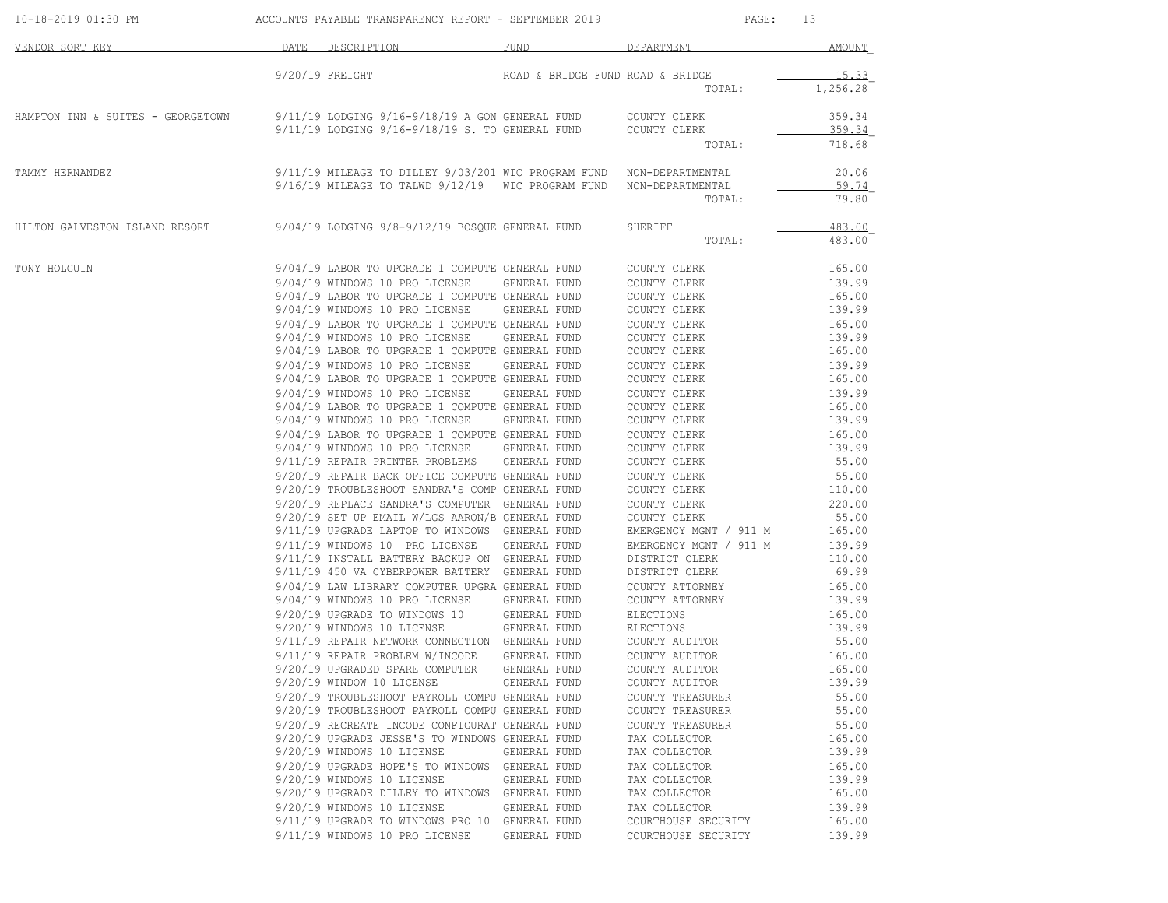|                                                                                                        | 9/20/19 FREIGHT<br>9/11/19 LODGING 9/16-9/18/19 A GON GENERAL FUND<br>9/11/19 LODGING 9/16-9/18/19 S. TO GENERAL FUND<br>9/11/19 MILEAGE TO DILLEY 9/03/201 WIC PROGRAM FUND<br>9/16/19 MILEAGE TO TALWD 9/12/19 WIC PROGRAM FUND<br>9/04/19 LODGING 9/8-9/12/19 BOSQUE GENERAL FUND<br>9/04/19 LABOR TO UPGRADE 1 COMPUTE GENERAL FUND<br>9/04/19 WINDOWS 10 PRO LICENSE<br>9/04/19 LABOR TO UPGRADE 1 COMPUTE GENERAL FUND<br>9/04/19 WINDOWS 10 PRO LICENSE<br>9/04/19 LABOR TO UPGRADE 1 COMPUTE GENERAL FUND | ROAD & BRIDGE FUND ROAD & BRIDGE<br>GENERAL FUND<br>GENERAL FUND | TOTAL:<br>COUNTY CLERK<br>COUNTY CLERK<br>TOTAL:<br>NON-DEPARTMENTAL<br>NON-DEPARTMENTAL<br>TOTAL:<br>SHERIFF<br>TOTAL:<br>COUNTY CLERK<br>COUNTY CLERK<br>COUNTY CLERK | 1,256.28<br>359.34<br>359.34<br>718.68<br>20.06<br>59.74<br>79.80<br>483.00<br>483.00<br>165.00<br>139.99<br>165.00 |
|--------------------------------------------------------------------------------------------------------|-------------------------------------------------------------------------------------------------------------------------------------------------------------------------------------------------------------------------------------------------------------------------------------------------------------------------------------------------------------------------------------------------------------------------------------------------------------------------------------------------------------------|------------------------------------------------------------------|-------------------------------------------------------------------------------------------------------------------------------------------------------------------------|---------------------------------------------------------------------------------------------------------------------|
| HAMPTON INN & SUITES - GEORGETOWN<br>TAMMY HERNANDEZ<br>HILTON GALVESTON ISLAND RESORT<br>TONY HOLGUIN |                                                                                                                                                                                                                                                                                                                                                                                                                                                                                                                   |                                                                  |                                                                                                                                                                         |                                                                                                                     |
|                                                                                                        |                                                                                                                                                                                                                                                                                                                                                                                                                                                                                                                   |                                                                  |                                                                                                                                                                         |                                                                                                                     |
|                                                                                                        |                                                                                                                                                                                                                                                                                                                                                                                                                                                                                                                   |                                                                  |                                                                                                                                                                         |                                                                                                                     |
|                                                                                                        |                                                                                                                                                                                                                                                                                                                                                                                                                                                                                                                   |                                                                  |                                                                                                                                                                         |                                                                                                                     |
|                                                                                                        |                                                                                                                                                                                                                                                                                                                                                                                                                                                                                                                   |                                                                  |                                                                                                                                                                         |                                                                                                                     |
|                                                                                                        |                                                                                                                                                                                                                                                                                                                                                                                                                                                                                                                   |                                                                  |                                                                                                                                                                         |                                                                                                                     |
|                                                                                                        |                                                                                                                                                                                                                                                                                                                                                                                                                                                                                                                   |                                                                  |                                                                                                                                                                         |                                                                                                                     |
|                                                                                                        |                                                                                                                                                                                                                                                                                                                                                                                                                                                                                                                   |                                                                  |                                                                                                                                                                         |                                                                                                                     |
|                                                                                                        |                                                                                                                                                                                                                                                                                                                                                                                                                                                                                                                   |                                                                  |                                                                                                                                                                         |                                                                                                                     |
|                                                                                                        |                                                                                                                                                                                                                                                                                                                                                                                                                                                                                                                   |                                                                  |                                                                                                                                                                         |                                                                                                                     |
|                                                                                                        |                                                                                                                                                                                                                                                                                                                                                                                                                                                                                                                   |                                                                  | COUNTY CLERK                                                                                                                                                            | 139.99                                                                                                              |
|                                                                                                        |                                                                                                                                                                                                                                                                                                                                                                                                                                                                                                                   |                                                                  | COUNTY CLERK                                                                                                                                                            | 165.00                                                                                                              |
|                                                                                                        | 9/04/19 WINDOWS 10 PRO LICENSE                                                                                                                                                                                                                                                                                                                                                                                                                                                                                    | GENERAL FUND                                                     | COUNTY CLERK                                                                                                                                                            | 139.99                                                                                                              |
|                                                                                                        | 9/04/19 LABOR TO UPGRADE 1 COMPUTE GENERAL FUND<br>9/04/19 WINDOWS 10 PRO LICENSE                                                                                                                                                                                                                                                                                                                                                                                                                                 | GENERAL FUND                                                     | COUNTY CLERK<br>COUNTY CLERK                                                                                                                                            | 165.00<br>139.99                                                                                                    |
|                                                                                                        | 9/04/19 LABOR TO UPGRADE 1 COMPUTE GENERAL FUND                                                                                                                                                                                                                                                                                                                                                                                                                                                                   |                                                                  | COUNTY CLERK                                                                                                                                                            | 165.00                                                                                                              |
|                                                                                                        | 9/04/19 WINDOWS 10 PRO LICENSE                                                                                                                                                                                                                                                                                                                                                                                                                                                                                    |                                                                  | COUNTY CLERK                                                                                                                                                            |                                                                                                                     |
|                                                                                                        | 9/04/19 LABOR TO UPGRADE 1 COMPUTE GENERAL FUND                                                                                                                                                                                                                                                                                                                                                                                                                                                                   | GENERAL FUND                                                     | COUNTY CLERK                                                                                                                                                            | 139.99<br>165.00                                                                                                    |
|                                                                                                        | 9/04/19 WINDOWS 10 PRO LICENSE                                                                                                                                                                                                                                                                                                                                                                                                                                                                                    | GENERAL FUND                                                     | COUNTY CLERK                                                                                                                                                            | 139.99                                                                                                              |
|                                                                                                        | 9/04/19 LABOR TO UPGRADE 1 COMPUTE GENERAL FUND                                                                                                                                                                                                                                                                                                                                                                                                                                                                   |                                                                  | COUNTY CLERK                                                                                                                                                            | 165.00                                                                                                              |
|                                                                                                        | 9/04/19 WINDOWS 10 PRO LICENSE                                                                                                                                                                                                                                                                                                                                                                                                                                                                                    | GENERAL FUND                                                     | COUNTY CLERK                                                                                                                                                            | 139.99                                                                                                              |
|                                                                                                        | 9/11/19 REPAIR PRINTER PROBLEMS                                                                                                                                                                                                                                                                                                                                                                                                                                                                                   | GENERAL FUND                                                     | COUNTY CLERK                                                                                                                                                            | 55.00                                                                                                               |
|                                                                                                        | 9/20/19 REPAIR BACK OFFICE COMPUTE GENERAL FUND                                                                                                                                                                                                                                                                                                                                                                                                                                                                   |                                                                  | COUNTY CLERK                                                                                                                                                            | 55.00                                                                                                               |
|                                                                                                        | 9/20/19 TROUBLESHOOT SANDRA'S COMP GENERAL FUND                                                                                                                                                                                                                                                                                                                                                                                                                                                                   |                                                                  | COUNTY CLERK                                                                                                                                                            | 110.00                                                                                                              |
|                                                                                                        | 9/20/19 REPLACE SANDRA'S COMPUTER GENERAL FUND                                                                                                                                                                                                                                                                                                                                                                                                                                                                    |                                                                  | COUNTY CLERK                                                                                                                                                            | 220.00                                                                                                              |
|                                                                                                        | 9/20/19 SET UP EMAIL W/LGS AARON/B GENERAL FUND                                                                                                                                                                                                                                                                                                                                                                                                                                                                   |                                                                  | COUNTY CLERK                                                                                                                                                            | 55.00                                                                                                               |
|                                                                                                        | 9/11/19 UPGRADE LAPTOP TO WINDOWS GENERAL FUND                                                                                                                                                                                                                                                                                                                                                                                                                                                                    |                                                                  | EMERGENCY MGNT / 911 M                                                                                                                                                  | 165.00                                                                                                              |
|                                                                                                        | 9/11/19 WINDOWS 10 PRO LICENSE                                                                                                                                                                                                                                                                                                                                                                                                                                                                                    | GENERAL FUND                                                     | EMERGENCY MGNT / 911 M                                                                                                                                                  | 139.99                                                                                                              |
|                                                                                                        | 9/11/19 INSTALL BATTERY BACKUP ON GENERAL FUND                                                                                                                                                                                                                                                                                                                                                                                                                                                                    |                                                                  | DISTRICT CLERK                                                                                                                                                          | 110.00                                                                                                              |
|                                                                                                        | 9/11/19 450 VA CYBERPOWER BATTERY GENERAL FUND                                                                                                                                                                                                                                                                                                                                                                                                                                                                    |                                                                  | DISTRICT CLERK                                                                                                                                                          | 69.99                                                                                                               |
|                                                                                                        | 9/04/19 LAW LIBRARY COMPUTER UPGRA GENERAL FUND                                                                                                                                                                                                                                                                                                                                                                                                                                                                   |                                                                  | COUNTY ATTORNEY                                                                                                                                                         | 165.00                                                                                                              |
|                                                                                                        | 9/04/19 WINDOWS 10 PRO LICENSE                                                                                                                                                                                                                                                                                                                                                                                                                                                                                    | GENERAL FUND                                                     | COUNTY ATTORNEY                                                                                                                                                         | 139.99                                                                                                              |
|                                                                                                        | 9/20/19 UPGRADE TO WINDOWS 10                                                                                                                                                                                                                                                                                                                                                                                                                                                                                     | GENERAL FUND                                                     | ELECTIONS                                                                                                                                                               | 165.00                                                                                                              |
|                                                                                                        | 9/20/19 WINDOWS 10 LICENSE                                                                                                                                                                                                                                                                                                                                                                                                                                                                                        | GENERAL FUND                                                     | ELECTIONS                                                                                                                                                               | 139.99                                                                                                              |
|                                                                                                        | 9/11/19 REPAIR NETWORK CONNECTION GENERAL FUND                                                                                                                                                                                                                                                                                                                                                                                                                                                                    |                                                                  | COUNTY AUDITOR                                                                                                                                                          | 55.00                                                                                                               |
|                                                                                                        | 9/11/19 REPAIR PROBLEM W/INCODE                                                                                                                                                                                                                                                                                                                                                                                                                                                                                   | GENERAL FUND                                                     | COUNTY AUDITOR                                                                                                                                                          | 165.00                                                                                                              |
|                                                                                                        | 9/20/19 UPGRADED SPARE COMPUTER                                                                                                                                                                                                                                                                                                                                                                                                                                                                                   | GENERAL FUND                                                     | COUNTY AUDITOR                                                                                                                                                          | 165.00                                                                                                              |
|                                                                                                        | 9/20/19 WINDOW 10 LICENSE                                                                                                                                                                                                                                                                                                                                                                                                                                                                                         | GENERAL FUND                                                     | COUNTY AUDITOR                                                                                                                                                          | 139.99                                                                                                              |
|                                                                                                        | 9/20/19 TROUBLESHOOT PAYROLL COMPU GENERAL FUND                                                                                                                                                                                                                                                                                                                                                                                                                                                                   |                                                                  | COUNTY TREASURER                                                                                                                                                        | 55.00                                                                                                               |
|                                                                                                        | 9/20/19 TROUBLESHOOT PAYROLL COMPU GENERAL FUND                                                                                                                                                                                                                                                                                                                                                                                                                                                                   |                                                                  | COUNTY TREASURER                                                                                                                                                        | 55.00                                                                                                               |
|                                                                                                        | 9/20/19 RECREATE INCODE CONFIGURAT GENERAL FUND                                                                                                                                                                                                                                                                                                                                                                                                                                                                   |                                                                  | COUNTY TREASURER                                                                                                                                                        | 55.00                                                                                                               |
|                                                                                                        | 9/20/19 UPGRADE JESSE'S TO WINDOWS GENERAL FUND                                                                                                                                                                                                                                                                                                                                                                                                                                                                   |                                                                  | TAX COLLECTOR                                                                                                                                                           | 165.00                                                                                                              |
|                                                                                                        | 9/20/19 WINDOWS 10 LICENSE                                                                                                                                                                                                                                                                                                                                                                                                                                                                                        | GENERAL FUND                                                     | TAX COLLECTOR                                                                                                                                                           | 139.99                                                                                                              |
|                                                                                                        | 9/20/19 UPGRADE HOPE'S TO WINDOWS                                                                                                                                                                                                                                                                                                                                                                                                                                                                                 | GENERAL FUND                                                     | TAX COLLECTOR                                                                                                                                                           | 165.00                                                                                                              |
|                                                                                                        | 9/20/19 WINDOWS 10 LICENSE                                                                                                                                                                                                                                                                                                                                                                                                                                                                                        | GENERAL FUND                                                     | TAX COLLECTOR                                                                                                                                                           | 139.99                                                                                                              |
|                                                                                                        | 9/20/19 UPGRADE DILLEY TO WINDOWS                                                                                                                                                                                                                                                                                                                                                                                                                                                                                 | GENERAL FUND                                                     | TAX COLLECTOR                                                                                                                                                           | 165.00                                                                                                              |
|                                                                                                        | 9/20/19 WINDOWS 10 LICENSE                                                                                                                                                                                                                                                                                                                                                                                                                                                                                        | GENERAL FUND                                                     | TAX COLLECTOR                                                                                                                                                           | 139.99                                                                                                              |
|                                                                                                        | 9/11/19 UPGRADE TO WINDOWS PRO 10                                                                                                                                                                                                                                                                                                                                                                                                                                                                                 | GENERAL FUND                                                     | COURTHOUSE SECURITY                                                                                                                                                     | 165.00                                                                                                              |
|                                                                                                        | 9/11/19 WINDOWS 10 PRO LICENSE                                                                                                                                                                                                                                                                                                                                                                                                                                                                                    | GENERAL FUND                                                     | COURTHOUSE SECURITY                                                                                                                                                     | 139.99                                                                                                              |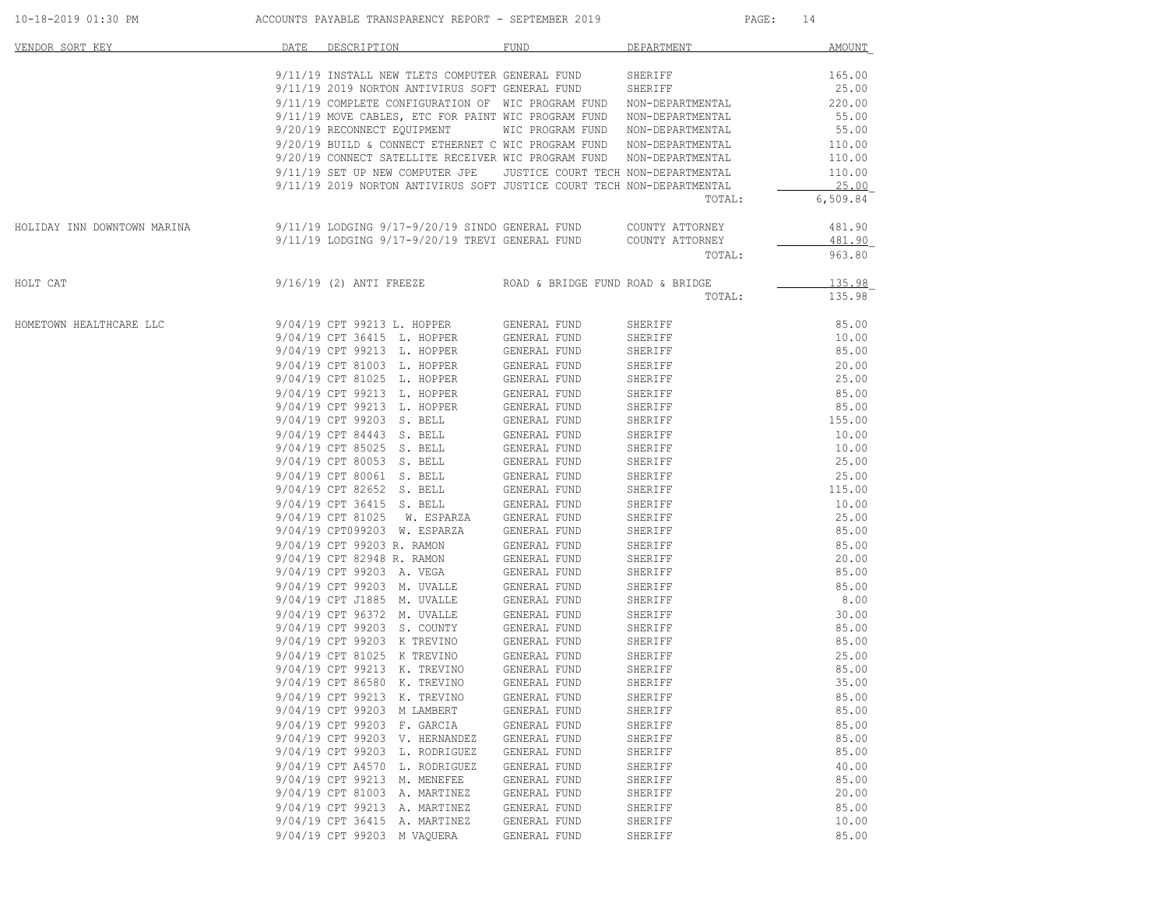| VENDOR SORT KEY             | DATE | DESCRIPTION                                                            | FUND                                | DEPARTMENT       | AMOUNT            |
|-----------------------------|------|------------------------------------------------------------------------|-------------------------------------|------------------|-------------------|
|                             |      | 9/11/19 INSTALL NEW TLETS COMPUTER GENERAL FUND                        |                                     | SHERIFF          | 165.00            |
|                             |      | 9/11/19 2019 NORTON ANTIVIRUS SOFT GENERAL FUND                        |                                     | SHERIFF          | 25.00             |
|                             |      | 9/11/19 COMPLETE CONFIGURATION OF WIC PROGRAM FUND                     |                                     | NON-DEPARTMENTAL | 220.00            |
|                             |      | 9/11/19 MOVE CABLES, ETC FOR PAINT WIC PROGRAM FUND                    |                                     | NON-DEPARTMENTAL | 55.00             |
|                             |      | 9/20/19 RECONNECT EQUIPMENT                                            | WIC PROGRAM FUND                    | NON-DEPARTMENTAL | 55.00             |
|                             |      | 9/20/19 BUILD & CONNECT ETHERNET C WIC PROGRAM FUND                    |                                     | NON-DEPARTMENTAL | 110.00            |
|                             |      | 9/20/19 CONNECT SATELLITE RECEIVER WIC PROGRAM FUND                    |                                     | NON-DEPARTMENTAL | 110.00            |
|                             |      |                                                                        |                                     |                  |                   |
|                             |      | 9/11/19 SET UP NEW COMPUTER JPE                                        | JUSTICE COURT TECH NON-DEPARTMENTAL |                  | 110.00            |
|                             |      | 9/11/19 2019 NORTON ANTIVIRUS SOFT JUSTICE COURT TECH NON-DEPARTMENTAL |                                     | TOTAL:           | 25.00<br>6,509.84 |
|                             |      |                                                                        |                                     |                  |                   |
| HOLIDAY INN DOWNTOWN MARINA |      | 9/11/19 LODGING 9/17-9/20/19 SINDO GENERAL FUND                        |                                     | COUNTY ATTORNEY  | 481.90            |
|                             |      | 9/11/19 LODGING 9/17-9/20/19 TREVI GENERAL FUND                        |                                     | COUNTY ATTORNEY  | 481.90            |
|                             |      |                                                                        |                                     | TOTAL:           | 963.80            |
| HOLT CAT                    |      | $9/16/19$ (2) ANTI FREEZE                                              | ROAD & BRIDGE FUND ROAD & BRIDGE    |                  | 135.98            |
|                             |      |                                                                        |                                     | TOTAL:           | 135.98            |
| HOMETOWN HEALTHCARE LLC     |      | 9/04/19 CPT 99213 L. HOPPER                                            | GENERAL FUND                        | SHERIFF          | 85.00             |
|                             |      | 9/04/19 CPT 36415 L. HOPPER                                            | GENERAL FUND                        | SHERIFF          | 10.00             |
|                             |      | 9/04/19 CPT 99213 L. HOPPER                                            | GENERAL FUND                        | SHERIFF          | 85.00             |
|                             |      | 9/04/19 CPT 81003 L. HOPPER                                            | GENERAL FUND                        | SHERIFF          | 20.00             |
|                             |      | 9/04/19 CPT 81025 L. HOPPER                                            | GENERAL FUND                        | SHERIFF          | 25.00             |
|                             |      | 9/04/19 CPT 99213 L. HOPPER                                            | GENERAL FUND                        | SHERIFF          | 85.00             |
|                             |      | 9/04/19 CPT 99213 L. HOPPER                                            | GENERAL FUND                        | SHERIFF          | 85.00             |
|                             |      | 9/04/19 CPT 99203 S. BELL                                              | GENERAL FUND                        | SHERIFF          | 155.00            |
|                             |      | 9/04/19 CPT 84443 S. BELL                                              | GENERAL FUND                        | SHERIFF          | 10.00             |
|                             |      | 9/04/19 CPT 85025 S. BELL                                              | GENERAL FUND                        | SHERIFF          | 10.00             |
|                             |      | 9/04/19 CPT 80053 S. BELL                                              | GENERAL FUND                        | SHERIFF          | 25.00             |
|                             |      | 9/04/19 CPT 80061 S. BELL                                              | GENERAL FUND                        | SHERIFF          | 25.00             |
|                             |      | 9/04/19 CPT 82652 S. BELL                                              | GENERAL FUND                        | SHERIFF          | 115.00            |
|                             |      | 9/04/19 CPT 36415 S. BELL                                              | GENERAL FUND                        | SHERIFF          | 10.00             |
|                             |      | 9/04/19 CPT 81025<br>W. ESPARZA                                        | GENERAL FUND                        | SHERIFF          | 25.00             |
|                             |      | 9/04/19 CPT099203 W. ESPARZA                                           | GENERAL FUND                        | SHERIFF          | 85.00             |
|                             |      | 9/04/19 CPT 99203 R. RAMON                                             | GENERAL FUND                        | SHERIFF          | 85.00             |
|                             |      | 9/04/19 CPT 82948 R. RAMON                                             | GENERAL FUND                        | SHERIFF          | 20.00             |
|                             |      | 9/04/19 CPT 99203 A. VEGA                                              | GENERAL FUND                        | SHERIFF          | 85.00             |
|                             |      | 9/04/19 CPT 99203 M. UVALLE                                            | GENERAL FUND                        | SHERIFF          | 85.00             |
|                             |      | 9/04/19 CPT J1885 M. UVALLE                                            | GENERAL FUND                        | SHERIFF          | 8.00              |
|                             |      | 9/04/19 CPT 96372 M. UVALLE                                            | GENERAL FUND                        | SHERIFF          | 30.00             |
|                             |      | 9/04/19 CPT 99203 S. COUNTY                                            | GENERAL FUND                        | SHERIFF          | 85.00             |
|                             |      | 9/04/19 CPT 99203 K TREVINO                                            | GENERAL FUND                        | SHERIFF          | 85.00             |
|                             |      | 9/04/19 CPT 81025 K TREVINO                                            | GENERAL FUND                        | SHERIFF          | 25.00             |
|                             |      | 9/04/19 CPT 99213 K. TREVINO                                           | GENERAL FUND                        | SHERIFF          | 85.00             |
|                             |      | 9/04/19 CPT 86580 K. TREVINO                                           | GENERAL FUND                        | SHERIFF          | 35.00             |
|                             |      | 9/04/19 CPT 99213 K. TREVINO                                           | GENERAL FUND                        | SHERIFF          | 85.00             |
|                             |      | 9/04/19 CPT 99203 M LAMBERT                                            | GENERAL FUND                        | SHERIFF          | 85.00             |
|                             |      | 9/04/19 CPT 99203 F. GARCIA                                            | GENERAL FUND                        | SHERIFF          | 85.00             |
|                             |      | 9/04/19 CPT 99203 V. HERNANDEZ                                         | GENERAL FUND                        | SHERIFF          | 85.00             |
|                             |      | 9/04/19 CPT 99203 L. RODRIGUEZ                                         | GENERAL FUND                        | SHERIFF          | 85.00             |
|                             |      | 9/04/19 CPT A4570 L. RODRIGUEZ                                         | GENERAL FUND                        | SHERIFF          | 40.00             |
|                             |      | 9/04/19 CPT 99213 M. MENEFEE                                           | GENERAL FUND                        | SHERIFF          | 85.00             |
|                             |      | 9/04/19 CPT 81003 A. MARTINEZ                                          | GENERAL FUND                        | SHERIFF          | 20.00             |
|                             |      |                                                                        |                                     |                  | 85.00             |
|                             |      | 9/04/19 CPT 99213 A. MARTINEZ                                          | GENERAL FUND                        | SHERIFF          |                   |
|                             |      | 9/04/19 CPT 36415 A. MARTINEZ                                          | GENERAL FUND                        | SHERIFF          | 10.00             |
|                             |      | 9/04/19 CPT 99203 M VAQUERA                                            | GENERAL FUND                        | SHERIFF          | 85.00             |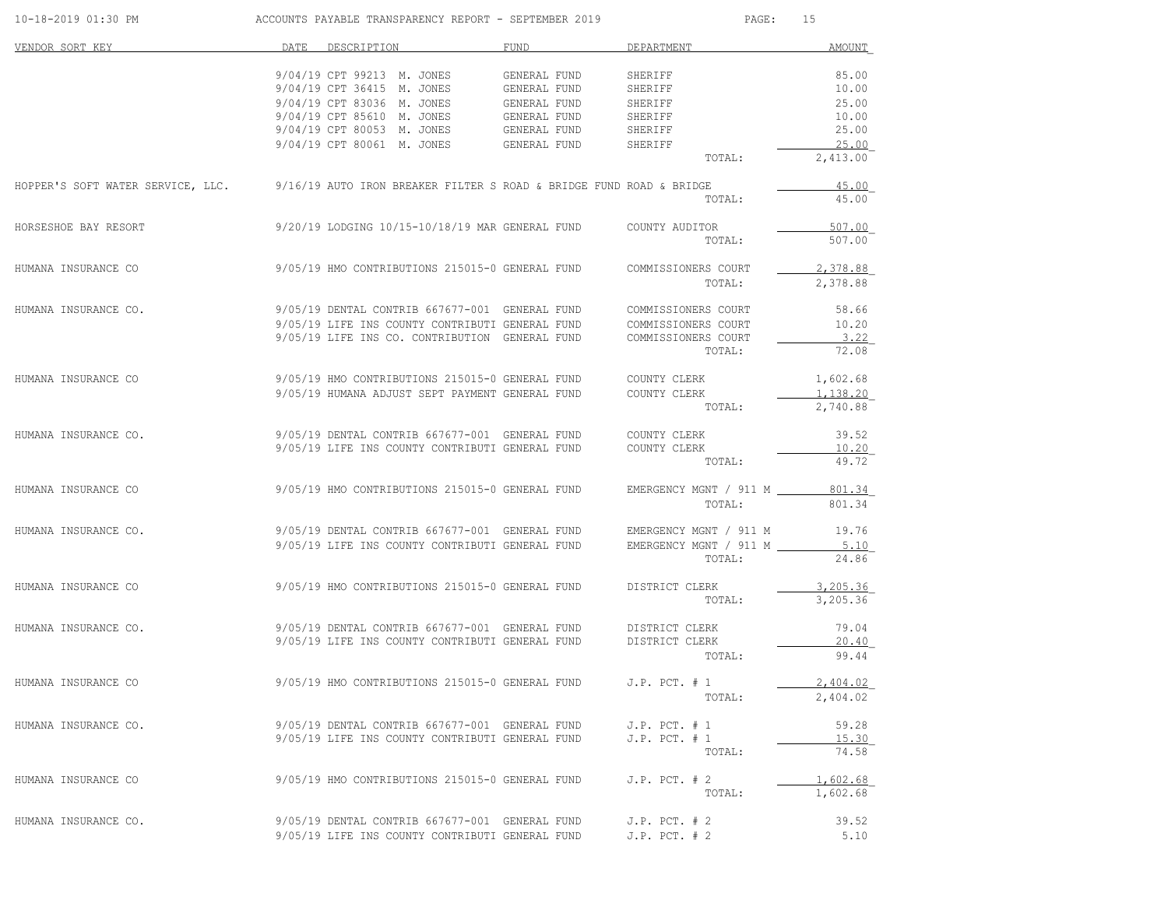| 10-18-2019 01:30 PM  | ACCOUNTS PAYABLE TRANSPARENCY REPORT - SEPTEMBER 2019                                                 |              | $\mathtt{PAGE}$ :      | 15            |
|----------------------|-------------------------------------------------------------------------------------------------------|--------------|------------------------|---------------|
| VENDOR SORT KEY      | DATE.<br>DESCRIPTION                                                                                  | FUND         | DEPARTMENT             | <b>AMOUNT</b> |
|                      | 9/04/19 CPT 99213 M. JONES                                                                            | GENERAL FUND | SHERIFF                | 85.00         |
|                      | 9/04/19 CPT 36415 M. JONES                                                                            | GENERAL FUND | SHERIFF                | 10.00         |
|                      | 9/04/19 CPT 83036 M. JONES                                                                            | GENERAL FUND | SHERIFF                | 25.00         |
|                      | 9/04/19 CPT 85610 M. JONES                                                                            | GENERAL FUND | SHERIFF                | 10.00         |
|                      | 9/04/19 CPT 80053 M. JONES                                                                            | GENERAL FUND | SHERIFF                | 25.00         |
|                      | 9/04/19 CPT 80061 M. JONES                                                                            | GENERAL FUND | SHERIFF                | 25.00         |
|                      |                                                                                                       |              | TOTAL:                 | 2,413.00      |
|                      | HOPPER'S SOFT WATER SERVICE, LLC. 9/16/19 AUTO IRON BREAKER FILTER S ROAD & BRIDGE FUND ROAD & BRIDGE |              |                        | 45.00         |
|                      |                                                                                                       |              | TOTAL:                 | 45.00         |
| HORSESHOE BAY RESORT | 9/20/19 LODGING 10/15-10/18/19 MAR GENERAL FUND                                                       |              | COUNTY AUDITOR         | 507.00        |
|                      |                                                                                                       |              | TOTAL:                 | 507.00        |
| HUMANA INSURANCE CO  | 9/05/19 HMO CONTRIBUTIONS 215015-0 GENERAL FUND                                                       |              | COMMISSIONERS COURT    | 2,378.88      |
|                      |                                                                                                       |              | TOTAL:                 | 2,378.88      |
| HUMANA INSURANCE CO. | 9/05/19 DENTAL CONTRIB 667677-001 GENERAL FUND                                                        |              | COMMISSIONERS COURT    | 58.66         |
|                      | 9/05/19 LIFE INS COUNTY CONTRIBUTI GENERAL FUND                                                       |              | COMMISSIONERS COURT    | 10.20         |
|                      | 9/05/19 LIFE INS CO. CONTRIBUTION GENERAL FUND                                                        |              | COMMISSIONERS COURT    | 3.22          |
|                      |                                                                                                       |              | TOTAL:                 | 72.08         |
| HUMANA INSURANCE CO  | 9/05/19 HMO CONTRIBUTIONS 215015-0 GENERAL FUND                                                       |              | COUNTY CLERK           | 1,602.68      |
|                      | 9/05/19 HUMANA ADJUST SEPT PAYMENT GENERAL FUND                                                       |              | COUNTY CLERK           | 1,138.20      |
|                      |                                                                                                       |              | TOTAL:                 | 2,740.88      |
| HUMANA INSURANCE CO. | 9/05/19 DENTAL CONTRIB 667677-001 GENERAL FUND                                                        |              | COUNTY CLERK           | 39.52         |
|                      | 9/05/19 LIFE INS COUNTY CONTRIBUTI GENERAL FUND                                                       |              | COUNTY CLERK           | 10.20         |
|                      |                                                                                                       |              | TOTAL:                 | 49.72         |
| HUMANA INSURANCE CO  | 9/05/19 HMO CONTRIBUTIONS 215015-0 GENERAL FUND                                                       |              | EMERGENCY MGNT / 911 M | 801.34        |
|                      |                                                                                                       |              | TOTAL:                 | 801.34        |
| HUMANA INSURANCE CO. | 9/05/19 DENTAL CONTRIB 667677-001 GENERAL FUND                                                        |              | EMERGENCY MGNT / 911 M | 19.76         |
|                      | 9/05/19 LIFE INS COUNTY CONTRIBUTI GENERAL FUND                                                       |              | EMERGENCY MGNT / 911 M | 5.10          |
|                      |                                                                                                       |              | TOTAL:                 | 24.86         |
| HUMANA INSURANCE CO  | 9/05/19 HMO CONTRIBUTIONS 215015-0 GENERAL FUND                                                       |              | DISTRICT CLERK         | 3,205.36      |
|                      |                                                                                                       |              | TOTAL:                 | 3,205.36      |
| HUMANA INSURANCE CO. | 9/05/19 DENTAL CONTRIB 667677-001 GENERAL FUND                                                        |              | DISTRICT CLERK         | 79.04         |
|                      | 9/05/19 LIFE INS COUNTY CONTRIBUTI GENERAL FUND                                                       |              | DISTRICT CLERK         | 20.40         |
|                      |                                                                                                       |              | TOTAL:                 | 99.44         |
| HUMANA INSURANCE CO  | 9/05/19 HMO CONTRIBUTIONS 215015-0 GENERAL FUND                                                       |              | $J.P.$ PCT. $# 1$      | 2.404.02      |
|                      |                                                                                                       |              | TOTAL:                 | 2,404.02      |
| HUMANA INSURANCE CO. | 9/05/19 DENTAL CONTRIB 667677-001 GENERAL FUND                                                        |              | $J.P.$ PCT. $# 1$      | 59.28         |
|                      | 9/05/19 LIFE INS COUNTY CONTRIBUTI GENERAL FUND                                                       |              | $J.P.$ PCT. $# 1$      | 15.30         |
|                      |                                                                                                       |              | TOTAL:                 | 74.58         |
| HUMANA INSURANCE CO  | 9/05/19 HMO CONTRIBUTIONS 215015-0 GENERAL FUND                                                       |              | $J.P.$ PCT. $# 2$      | 1,602.68      |
|                      |                                                                                                       |              | TOTAL:                 | 1,602.68      |
| HUMANA INSURANCE CO. | 9/05/19 DENTAL CONTRIB 667677-001 GENERAL FUND                                                        |              | $J.P.$ PCT. $# 2$      | 39.52         |
|                      | 9/05/19 LIFE INS COUNTY CONTRIBUTI GENERAL FUND                                                       |              | $J.P.$ PCT. $# 2$      | 5.10          |
|                      |                                                                                                       |              |                        |               |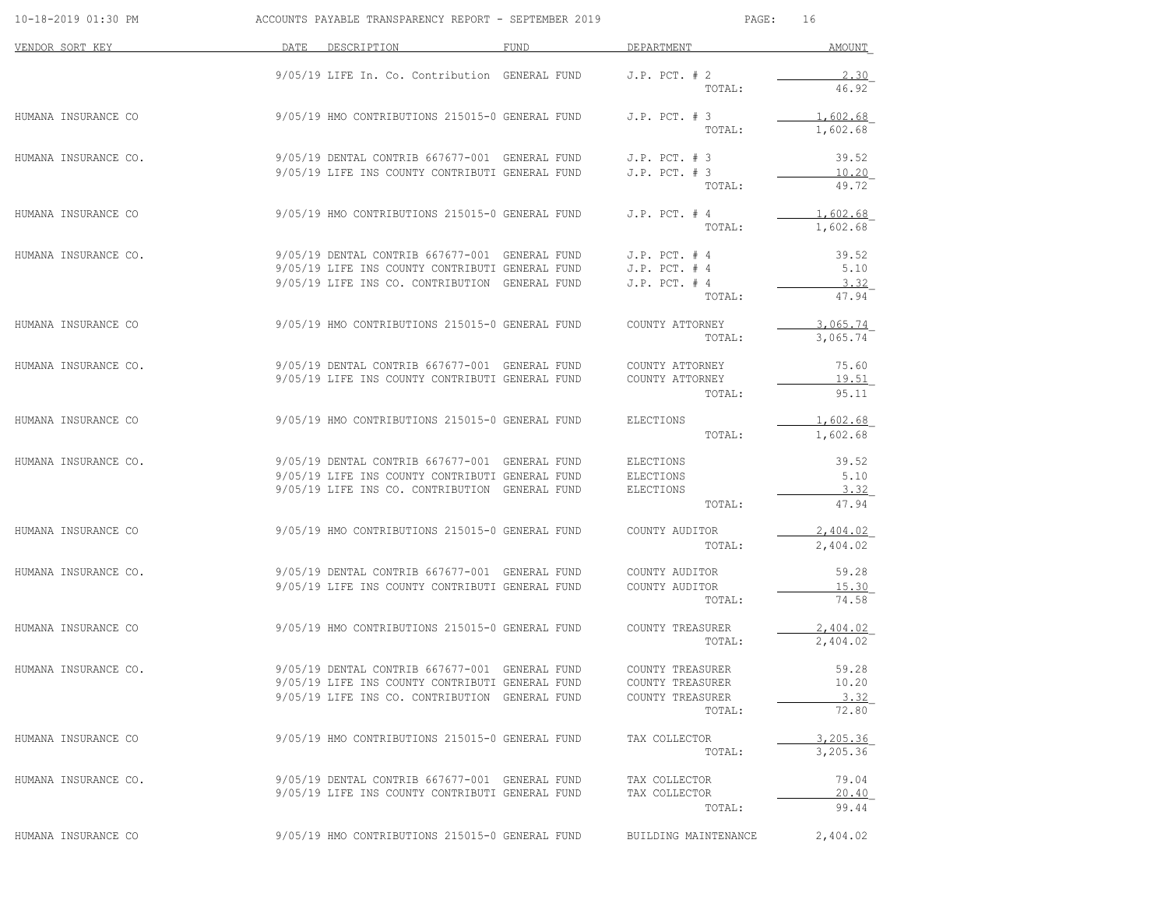| 10-18-2019 01:30 PM  | ACCOUNTS PAYABLE TRANSPARENCY REPORT - SEPTEMBER 2019                                             |             | PAGE:                            | 16                   |
|----------------------|---------------------------------------------------------------------------------------------------|-------------|----------------------------------|----------------------|
| VENDOR SORT KEY      | DATE DESCRIPTION                                                                                  | <b>FUND</b> | DEPARTMENT                       | AMOUNT               |
|                      | 9/05/19 LIFE In. Co. Contribution GENERAL FUND                                                    |             | $J.P.$ PCT. $# 2$                | 2.30                 |
|                      |                                                                                                   |             | TOTAL:                           | 46.92                |
| HUMANA INSURANCE CO  | 9/05/19 HMO CONTRIBUTIONS 215015-0 GENERAL FUND                                                   |             | $J.P.$ PCT. $# 3$                | 1,602.68             |
|                      |                                                                                                   |             | TOTAL:                           | 1,602.68             |
| HUMANA INSURANCE CO. | 9/05/19 DENTAL CONTRIB 667677-001 GENERAL FUND                                                    |             | $J.P.$ PCT. $# 3$                | 39.52                |
|                      | 9/05/19 LIFE INS COUNTY CONTRIBUTI GENERAL FUND                                                   |             | $J.P.$ PCT. $# 3$                | 10.20                |
|                      |                                                                                                   |             | TOTAL:                           | 49.72                |
| HUMANA INSURANCE CO  | 9/05/19 HMO CONTRIBUTIONS 215015-0 GENERAL FUND                                                   |             | $J.P.$ PCT. $#4$                 | 1.602.68             |
|                      |                                                                                                   |             | TOTAL:                           | 1,602.68             |
| HUMANA INSURANCE CO. | 9/05/19 DENTAL CONTRIB 667677-001 GENERAL FUND                                                    |             | $J.P.$ PCT. $#4$                 | 39.52                |
|                      | 9/05/19 LIFE INS COUNTY CONTRIBUTI GENERAL FUND                                                   |             | $J.P.$ PCT. $#4$                 | 5.10                 |
|                      | 9/05/19 LIFE INS CO. CONTRIBUTION GENERAL FUND                                                    |             | $J.P.$ PCT. $# 4$<br>TOTAL:      | 3.32<br>47.94        |
|                      |                                                                                                   |             |                                  |                      |
| HUMANA INSURANCE CO  | 9/05/19 HMO CONTRIBUTIONS 215015-0 GENERAL FUND                                                   |             | COUNTY ATTORNEY<br>TOTAL:        | 3,065.74<br>3,065.74 |
|                      |                                                                                                   |             |                                  |                      |
| HUMANA INSURANCE CO. | 9/05/19 DENTAL CONTRIB 667677-001 GENERAL FUND                                                    |             | COUNTY ATTORNEY                  | 75.60                |
|                      | 9/05/19 LIFE INS COUNTY CONTRIBUTI GENERAL FUND                                                   |             | COUNTY ATTORNEY<br>TOTAL:        | 19.51<br>95.11       |
|                      |                                                                                                   |             |                                  |                      |
| HUMANA INSURANCE CO  | 9/05/19 HMO CONTRIBUTIONS 215015-0 GENERAL FUND                                                   |             | ELECTIONS                        | 1,602.68             |
|                      |                                                                                                   |             | TOTAL:                           | 1,602.68             |
| HUMANA INSURANCE CO. | 9/05/19 DENTAL CONTRIB 667677-001 GENERAL FUND                                                    |             | <b>ELECTIONS</b>                 | 39.52                |
|                      | 9/05/19 LIFE INS COUNTY CONTRIBUTI GENERAL FUND<br>9/05/19 LIFE INS CO. CONTRIBUTION GENERAL FUND |             | ELECTIONS                        | 5.10<br>3.32         |
|                      |                                                                                                   |             | ELECTIONS<br>TOTAL:              | 47.94                |
| HUMANA INSURANCE CO  | 9/05/19 HMO CONTRIBUTIONS 215015-0 GENERAL FUND                                                   |             | COUNTY AUDITOR                   | 2,404.02             |
|                      |                                                                                                   |             | TOTAL:                           | 2,404.02             |
|                      |                                                                                                   |             |                                  |                      |
| HUMANA INSURANCE CO. | 9/05/19 DENTAL CONTRIB 667677-001 GENERAL FUND<br>9/05/19 LIFE INS COUNTY CONTRIBUTI GENERAL FUND |             | COUNTY AUDITOR<br>COUNTY AUDITOR | 59.28<br>15.30       |
|                      |                                                                                                   |             | TOTAL:                           | 74.58                |
| HUMANA INSURANCE CO  | 9/05/19 HMO CONTRIBUTIONS 215015-0 GENERAL FUND                                                   |             | COUNTY TREASURER                 | 2,404.02             |
|                      |                                                                                                   |             | TOTAL:                           | 2,404.02             |
| HUMANA INSURANCE CO. | 9/05/19 DENTAL CONTRIB 667677-001 GENERAL FUND                                                    |             | COUNTY TREASURER                 | 59.28                |
|                      | 9/05/19 LIFE INS COUNTY CONTRIBUTI GENERAL FUND                                                   |             | COUNTY TREASURER                 | 10.20                |
|                      | 9/05/19 LIFE INS CO. CONTRIBUTION GENERAL FUND                                                    |             | COUNTY TREASURER                 | 3.32                 |
|                      |                                                                                                   |             | TOTAL:                           | 72.80                |
| HUMANA INSURANCE CO  | 9/05/19 HMO CONTRIBUTIONS 215015-0 GENERAL FUND                                                   |             | TAX COLLECTOR                    | 3,205.36             |
|                      |                                                                                                   |             | TOTAL:                           | 3,205.36             |
| HUMANA INSURANCE CO. | 9/05/19 DENTAL CONTRIB 667677-001 GENERAL FUND                                                    |             | TAX COLLECTOR                    | 79.04                |
|                      | 9/05/19 LIFE INS COUNTY CONTRIBUTI GENERAL FUND                                                   |             | TAX COLLECTOR                    | 20.40                |
|                      |                                                                                                   |             | TOTAL:                           | 99.44                |
| HUMANA INSURANCE CO  | 9/05/19 HMO CONTRIBUTIONS 215015-0 GENERAL FUND                                                   |             | BUILDING MAINTENANCE             | 2,404.02             |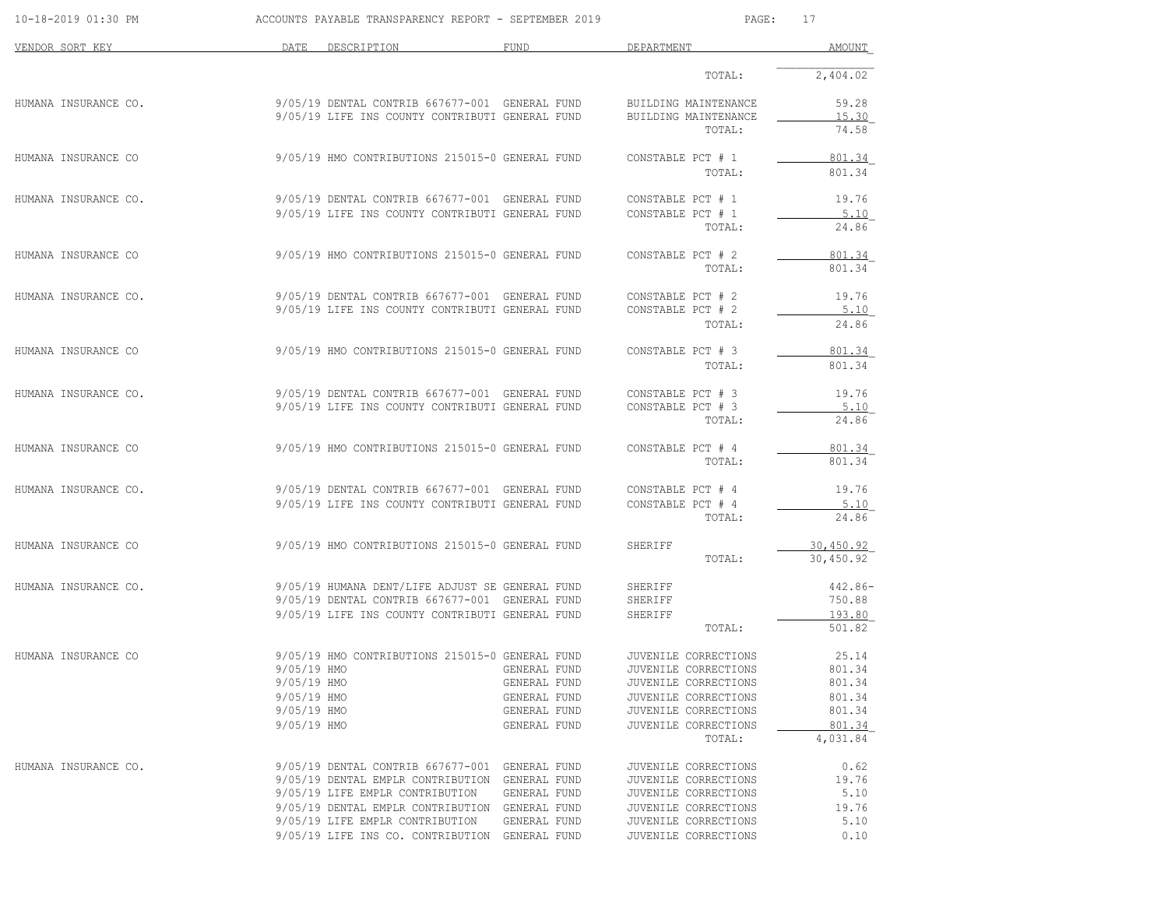| 10-18-2019 01:30 PM  |                            | ACCOUNTS PAYABLE TRANSPARENCY REPORT - SEPTEMBER 2019                                             |                              | PAGE:                                        | 17               |
|----------------------|----------------------------|---------------------------------------------------------------------------------------------------|------------------------------|----------------------------------------------|------------------|
| VENDOR SORT KEY      | DATE                       | DESCRIPTION                                                                                       | <b>FUND</b>                  | DEPARTMENT                                   | AMOUNT           |
|                      |                            |                                                                                                   |                              | TOTAL:                                       | 2,404.02         |
| HUMANA INSURANCE CO. |                            | 9/05/19 DENTAL CONTRIB 667677-001 GENERAL FUND                                                    |                              | BUILDING MAINTENANCE                         | 59.28            |
|                      |                            | 9/05/19 LIFE INS COUNTY CONTRIBUTI GENERAL FUND                                                   |                              | BUILDING MAINTENANCE<br>TOTAL:               | 15.30<br>74.58   |
| HUMANA INSURANCE CO  |                            | 9/05/19 HMO CONTRIBUTIONS 215015-0 GENERAL FUND                                                   |                              | CONSTABLE PCT # 1                            | 801.34           |
|                      |                            |                                                                                                   |                              | TOTAL:                                       | 801.34           |
| HUMANA INSURANCE CO. |                            | 9/05/19 DENTAL CONTRIB 667677-001 GENERAL FUND                                                    |                              | CONSTABLE PCT # 1                            | 19.76            |
|                      |                            | 9/05/19 LIFE INS COUNTY CONTRIBUTI GENERAL FUND                                                   |                              | CONSTABLE PCT # 1<br>TOTAL:                  | 5.10<br>24.86    |
| HUMANA INSURANCE CO  |                            | 9/05/19 HMO CONTRIBUTIONS 215015-0 GENERAL FUND                                                   |                              | CONSTABLE PCT # 2                            | 801.34           |
|                      |                            |                                                                                                   |                              | TOTAL:                                       | 801.34           |
| HUMANA INSURANCE CO. |                            | 9/05/19 DENTAL CONTRIB 667677-001 GENERAL FUND                                                    |                              | CONSTABLE PCT # 2                            | 19.76            |
|                      |                            | 9/05/19 LIFE INS COUNTY CONTRIBUTI GENERAL FUND                                                   |                              | CONSTABLE PCT # 2<br>TOTAL:                  | 5.10<br>24.86    |
| HUMANA INSURANCE CO  |                            | 9/05/19 HMO CONTRIBUTIONS 215015-0 GENERAL FUND                                                   |                              | CONSTABLE PCT # 3                            | 801.34           |
|                      |                            |                                                                                                   |                              | TOTAL:                                       | 801.34           |
| HUMANA INSURANCE CO. |                            | 9/05/19 DENTAL CONTRIB 667677-001 GENERAL FUND                                                    |                              | CONSTABLE PCT # 3                            | 19.76            |
|                      |                            | 9/05/19 LIFE INS COUNTY CONTRIBUTI GENERAL FUND                                                   |                              | CONSTABLE PCT # 3<br>TOTAL:                  | 5.10<br>24.86    |
| HUMANA INSURANCE CO  |                            | 9/05/19 HMO CONTRIBUTIONS 215015-0 GENERAL FUND                                                   |                              | CONSTABLE PCT # 4                            | 801.34           |
|                      |                            |                                                                                                   |                              | TOTAL:                                       | 801.34           |
| HUMANA INSURANCE CO. |                            | 9/05/19 DENTAL CONTRIB 667677-001 GENERAL FUND                                                    |                              | CONSTABLE PCT # 4                            | 19.76            |
|                      |                            | 9/05/19 LIFE INS COUNTY CONTRIBUTI GENERAL FUND                                                   |                              | CONSTABLE PCT # 4<br>TOTAL:                  | 5.10<br>24.86    |
| HUMANA INSURANCE CO  |                            | 9/05/19 HMO CONTRIBUTIONS 215015-0 GENERAL FUND                                                   |                              | SHERIFF                                      | 30,450.92        |
|                      |                            |                                                                                                   |                              | TOTAL:                                       | 30,450.92        |
| HUMANA INSURANCE CO. |                            | 9/05/19 HUMANA DENT/LIFE ADJUST SE GENERAL FUND                                                   |                              | SHERIFF                                      | $442.86-$        |
|                      |                            | 9/05/19 DENTAL CONTRIB 667677-001 GENERAL FUND<br>9/05/19 LIFE INS COUNTY CONTRIBUTI GENERAL FUND |                              | SHERIFF<br>SHERIFF                           | 750.88<br>193.80 |
|                      |                            |                                                                                                   |                              | TOTAL:                                       | 501.82           |
| HUMANA INSURANCE CO  |                            | 9/05/19 HMO CONTRIBUTIONS 215015-0 GENERAL FUND                                                   |                              | JUVENILE CORRECTIONS                         | 25.14            |
|                      | 9/05/19 HMO<br>9/05/19 HMO |                                                                                                   | GENERAL FUND<br>GENERAL FUND | JUVENILE CORRECTIONS<br>JUVENILE CORRECTIONS | 801.34<br>801.34 |
|                      | 9/05/19 HMO                |                                                                                                   | GENERAL FUND                 | JUVENILE CORRECTIONS                         | 801.34           |
|                      | 9/05/19 HMO                |                                                                                                   | GENERAL FUND                 | JUVENILE CORRECTIONS                         | 801.34           |
|                      | 9/05/19 HMO                |                                                                                                   | GENERAL FUND                 | JUVENILE CORRECTIONS                         | 801.34           |
|                      |                            |                                                                                                   |                              | TOTAL:                                       | 4,031.84         |
| HUMANA INSURANCE CO. |                            | 9/05/19 DENTAL CONTRIB 667677-001 GENERAL FUND                                                    |                              | JUVENILE CORRECTIONS                         | 0.62             |
|                      |                            | 9/05/19 DENTAL EMPLR CONTRIBUTION GENERAL FUND<br>9/05/19 LIFE EMPLR CONTRIBUTION                 | GENERAL FUND                 | JUVENILE CORRECTIONS<br>JUVENILE CORRECTIONS | 19.76<br>5.10    |
|                      |                            | 9/05/19 DENTAL EMPLR CONTRIBUTION GENERAL FUND                                                    |                              | JUVENILE CORRECTIONS                         | 19.76            |
|                      |                            | 9/05/19 LIFE EMPLR CONTRIBUTION                                                                   | GENERAL FUND                 | JUVENILE CORRECTIONS                         | 5.10             |
|                      |                            | 9/05/19 LIFE INS CO. CONTRIBUTION GENERAL FUND                                                    |                              | JUVENILE CORRECTIONS                         | 0.10             |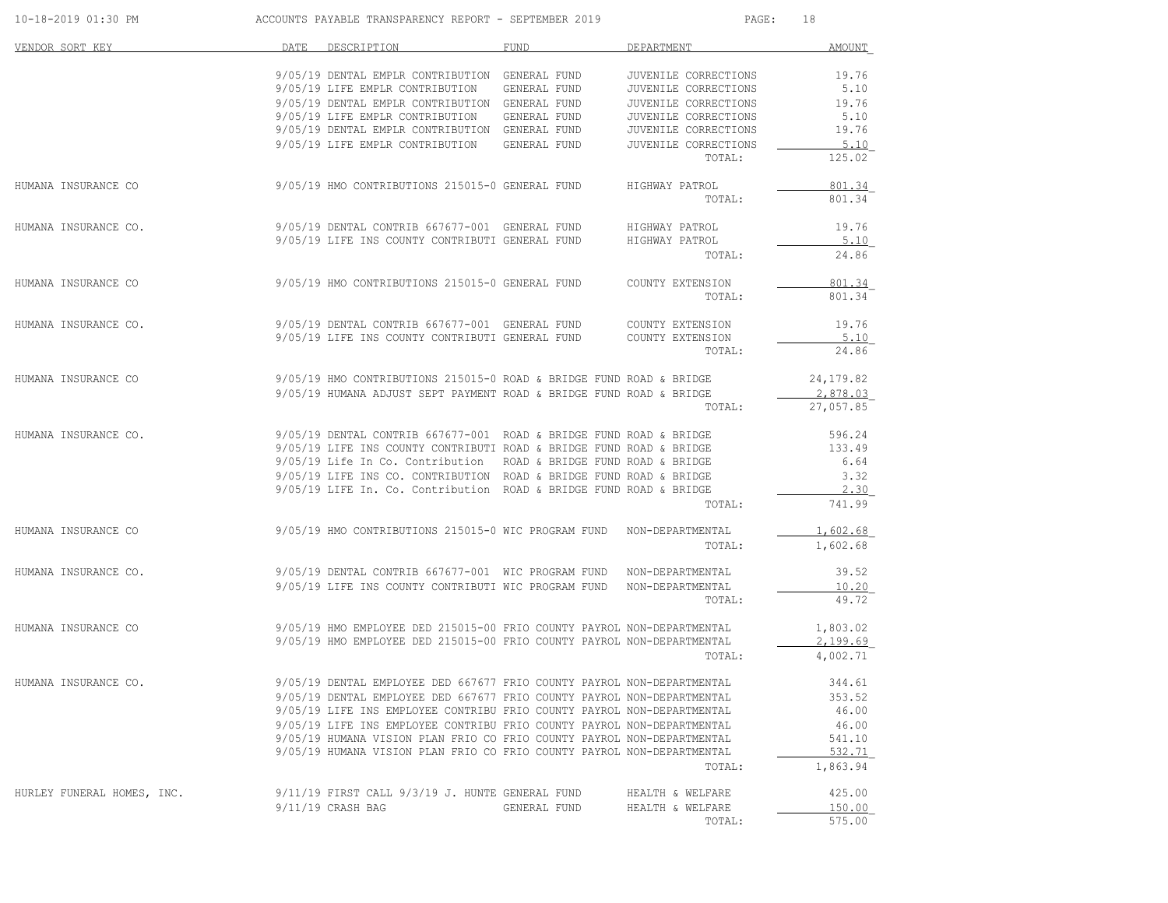| 10-18-2019 01:30 PM        |      | ACCOUNTS PAYABLE TRANSPARENCY REPORT - SEPTEMBER 2019                                                                                            |              | PAGE:                          | 18               |
|----------------------------|------|--------------------------------------------------------------------------------------------------------------------------------------------------|--------------|--------------------------------|------------------|
| VENDOR SORT KEY            | DATE | DESCRIPTION                                                                                                                                      | <b>FUND</b>  | DEPARTMENT                     | <b>AMOUNT</b>    |
|                            |      | 9/05/19 DENTAL EMPLR CONTRIBUTION GENERAL FUND                                                                                                   |              | JUVENILE CORRECTIONS           | 19.76            |
|                            |      | 9/05/19 LIFE EMPLR CONTRIBUTION                                                                                                                  | GENERAL FUND | JUVENILE CORRECTIONS           | 5.10             |
|                            |      | 9/05/19 DENTAL EMPLR CONTRIBUTION GENERAL FUND                                                                                                   |              | JUVENILE CORRECTIONS           | 19.76            |
|                            |      | 9/05/19 LIFE EMPLR CONTRIBUTION                                                                                                                  | GENERAL FUND | JUVENILE CORRECTIONS           | 5.10             |
|                            |      | 9/05/19 DENTAL EMPLR CONTRIBUTION GENERAL FUND                                                                                                   |              | JUVENILE CORRECTIONS           | 19.76            |
|                            |      | 9/05/19 LIFE EMPLR CONTRIBUTION GENERAL FUND                                                                                                     |              | JUVENILE CORRECTIONS<br>TOTAL: | 5.10<br>125.02   |
|                            |      |                                                                                                                                                  |              |                                |                  |
| HUMANA INSURANCE CO        |      | 9/05/19 HMO CONTRIBUTIONS 215015-0 GENERAL FUND                                                                                                  |              | HIGHWAY PATROL<br>TOTAL:       | 801.34<br>801.34 |
| HUMANA INSURANCE CO.       |      | 9/05/19 DENTAL CONTRIB 667677-001 GENERAL FUND HIGHWAY PATROL                                                                                    |              |                                | 19.76            |
|                            |      | 9/05/19 LIFE INS COUNTY CONTRIBUTI GENERAL FUND                                                                                                  |              | HIGHWAY PATROL                 | 5.10             |
|                            |      |                                                                                                                                                  |              | TOTAL:                         | 24.86            |
| HUMANA INSURANCE CO        |      | 9/05/19 HMO CONTRIBUTIONS 215015-0 GENERAL FUND                                                                                                  |              | COUNTY EXTENSION               | 801.34           |
|                            |      |                                                                                                                                                  |              | TOTAL:                         | 801.34           |
| HUMANA INSURANCE CO.       |      | 9/05/19 DENTAL CONTRIB 667677-001 GENERAL FUND COUNTY EXTENSION                                                                                  |              |                                | 19.76            |
|                            |      | 9/05/19 LIFE INS COUNTY CONTRIBUTI GENERAL FUND                                                                                                  |              | COUNTY EXTENSION               | 5.10             |
|                            |      |                                                                                                                                                  |              | TOTAL:                         | 24.86            |
| HUMANA INSURANCE CO        |      | 9/05/19 HMO CONTRIBUTIONS 215015-0 ROAD & BRIDGE FUND ROAD & BRIDGE                                                                              |              |                                | 24, 179.82       |
|                            |      | 9/05/19 HUMANA ADJUST SEPT PAYMENT ROAD & BRIDGE FUND ROAD & BRIDGE                                                                              |              |                                | 2,878.03         |
|                            |      |                                                                                                                                                  |              | TOTAL:                         | 27,057.85        |
| HUMANA INSURANCE CO.       |      | $9/05/19$ DENTAL CONTRIB 667677-001 ROAD & BRIDGE FUND ROAD & BRIDGE                                                                             |              |                                | 596.24           |
|                            |      | 9/05/19 LIFE INS COUNTY CONTRIBUTI ROAD & BRIDGE FUND ROAD & BRIDGE                                                                              |              |                                | 133.49           |
|                            |      | 9/05/19 Life In Co. Contribution ROAD & BRIDGE FUND ROAD & BRIDGE                                                                                |              |                                | 6.64             |
|                            |      | 9/05/19 LIFE INS CO. CONTRIBUTION ROAD & BRIDGE FUND ROAD & BRIDGE                                                                               |              |                                | 3.32             |
|                            |      | 9/05/19 LIFE In. Co. Contribution ROAD & BRIDGE FUND ROAD & BRIDGE                                                                               |              |                                | 2.30             |
|                            |      |                                                                                                                                                  |              | TOTAL:                         | 741.99           |
| HUMANA INSURANCE CO        |      | 9/05/19 HMO CONTRIBUTIONS 215015-0 WIC PROGRAM FUND NON-DEPARTMENTAL                                                                             |              |                                | 1,602.68         |
|                            |      |                                                                                                                                                  |              | TOTAL:                         | 1,602.68         |
| HUMANA INSURANCE CO.       |      | 9/05/19 DENTAL CONTRIB 667677-001 WIC PROGRAM FUND NON-DEPARTMENTAL                                                                              |              |                                | 39.52            |
|                            |      | 9/05/19 LIFE INS COUNTY CONTRIBUTI WIC PROGRAM FUND NON-DEPARTMENTAL                                                                             |              |                                | 10.20            |
|                            |      |                                                                                                                                                  |              | TOTAL:                         | 49.72            |
| HUMANA INSURANCE CO        |      | 9/05/19 HMO EMPLOYEE DED 215015-00 FRIO COUNTY PAYROL NON-DEPARTMENTAL                                                                           |              |                                | 1,803.02         |
|                            |      | 9/05/19 HMO EMPLOYEE DED 215015-00 FRIO COUNTY PAYROL NON-DEPARTMENTAL                                                                           |              |                                | 2,199.69         |
|                            |      |                                                                                                                                                  |              | TOTAL:                         | 4,002.71         |
| HUMANA INSURANCE CO.       |      | 9/05/19 DENTAL EMPLOYEE DED 667677 FRIO COUNTY PAYROL NON-DEPARTMENTAL                                                                           |              |                                | 344.61           |
|                            |      | 9/05/19 DENTAL EMPLOYEE DED 667677 FRIO COUNTY PAYROL NON-DEPARTMENTAL                                                                           |              |                                | 353.52           |
|                            |      | 9/05/19 LIFE INS EMPLOYEE CONTRIBU FRIO COUNTY PAYROL NON-DEPARTMENTAL                                                                           |              |                                | 46.00            |
|                            |      | 9/05/19 LIFE INS EMPLOYEE CONTRIBU FRIO COUNTY PAYROL NON-DEPARTMENTAL<br>9/05/19 HUMANA VISION PLAN FRIO CO FRIO COUNTY PAYROL NON-DEPARTMENTAL |              |                                | 46.00<br>541.10  |
|                            |      | 9/05/19 HUMANA VISION PLAN FRIO CO FRIO COUNTY PAYROL NON-DEPARTMENTAL                                                                           |              |                                | 532.71           |
|                            |      |                                                                                                                                                  |              | TOTAL:                         | 1,863.94         |
| HURLEY FUNERAL HOMES, INC. |      | 9/11/19 FIRST CALL 9/3/19 J. HUNTE GENERAL FUND                                                                                                  |              | HEALTH & WELFARE               | 425.00           |
|                            |      | 9/11/19 CRASH BAG                                                                                                                                | GENERAL FUND | HEALTH & WELFARE               | 150.00           |
|                            |      |                                                                                                                                                  |              | TOTAL:                         | 575.00           |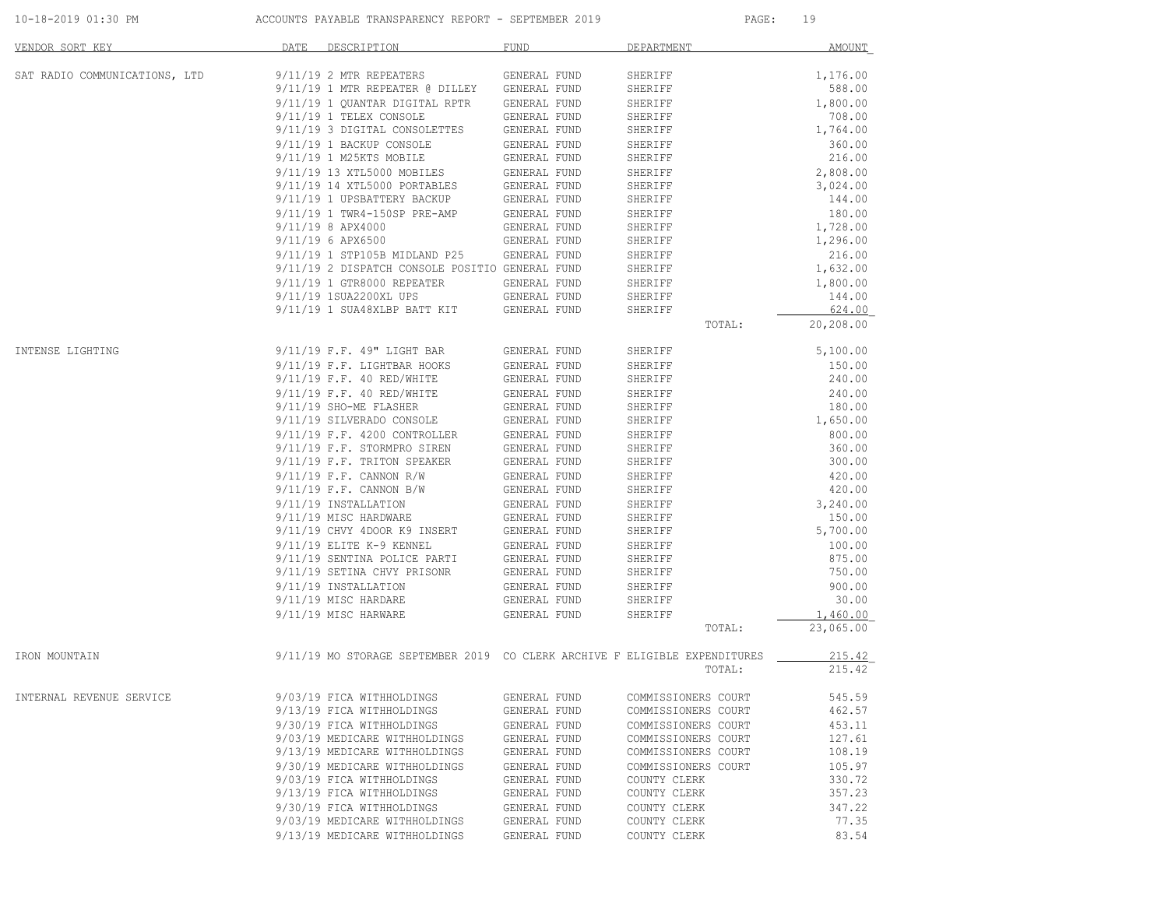| 10-18-2019 01:30 PM |  |
|---------------------|--|
|                     |  |

ACCOUNTS PAYABLE TRANSPARENCY REPORT - SEPTEMBER 2019 PAGE: 19

| VENDOR SORT KEY               | DATE<br>DESCRIPTION                                                        | <b>FUND</b>  | DEPARTMENT          | <b>AMOUNT</b> |
|-------------------------------|----------------------------------------------------------------------------|--------------|---------------------|---------------|
| SAT RADIO COMMUNICATIONS, LTD | 9/11/19 2 MTR REPEATERS                                                    | GENERAL FUND | SHERIFF             | 1,176.00      |
|                               | 9/11/19 1 MTR REPEATER @ DILLEY                                            | GENERAL FUND | SHERIFF             | 588.00        |
|                               | 9/11/19 1 QUANTAR DIGITAL RPTR                                             | GENERAL FUND | SHERIFF             | 1,800.00      |
|                               | 9/11/19 1 TELEX CONSOLE                                                    | GENERAL FUND | SHERIFF             | 708.00        |
|                               | 9/11/19 3 DIGITAL CONSOLETTES                                              | GENERAL FUND | SHERIFF             | 1,764.00      |
|                               | 9/11/19 1 BACKUP CONSOLE                                                   | GENERAL FUND | SHERIFF             | 360.00        |
|                               | 9/11/19 1 M25KTS MOBILE                                                    | GENERAL FUND | SHERIFF             | 216.00        |
|                               | 9/11/19 13 XTL5000 MOBILES                                                 | GENERAL FUND | SHERIFF             | 2,808.00      |
|                               | 9/11/19 14 XTL5000 PORTABLES                                               | GENERAL FUND | SHERIFF             | 3,024.00      |
|                               | 9/11/19 1 UPSBATTERY BACKUP                                                | GENERAL FUND | SHERIFF             | 144.00        |
|                               | 9/11/19 1 TWR4-150SP PRE-AMP                                               | GENERAL FUND | SHERIFF             | 180.00        |
|                               | 9/11/19 8 APX4000                                                          | GENERAL FUND | SHERIFF             | 1,728.00      |
|                               | 9/11/19 6 APX6500                                                          | GENERAL FUND | SHERIFF             | 1,296.00      |
|                               | 9/11/19 1 STP105B MIDLAND P25                                              | GENERAL FUND | SHERIFF             | 216.00        |
|                               | 9/11/19 2 DISPATCH CONSOLE POSITIO GENERAL FUND                            |              | SHERIFF             | 1,632.00      |
|                               | 9/11/19 1 GTR8000 REPEATER                                                 | GENERAL FUND | SHERIFF             | 1,800.00      |
|                               | 9/11/19 1SUA2200XL UPS                                                     | GENERAL FUND | SHERIFF             | 144.00        |
|                               | 9/11/19 1 SUA48XLBP BATT KIT                                               | GENERAL FUND | SHERIFF             | 624.00        |
|                               |                                                                            |              | TOTAL:              | 20,208.00     |
| INTENSE LIGHTING              | 9/11/19 F.F. 49" LIGHT BAR                                                 | GENERAL FUND | SHERIFF             | 5,100.00      |
|                               | 9/11/19 F.F. LIGHTBAR HOOKS                                                | GENERAL FUND | SHERIFF             | 150.00        |
|                               | 9/11/19 F.F. 40 RED/WHITE                                                  | GENERAL FUND | SHERIFF             | 240.00        |
|                               | 9/11/19 F.F. 40 RED/WHITE                                                  | GENERAL FUND | SHERIFF             | 240.00        |
|                               | 9/11/19 SHO-ME FLASHER                                                     | GENERAL FUND | SHERIFF             | 180.00        |
|                               | 9/11/19 SILVERADO CONSOLE                                                  | GENERAL FUND | SHERIFF             | 1,650.00      |
|                               | 9/11/19 F.F. 4200 CONTROLLER                                               | GENERAL FUND | SHERIFF             | 800.00        |
|                               | 9/11/19 F.F. STORMPRO SIREN                                                | GENERAL FUND | SHERIFF             | 360.00        |
|                               | 9/11/19 F.F. TRITON SPEAKER                                                | GENERAL FUND | SHERIFF             | 300.00        |
|                               | $9/11/19$ F.F. CANNON R/W                                                  | GENERAL FUND | SHERIFF             | 420.00        |
|                               | $9/11/19$ F.F. CANNON B/W                                                  | GENERAL FUND | SHERIFF             | 420.00        |
|                               | 9/11/19 INSTALLATION                                                       | GENERAL FUND | SHERIFF             | 3,240.00      |
|                               | 9/11/19 MISC HARDWARE                                                      | GENERAL FUND | SHERIFF             | 150.00        |
|                               | 9/11/19 CHVY 4DOOR K9 INSERT                                               | GENERAL FUND | SHERIFF             | 5,700.00      |
|                               | 9/11/19 ELITE K-9 KENNEL                                                   | GENERAL FUND | SHERIFF             | 100.00        |
|                               | 9/11/19 SENTINA POLICE PARTI                                               | GENERAL FUND | SHERIFF             | 875.00        |
|                               | 9/11/19 SETINA CHVY PRISONR                                                | GENERAL FUND | SHERIFF             | 750.00        |
|                               | 9/11/19 INSTALLATION                                                       | GENERAL FUND | SHERIFF             | 900.00        |
|                               | 9/11/19 MISC HARDARE                                                       | GENERAL FUND | SHERIFF             | 30.00         |
|                               | 9/11/19 MISC HARWARE                                                       | GENERAL FUND | SHERIFF             | 1,460.00      |
|                               |                                                                            |              | TOTAL:              | 23,065.00     |
| IRON MOUNTAIN                 | 9/11/19 MO STORAGE SEPTEMBER 2019 CO CLERK ARCHIVE F ELIGIBLE EXPENDITURES |              |                     | 215.42        |
|                               |                                                                            |              | TOTAL:              | 215.42        |
| INTERNAL REVENUE SERVICE      | 9/03/19 FICA WITHHOLDINGS                                                  | GENERAL FUND | COMMISSIONERS COURT | 545.59        |
|                               | 9/13/19 FICA WITHHOLDINGS                                                  | GENERAL FUND | COMMISSIONERS COURT | 462.57        |
|                               | 9/30/19 FICA WITHHOLDINGS                                                  | GENERAL FUND | COMMISSIONERS COURT | 453.11        |
|                               | 9/03/19 MEDICARE WITHHOLDINGS                                              | GENERAL FUND | COMMISSIONERS COURT | 127.61        |
|                               | 9/13/19 MEDICARE WITHHOLDINGS                                              | GENERAL FUND | COMMISSIONERS COURT | 108.19        |
|                               | 9/30/19 MEDICARE WITHHOLDINGS                                              | GENERAL FUND | COMMISSIONERS COURT | 105.97        |
|                               | 9/03/19 FICA WITHHOLDINGS                                                  | GENERAL FUND | COUNTY CLERK        | 330.72        |
|                               | 9/13/19 FICA WITHHOLDINGS                                                  | GENERAL FUND | COUNTY CLERK        | 357.23        |
|                               | 9/30/19 FICA WITHHOLDINGS                                                  | GENERAL FUND | COUNTY CLERK        | 347.22        |
|                               | 9/03/19 MEDICARE WITHHOLDINGS                                              | GENERAL FUND | COUNTY CLERK        | 77.35         |
|                               | 9/13/19 MEDICARE WITHHOLDINGS                                              | GENERAL FUND | COUNTY CLERK        | 83.54         |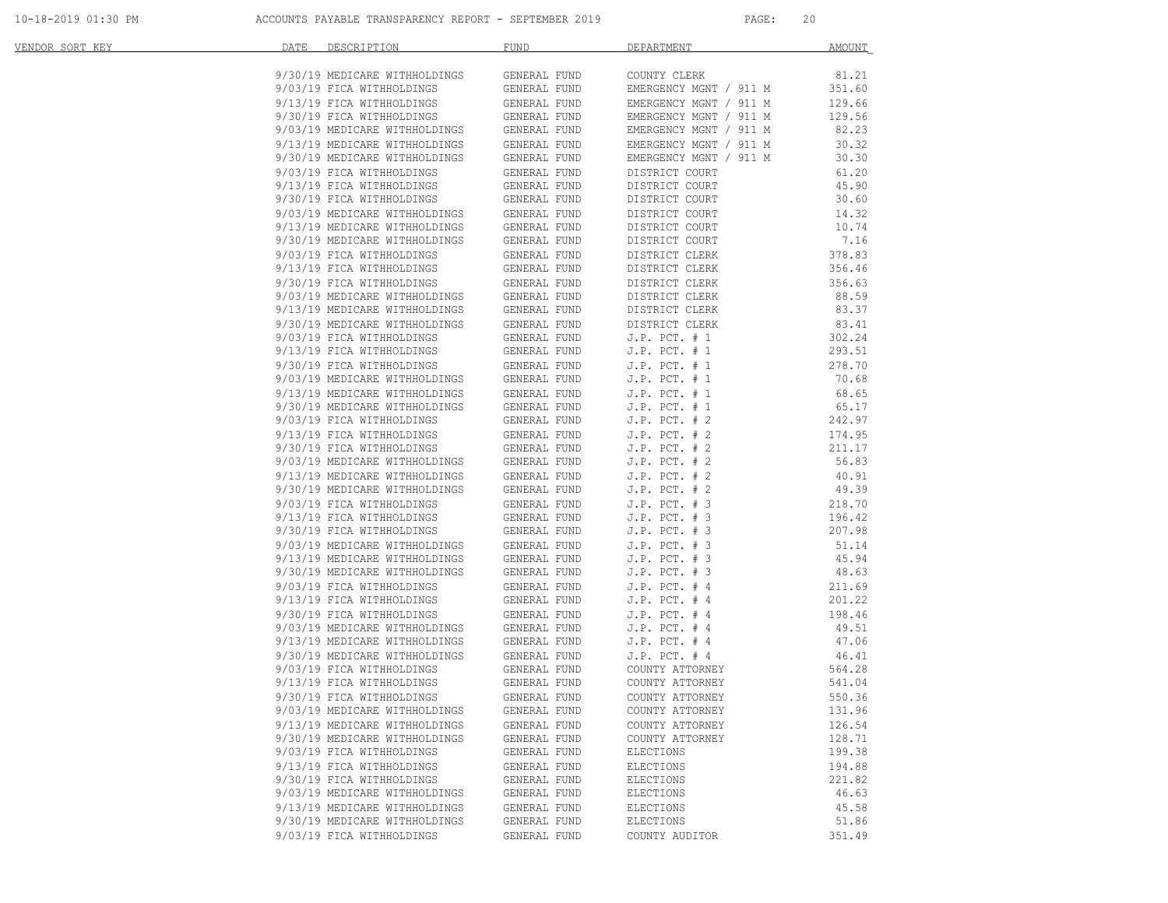| VENDOR SORT KEY | DATE | DESCRIPTION                                                                                                                                                                                                                                            | <b>FUND</b>                  | DEPARTMENT                             | AMOUNT           |
|-----------------|------|--------------------------------------------------------------------------------------------------------------------------------------------------------------------------------------------------------------------------------------------------------|------------------------------|----------------------------------------|------------------|
|                 |      | 9/30/19 MEDICARE WITHHOLDINGS                                                                                                                                                                                                                          | GENERAL FUND                 | COUNTY CLERK                           | 81.21            |
|                 |      |                                                                                                                                                                                                                                                        | GENERAL FUND                 | EMERGENCY MGNT / 911 M                 | 351.60           |
|                 |      | 9/03/19 FICA WITHHOLDINGS<br>9/13/19 FICA WITHHOLDINGS                                                                                                                                                                                                 | GENERAL FUND                 | EMERGENCY MGNT / 911 M                 | 129.66           |
|                 |      | 9/30/19 FICA WITHHOLDINGS<br>9/03/19 MEDICARE WITHHOLDINGS                                                                                                                                                                                             | GENERAL FUND                 | EMERGENCY MGNT / 911 M                 | 129.56           |
|                 |      |                                                                                                                                                                                                                                                        | GENERAL FUND                 | EMERGENCY MGNT / 911 M                 | 82.23            |
|                 |      |                                                                                                                                                                                                                                                        |                              | EMERGENCY MGNT / 911 M                 | 30.32            |
|                 |      | 9/13/19 MEDICARE WITHHOLDINGS GENERAL FUND<br>9/30/19 MEDICARE WITHHOLDINGS GENERAL FUND<br>9/03/19 FICA WITHHOLDINGS GENERAL FUND                                                                                                                     |                              | EMERGENCY MGNT / 911 M                 | 30.30            |
|                 |      |                                                                                                                                                                                                                                                        |                              | DISTRICT COURT                         | 61.20            |
|                 |      | 9/13/19 FICA WITHHOLDINGS<br>9/30/19 FICA WITHHOLDINGS                                                                                                                                                                                                 | GENERAL FUND                 | DISTRICT COURT                         | 45.90            |
|                 |      |                                                                                                                                                                                                                                                        | GENERAL FUND                 | DISTRICT COURT                         | 30.60            |
|                 |      | 9/03/19 MEDICARE WITHHOLDINGS<br>9/13/19 MEDICARE WITHHOLDINGS                                                                                                                                                                                         | GENERAL FUND                 | DISTRICT COURT                         | 14.32            |
|                 |      |                                                                                                                                                                                                                                                        | GENERAL FUND                 | DISTRICT COURT                         | 10.74            |
|                 |      | 9/30/19 MEDICARE WITHHOLDINGS<br>9/03/19 FICA WITHHOLDINGS                                                                                                                                                                                             | GENERAL FUND                 | DISTRICT COURT                         | 7.16             |
|                 |      | 9/13/19 FICA WITHHOLDINGS                                                                                                                                                                                                                              | GENERAL FUND                 | DISTRICT CLERK                         | 378.83<br>356.46 |
|                 |      |                                                                                                                                                                                                                                                        | GENERAL FUND                 | DISTRICT CLERK                         |                  |
|                 |      | 9/30/19 FICA WITHHOLDINGS<br>9/03/19 MEDICARE WITHHOLDINGS                                                                                                                                                                                             | GENERAL FUND<br>GENERAL FUND | DISTRICT CLERK<br>DISTRICT CLERK       | 356.63<br>88.59  |
|                 |      |                                                                                                                                                                                                                                                        |                              | DISTRICT CLERK                         | 83.37            |
|                 |      | $9/13/19 \text{ MEDICARE WITHHOLDINGS} \hspace{1.5cm} \text{GENERAL FUND} \\ 9/30/19 \text{ MEDICARE WITHHOLDINGS} \hspace{1.5cm} \text{GENERAL FUND}$                                                                                                 |                              | DISTRICT CLERK                         | 83.41            |
|                 |      |                                                                                                                                                                                                                                                        | GENERAL FUND                 | $J.P.$ PCT. $# 1$                      | 302.24           |
|                 |      | 9/03/19 FICA WITHHOLDINGS<br>9/13/19 FICA WITHHOLDINGS<br>9/13/19 FICA WITHHOLDINGS                                                                                                                                                                    | GENERAL FUND                 | J.P. $PCT. # 1$                        | 293.51           |
|                 |      |                                                                                                                                                                                                                                                        |                              | $J.P.$ PCT. $# 1$                      | 278.70           |
|                 |      |                                                                                                                                                                                                                                                        |                              | $J.P.$ PCT. $# 1$                      | 70.68            |
|                 |      | 9/30/19 FICA WITHHOLDINGS<br>9/30/19 FICA WITHHOLDINGS<br>9/30/19 MEDICARE WITHHOLDINGS<br>9/13/19 MEDICARE WITHHOLDINGS<br>9/30/19 MEDICARE WITHHOLDINGS<br>9/03/19 FICA WITHHOLDINGS<br>9/03/19 FICA WITHHOLDINGS<br>9/03/19 FICA WITHHOLDINGS<br>GE |                              | $J.P.$ PCT. $# 1$                      | 68.65            |
|                 |      |                                                                                                                                                                                                                                                        |                              | J.P. $PCT. # 1$                        | 65.17            |
|                 |      |                                                                                                                                                                                                                                                        |                              | J.P. $PCT. # 2$                        | 242.97           |
|                 |      | 9/13/19 FICA WITHHOLDINGS                                                                                                                                                                                                                              | GENERAL FUND                 | $J.P.$ PCT. $# 2$                      | 174.95           |
|                 |      | 9/30/19 FICA WITHHOLDINGS                                                                                                                                                                                                                              | GENERAL FUND                 | $J.P.$ PCT. $# 2$                      | 211.17           |
|                 |      |                                                                                                                                                                                                                                                        |                              | $J.P.$ PCT. $# 2$                      | 56.83            |
|                 |      |                                                                                                                                                                                                                                                        |                              | J.P. $PCT. # 2$                        | 40.91            |
|                 |      | 9/03/19 MEDICARE WITHHOLDINGS<br>9/13/19 MEDICARE WITHHOLDINGS<br>9/30/19 MEDICARE WITHHOLDINGS<br>9/30/19 MEDICARE WITHHOLDINGS<br>9/03/19 FICA WITHHOLDINGS<br>9/13/19 FICA WITHHOLDINGS<br>9/13/19 FICA WITHHOLDINGS<br>9/13/19 FICA WITHHOLDING    |                              | $J.P.$ PCT. $# 2$                      | 49.39            |
|                 |      |                                                                                                                                                                                                                                                        |                              | $J.P.$ PCT. $# 3$                      | 218.70           |
|                 |      | 9/13/19 FICA WITHHOLDINGS                                                                                                                                                                                                                              |                              | J.P. $PCT. # 3$                        | 196.42           |
|                 |      | 9/30/19 FICA WITHHOLDINGS<br>9/03/19 MEDICARE WITHHOLDINGS<br>9/03/19 MEDICARE WITHHOLDINGS<br>9/13/19 MEDICARE WITHHOLDINGS<br>9/30/19 MEDICARE WITHHOLDINGS<br>9/30/19 MEDICARE WITHHOLDINGS<br>GENERAL FUND                                         |                              | $J.P.$ PCT. $# 3$                      | 207.98           |
|                 |      |                                                                                                                                                                                                                                                        |                              | $J.P.$ PCT. $# 3$                      | 51.14            |
|                 |      |                                                                                                                                                                                                                                                        |                              | $J.P.$ PCT. $# 3$<br>$J.P.$ PCT. $# 3$ | 45.94<br>48.63   |
|                 |      |                                                                                                                                                                                                                                                        | GENERAL FUND                 | $J.P.$ PCT. $#4$                       | 211.69           |
|                 |      | 9/03/19 FICA WITHHOLDINGS<br>9/13/19 FICA WITHHOLDINGS                                                                                                                                                                                                 | GENERAL FUND                 | $J.P.$ PCT. $#4$                       | 201.22           |
|                 |      | 9/30/19 FICA WITHHOLDINGS<br>9/30/19 FICA WITHHOLDINGS<br>9/03/19 MEDICARE WITHHOLDINGS<br>9/13/19 MEDICARE WITHHOLDINGS                                                                                                                               | GENERAL FUND                 | $J.P.$ PCT. $#4$                       | 198.46           |
|                 |      |                                                                                                                                                                                                                                                        | GENERAL FUND                 | $J.P.$ PCT. $#4$                       | 49.51            |
|                 |      |                                                                                                                                                                                                                                                        | GENERAL FUND                 | $J.P.$ PCT. $#4$                       | 47.06            |
|                 |      |                                                                                                                                                                                                                                                        |                              | $J.P.$ PCT. $#4$                       | 46.41            |
|                 |      | 9/30/19 MEDICARE WITHHOLDINGS GENERAL FUND<br>9/03/19 FICA WITHHOLDINGS GENERAL FUND                                                                                                                                                                   |                              | COUNTY ATTORNEY                        | 564.28           |
|                 |      | 9/13/19 FICA WITHHOLDINGS                                                                                                                                                                                                                              | GENERAL FUND                 | COUNTY ATTORNEY                        | 541.04           |
|                 |      | 9/30/19 FICA WITHHOLDINGS                                                                                                                                                                                                                              | GENERAL FUND                 | COUNTY ATTORNEY                        | 550.36           |
|                 |      | 9/03/19 MEDICARE WITHHOLDINGS                                                                                                                                                                                                                          | GENERAL FUND                 | COUNTY ATTORNEY                        | 131.96           |
|                 |      | 9/13/19 MEDICARE WITHHOLDINGS                                                                                                                                                                                                                          | GENERAL FUND                 | COUNTY ATTORNEY                        | 126.54           |
|                 |      | 9/30/19 MEDICARE WITHHOLDINGS                                                                                                                                                                                                                          | GENERAL FUND                 | COUNTY ATTORNEY                        | 128.71           |
|                 |      | 9/03/19 FICA WITHHOLDINGS                                                                                                                                                                                                                              | GENERAL FUND                 | ELECTIONS                              | 199.38           |
|                 |      | 9/13/19 FICA WITHHOLDINGS                                                                                                                                                                                                                              | GENERAL FUND                 | ELECTIONS                              | 194.88           |
|                 |      | 9/30/19 FICA WITHHOLDINGS                                                                                                                                                                                                                              | GENERAL FUND                 | ELECTIONS                              | 221.82           |
|                 |      | 9/03/19 MEDICARE WITHHOLDINGS                                                                                                                                                                                                                          | GENERAL FUND                 | ELECTIONS                              | 46.63            |
|                 |      | 9/13/19 MEDICARE WITHHOLDINGS<br>9/30/19 MEDICARE WITHHOLDINGS                                                                                                                                                                                         | GENERAL FUND                 | ELECTIONS<br>ELECTIONS                 | 45.58<br>51.86   |
|                 |      |                                                                                                                                                                                                                                                        | GENERAL FUND                 |                                        |                  |
|                 |      | 9/03/19 FICA WITHHOLDINGS                                                                                                                                                                                                                              | GENERAL FUND                 | COUNTY AUDITOR                         | 351.49           |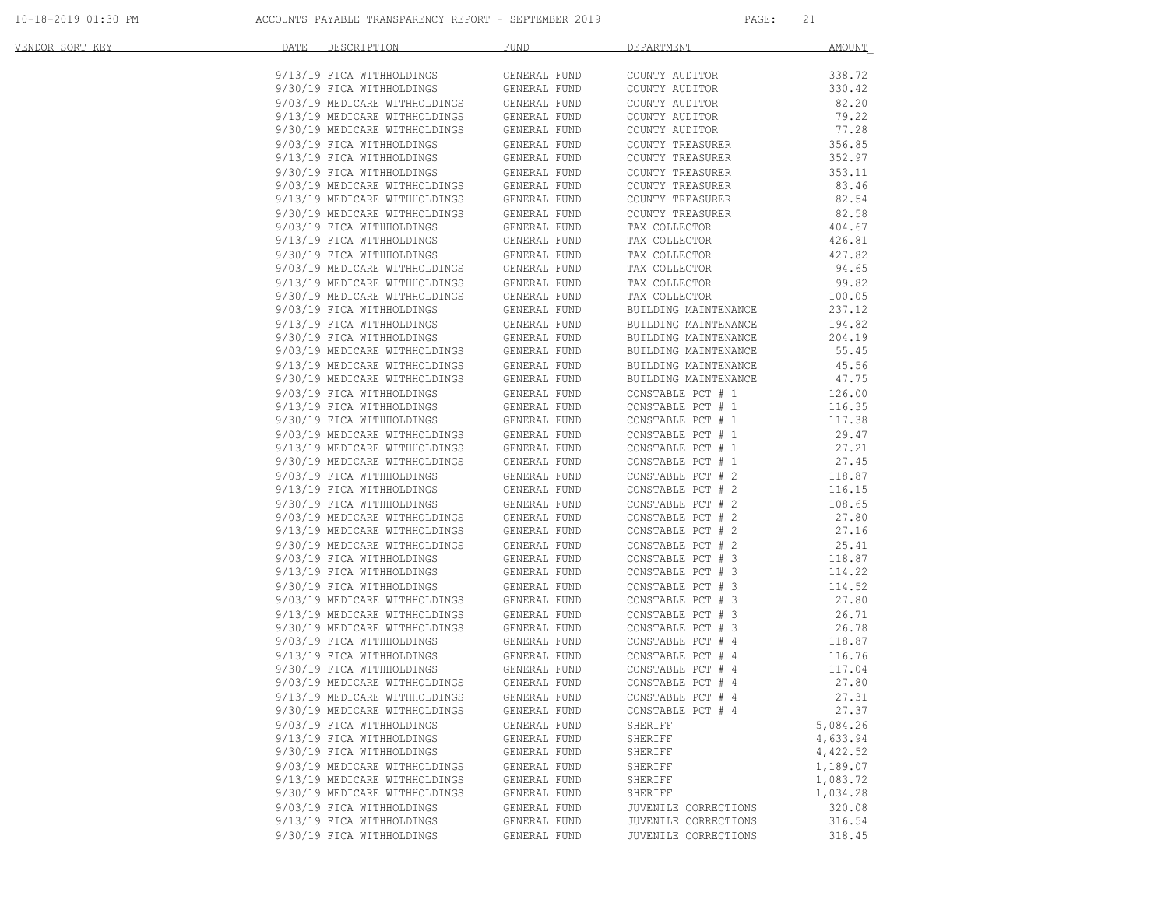| VENDOR SORT KEY | DATE<br>DESCRIPTION                                            | FUND                         | DEPARTMENT                             | AMOUNT           |
|-----------------|----------------------------------------------------------------|------------------------------|----------------------------------------|------------------|
|                 | 9/13/19 FICA WITHHOLDINGS                                      | GENERAL FUND                 | COUNTY AUDITOR                         | 338.72           |
|                 |                                                                | GENERAL FUND                 | COUNTY AUDITOR                         | 330.42           |
|                 | 9/30/19 FICA WITHHOLDINGS<br>9/03/19 MEDICARE WITHHOLDINGS     | GENERAL FUND                 | COUNTY AUDITOR                         | 82.20            |
|                 | 9/13/19 MEDICARE WITHHOLDINGS                                  | GENERAL FUND                 | COUNTY AUDITOR                         | 79.22            |
|                 | 9/30/19 MEDICARE WITHHOLDINGS                                  | GENERAL FUND                 | COUNTY AUDITOR                         | 77.28            |
|                 | 9/03/19 FICA WITHHOLDINGS                                      | GENERAL FUND                 | COUNTY TREASURER                       | 356.85           |
|                 | 9/13/19 FICA WITHHOLDINGS                                      | GENERAL FUND                 | COUNTY TREASURER                       | 352.97           |
|                 | 9/30/19 FICA WITHHOLDINGS                                      | GENERAL FUND                 | COUNTY TREASURER                       | 353.11           |
|                 | 9/03/19 MEDICARE WITHHOLDINGS<br>9/13/19 MEDICARE WITHHOLDINGS | GENERAL FUND                 | COUNTY TREASURER                       | 83.46            |
|                 | 9/13/19 MEDICARE WITHHOLDINGS                                  | GENERAL FUND                 | COUNTY TREASURER                       | 82.54            |
|                 | 9/30/19 MEDICARE WITHHOLDINGS                                  | GENERAL FUND                 | COUNTY TREASURER                       | 82.58            |
|                 | 9/03/19 FICA WITHHOLDINGS                                      | GENERAL FUND                 | TAX COLLECTOR                          | 404.67           |
|                 | 9/13/19 FICA WITHHOLDINGS                                      | GENERAL FUND                 | TAX COLLECTOR                          | 426.81           |
|                 | 9/30/19 FICA WITHHOLDINGS                                      | GENERAL FUND                 | TAX COLLECTOR                          | 427.82           |
|                 | 9/03/19 MEDICARE WITHHOLDINGS                                  | GENERAL FUND                 | TAX COLLECTOR                          | 94.65            |
|                 | 9/13/19 MEDICARE WITHHOLDINGS<br>9/30/19 MEDICARE WITHHOLDINGS | GENERAL FUND                 | TAX COLLECTOR                          | 99.82            |
|                 |                                                                | GENERAL FUND                 | TAX COLLECTOR                          | 100.05           |
|                 | 9/03/19 FICA WITHHOLDINGS                                      | GENERAL FUND                 | BUILDING MAINTENANCE                   | 237.12           |
|                 | 9/13/19 FICA WITHHOLDINGS                                      | GENERAL FUND                 | BUILDING MAINTENANCE                   | 194.82           |
|                 | 9/30/19 FICA WITHHOLDINGS                                      | GENERAL FUND                 | BUILDING MAINTENANCE                   | 204.19           |
|                 | 9/03/19 MEDICARE WITHHOLDINGS                                  | GENERAL FUND                 | BUILDING MAINTENANCE                   | 55.45            |
|                 | 9/13/19 MEDICARE WITHHOLDINGS                                  | GENERAL FUND                 | BUILDING MAINTENANCE                   | 45.56            |
|                 | 9/30/19 MEDICARE WITHHOLDINGS                                  | GENERAL FUND                 | BUILDING MAINTENANCE                   | 47.75            |
|                 | 9/03/19 FICA WITHHOLDINGS                                      | GENERAL FUND                 | CONSTABLE PCT # 1                      | 126.00           |
|                 | 9/13/19 FICA WITHHOLDINGS<br>9/30/19 FICA WITHHOLDINGS         | GENERAL FUND<br>GENERAL FUND | CONSTABLE PCT # 1<br>CONSTABLE PCT # 1 | 116.35<br>117.38 |
|                 |                                                                | GENERAL FUND                 | CONSTABLE PCT # 1                      | 29.47            |
|                 | 9/03/19 MEDICARE WITHHOLDINGS<br>9/13/19 MEDICARE WITHHOLDINGS | GENERAL FUND                 | CONSTABLE PCT # 1                      | 27.21            |
|                 | 9/30/19 MEDICARE WITHHOLDINGS                                  | GENERAL FUND                 | CONSTABLE PCT # 1                      | 27.45            |
|                 | 9/03/19 FICA WITHHOLDINGS                                      | GENERAL FUND                 | CONSTABLE PCT # 2                      | 118.87           |
|                 | 9/13/19 FICA WITHHOLDINGS                                      | GENERAL FUND                 | CONSTABLE PCT # 2                      | 116.15           |
|                 |                                                                | GENERAL FUND                 | CONSTABLE PCT # 2                      | 108.65           |
|                 | 9/30/19 FICA WITHHOLDINGS<br>9/03/19 MEDICARE WITHHOLDINGS     | GENERAL FUND                 | CONSTABLE PCT # 2                      | 27.80            |
|                 |                                                                | GENERAL FUND                 | CONSTABLE PCT # 2                      | 27.16            |
|                 | 9/13/19 MEDICARE WITHHOLDINGS<br>9/30/19 MEDICARE WITHHOLDINGS | GENERAL FUND                 | CONSTABLE PCT # 2                      | 25.41            |
|                 | 9/03/19 FICA WITHHOLDINGS                                      | GENERAL FUND                 | CONSTABLE PCT # 3                      | 118.87           |
|                 | 9/13/19 FICA WITHHOLDINGS                                      | GENERAL FUND                 | CONSTABLE PCT # 3                      | 114.22           |
|                 | 9/30/19 FICA WITHHOLDINGS                                      | GENERAL FUND                 | CONSTABLE PCT # 3                      | 114.52           |
|                 |                                                                | GENERAL FUND                 | CONSTABLE PCT # 3                      | 27.80            |
|                 | 9/03/19 MEDICARE WITHHOLDINGS<br>9/13/19 MEDICARE WITHHOLDINGS | GENERAL FUND                 | CONSTABLE PCT # 3                      | 26.71            |
|                 | 9/30/19 MEDICARE WITHHOLDINGS                                  | GENERAL FUND                 | CONSTABLE PCT # 3                      | 26.78            |
|                 | 9/03/19 FICA WITHHOLDINGS                                      | GENERAL FUND                 | CONSTABLE PCT # 4                      | 118.87           |
|                 | 9/13/19 FICA WITHHOLDINGS                                      | GENERAL FUND                 | CONSTABLE PCT # 4                      | 116.76           |
|                 | 9/30/19 FICA WITHHOLDINGS<br>9/03/19 MEDICARE WITHHOLDINGS     | GENERAL FUND                 | CONSTABLE PCT # 4                      | 117.04           |
|                 |                                                                | GENERAL FUND                 | CONSTABLE PCT # 4                      | 27.80            |
|                 | 9/13/19 MEDICARE WITHHOLDINGS GENERAL FUND                     |                              | CONSTABLE PCT # 4                      | 27.31            |
|                 | 9/30/19 MEDICARE WITHHOLDINGS                                  | GENERAL FUND                 | CONSTABLE PCT # 4                      | 27.37            |
|                 | 9/03/19 FICA WITHHOLDINGS                                      | GENERAL FUND                 | SHERIFF                                | 5,084.26         |
|                 | 9/13/19 FICA WITHHOLDINGS                                      | GENERAL FUND                 | SHERIFF                                | 4,633.94         |
|                 | 9/30/19 FICA WITHHOLDINGS                                      | GENERAL FUND                 | SHERIFF                                | 4,422.52         |
|                 | 9/03/19 MEDICARE WITHHOLDINGS                                  | GENERAL FUND                 | SHERIFF                                | 1,189.07         |
|                 | 9/13/19 MEDICARE WITHHOLDINGS                                  | GENERAL FUND                 | SHERIFF                                | 1,083.72         |
|                 | 9/30/19 MEDICARE WITHHOLDINGS                                  | GENERAL FUND                 | SHERIFF                                | 1,034.28         |
|                 | 9/03/19 FICA WITHHOLDINGS                                      | GENERAL FUND                 | JUVENILE CORRECTIONS                   | 320.08           |
|                 | 9/13/19 FICA WITHHOLDINGS                                      | GENERAL FUND                 | JUVENILE CORRECTIONS                   | 316.54           |
|                 | 9/30/19 FICA WITHHOLDINGS                                      | GENERAL FUND                 | JUVENILE CORRECTIONS                   | 318.45           |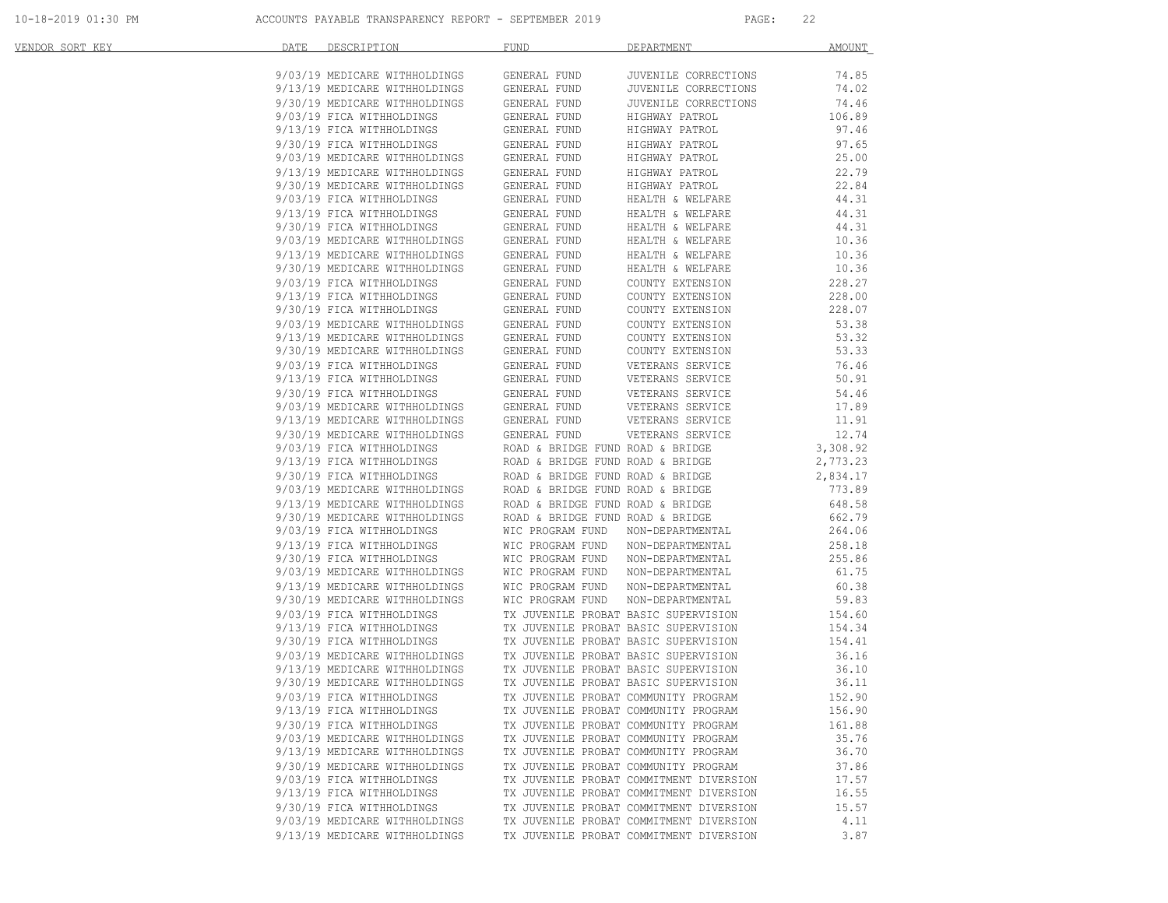| VENDOR SORT KEY | DATE<br>DESCRIPTION                                                                                                                                                                                                                              | <b>FUND</b><br>DEPARTMENT                                                                                                                                                                                                                      | AMOUNT              |
|-----------------|--------------------------------------------------------------------------------------------------------------------------------------------------------------------------------------------------------------------------------------------------|------------------------------------------------------------------------------------------------------------------------------------------------------------------------------------------------------------------------------------------------|---------------------|
|                 | 9/03/19 MEDICARE WITHHOLDINGS                                                                                                                                                                                                                    | GENERAL FUND<br>JUVENILE CORRECTIONS                                                                                                                                                                                                           | 74.85               |
|                 |                                                                                                                                                                                                                                                  |                                                                                                                                                                                                                                                | 74.02               |
|                 | 9/03/19 MEDICARE WITHHOLDINGS<br>9/13/19 MEDICARE WITHHOLDINGS<br>9/30/19 MEDICARE WITHHOLDINGS<br>9/03/19 FICA WITHHOLDINGS<br>9/03/19 FICA WITHHOLDINGS<br>9/30/19 FICA WITHHOLDINGS<br>9/03/19 MEDICARE WITHHOLDINGS<br>9/03/19 MEDICARE      | JUVENILE CORRECTIONS<br>JUVENILE CORRECTIONS<br>HIGHWAY PATROL<br>HIGHWAY PATROL                                                                                                                                                               | 74.46               |
|                 |                                                                                                                                                                                                                                                  |                                                                                                                                                                                                                                                | 106.89              |
|                 |                                                                                                                                                                                                                                                  | HIGHWAY PATROL                                                                                                                                                                                                                                 | 97.46               |
|                 |                                                                                                                                                                                                                                                  | HIGHWAY PATROL                                                                                                                                                                                                                                 | 97.65               |
|                 |                                                                                                                                                                                                                                                  | HIGHWAY PATROL<br>HIGHWAY PATROL                                                                                                                                                                                                               | 25.00               |
|                 |                                                                                                                                                                                                                                                  |                                                                                                                                                                                                                                                | 22.79               |
|                 |                                                                                                                                                                                                                                                  | HIGHWAY PATROL<br>HEALTH & WELFARE                                                                                                                                                                                                             | 22.84               |
|                 |                                                                                                                                                                                                                                                  |                                                                                                                                                                                                                                                | 44.31               |
|                 | 9/13/19 FICA WITHHOLDINGS                                                                                                                                                                                                                        | HEALTH & WELFARE<br>HEALTH & WELFARE<br>HEALTH & WELFARE<br>HEALTH & WELFARE<br>GENERAL FUND                                                                                                                                                   | 44.31               |
|                 | 9/30/19 FICA WITHHOLDINGS GENERAL FUND<br>9/03/19 MEDICARE WITHHOLDINGS GENERAL FUND                                                                                                                                                             |                                                                                                                                                                                                                                                | 44.31               |
|                 |                                                                                                                                                                                                                                                  |                                                                                                                                                                                                                                                | 10.36               |
|                 | $9/13/19$ MEDICARE WITHHOLDINGS GENERAL FUND $9/30/19$ MEDICARE WITHHOLDINGS GENERAL FUND                                                                                                                                                        | HEALTH & WELFARE                                                                                                                                                                                                                               | 10.36               |
|                 |                                                                                                                                                                                                                                                  | HEALTH & WELFARE                                                                                                                                                                                                                               | 10.36               |
|                 | 9/03/19 FICA WITHHOLDINGS<br>9/13/19 FICA WITHHOLDINGS                                                                                                                                                                                           | GENERAL FUND                                                                                                                                                                                                                                   | 228.27              |
|                 |                                                                                                                                                                                                                                                  | COUNTY EXTENSION<br>COUNTY EXTENSION                                                                                                                                                                                                           | 228.00              |
|                 |                                                                                                                                                                                                                                                  |                                                                                                                                                                                                                                                | 228.07              |
|                 |                                                                                                                                                                                                                                                  | COUNTY EXTENSION<br>COUNTY EXTENSION                                                                                                                                                                                                           | 53.38               |
|                 |                                                                                                                                                                                                                                                  |                                                                                                                                                                                                                                                | 53.32               |
|                 |                                                                                                                                                                                                                                                  |                                                                                                                                                                                                                                                | 53.33               |
|                 | 9/13/19 FICA WITHHOLDINGS<br>9/03/19 FICA WITHHOLDINGS<br>9/03/19 MEDICARE WITHHOLDINGS GENERAL FUND<br>9/13/19 MEDICARE WITHHOLDINGS GENERAL FUND<br>9/30/19 MEDICARE WITHHOLDINGS GENERAL FUND<br>9/03/19 PICA WITHHOLDINGS GENERAL FUND<br>9/ | COUNTY EXTENSION<br>COUNTY EXTENSION<br>VETERANS SERVICE                                                                                                                                                                                       | 76.46               |
|                 |                                                                                                                                                                                                                                                  |                                                                                                                                                                                                                                                | 50.91               |
|                 |                                                                                                                                                                                                                                                  |                                                                                                                                                                                                                                                | 54.46               |
|                 |                                                                                                                                                                                                                                                  |                                                                                                                                                                                                                                                | 17.89               |
|                 |                                                                                                                                                                                                                                                  |                                                                                                                                                                                                                                                | 11.91               |
|                 |                                                                                                                                                                                                                                                  | 9/03/19 FICA WITHHOLDINGS GENERAL FUND VETERANS SERVICE<br>9/30/19 FICA WITHHOLDINGS GENERAL FUND VETERANS SERVICE<br>9/30/19 FICA WITHHOLDINGS GENERAL FUND VETERANS SERVICE<br>9/13/19 MEDICARE WITHHOLDINGS GENERAL FUND VETERANS S         | $12.74$<br>3,308.92 |
|                 |                                                                                                                                                                                                                                                  |                                                                                                                                                                                                                                                |                     |
|                 |                                                                                                                                                                                                                                                  |                                                                                                                                                                                                                                                | 2,773.23            |
|                 |                                                                                                                                                                                                                                                  |                                                                                                                                                                                                                                                | 2,834.17            |
|                 |                                                                                                                                                                                                                                                  |                                                                                                                                                                                                                                                | 773.89              |
|                 |                                                                                                                                                                                                                                                  | 9/03/19 MEDICARE WITHHOLDINGS<br>9/13/19 MEDICARE WITHHOLDINGS<br>9/30/19 MEDICARE WITHHOLDINGS<br>9/30/19 FICA WITHHOLDINGS<br>9/30/19 FICA WITHHOLDINGS<br>9/30/19 FICA WITHHOLDINGS<br>POSTAGE WITHHOLDINGS<br>POSTAGE WITHHOLDINGS<br>POST | 648.58              |
|                 |                                                                                                                                                                                                                                                  |                                                                                                                                                                                                                                                | 662.79              |
|                 |                                                                                                                                                                                                                                                  |                                                                                                                                                                                                                                                | 264.06              |
|                 |                                                                                                                                                                                                                                                  |                                                                                                                                                                                                                                                | 258.18              |
|                 |                                                                                                                                                                                                                                                  |                                                                                                                                                                                                                                                | 255.86              |
|                 |                                                                                                                                                                                                                                                  |                                                                                                                                                                                                                                                | 61.75               |
|                 |                                                                                                                                                                                                                                                  |                                                                                                                                                                                                                                                | 60.38               |
|                 |                                                                                                                                                                                                                                                  |                                                                                                                                                                                                                                                | 59.83               |
|                 |                                                                                                                                                                                                                                                  |                                                                                                                                                                                                                                                | 154.60              |
|                 |                                                                                                                                                                                                                                                  |                                                                                                                                                                                                                                                | 154.34              |
|                 |                                                                                                                                                                                                                                                  | 9/03/19 FICA WITHHOLDINGS<br>9/13/19 FICA WITHHOLDINGS<br>9/30/19 FICA WITHHOLDINGS<br>9/03/19 MEDICARE WITHHOLDINGS<br>9/03/19 MEDICARE WITHHOLDINGS<br>9/30/19 MEDICARE WITHHOLDINGS<br>9/30/19 MEDICARE WITHHOLDINGS<br>9/30/19 MEDICARE    | 154.41              |
|                 |                                                                                                                                                                                                                                                  |                                                                                                                                                                                                                                                | 36.16               |
|                 |                                                                                                                                                                                                                                                  |                                                                                                                                                                                                                                                | 36.10               |
|                 |                                                                                                                                                                                                                                                  |                                                                                                                                                                                                                                                | 36.11               |
|                 | 9/03/19 FICA WITHHOLDINGS                                                                                                                                                                                                                        | TX JUVENILE PROBAT COMMUNITY PROGRAM                                                                                                                                                                                                           | 152.90              |
|                 | 9/13/19 FICA WITHHOLDINGS                                                                                                                                                                                                                        | TX JUVENILE PROBAT COMMUNITY PROGRAM                                                                                                                                                                                                           | 156.90              |
|                 | 9/30/19 FICA WITHHOLDINGS                                                                                                                                                                                                                        | TX JUVENILE PROBAT COMMUNITY PROGRAM                                                                                                                                                                                                           | 161.88              |
|                 | 9/03/19 MEDICARE WITHHOLDINGS                                                                                                                                                                                                                    | TX JUVENILE PROBAT COMMUNITY PROGRAM                                                                                                                                                                                                           | 35.76               |
|                 | 9/13/19 MEDICARE WITHHOLDINGS                                                                                                                                                                                                                    | TX JUVENILE PROBAT COMMUNITY PROGRAM                                                                                                                                                                                                           | 36.70               |
|                 | 9/30/19 MEDICARE WITHHOLDINGS                                                                                                                                                                                                                    | TX JUVENILE PROBAT COMMUNITY PROGRAM                                                                                                                                                                                                           | 37.86               |
|                 | 9/03/19 FICA WITHHOLDINGS                                                                                                                                                                                                                        | TX JUVENILE PROBAT COMMITMENT DIVERSION                                                                                                                                                                                                        | 17.57               |
|                 | 9/13/19 FICA WITHHOLDINGS                                                                                                                                                                                                                        | TX JUVENILE PROBAT COMMITMENT DIVERSION                                                                                                                                                                                                        | 16.55               |
|                 | 9/30/19 FICA WITHHOLDINGS                                                                                                                                                                                                                        | TX JUVENILE PROBAT COMMITMENT DIVERSION                                                                                                                                                                                                        | 15.57               |
|                 | 9/03/19 MEDICARE WITHHOLDINGS                                                                                                                                                                                                                    | TX JUVENILE PROBAT COMMITMENT DIVERSION                                                                                                                                                                                                        | 4.11                |
|                 | 9/13/19 MEDICARE WITHHOLDINGS                                                                                                                                                                                                                    | TX JUVENILE PROBAT COMMITMENT DIVERSION                                                                                                                                                                                                        | 3.87                |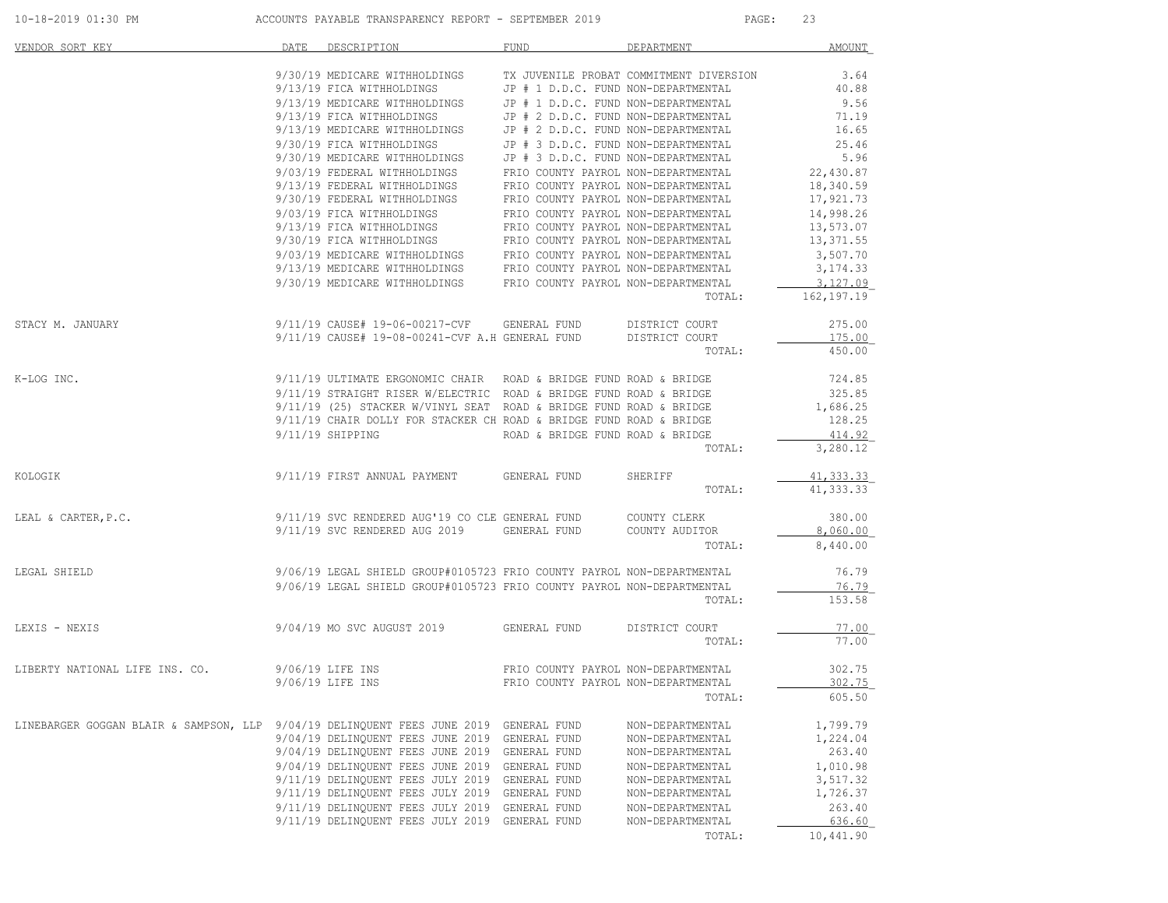| 10-18-2019 01:30 PM |  |
|---------------------|--|
|---------------------|--|

ACCOUNTS PAYABLE TRANSPARENCY REPORT - SEPTEMBER 2019 PAGE: 23

| VENDOR SORT KEY                                                          | DATE | DESCRIPTION                                                                                                                             | <b>FUND</b>                                                                                                       | DEPARTMENT                              | <b>AMOUNT</b>            |
|--------------------------------------------------------------------------|------|-----------------------------------------------------------------------------------------------------------------------------------------|-------------------------------------------------------------------------------------------------------------------|-----------------------------------------|--------------------------|
|                                                                          |      | 9/30/19 MEDICARE WITHHOLDINGS<br>9/13/19 FICA WITHHOLDINGS                                                                              | JP # 1 D.D.C. FUND NON-DEPARTMENTAL                                                                               | TX JUVENILE PROBAT COMMITMENT DIVERSION | 3.64<br>40.88            |
|                                                                          |      | 9/13/19 MEDICARE WITHHOLDINGS<br>9/13/19 FICA WITHHOLDINGS<br>9/13/19 MEDICARE WITHHOLDINGS                                             | JP # 1 D.D.C. FUND NON-DEPARTMENTAL<br>JP # 2 D.D.C. FUND NON-DEPARTMENTAL<br>JP # 2 D.D.C. FUND NON-DEPARTMENTAL |                                         | 9.56<br>71.19<br>16.65   |
|                                                                          |      | 9/30/19 FICA WITHHOLDINGS                                                                                                               | JP # 3 D.D.C. FUND NON-DEPARTMENTAL                                                                               |                                         | 25.46                    |
|                                                                          |      | 9/30/19 MEDICARE WITHHOLDINGS<br>9/03/19 FEDERAL WITHHOLDINGS                                                                           | JP # 3 D.D.C. FUND NON-DEPARTMENTAL<br>FRIO COUNTY PAYROL NON-DEPARTMENTAL                                        |                                         | 5.96<br>22,430.87        |
|                                                                          |      | 9/13/19 FEDERAL WITHHOLDINGS                                                                                                            | FRIO COUNTY PAYROL NON-DEPARTMENTAL                                                                               |                                         | 18,340.59                |
|                                                                          |      | 9/30/19 FEDERAL WITHHOLDINGS                                                                                                            | FRIO COUNTY PAYROL NON-DEPARTMENTAL                                                                               |                                         | 17,921.73                |
|                                                                          |      | 9/03/19 FICA WITHHOLDINGS                                                                                                               | FRIO COUNTY PAYROL NON-DEPARTMENTAL                                                                               |                                         | 14,998.26                |
|                                                                          |      | 9/13/19 FICA WITHHOLDINGS<br>9/30/19 FICA WITHHOLDINGS                                                                                  | FRIO COUNTY PAYROL NON-DEPARTMENTAL<br>FRIO COUNTY PAYROL NON-DEPARTMENTAL                                        |                                         | 13,573.07<br>13,371.55   |
|                                                                          |      | $9/03/19$ MEDICARE WITHHOLDINGS FRIO COUNTY PAYROL NON-DEPARTMENTAL                                                                     |                                                                                                                   |                                         | 3,507.70                 |
|                                                                          |      | 9/13/19 MEDICARE WITHHOLDINGS                                                                                                           | FRIO COUNTY PAYROL NON-DEPARTMENTAL                                                                               |                                         | 3, 174.33                |
|                                                                          |      | 9/30/19 MEDICARE WITHHOLDINGS FRIO COUNTY PAYROL NON-DEPARTMENTAL                                                                       |                                                                                                                   | TOTAL:                                  | 3,127.09<br>162, 197. 19 |
| STACY M. JANUARY                                                         |      | 9/11/19 CAUSE# 19-06-00217-CVF                                                                                                          | GENERAL FUND                                                                                                      | DISTRICT COURT                          | 275.00                   |
|                                                                          |      | 9/11/19 CAUSE# 19-08-00241-CVF A.H GENERAL FUND                                                                                         |                                                                                                                   | DISTRICT COURT<br>TOTAL:                | 175.00<br>450.00         |
|                                                                          |      |                                                                                                                                         |                                                                                                                   |                                         |                          |
| K-LOG INC.                                                               |      | 9/11/19 ULTIMATE ERGONOMIC CHAIR ROAD & BRIDGE FUND ROAD & BRIDGE<br>9/11/19 STRAIGHT RISER W/ELECTRIC ROAD & BRIDGE FUND ROAD & BRIDGE |                                                                                                                   |                                         | 724.85<br>325.85         |
|                                                                          |      | 9/11/19 (25) STACKER W/VINYL SEAT ROAD & BRIDGE FUND ROAD & BRIDGE                                                                      |                                                                                                                   |                                         | 1,686.25                 |
|                                                                          |      | 9/11/19 CHAIR DOLLY FOR STACKER CH ROAD & BRIDGE FUND ROAD & BRIDGE                                                                     |                                                                                                                   |                                         | 128.25                   |
|                                                                          |      | $9/11/19$ SHIPPING                                                                                                                      | ROAD & BRIDGE FUND ROAD & BRIDGE                                                                                  |                                         | 414.92                   |
|                                                                          |      |                                                                                                                                         |                                                                                                                   | TOTAL:                                  | 3,280.12                 |
| KOLOGIK                                                                  |      | 9/11/19 FIRST ANNUAL PAYMENT                                                                                                            | GENERAL FUND                                                                                                      | SHERIFF                                 | 41, 333.33               |
|                                                                          |      |                                                                                                                                         |                                                                                                                   | TOTAL:                                  | 41, 333.33               |
| LEAL & CARTER, P.C.                                                      |      | 9/11/19 SVC RENDERED AUG'19 CO CLE GENERAL FUND                                                                                         |                                                                                                                   | COUNTY CLERK                            | 380.00                   |
|                                                                          |      | 9/11/19 SVC RENDERED AUG 2019                                                                                                           | GENERAL FUND                                                                                                      | COUNTY AUDITOR                          | 8,060.00                 |
|                                                                          |      |                                                                                                                                         |                                                                                                                   | TOTAL:                                  | 8,440.00                 |
| LEGAL SHIELD                                                             |      | 9/06/19 LEGAL SHIELD GROUP#0105723 FRIO COUNTY PAYROL NON-DEPARTMENTAL                                                                  |                                                                                                                   |                                         | 76.79                    |
|                                                                          |      | 9/06/19 LEGAL SHIELD GROUP#0105723 FRIO COUNTY PAYROL NON-DEPARTMENTAL                                                                  |                                                                                                                   |                                         | 76.79                    |
|                                                                          |      |                                                                                                                                         |                                                                                                                   | TOTAL:                                  | 153.58                   |
| LEXIS - NEXIS                                                            |      | 9/04/19 MO SVC AUGUST 2019                                                                                                              | GENERAL FUND                                                                                                      | DISTRICT COURT                          | 77.00                    |
|                                                                          |      |                                                                                                                                         |                                                                                                                   | TOTAL:                                  | 77.00                    |
| LIBERTY NATIONAL LIFE INS. CO.                                           |      | 9/06/19 LIFE INS                                                                                                                        | FRIO COUNTY PAYROL NON-DEPARTMENTAL                                                                               |                                         | 302.75                   |
|                                                                          |      | 9/06/19 LIFE INS                                                                                                                        | FRIO COUNTY PAYROL NON-DEPARTMENTAL                                                                               |                                         | 302.75                   |
|                                                                          |      |                                                                                                                                         |                                                                                                                   | TOTAL:                                  | 605.50                   |
| LINEBARGER GOGGAN BLAIR & SAMPSON, LLP 9/04/19 DELINQUENT FEES JUNE 2019 |      |                                                                                                                                         | GENERAL FUND                                                                                                      | NON-DEPARTMENTAL                        | 1,799.79                 |
|                                                                          |      | 9/04/19 DELINQUENT FEES JUNE 2019                                                                                                       | GENERAL FUND                                                                                                      | NON-DEPARTMENTAL                        | 1,224.04                 |
|                                                                          |      | 9/04/19 DELINQUENT FEES JUNE 2019<br>9/04/19 DELINQUENT FEES JUNE 2019                                                                  | GENERAL FUND<br>GENERAL FUND                                                                                      | NON-DEPARTMENTAL                        | 263.40<br>1,010.98       |
|                                                                          |      | 9/11/19 DELINQUENT FEES JULY 2019                                                                                                       | GENERAL FUND                                                                                                      | NON-DEPARTMENTAL<br>NON-DEPARTMENTAL    | 3,517.32                 |
|                                                                          |      | 9/11/19 DELINQUENT FEES JULY 2019                                                                                                       | GENERAL FUND                                                                                                      | NON-DEPARTMENTAL                        | 1,726.37                 |
|                                                                          |      | 9/11/19 DELINQUENT FEES JULY 2019                                                                                                       | GENERAL FUND                                                                                                      | NON-DEPARTMENTAL                        | 263.40                   |
|                                                                          |      | 9/11/19 DELINQUENT FEES JULY 2019                                                                                                       | GENERAL FUND                                                                                                      | NON-DEPARTMENTAL                        | 636.60                   |
|                                                                          |      |                                                                                                                                         |                                                                                                                   | TOTAL:                                  | 10,441.90                |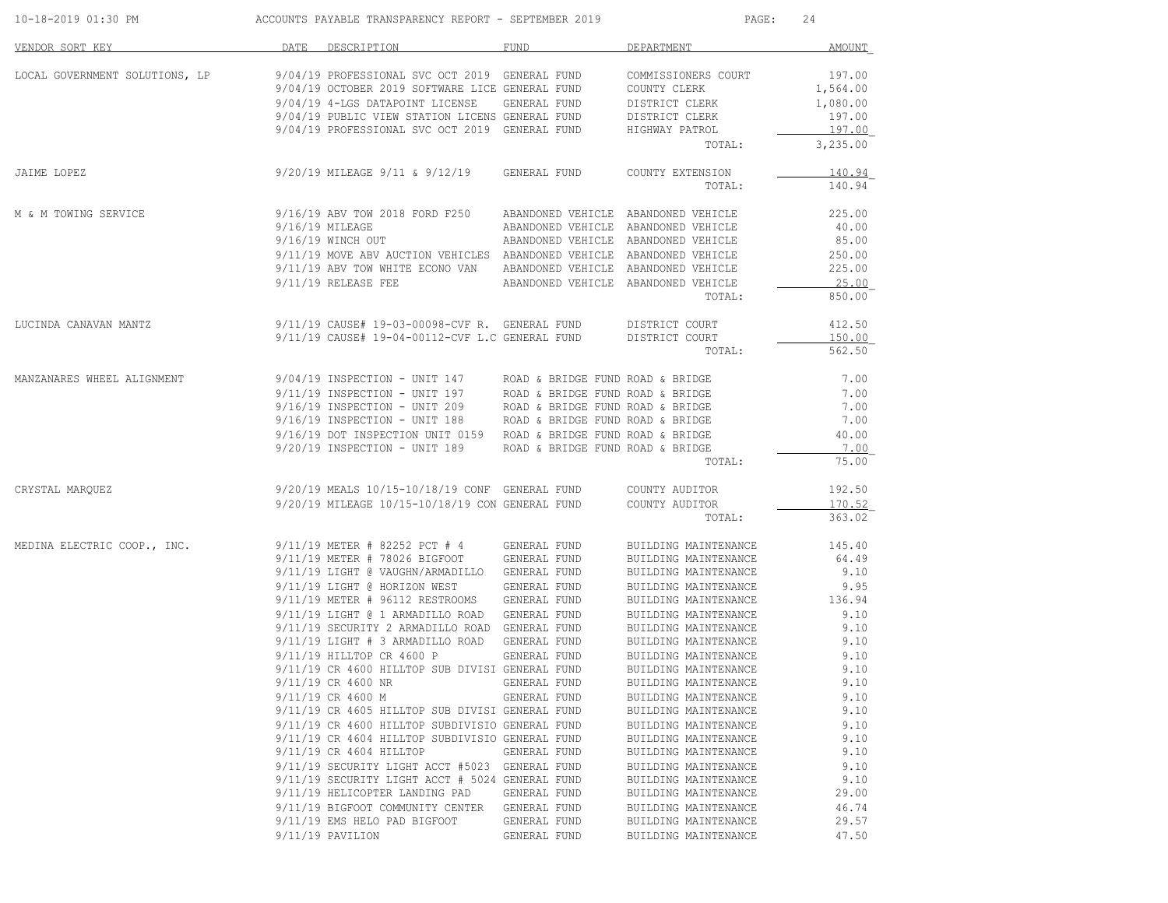| 10-18-2019 01:30 PM            |      | ACCOUNTS PAYABLE TRANSPARENCY REPORT - SEPTEMBER 2019                                             |                                  | PAGE:                                        | 24                 |
|--------------------------------|------|---------------------------------------------------------------------------------------------------|----------------------------------|----------------------------------------------|--------------------|
| VENDOR SORT KEY                | DATE | DESCRIPTION                                                                                       | <b>FUND</b>                      | DEPARTMENT                                   | <b>AMOUNT</b>      |
| LOCAL GOVERNMENT SOLUTIONS, LP |      | 9/04/19 PROFESSIONAL SVC OCT 2019 GENERAL FUND<br>9/04/19 OCTOBER 2019 SOFTWARE LICE GENERAL FUND |                                  | COMMISSIONERS COURT<br>COUNTY CLERK          | 197.00<br>1,564.00 |
|                                |      | 9/04/19 4-LGS DATAPOINT LICENSE                                                                   | GENERAL FUND                     | DISTRICT CLERK                               | 1,080.00           |
|                                |      | 9/04/19 PUBLIC VIEW STATION LICENS GENERAL FUND                                                   |                                  | DISTRICT CLERK                               | 197.00             |
|                                |      | 9/04/19 PROFESSIONAL SVC OCT 2019 GENERAL FUND                                                    |                                  | HIGHWAY PATROL<br>TOTAL:                     | 197.00<br>3,235.00 |
| JAIME LOPEZ                    |      | 9/20/19 MILEAGE 9/11 & 9/12/19                                                                    | GENERAL FUND                     | COUNTY EXTENSION                             | 140.94             |
|                                |      |                                                                                                   |                                  | TOTAL:                                       | 140.94             |
| M & M TOWING SERVICE           |      | 9/16/19 ABV TOW 2018 FORD F250                                                                    |                                  | ABANDONED VEHICLE ABANDONED VEHICLE          | 225.00             |
|                                |      | $9/16/19$ MILEAGE                                                                                 |                                  | ABANDONED VEHICLE ABANDONED VEHICLE          | 40.00              |
|                                |      | 9/16/19 WINCH OUT                                                                                 |                                  | ABANDONED VEHICLE ABANDONED VEHICLE          | 85.00              |
|                                |      | 9/11/19 MOVE ABV AUCTION VEHICLES ABANDONED VEHICLE ABANDONED VEHICLE                             |                                  |                                              | 250.00             |
|                                |      | 9/11/19 ABV TOW WHITE ECONO VAN ABANDONED VEHICLE ABANDONED VEHICLE                               |                                  |                                              | 225.00             |
|                                |      | $9/11/19$ RELEASE FEE                                                                             |                                  | ABANDONED VEHICLE ABANDONED VEHICLE          | 25.00              |
|                                |      |                                                                                                   |                                  | TOTAL:                                       | 850.00             |
| LUCINDA CANAVAN MANTZ          |      | $9/11/19$ CAUSE# 19-03-00098-CVF R. GENERAL FUND                                                  |                                  | DISTRICT COURT                               | 412.50             |
|                                |      | 9/11/19 CAUSE# 19-04-00112-CVF L.C GENERAL FUND                                                   |                                  | DISTRICT COURT<br>TOTAL:                     | 150.00<br>562.50   |
|                                |      |                                                                                                   |                                  |                                              |                    |
| MANZANARES WHEEL ALIGNMENT     |      | $9/04/19$ INSPECTION - UNIT 147                                                                   | ROAD & BRIDGE FUND ROAD & BRIDGE |                                              | 7.00               |
|                                |      | $9/11/19$ INSPECTION - UNIT 197                                                                   | ROAD & BRIDGE FUND ROAD & BRIDGE |                                              | 7.00               |
|                                |      | $9/16/19$ INSPECTION - UNIT 209                                                                   | ROAD & BRIDGE FUND ROAD & BRIDGE |                                              | 7.00               |
|                                |      | $9/16/19$ INSPECTION - UNIT 188                                                                   | ROAD & BRIDGE FUND ROAD & BRIDGE |                                              | 7.00               |
|                                |      | 9/16/19 DOT INSPECTION UNIT 0159 ROAD & BRIDGE FUND ROAD & BRIDGE                                 |                                  |                                              | 40.00              |
|                                |      | $9/20/19$ INSPECTION - UNIT 189                                                                   | ROAD & BRIDGE FUND ROAD & BRIDGE | TOTAL:                                       | 7.00<br>75.00      |
| CRYSTAL MARQUEZ                |      | 9/20/19 MEALS 10/15-10/18/19 CONF GENERAL FUND                                                    |                                  | COUNTY AUDITOR                               | 192.50             |
|                                |      | 9/20/19 MILEAGE 10/15-10/18/19 CON GENERAL FUND                                                   |                                  | COUNTY AUDITOR                               | 170.52             |
|                                |      |                                                                                                   |                                  | TOTAL:                                       | 363.02             |
| MEDINA ELECTRIC COOP., INC.    |      | 9/11/19 METER # 82252 PCT # 4                                                                     | GENERAL FUND                     | BUILDING MAINTENANCE                         | 145.40             |
|                                |      | 9/11/19 METER # 78026 BIGFOOT                                                                     | GENERAL FUND                     | BUILDING MAINTENANCE                         | 64.49              |
|                                |      | 9/11/19 LIGHT @ VAUGHN/ARMADILLO                                                                  | GENERAL FUND                     | BUILDING MAINTENANCE                         | 9.10               |
|                                |      | 9/11/19 LIGHT @ HORIZON WEST                                                                      | GENERAL FUND                     | BUILDING MAINTENANCE                         | 9.95               |
|                                |      | 9/11/19 METER # 96112 RESTROOMS                                                                   | GENERAL FUND                     | BUILDING MAINTENANCE                         | 136.94             |
|                                |      | 9/11/19 LIGHT @ 1 ARMADILLO ROAD                                                                  | GENERAL FUND                     | BUILDING MAINTENANCE                         | 9.10               |
|                                |      | 9/11/19 SECURITY 2 ARMADILLO ROAD GENERAL FUND<br>9/11/19 LIGHT # 3 ARMADILLO ROAD                | GENERAL FUND                     | BUILDING MAINTENANCE                         | 9.10<br>9.10       |
|                                |      | 9/11/19 HILLTOP CR 4600 P                                                                         | GENERAL FUND                     | BUILDING MAINTENANCE<br>BUILDING MAINTENANCE | 9.10               |
|                                |      | 9/11/19 CR 4600 HILLTOP SUB DIVISI GENERAL FUND                                                   |                                  | BUILDING MAINTENANCE                         | 9.10               |
|                                |      | 9/11/19 CR 4600 NR                                                                                | GENERAL FUND                     | BUILDING MAINTENANCE                         | 9.10               |
|                                |      | 9/11/19 CR 4600 M                                                                                 | GENERAL FUND                     | BUILDING MAINTENANCE                         | 9.10               |
|                                |      | 9/11/19 CR 4605 HILLTOP SUB DIVISI GENERAL FUND                                                   |                                  | BUILDING MAINTENANCE                         | 9.10               |
|                                |      | 9/11/19 CR 4600 HILLTOP SUBDIVISIO GENERAL FUND                                                   |                                  | BUILDING MAINTENANCE                         | 9.10               |
|                                |      | 9/11/19 CR 4604 HILLTOP SUBDIVISIO GENERAL FUND                                                   |                                  | BUILDING MAINTENANCE                         | 9.10               |
|                                |      | 9/11/19 CR 4604 HILLTOP                                                                           | GENERAL FUND                     | BUILDING MAINTENANCE                         | 9.10               |
|                                |      | 9/11/19 SECURITY LIGHT ACCT #5023 GENERAL FUND                                                    |                                  | BUILDING MAINTENANCE                         | 9.10               |
|                                |      | 9/11/19 SECURITY LIGHT ACCT # 5024 GENERAL FUND                                                   |                                  | BUILDING MAINTENANCE                         | 9.10               |
|                                |      | 9/11/19 HELICOPTER LANDING PAD                                                                    | GENERAL FUND                     | BUILDING MAINTENANCE                         | 29.00              |
|                                |      | 9/11/19 BIGFOOT COMMUNITY CENTER                                                                  | GENERAL FUND                     | BUILDING MAINTENANCE                         | 46.74              |
|                                |      | 9/11/19 EMS HELO PAD BIGFOOT                                                                      | GENERAL FUND                     | BUILDING MAINTENANCE                         | 29.57              |
|                                |      | 9/11/19 PAVILION                                                                                  | GENERAL FUND                     | BUILDING MAINTENANCE                         | 47.50              |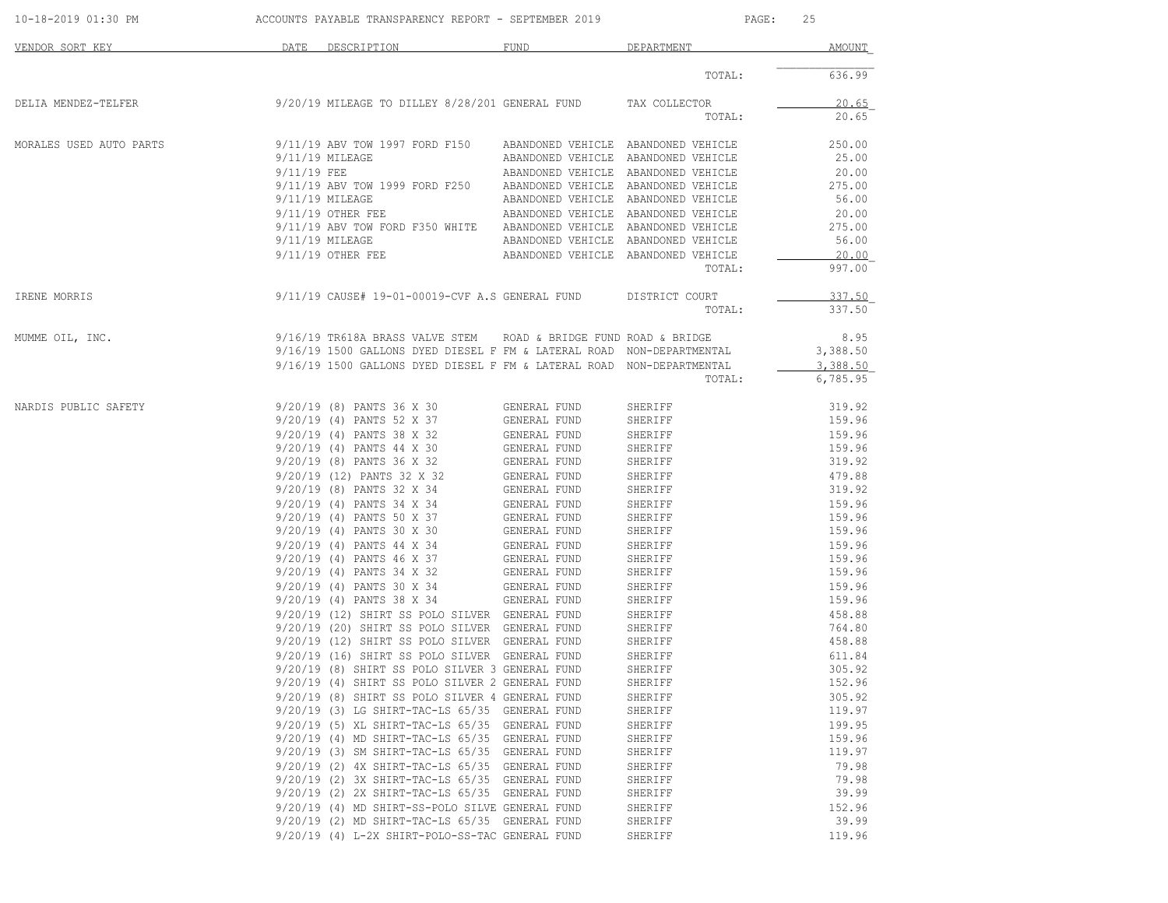| 10-18-2019 01:30 PM                                                                                                                                                                                        | ACCOUNTS PAYABLE TRANSPARENCY REPORT - SEPTEMBER 2019 |                                                                                                                               |                                     | PAGE:<br>25                                                                |                  |  |
|------------------------------------------------------------------------------------------------------------------------------------------------------------------------------------------------------------|-------------------------------------------------------|-------------------------------------------------------------------------------------------------------------------------------|-------------------------------------|----------------------------------------------------------------------------|------------------|--|
| VENDOR SORT KEY                                                                                                                                                                                            | <b>Example 12 DATE</b>                                | DESCRIPTION                                                                                                                   | FUND                                | DEPARTMENT                                                                 | AMOUNT           |  |
|                                                                                                                                                                                                            |                                                       |                                                                                                                               |                                     | TOTAL:                                                                     | 636.99           |  |
| DELIA MENDEZ-TELFER  SALLECTOR  SALLECTOR  SALLECTOR  DELIA MENDEZ-TELFER  DELIA MENDEZ-TELFER  DELIA MENDEZ-TELFER  SALLECTOR  SALLECTOR $9/20/19$ MILEAGE TO DILLEY 8/28/201 GENERAL FUND  TAX COLLECTOR |                                                       |                                                                                                                               |                                     |                                                                            | 20.65            |  |
|                                                                                                                                                                                                            |                                                       |                                                                                                                               |                                     | TOTAL:                                                                     | 20.65            |  |
| MORALES USED AUTO PARTS                                                                                                                                                                                    |                                                       |                                                                                                                               |                                     |                                                                            | 250.00           |  |
|                                                                                                                                                                                                            |                                                       | $9/11/19$ MILEAGE                                                                                                             |                                     | ABANDONED VEHICLE ABANDONED VEHICLE                                        | 25.00            |  |
|                                                                                                                                                                                                            |                                                       | $9/11/19$ FEE $$\tt ABANDONED$ VEHICLE ABANDONED VEHICLE $9/11/19$ ABV TOW 1999 FORD F250 ABANDONED VEHICLE ABANDONED VEHICLE |                                     |                                                                            | 20.00            |  |
|                                                                                                                                                                                                            |                                                       | 9/11/19 MILEAGE                                                                                                               |                                     |                                                                            | 275.00<br>56.00  |  |
|                                                                                                                                                                                                            |                                                       | $9/11/19$ OTHER FEE                                                                                                           |                                     | ABANDONED VEHICLE ABANDONED VEHICLE<br>ABANDONED VEHICLE ABANDONED VEHICLE | 20.00            |  |
|                                                                                                                                                                                                            |                                                       | 9/11/19 ABV TOW FORD F350 WHITE ABANDONED VEHICLE ABANDONED VEHICLE                                                           |                                     |                                                                            | 275.00           |  |
|                                                                                                                                                                                                            |                                                       | $9/11/19$ MILEAGE                                                                                                             |                                     | ABANDONED VEHICLE ABANDONED VEHICLE                                        | 56.00            |  |
|                                                                                                                                                                                                            |                                                       | 9/11/19 OTHER FEE                                                                                                             |                                     | ABANDONED VEHICLE ABANDONED VEHICLE                                        | 20.00            |  |
|                                                                                                                                                                                                            |                                                       |                                                                                                                               |                                     | TOTAL:                                                                     | 997.00           |  |
| IRENE MORRIS                                                                                                                                                                                               |                                                       | 9/11/19 CAUSE# 19-01-00019-CVF A.S GENERAL FUND DISTRICT COURT                                                                |                                     |                                                                            | 337.50           |  |
|                                                                                                                                                                                                            |                                                       |                                                                                                                               |                                     | TOTAL:                                                                     | 337.50           |  |
| MUMME OIL, INC.                                                                                                                                                                                            |                                                       | $9/16/19$ TR618A BRASS VALVE STEM AN ROAD & BRIDGE FUND ROAD & BRIDGE                                                         |                                     |                                                                            | 8.95             |  |
|                                                                                                                                                                                                            |                                                       | 9/16/19 1500 GALLONS DYED DIESEL F FM & LATERAL ROAD NON-DEPARTMENTAL                                                         |                                     |                                                                            | 3,388.50         |  |
|                                                                                                                                                                                                            |                                                       | 9/16/19 1500 GALLONS DYED DIESEL F FM & LATERAL ROAD NON-DEPARTMENTAL                                                         |                                     |                                                                            | 3,388.50         |  |
|                                                                                                                                                                                                            |                                                       |                                                                                                                               |                                     | TOTAL:                                                                     | 6,785.95         |  |
| NARDIS PUBLIC SAFETY                                                                                                                                                                                       |                                                       | 9/20/19 (8) PANTS 36 X 30                                                                                                     | GENERAL FUND                        | SHERIFF                                                                    | 319.92           |  |
|                                                                                                                                                                                                            |                                                       | 9/20/19 (4) PANTS 52 X 37 GENERAL FUND                                                                                        |                                     | SHERIFF                                                                    | 159.96           |  |
|                                                                                                                                                                                                            |                                                       | 9/20/19 (4) PANTS 38 X 32<br>9/20/19 (4) PANTS 44 X 30                                                                        | GENERAL FUND                        | SHERIFF                                                                    | 159.96           |  |
|                                                                                                                                                                                                            |                                                       |                                                                                                                               | GENERAL FUND                        | SHERIFF                                                                    | 159.96           |  |
|                                                                                                                                                                                                            |                                                       | 9/20/19 (8) PANTS 36 X 32<br>9/20/19 (12) PANTS 32 X 32                                                                       | GENERAL FUND<br><b>GENERAL FUND</b> | SHERIFF<br>SHERIFF                                                         | 319.92<br>479.88 |  |
|                                                                                                                                                                                                            |                                                       |                                                                                                                               |                                     | SHERIFF                                                                    | 319.92           |  |
|                                                                                                                                                                                                            |                                                       | 9/20/19 (8) PANTS 32 X 34<br>9/20/19 (8) PANTS 32 X 34 GENERAL FUND<br>9/20/19 (4) PANTS 34 X 34 GENERAL FUND                 |                                     | SHERIFF                                                                    | 159.96           |  |
|                                                                                                                                                                                                            |                                                       | 9/20/19 (4) PANTS 50 X 37                                                                                                     | GENERAL FUND                        | SHERIFF                                                                    | 159.96           |  |
|                                                                                                                                                                                                            |                                                       | 9/20/19 (4) PANTS 30 X 30                                                                                                     | GENERAL FUND                        | SHERIFF                                                                    | 159.96           |  |
|                                                                                                                                                                                                            |                                                       | 9/20/19 (4) PANTS 44 X 34 GENERAL FUND                                                                                        |                                     | SHERIFF                                                                    | 159.96           |  |
|                                                                                                                                                                                                            |                                                       | 9/20/19 (4) PANTS 46 X 37<br>9/20/19 (4) PANTS 34 X 32                                                                        | GENERAL FUND                        | SHERIFF                                                                    | 159.96           |  |
|                                                                                                                                                                                                            |                                                       |                                                                                                                               | GENERAL FUND                        | SHERIFF                                                                    | 159.96           |  |
|                                                                                                                                                                                                            |                                                       | 9/20/19 (4) PANTS 30 X 34<br>9/20/19 (4) PANTS 38 X 34                                                                        | GENERAL FUND<br>GENERAL FUND        | SHERIFF<br>SHERIFF                                                         | 159.96<br>159.96 |  |
|                                                                                                                                                                                                            |                                                       | 9/20/19 (12) SHIRT SS POLO SILVER GENERAL FUND                                                                                |                                     | SHERIFF                                                                    | 458.88           |  |
|                                                                                                                                                                                                            |                                                       | 9/20/19 (20) SHIRT SS POLO SILVER GENERAL FUND                                                                                |                                     | SHERIFF                                                                    | 764.80           |  |
|                                                                                                                                                                                                            |                                                       | 9/20/19 (12) SHIRT SS POLO SILVER GENERAL FUND                                                                                |                                     | SHERIFF                                                                    | 458.88           |  |
|                                                                                                                                                                                                            |                                                       | 9/20/19 (16) SHIRT SS POLO SILVER GENERAL FUND                                                                                |                                     | SHERIFF                                                                    | 611.84           |  |
|                                                                                                                                                                                                            |                                                       | 9/20/19 (8) SHIRT SS POLO SILVER 3 GENERAL FUND                                                                               |                                     | SHERIFF                                                                    | 305.92           |  |
|                                                                                                                                                                                                            |                                                       | 9/20/19 (4) SHIRT SS POLO SILVER 2 GENERAL FUND                                                                               |                                     | SHERIFF                                                                    | 152.96           |  |
|                                                                                                                                                                                                            |                                                       | 9/20/19 (8) SHIRT SS POLO SILVER 4 GENERAL FUND<br>9/20/19 (3) LG SHIRT-TAC-LS 65/35 GENERAL FUND                             |                                     | SHERIFF                                                                    | 305.92<br>119.97 |  |
|                                                                                                                                                                                                            |                                                       | 9/20/19 (5) XL SHIRT-TAC-LS 65/35 GENERAL FUND                                                                                |                                     | SHERIFF<br>SHERIFF                                                         | 199.95           |  |
|                                                                                                                                                                                                            |                                                       | 9/20/19 (4) MD SHIRT-TAC-LS 65/35 GENERAL FUND                                                                                |                                     | SHERIFF                                                                    | 159.96           |  |
|                                                                                                                                                                                                            |                                                       | 9/20/19 (3) SM SHIRT-TAC-LS 65/35 GENERAL FUND                                                                                |                                     | SHERIFF                                                                    | 119.97           |  |
|                                                                                                                                                                                                            |                                                       | 9/20/19 (2) 4X SHIRT-TAC-LS 65/35 GENERAL FUND                                                                                |                                     | SHERIFF                                                                    | 79.98            |  |
|                                                                                                                                                                                                            |                                                       | 9/20/19 (2) 3X SHIRT-TAC-LS 65/35 GENERAL FUND                                                                                |                                     | SHERIFF                                                                    | 79.98            |  |
|                                                                                                                                                                                                            |                                                       | 9/20/19 (2) 2X SHIRT-TAC-LS 65/35 GENERAL FUND                                                                                |                                     | SHERIFF                                                                    | 39.99            |  |
|                                                                                                                                                                                                            |                                                       | 9/20/19 (4) MD SHIRT-SS-POLO SILVE GENERAL FUND                                                                               |                                     | SHERIFF                                                                    | 152.96           |  |
|                                                                                                                                                                                                            |                                                       | 9/20/19 (2) MD SHIRT-TAC-LS 65/35 GENERAL FUND                                                                                |                                     | SHERIFF                                                                    | 39.99            |  |
|                                                                                                                                                                                                            |                                                       | 9/20/19 (4) L-2X SHIRT-POLO-SS-TAC GENERAL FUND                                                                               |                                     | SHERIFF                                                                    | 119.96           |  |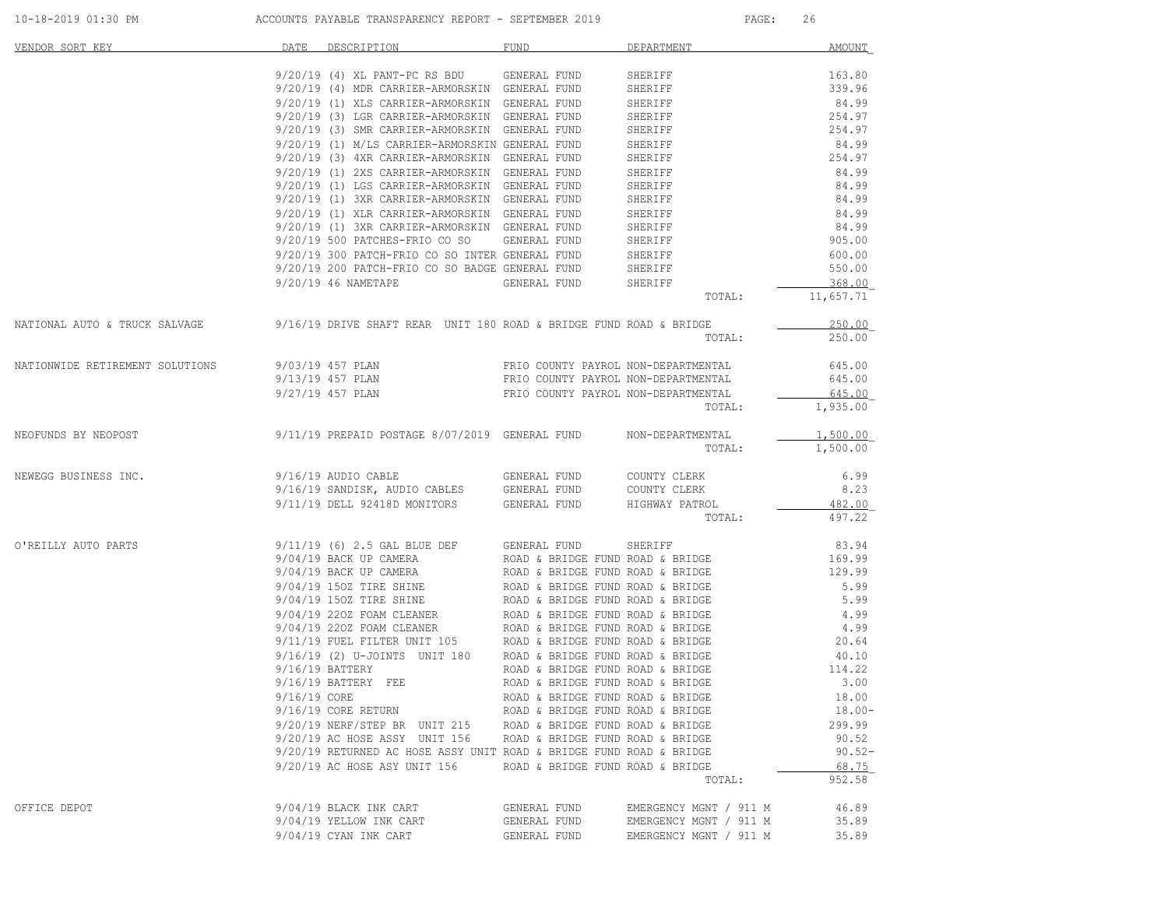| VENDOR SORT KEY                                                                                                                                                                                                                                 | DATE | DESCRIPTION                                                                                                                                                                                                                            | FUND                             | DEPARTMENT             | <b>AMOUNT</b>    |
|-------------------------------------------------------------------------------------------------------------------------------------------------------------------------------------------------------------------------------------------------|------|----------------------------------------------------------------------------------------------------------------------------------------------------------------------------------------------------------------------------------------|----------------------------------|------------------------|------------------|
|                                                                                                                                                                                                                                                 |      |                                                                                                                                                                                                                                        |                                  |                        |                  |
|                                                                                                                                                                                                                                                 |      | 9/20/19 (4) XL PANT-PC RS BDU GENERAL FUND                                                                                                                                                                                             |                                  | SHERIFF                | 163.80           |
|                                                                                                                                                                                                                                                 |      | 9/20/19 (4) MDR CARRIER-ARMORSKIN GENERAL FUND<br>9/20/19 (4) MDR CARRIER-ARMORSKIN GENERAL FUND                                                                                                                                       |                                  |                        |                  |
|                                                                                                                                                                                                                                                 |      |                                                                                                                                                                                                                                        |                                  |                        |                  |
|                                                                                                                                                                                                                                                 |      | 9/20/19 (3) LGR CARRIER-ARMORSKIN GENERAL FUND<br>9/20/19 (3) SMR CARRIER-ARMORSKIN GENERAL FUND                                                                                                                                       |                                  |                        |                  |
|                                                                                                                                                                                                                                                 |      | 9/20/19 (3) SMR CARRIER-ARMORSKIN GENERAL FUND                                                                                                                                                                                         |                                  |                        |                  |
|                                                                                                                                                                                                                                                 |      | 9/20/19 (1) M/LS CARRIER-ARMORSKIN GENERAL FUND<br>9/20/19 (3) 4XR CARRIER-ARMORSKIN GENERAL FUND                                                                                                                                      |                                  |                        |                  |
|                                                                                                                                                                                                                                                 |      |                                                                                                                                                                                                                                        |                                  |                        |                  |
|                                                                                                                                                                                                                                                 |      | 9/20/19 (1) 2XS CARRIER-ARMORSKIN GENERAL FUND                                                                                                                                                                                         |                                  |                        |                  |
|                                                                                                                                                                                                                                                 |      | 9/20/19 (1) LGS CARRIER-ARMORSKIN GENERAL FUND                                                                                                                                                                                         |                                  |                        |                  |
|                                                                                                                                                                                                                                                 |      | 9/20/19 (1) 3XR CARRIER-ARMORSKIN GENERAL FUND                                                                                                                                                                                         |                                  |                        |                  |
|                                                                                                                                                                                                                                                 |      | 9/20/19 (1) XLR CARRIER-ARMORSKIN GENERAL FUND<br>9/20/19 (1) 3XR CARRIER-ARMORSKIN GENERAL FUND                                                                                                                                       |                                  |                        |                  |
|                                                                                                                                                                                                                                                 |      | 9/20/19 (1) 3XR CARRIER-ARMORSKIN GENERAL FUND                                                                                                                                                                                         |                                  |                        |                  |
|                                                                                                                                                                                                                                                 |      | 9/20/19 500 PATCHES-FRIO CO SO GENERAL FUND SHERIFF<br>9/20/19 300 PATCH-FRIO CO SO INTER GENERAL FUND SHERIFF                                                                                                                         |                                  |                        |                  |
|                                                                                                                                                                                                                                                 |      |                                                                                                                                                                                                                                        |                                  |                        | 600.00           |
|                                                                                                                                                                                                                                                 |      | 9/20/19 200 PATCH-FRIO CO SO BADGE GENERAL FUND SHERIFF                                                                                                                                                                                |                                  |                        | 550.00           |
|                                                                                                                                                                                                                                                 |      | 9/20/19 46 NAMETAPE                                                                                                                                                                                                                    | GENERAL FUND                     | SHERIFF                | 368.00           |
|                                                                                                                                                                                                                                                 |      |                                                                                                                                                                                                                                        |                                  | TOTAL:                 | 11,657.71        |
|                                                                                                                                                                                                                                                 |      |                                                                                                                                                                                                                                        |                                  |                        |                  |
| NATIONAL AUTO & TRUCK SALVAGE 9/16/19 DRIVE SHAFT REAR UNIT 180 ROAD & BRIDGE FUND ROAD & BRIDGE                                                                                                                                                |      |                                                                                                                                                                                                                                        |                                  |                        | 250.00           |
|                                                                                                                                                                                                                                                 |      |                                                                                                                                                                                                                                        |                                  | TOTAL:                 | 250.00           |
|                                                                                                                                                                                                                                                 |      |                                                                                                                                                                                                                                        |                                  |                        |                  |
| 9/03/19 457 PLAN TRIO COUNTY PAYROL NON-DEPARTMENTAL 645.00 PRIO COUNTY PAYROL NON-DEPARTMENTAL 645.00<br>9/13/19 457 PLAN PLAN TRIO COUNTY PAYROL NON-DEPARTMENTAL 645.00 9/27/19 457 PLAN PRIO COUNTY PAYROL NON-DEPARTMENTAL 6               |      |                                                                                                                                                                                                                                        |                                  |                        |                  |
|                                                                                                                                                                                                                                                 |      |                                                                                                                                                                                                                                        |                                  |                        |                  |
|                                                                                                                                                                                                                                                 |      |                                                                                                                                                                                                                                        |                                  | TOTAL:                 | 1,935.00         |
|                                                                                                                                                                                                                                                 |      |                                                                                                                                                                                                                                        |                                  |                        |                  |
| NEOFUNDS BY NEOPOST 6/11/19 PREPAID POSTAGE 8/07/2019 GENERAL FUND NON-DEPARTMENTAL                                                                                                                                                             |      |                                                                                                                                                                                                                                        |                                  |                        | 1,500.00         |
|                                                                                                                                                                                                                                                 |      |                                                                                                                                                                                                                                        |                                  | TOTAL:                 | 1,500.00         |
| NEWEGG BUSINESS INC.                                                                                                                                                                                                                            |      |                                                                                                                                                                                                                                        |                                  |                        | 6.99             |
|                                                                                                                                                                                                                                                 |      |                                                                                                                                                                                                                                        |                                  |                        | 8.23             |
|                                                                                                                                                                                                                                                 |      |                                                                                                                                                                                                                                        |                                  |                        |                  |
|                                                                                                                                                                                                                                                 |      | 9/11/19 DELL 92418D MONITORS GENERAL FUND HIGHWAY PATROL                                                                                                                                                                               |                                  | TOTAL:                 | 482.00<br>497.22 |
|                                                                                                                                                                                                                                                 |      |                                                                                                                                                                                                                                        |                                  |                        |                  |
| O'REILLY AUTO PARTS<br>9/04/19 BACK UP CAMERA<br>9/04/19 BACK UP CAMERA<br>9/04/19 BACK UP CAMERA<br>9/04/19 BACK UP CAMERA<br>9/04/19 1502 TIRE SHINE<br>9/04/19 1502 TIRE SHINE<br>9/04/19 1502 TIRE SHINE<br>9/04/19 2202 FOAM CLEANER<br>9/ |      |                                                                                                                                                                                                                                        |                                  |                        |                  |
|                                                                                                                                                                                                                                                 |      |                                                                                                                                                                                                                                        |                                  |                        |                  |
|                                                                                                                                                                                                                                                 |      |                                                                                                                                                                                                                                        |                                  |                        |                  |
|                                                                                                                                                                                                                                                 |      |                                                                                                                                                                                                                                        |                                  |                        |                  |
|                                                                                                                                                                                                                                                 |      |                                                                                                                                                                                                                                        |                                  |                        |                  |
|                                                                                                                                                                                                                                                 |      |                                                                                                                                                                                                                                        |                                  |                        |                  |
|                                                                                                                                                                                                                                                 |      |                                                                                                                                                                                                                                        |                                  |                        |                  |
|                                                                                                                                                                                                                                                 |      |                                                                                                                                                                                                                                        |                                  |                        |                  |
|                                                                                                                                                                                                                                                 |      | 9/16/19 (2) U-JOINTS UNIT 180 ROAD & BRIDGE FUND ROAD & BRIDGE 40.10<br>9/16/19 BATTERY ROAD & BRIDGE FUND ROAD & BRIDGE 114.22<br>9/16/19 BATTERY FEE ROAD & BRIDGE FUND ROAD & BRIDGE 114.22<br>9/16/19 CORE ROAD & BRIDGE FUND ROAD |                                  |                        |                  |
|                                                                                                                                                                                                                                                 |      |                                                                                                                                                                                                                                        |                                  |                        |                  |
|                                                                                                                                                                                                                                                 |      |                                                                                                                                                                                                                                        |                                  |                        |                  |
|                                                                                                                                                                                                                                                 |      |                                                                                                                                                                                                                                        |                                  |                        |                  |
|                                                                                                                                                                                                                                                 |      | 9/16/19 CORE RETURN                                                                                                                                                                                                                    | ROAD & BRIDGE FUND ROAD & BRIDGE |                        | $18.00 -$        |
|                                                                                                                                                                                                                                                 |      | 9/20/19 NERF/STEP BR UNIT 215                                                                                                                                                                                                          | ROAD & BRIDGE FUND ROAD & BRIDGE |                        | 299.99           |
|                                                                                                                                                                                                                                                 |      | 9/20/19 AC HOSE ASSY UNIT 156                                                                                                                                                                                                          | ROAD & BRIDGE FUND ROAD & BRIDGE |                        | 90.52            |
|                                                                                                                                                                                                                                                 |      | 9/20/19 RETURNED AC HOSE ASSY UNIT ROAD & BRIDGE FUND ROAD & BRIDGE                                                                                                                                                                    |                                  |                        | $90.52 -$        |
|                                                                                                                                                                                                                                                 |      | 9/20/19 AC HOSE ASY UNIT 156                                                                                                                                                                                                           | ROAD & BRIDGE FUND ROAD & BRIDGE |                        | 68.75            |
|                                                                                                                                                                                                                                                 |      |                                                                                                                                                                                                                                        |                                  | TOTAL:                 | 952.58           |
|                                                                                                                                                                                                                                                 |      |                                                                                                                                                                                                                                        |                                  |                        |                  |
| OFFICE DEPOT                                                                                                                                                                                                                                    |      | 9/04/19 BLACK INK CART                                                                                                                                                                                                                 | GENERAL FUND                     | EMERGENCY MGNT / 911 M | 46.89            |
|                                                                                                                                                                                                                                                 |      | 9/04/19 YELLOW INK CART                                                                                                                                                                                                                | GENERAL FUND                     | EMERGENCY MGNT / 911 M | 35.89            |
|                                                                                                                                                                                                                                                 |      | $9/04/19$ CYAN INK CART                                                                                                                                                                                                                | GENERAL FUND                     | EMERGENCY MGNT / 911 M | 35.89            |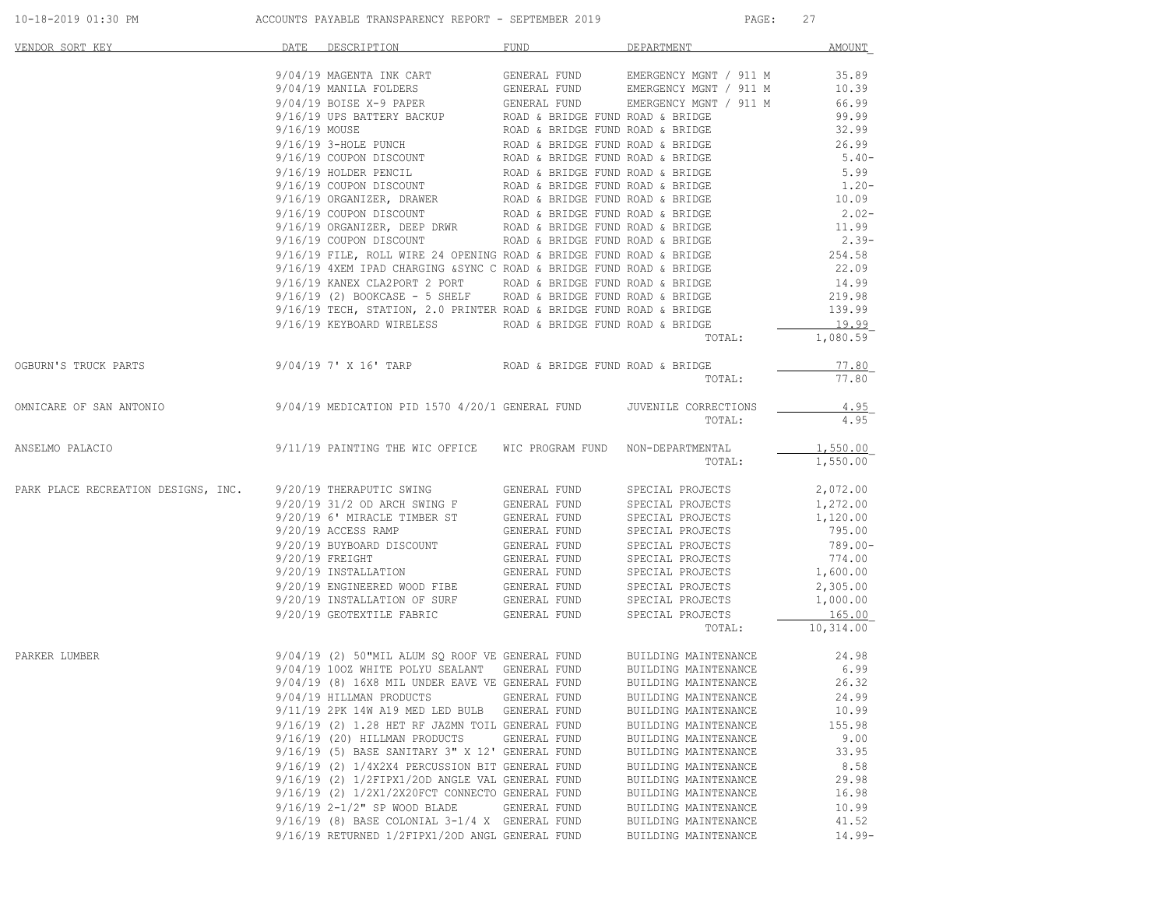| 10-18-2019 01:30 PM | ACCOUNTS PAYABLE TRANSPARENCY REPORT - SEPTEMBER 2019 | PAGE |
|---------------------|-------------------------------------------------------|------|
|                     |                                                       |      |

| VENDOR SORT KEY                                              | DATE          | DESCRIPTION                                                                                                                                                                                                             | FUND                                                                 | DEPARTMENT                                                                 | <b>AMOUNT</b>        |
|--------------------------------------------------------------|---------------|-------------------------------------------------------------------------------------------------------------------------------------------------------------------------------------------------------------------------|----------------------------------------------------------------------|----------------------------------------------------------------------------|----------------------|
|                                                              |               | 9/04/19 MAGENTA INK CART                                                                                                                                                                                                |                                                                      |                                                                            | 35.89                |
|                                                              |               | 9/04/19 MANILA FOLDERS                                                                                                                                                                                                  | GENERAL FUND                                                         | GENERAL FUND EMERGENCY MGNT / 911 M<br>GENERAL FUND EMERGENCY MGNT / 911 M | 10.39                |
|                                                              |               | 9/04/19 BOISE X-9 PAPER                                                                                                                                                                                                 | GENERAL FUND                                                         | EMERGENCY MGNT / 911 M                                                     | 66.99                |
|                                                              |               | 9/16/19 UPS BATTERY BACKUP                                                                                                                                                                                              |                                                                      |                                                                            | 99.99                |
|                                                              | 9/16/19 MOUSE |                                                                                                                                                                                                                         | ROAD & BRIDGE FUND ROAD & BRIDGE<br>ROAD & BRIDGE FUND ROAD & BRIDGE |                                                                            | 32.99                |
|                                                              |               | 9/16/19 3-HOLE PUNCH                                                                                                                                                                                                    | ROAD & BRIDGE FUND ROAD & BRIDGE<br>ROAD & BRIDGE FUND ROAD & BRIDGE |                                                                            | 26.99                |
|                                                              |               | 9/16/19 COUPON DISCOUNT                                                                                                                                                                                                 |                                                                      |                                                                            | $5.40-$              |
|                                                              |               | 9/16/19 HOLDER PENCIL                                                                                                                                                                                                   |                                                                      | ROAD & BRIDGE FUND ROAD & BRIDGE<br>T ROAD & BRIDGE FUND ROAD & BRIDGE     | 5.99                 |
|                                                              |               | 9/16/19 COUPON DISCOUNT                                                                                                                                                                                                 |                                                                      |                                                                            | $1.20 -$             |
|                                                              |               | 9/16/19 ORGANIZER, DRAWER<br>9/16/19 COUPON DISCOUNT ROAD & BRIDGE FUND ROAD & BRIDGE<br>9/16/19 ORGANIZER, DEEP DRWR ROAD & BRIDGE FUND ROAD & BRIDGE<br>9/16/19 ORGANIZER, DEEP DRWR ROAD & BRIDGE FUND ROAD & BRIDGE |                                                                      |                                                                            | 10.09                |
|                                                              |               |                                                                                                                                                                                                                         |                                                                      |                                                                            | $2.02-$              |
|                                                              |               |                                                                                                                                                                                                                         |                                                                      |                                                                            | 11.99                |
|                                                              |               | $9/16/19$ COUPON DISCOUNT ROAD & BRIDGE FUND ROAD & BRIDGE                                                                                                                                                              |                                                                      |                                                                            | $2.39-$              |
|                                                              |               | $9/16/19$ FILE, ROLL WIRE 24 OPENING ROAD & BRIDGE FUND ROAD & BRIDGE                                                                                                                                                   |                                                                      |                                                                            | 254.58               |
|                                                              |               | 9/16/19 4XEM IPAD CHARGING & SYNC C ROAD & BRIDGE FUND ROAD & BRIDGE                                                                                                                                                    |                                                                      |                                                                            | 22.09                |
|                                                              |               | 9/16/19 KANEX CLA2PORT 2 PORT ROAD & BRIDGE FUND ROAD & BRIDGE<br>$9/16/19$ (2) BOOKCASE - 5 SHELF ROAD & BRIDGE FUND ROAD & BRIDGE                                                                                     |                                                                      |                                                                            | 14.99                |
|                                                              |               | $9/16/19$ TECH, STATION, 2.0 PRINTER ROAD & BRIDGE FUND ROAD & BRIDGE                                                                                                                                                   |                                                                      |                                                                            | 219.98<br>139.99     |
|                                                              |               | 9/16/19 KEYBOARD WIRELESS                                                                                                                                                                                               | ROAD & BRIDGE FUND ROAD & BRIDGE                                     |                                                                            | 19.99                |
|                                                              |               |                                                                                                                                                                                                                         |                                                                      | TOTAL:                                                                     | 1,080.59             |
| OGBURN'S TRUCK PARTS                                         |               | 9/04/19 7' X 16' TARP                                                                                                                                                                                                   | ROAD & BRIDGE FUND ROAD & BRIDGE                                     |                                                                            | 77.80                |
|                                                              |               |                                                                                                                                                                                                                         |                                                                      | TOTAL:                                                                     | 77.80                |
| OMNICARE OF SAN ANTONIO                                      |               | 9/04/19 MEDICATION PID 1570 4/20/1 GENERAL FUND                                                                                                                                                                         |                                                                      | JUVENILE CORRECTIONS                                                       | 4.95                 |
|                                                              |               |                                                                                                                                                                                                                         |                                                                      | TOTAL:                                                                     | 4.95                 |
| ANSELMO PALACIO                                              |               | 9/11/19 PAINTING THE WIC OFFICE                                                                                                                                                                                         | WIC PROGRAM FUND                                                     | NON-DEPARTMENTAL<br>TOTAL:                                                 | 1,550.00<br>1,550.00 |
|                                                              |               |                                                                                                                                                                                                                         |                                                                      |                                                                            |                      |
| PARK PLACE RECREATION DESIGNS, INC. 9/20/19 THERAPUTIC SWING |               |                                                                                                                                                                                                                         | GENERAL FUND                                                         | SPECIAL PROJECTS                                                           | 2,072.00             |
|                                                              |               | 9/20/19 31/2 OD ARCH SWING F                                                                                                                                                                                            | GENERAL FUND                                                         | SPECIAL PROJECTS                                                           | 1,272.00             |
|                                                              |               | 9/20/19 6' MIRACLE TIMBER ST                                                                                                                                                                                            | -----<br>GENERAL FUND<br>מעוזם זגיבורי                               | SPECIAL PROJECTS                                                           | 1,120.00             |
|                                                              |               | 9/20/19 ACCESS RAMP                                                                                                                                                                                                     | GENERAL FUND                                                         | SPECIAL PROJECTS                                                           | 795.00               |
|                                                              |               | 9/20/19 BUYBOARD DISCOUNT                                                                                                                                                                                               | <b>GENERAL FUND</b>                                                  | SPECIAL PROJECTS                                                           | 789.00-              |
|                                                              |               | $9/20/19$ FREIGHT                                                                                                                                                                                                       | GENERAL FUND                                                         | SPECIAL PROJECTS                                                           | 774.00               |
|                                                              |               | 9/20/19 INSTALLATION GENERAL FUND<br>9/20/19 ENGINEERED WOOD FIBE GENERAL FUND<br>9/20/19 INSTALLATION OF SURF GENERAL FUND                                                                                             |                                                                      | SPECIAL PROJECTS                                                           | 1,600.00             |
|                                                              |               |                                                                                                                                                                                                                         |                                                                      | SPECIAL PROJECTS<br>SPECIAL PROJECTS                                       | 2,305.00<br>1,000.00 |
|                                                              |               | 9/20/19 GEOTEXTILE FABRIC GENERAL FUND                                                                                                                                                                                  |                                                                      | SPECIAL PROJECTS                                                           | 165.00               |
|                                                              |               |                                                                                                                                                                                                                         |                                                                      | TOTAL:                                                                     | 10,314.00            |
| PARKER LUMBER                                                |               | 9/04/19 (2) 50"MIL ALUM SQ ROOF VE GENERAL FUND                                                                                                                                                                         |                                                                      | BUILDING MAINTENANCE                                                       | 24.98                |
|                                                              |               | 9/04/19 1002 WHITE POLYU SEALANT                                                                                                                                                                                        | GENERAL FUND                                                         | BUILDING MAINTENANCE                                                       | 6.99                 |
|                                                              |               | 9/04/19 (8) 16X8 MIL UNDER EAVE VE GENERAL FUND                                                                                                                                                                         |                                                                      | BUILDING MAINTENANCE                                                       | 26.32                |
|                                                              |               | 9/04/19 HILLMAN PRODUCTS                                                                                                                                                                                                | GENERAL FUND                                                         | BUILDING MAINTENANCE                                                       | 24.99                |
|                                                              |               | 9/11/19 2PK 14W A19 MED LED BULB                                                                                                                                                                                        | GENERAL FUND                                                         | BUILDING MAINTENANCE                                                       | 10.99                |
|                                                              |               | 9/16/19 (2) 1.28 HET RF JAZMN TOIL GENERAL FUND                                                                                                                                                                         |                                                                      | BUILDING MAINTENANCE                                                       | 155.98               |
|                                                              |               | 9/16/19 (20) HILLMAN PRODUCTS                                                                                                                                                                                           | GENERAL FUND                                                         | BUILDING MAINTENANCE                                                       | 9.00                 |
|                                                              |               | 9/16/19 (5) BASE SANITARY 3" X 12' GENERAL FUND                                                                                                                                                                         |                                                                      | BUILDING MAINTENANCE                                                       | 33.95                |
|                                                              |               | 9/16/19 (2) 1/4X2X4 PERCUSSION BIT GENERAL FUND                                                                                                                                                                         |                                                                      | BUILDING MAINTENANCE                                                       | 8.58                 |
|                                                              |               | 9/16/19 (2) 1/2FIPX1/2OD ANGLE VAL GENERAL FUND                                                                                                                                                                         |                                                                      | BUILDING MAINTENANCE                                                       | 29.98                |
|                                                              |               | 9/16/19 (2) 1/2X1/2X20FCT CONNECTO GENERAL FUND                                                                                                                                                                         |                                                                      | BUILDING MAINTENANCE                                                       | 16.98                |
|                                                              |               | 9/16/19 2-1/2" SP WOOD BLADE                                                                                                                                                                                            | GENERAL FUND                                                         | BUILDING MAINTENANCE                                                       | 10.99                |
|                                                              |               | 9/16/19 (8) BASE COLONIAL 3-1/4 X GENERAL FUND                                                                                                                                                                          |                                                                      | BUILDING MAINTENANCE                                                       | 41.52                |
|                                                              |               | 9/16/19 RETURNED 1/2FIPX1/20D ANGL GENERAL FUND                                                                                                                                                                         |                                                                      | BUILDING MAINTENANCE                                                       | $14.99-$             |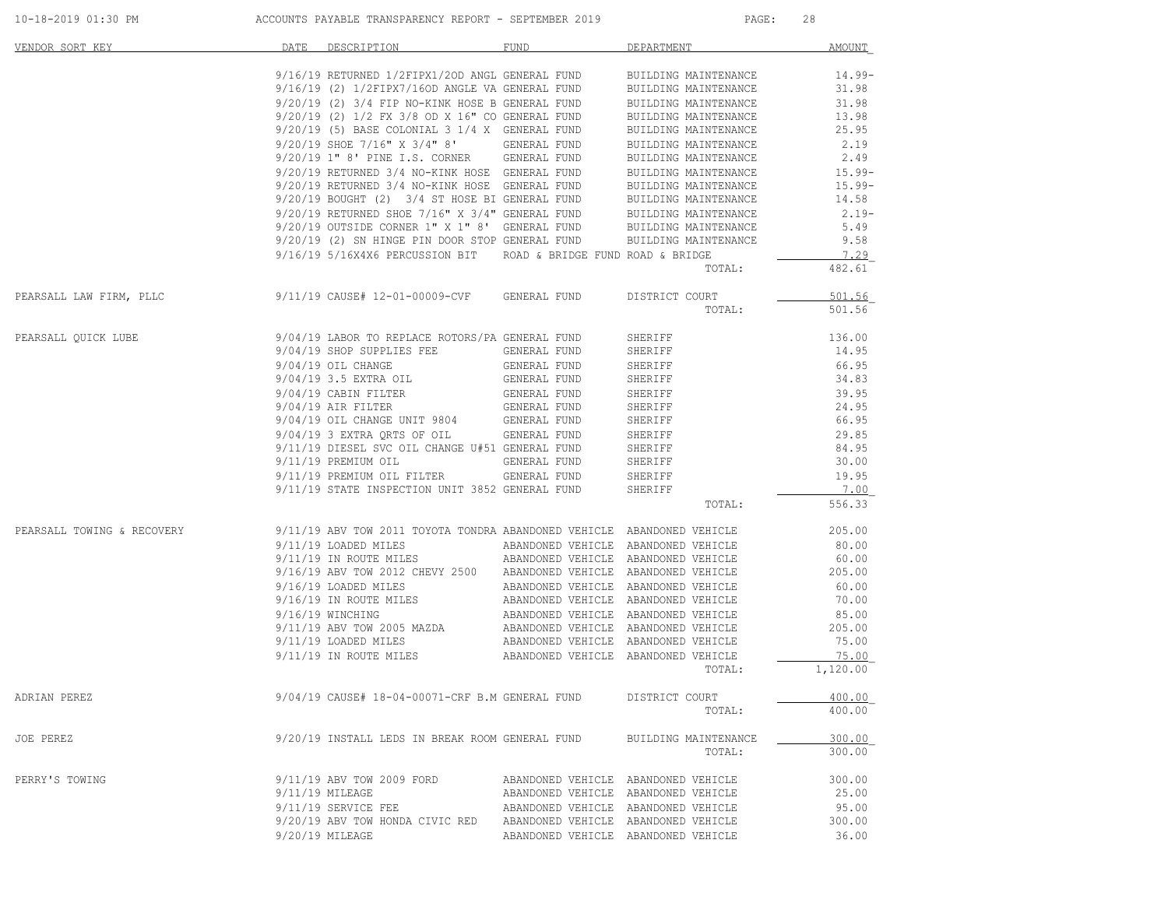| 10-18-2019 01:30 PM        | ACCOUNTS PAYABLE TRANSPARENCY REPORT - SEPTEMBER 2019                                                                                          |                                     | PAGE:                                                                                                             | 28        |
|----------------------------|------------------------------------------------------------------------------------------------------------------------------------------------|-------------------------------------|-------------------------------------------------------------------------------------------------------------------|-----------|
| VENDOR SORT KEY            | DATE DESCRIPTION                                                                                                                               | FUND                                | DEPARTMENT                                                                                                        | AMOUNT    |
|                            | $9/16/19$ RETURNED 1/2FIPX1/20D ANGL GENERAL FUND BUILDING MAINTENANCE $9/16/19$ (2) 1/2FIPX7/160D ANGLE VA GENERAL FUND BUILDING MAINTENANCE  |                                     |                                                                                                                   | 14.99-    |
|                            |                                                                                                                                                |                                     |                                                                                                                   | 31.98     |
|                            | 9/20/19 (2) 3/4 FIP NO-KINK HOSE B GENERAL FUND<br>9/20/19 (2) 3/4 FIP NO-KINK HOSE B GENERAL FUND                                             |                                     | BUILDING MAINTENANCE                                                                                              | 31.98     |
|                            |                                                                                                                                                |                                     | BUILDING MAINTENANCE                                                                                              | 13.98     |
|                            | $9/20/19$ (5) BASE COLONIAL 3 1/4 X GENERAL FUND                                                                                               |                                     | BUILDING MAINTENANCE                                                                                              | 25.95     |
|                            | 9/20/19 SHOE 7/16" X 3/4" 8' GENERAL FUND                                                                                                      |                                     | BUILDING MAINTENANCE                                                                                              | 2.19      |
|                            | 9/20/19 1" 8' PINE I.S. CORNER GENERAL FUND                                                                                                    |                                     | BUILDING MAINTENANCE                                                                                              | 2.49      |
|                            | 9/20/19 RETURNED 3/4 NO-KINK HOSE GENERAL FUND                                                                                                 |                                     | BUILDING MAINTENANCE                                                                                              | $15.99 -$ |
|                            | 9/20/19 RETURNED 3/4 NO-KINK HOSE GENERAL FUND                                                                                                 |                                     | BUILDING MAINTENANCE                                                                                              | 15.99-    |
|                            | $9/20/19$ BOUGHT (2) $3/4$ ST HOSE BI GENERAL FUND BUILDING MAINTENANCE $9/20/19$ RETURNED SHOE 7/16" X 3/4" GENERAL FUND BUILDING MAINTENANCE |                                     |                                                                                                                   | 14.58     |
|                            |                                                                                                                                                |                                     |                                                                                                                   | $2.19-$   |
|                            |                                                                                                                                                |                                     | BUILDING MAINTENANCE                                                                                              | 5.49      |
|                            | 9/20/19 OUTSIDE CORNER $1"$ X $1"$ 8' GENERAL FUND<br>9/20/19 (2) SN HINGE PIN DOOR STOP GENERAL FUND                                          |                                     | BUILDING MAINTENANCE                                                                                              | 9.58      |
|                            | 9/16/19 5/16X4X6 PERCUSSION BIT ROAD & BRIDGE FUND ROAD & BRIDGE                                                                               |                                     |                                                                                                                   | 7.29      |
|                            |                                                                                                                                                |                                     | TOTAL:                                                                                                            | 482.61    |
| PEARSALL LAW FIRM, PLLC    | 9/11/19 CAUSE# 12-01-00009-CVF GENERAL FUND                                                                                                    |                                     | DISTRICT COURT                                                                                                    | 501.56    |
|                            |                                                                                                                                                |                                     | TOTAL:                                                                                                            | 501.56    |
| PEARSALL QUICK LUBE        | 9/04/19 LABOR TO REPLACE ROTORS/PA GENERAL FUND                                                                                                |                                     | SHERIFF                                                                                                           | 136.00    |
|                            | 9/04/19 SHOP SUPPLIES FEE                                                                                                                      | GENERAL FUND                        | SHERIFF                                                                                                           | 14.95     |
|                            | $9/04/19$ OIL CHANGE                                                                                                                           | GENERAL FUND                        | SHERIFF                                                                                                           | 66.95     |
|                            | 9/04/19 3.5 EXTRA OIL                                                                                                                          | GENERAL FUND                        | SHERIFF                                                                                                           | 34.83     |
|                            | 9/04/19 CABIN FILTER                                                                                                                           | GENERAL FUND                        | SHERIFF                                                                                                           | 39.95     |
|                            | $9/04/19$ AIR FILTER                                                                                                                           | GENERAL FUND                        | SHERIFF                                                                                                           | 24.95     |
|                            |                                                                                                                                                |                                     | SHERIFF                                                                                                           | 66.95     |
|                            | 9/04/19 OIL CHANGE UNIT 9804 GENERAL FUND 9/04/19 3 EXTRA QRTS OF OIL GENERAL FUND                                                             |                                     | SHERIFF                                                                                                           | 29.85     |
|                            | 9/11/19 DIESEL SVC OIL CHANGE U#51 GENERAL FUND                                                                                                |                                     | SHERIFF                                                                                                           | 84.95     |
|                            | 9/11/19 PREMIUM OIL                                                                                                                            | GENERAL FUND                        | SHERIFF                                                                                                           | 30.00     |
|                            | 9/11/19 PREMIUM OIL FILTER GENERAL FUND                                                                                                        |                                     | SHERIFF                                                                                                           | 19.95     |
|                            | 9/11/19 STATE INSPECTION UNIT 3852 GENERAL FUND                                                                                                |                                     | SHERIFF                                                                                                           | 7.00      |
|                            |                                                                                                                                                |                                     | TOTAL:                                                                                                            | 556.33    |
| PEARSALL TOWING & RECOVERY | 9/11/19 ABV TOW 2011 TOYOTA TONDRA ABANDONED VEHICLE ABANDONED VEHICLE                                                                         |                                     |                                                                                                                   | 205.00    |
|                            | 9/11/19 LOADED MILES                                                                                                                           |                                     | ABANDONED VEHICLE ABANDONED VEHICLE                                                                               | 80.00     |
|                            | 9/11/19 IN ROUTE MILES                                                                                                                         |                                     | ABANDONED VEHICLE ABANDONED VEHICLE                                                                               | 60.00     |
|                            | 9/16/19 ABV TOW 2012 CHEVY 2500 ABANDONED VEHICLE ABANDONED VEHICLE                                                                            |                                     |                                                                                                                   | 205.00    |
|                            | 9/16/19 LOADED MILES                                                                                                                           |                                     | ABANDONED VEHICLE ABANDONED VEHICLE                                                                               | 60.00     |
|                            | 9/16/19 IN ROUTE MILES ABANDONED VEHICLE ABANDONED VEHICLE                                                                                     |                                     |                                                                                                                   | 70.00     |
|                            | 9/16/19 WINCHING                                                                                                                               |                                     | ABANDONED VEHICLE ABANDONED VEHICLE                                                                               | 85.00     |
|                            | 9/11/19 ABV TOW 2005 MAZDA                                                                                                                     |                                     |                                                                                                                   | 205.00    |
|                            | 9/11/19 LOADED MILES                                                                                                                           |                                     |                                                                                                                   | 75.00     |
|                            | 9/11/19 IN ROUTE MILES                                                                                                                         |                                     | ABANDONED VEHICER ABANDONED VEHICER<br>ABANDONED VEHICLE ABANDONED VEHICLE<br>ABANDONED VEHICLE ABANDONED VEHICLE | 75.00     |
|                            |                                                                                                                                                |                                     | TOTAL:                                                                                                            | 1,120.00  |
| ADRIAN PEREZ               | 9/04/19 CAUSE# 18-04-00071-CRF B.M GENERAL FUND                                                                                                |                                     | DISTRICT COURT                                                                                                    | 400.00    |
|                            |                                                                                                                                                |                                     | TOTAL:                                                                                                            | 400.00    |
| JOE PEREZ                  | 9/20/19 INSTALL LEDS IN BREAK ROOM GENERAL FUND                                                                                                |                                     | BUILDING MAINTENANCE                                                                                              | 300.00    |
|                            |                                                                                                                                                |                                     | TOTAL:                                                                                                            | 300.00    |
| PERRY'S TOWING             | 9/11/19 ABV TOW 2009 FORD                                                                                                                      |                                     | ABANDONED VEHICLE ABANDONED VEHICLE                                                                               | 300.00    |
|                            | 9/11/19 MILEAGE                                                                                                                                |                                     | ABANDONED VEHICLE ABANDONED VEHICLE                                                                               | 25.00     |
|                            | 9/11/19 SERVICE FEE                                                                                                                            |                                     | ABANDONED VEHICLE ABANDONED VEHICLE                                                                               | 95.00     |
|                            | 9/20/19 ABV TOW HONDA CIVIC RED                                                                                                                | ABANDONED VEHICLE ABANDONED VEHICLE |                                                                                                                   | 300.00    |
|                            | 9/20/19 MILEAGE                                                                                                                                |                                     | ABANDONED VEHICLE ABANDONED VEHICLE                                                                               | 36.00     |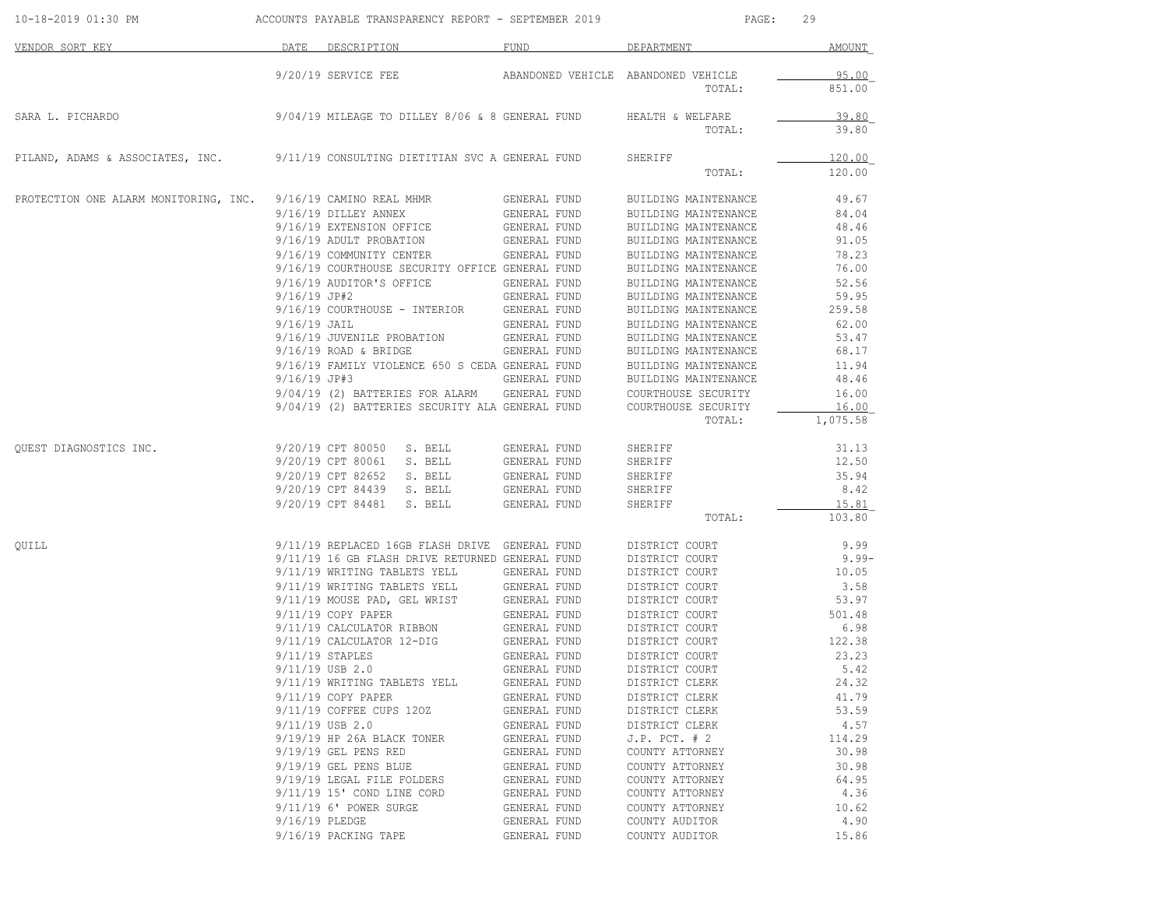| 10-18-2019 01:30 PM                   |                | ACCOUNTS PAYABLE TRANSPARENCY REPORT - SEPTEMBER 2019 |              | PAGE:                               | 29            |
|---------------------------------------|----------------|-------------------------------------------------------|--------------|-------------------------------------|---------------|
| VENDOR SORT KEY                       | DATE           | DESCRIPTION                                           | <b>FUND</b>  | DEPARTMENT                          | <b>AMOUNT</b> |
|                                       |                | 9/20/19 SERVICE FEE                                   |              | ABANDONED VEHICLE ABANDONED VEHICLE | 95.00         |
|                                       |                |                                                       |              | TOTAL:                              | 851.00        |
| SARA L. PICHARDO                      |                | 9/04/19 MILEAGE TO DILLEY 8/06 & 8 GENERAL FUND       |              | HEALTH & WELFARE                    | 39.80         |
|                                       |                |                                                       |              | TOTAL:                              | 39.80         |
| PILAND, ADAMS & ASSOCIATES, INC.      |                | 9/11/19 CONSULTING DIETITIAN SVC A GENERAL FUND       |              | SHERIFF                             | 120.00        |
|                                       |                |                                                       |              | TOTAL:                              | 120.00        |
| PROTECTION ONE ALARM MONITORING, INC. |                | 9/16/19 CAMINO REAL MHMR                              | GENERAL FUND | BUILDING MAINTENANCE                | 49.67         |
|                                       |                | 9/16/19 DILLEY ANNEX                                  | GENERAL FUND | BUILDING MAINTENANCE                | 84.04         |
|                                       |                | 9/16/19 EXTENSION OFFICE                              | GENERAL FUND | BUILDING MAINTENANCE                | 48.46         |
|                                       |                | 9/16/19 ADULT PROBATION                               | GENERAL FUND | BUILDING MAINTENANCE                | 91.05         |
|                                       |                | 9/16/19 COMMUNITY CENTER                              | GENERAL FUND | BUILDING MAINTENANCE                | 78.23         |
|                                       |                | 9/16/19 COURTHOUSE SECURITY OFFICE GENERAL FUND       |              | BUILDING MAINTENANCE                | 76.00         |
|                                       |                | 9/16/19 AUDITOR'S OFFICE                              | GENERAL FUND | BUILDING MAINTENANCE                | 52.56         |
|                                       | 9/16/19 JP#2   |                                                       | GENERAL FUND | BUILDING MAINTENANCE                | 59.95         |
|                                       |                | 9/16/19 COURTHOUSE - INTERIOR                         | GENERAL FUND | BUILDING MAINTENANCE                | 259.58        |
|                                       | 9/16/19 JAIL   |                                                       | GENERAL FUND | BUILDING MAINTENANCE                | 62.00         |
|                                       |                | 9/16/19 JUVENILE PROBATION                            | GENERAL FUND | BUILDING MAINTENANCE                | 53.47         |
|                                       |                | $9/16/19$ ROAD & BRIDGE                               | GENERAL FUND | BUILDING MAINTENANCE                | 68.17         |
|                                       |                | 9/16/19 FAMILY VIOLENCE 650 S CEDA GENERAL FUND       |              | BUILDING MAINTENANCE                | 11.94         |
|                                       | $9/16/19$ JP#3 |                                                       | GENERAL FUND | BUILDING MAINTENANCE                | 48.46         |
|                                       |                | 9/04/19 (2) BATTERIES FOR ALARM                       | GENERAL FUND | COURTHOUSE SECURITY                 | 16.00         |
|                                       |                | 9/04/19 (2) BATTERIES SECURITY ALA GENERAL FUND       |              | COURTHOUSE SECURITY                 | 16.00         |
|                                       |                |                                                       |              | TOTAL:                              | 1,075.58      |
| QUEST DIAGNOSTICS INC.                |                | 9/20/19 CPT 80050 S. BELL                             | GENERAL FUND | SHERIFF                             | 31.13         |
|                                       |                | 9/20/19 CPT 80061<br>S. BELL                          | GENERAL FUND | SHERIFF                             | 12.50         |
|                                       |                | 9/20/19 CPT 82652<br>S. BELL                          | GENERAL FUND | SHERIFF                             | 35.94         |
|                                       |                | 9/20/19 CPT 84439<br>S. BELL                          | GENERAL FUND | SHERIFF                             | 8.42          |
|                                       |                | 9/20/19 CPT 84481<br>S. BELL                          | GENERAL FUND | SHERIFF                             | 15.81         |
|                                       |                |                                                       |              | TOTAL:                              | 103.80        |
| QUILL                                 |                | 9/11/19 REPLACED 16GB FLASH DRIVE GENERAL FUND        |              | DISTRICT COURT                      | 9.99          |
|                                       |                | 9/11/19 16 GB FLASH DRIVE RETURNED GENERAL FUND       |              | DISTRICT COURT                      | $9.99 -$      |
|                                       |                | 9/11/19 WRITING TABLETS YELL                          | GENERAL FUND | DISTRICT COURT                      | 10.05         |
|                                       |                | 9/11/19 WRITING TABLETS YELL                          | GENERAL FUND | DISTRICT COURT                      | 3.58          |
|                                       |                | 9/11/19 MOUSE PAD, GEL WRIST                          | GENERAL FUND | DISTRICT COURT                      | 53.97         |
|                                       |                | 9/11/19 COPY PAPER                                    | GENERAL FUND | DISTRICT COURT                      | 501.48        |
|                                       |                | 9/11/19 CALCULATOR RIBBON                             | GENERAL FUND | DISTRICT COURT                      | 6.98          |
|                                       |                | 9/11/19 CALCULATOR 12-DIG                             | GENERAL FUND | DISTRICT COURT                      | 122.38        |
|                                       |                | $9/11/19$ STAPLES                                     | GENERAL FUND | DISTRICT COURT                      | 23.23         |
|                                       |                | 9/11/19 USB 2.0                                       | GENERAL FUND | DISTRICT COURT                      | 5.42          |
|                                       |                | 9/11/19 WRITING TABLETS YELL                          | GENERAL FUND | DISTRICT CLERK                      | 24.32         |
|                                       |                | $9/11/19$ COPY PAPER                                  | GENERAL FUND | DISTRICT CLERK                      | 41.79         |
|                                       |                | 9/11/19 COFFEE CUPS 120Z                              | GENERAL FUND | DISTRICT CLERK                      | 53.59         |
|                                       |                | $9/11/19$ USB 2.0                                     | GENERAL FUND | DISTRICT CLERK                      | 4.57          |
|                                       |                | 9/19/19 HP 26A BLACK TONER                            | GENERAL FUND | $J.P.$ PCT. $# 2$                   | 114.29        |
|                                       |                | 9/19/19 GEL PENS RED                                  | GENERAL FUND | COUNTY ATTORNEY                     | 30.98         |
|                                       |                | 9/19/19 GEL PENS BLUE                                 | GENERAL FUND | COUNTY ATTORNEY                     | 30.98         |
|                                       |                | 9/19/19 LEGAL FILE FOLDERS                            | GENERAL FUND | COUNTY ATTORNEY                     | 64.95         |
|                                       |                | 9/11/19 15' COND LINE CORD                            | GENERAL FUND | COUNTY ATTORNEY                     | 4.36          |
|                                       |                | 9/11/19 6' POWER SURGE                                | GENERAL FUND | COUNTY ATTORNEY                     | 10.62         |
|                                       | 9/16/19 PLEDGE |                                                       | GENERAL FUND | COUNTY AUDITOR                      | 4.90          |
|                                       |                | 9/16/19 PACKING TAPE                                  | GENERAL FUND | COUNTY AUDITOR                      | 15.86         |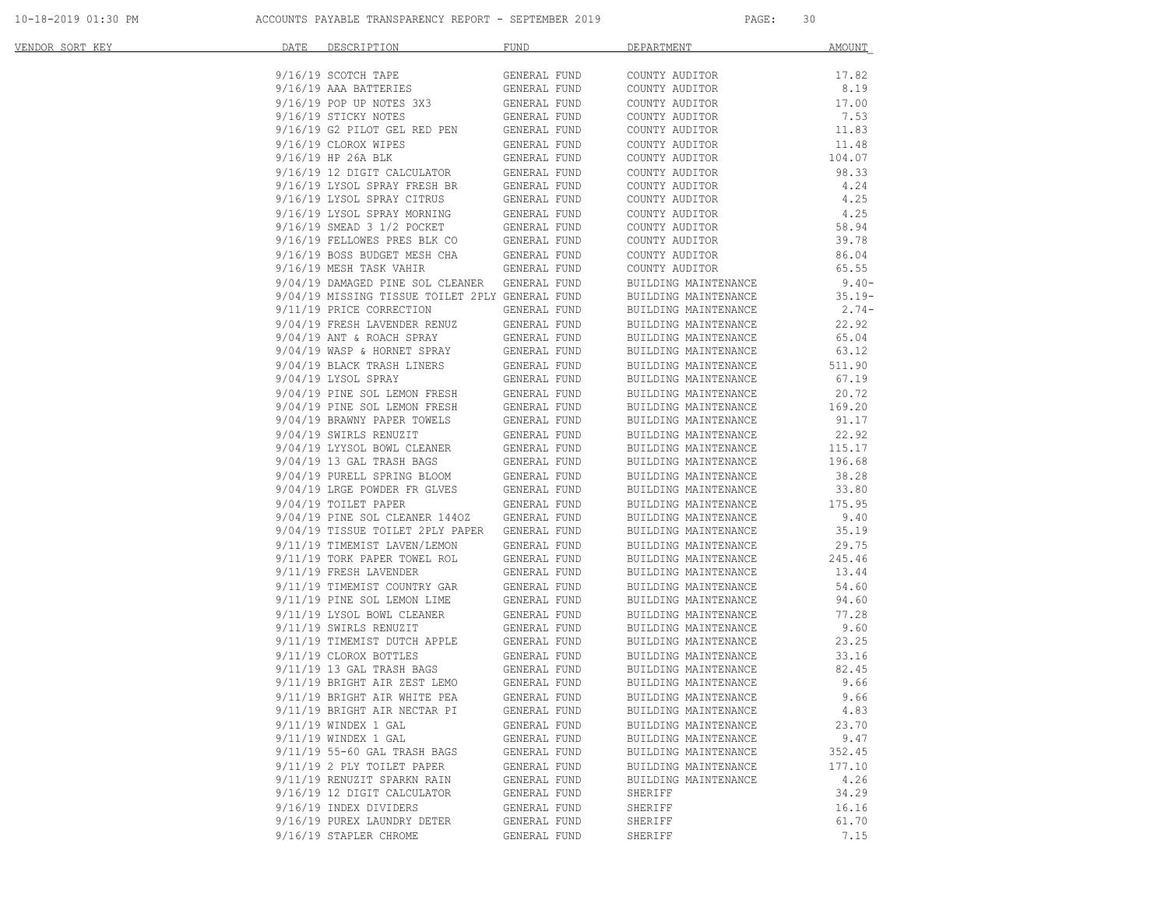| <u>VENDOR SORT KEY</u> | DESCRIPTION THE MANUSCRIPTION<br>DATE                                                                                            | <b>FUND</b>              | DEPARTMENT                                   | <b>AMOUNT</b> |
|------------------------|----------------------------------------------------------------------------------------------------------------------------------|--------------------------|----------------------------------------------|---------------|
|                        | 9/16/19 SCOTCH TAPE                                                                                                              | GENERAL FUND             | COUNTY AUDITOR                               | 17.82         |
|                        |                                                                                                                                  |                          | COUNTY AUDITOR                               | 8.19          |
|                        | $9/16/19$ AAA BATTERIES<br>9/16/19 POP UP NOTES 3X3 GENERAL FUND                                                                 |                          | COUNTY AUDITOR                               | 17.00         |
|                        | 9/16/19 STICKY NOTES                                                                                                             | GENERAL FUND             | COUNTY AUDITOR                               | 7.53          |
|                        | $9/16/19$ G2 PILOT GEL RED PEN                                                                                                   | GENERAL FUND             | COUNTY AUDITOR                               | 11.83         |
|                        | 9/16/19 CLOROX WIPES                                                                                                             | GENERAL FUND             | COUNTY AUDITOR                               | 11.48         |
|                        | 9/16/19 HP 26A BLK                                                                                                               | GENERAL FUND             | COUNTY AUDITOR                               | 104.07        |
|                        | 9/16/19 12 DIGIT CALCULATOR GENERAL FUND<br>9/16/19 LYSOL SPRAY FRESH BR GENERAL FUND<br>9/16/19 LYSOL SPRAY CITRUS GENERAL FUND |                          | COUNTY AUDITOR                               | 98.33         |
|                        |                                                                                                                                  |                          | COUNTY AUDITOR                               | 4.24          |
|                        |                                                                                                                                  |                          | COUNTY AUDITOR                               | 4.25          |
|                        | $9/16/19$ LYSOL SPRAY MORNING<br>0/16/19 SMEAD 3 1/2 POCKET                                                                      | GENERAL FUND             | COUNTY AUDITOR                               | 4.25          |
|                        | 9/16/19 SMEAD 3 1/2 POCKET                                                                                                       | GENERAL FUND             | COUNTY AUDITOR                               | 58.94         |
|                        | 9/16/19 FELLOWES PRES BLK CO<br>9/16/19 BOSS BUDGET MESH CHA                                                                     | GENERAL FUND             | COUNTY AUDITOR                               | 39.78         |
|                        |                                                                                                                                  | GENERAL FUND             | COUNTY AUDITOR                               | 86.04         |
|                        | 9/16/19 MESH TASK VAHIR                                                                                                          | GENERAL FUND             | COUNTY AUDITOR                               | 65.55         |
|                        | 9/04/19 DAMAGED PINE SOL CLEANER GENERAL FUND                                                                                    |                          | BUILDING MAINTENANCE                         | $9.40-$       |
|                        | 9/04/19 MISSING TISSUE TOILET 2PLY GENERAL FUND                                                                                  |                          | BUILDING MAINTENANCE                         | $35.19-$      |
|                        | 9/11/19 PRICE CORRECTION                                                                                                         | GENERAL FUND             | BUILDING MAINTENANCE                         | $2.74-$       |
|                        | 9/04/19 FRESH LAVENDER RENUZ                                                                                                     | GENERAL FUND             | BUILDING MAINTENANCE                         | 22.92         |
|                        | $9/04/19$ FKLOR MOACH SPRAY<br>$9/04/19$ ANT & ROACH SPRAY                                                                       | GENERAL FUND             | BUILDING MAINTENANCE                         | 65.04         |
|                        | 9/04/19 WASP & HORNET SPRAY                                                                                                      | GENERAL FUND             | BUILDING MAINTENANCE                         | 63.12         |
|                        | $9/04/19$ BLACK TRASH LINERS<br>$9/04/19$ BLACK TRASH LINERS                                                                     | GENERAL FUND             | BUILDING MAINTENANCE                         | 511.90        |
|                        | 9/04/19 LYSOL SPRAY                                                                                                              | GENERAL FUND             | BUILDING MAINTENANCE                         | 67.19         |
|                        | 9/04/19 PINE SOL LEMON FRESH<br>9/04/19 PINE SOL LEMON FRESH<br>9/04/19 BRAWNY PAPER TOWELS                                      | GENERAL FUND             | BUILDING MAINTENANCE                         | 20.72         |
|                        |                                                                                                                                  | GENERAL FUND             | BUILDING MAINTENANCE                         | 169.20        |
|                        |                                                                                                                                  | GENERAL FUND             | BUILDING MAINTENANCE                         | 91.17         |
|                        | 9/04/19 SWIRLS RENUZIT                                                                                                           | ANER<br><br>GENERAL FUND | BUILDING MAINTENANCE                         | 22.92         |
|                        | 9/04/19 LYYSOL BOWL CLEANER                                                                                                      | GENERAL FUND             | BUILDING MAINTENANCE                         | 115.17        |
|                        | $9/04/19$ 13 GAL TRASH BAGS                                                                                                      | GENERAL FUND             | BUILDING MAINTENANCE                         | 196.68        |
|                        | 9/04/19 PURELL SPRING BLOOM                                                                                                      | GENERAL FUND             | BUILDING MAINTENANCE                         | 38.28         |
|                        | 9/04/19 LRGE POWDER FR GLVES                                                                                                     | GENERAL FUND             | BUILDING MAINTENANCE                         | 33.80         |
|                        | 9/04/19 TOILET PAPER                                                                                                             | GENERAL FUND             | BUILDING MAINTENANCE                         | 175.95        |
|                        | 9/04/19 PINE SOL CLEANER 1440Z                                                                                                   | GENERAL FUND             | BUILDING MAINTENANCE                         | 9.40          |
|                        | 9/04/19 TISSUE TOILET 2PLY PAPER GENERAL FUND                                                                                    |                          | BUILDING MAINTENANCE                         | 35.19         |
|                        | 9/11/19 TIMEMIST LAVEN/LEMON                                                                                                     | GENERAL FUND             | BUILDING MAINTENANCE                         | 29.75         |
|                        | 9/11/19 TORK PAPER TOWEL ROL                                                                                                     | GENERAL FUND             | BUILDING MAINTENANCE                         | 245.46        |
|                        | 9/11/19 FRESH LAVENDER                                                                                                           | GENERAL FUND             | BUILDING MAINTENANCE                         | 13.44         |
|                        | 9/11/19 TIMEMIST COUNTRY GAR                                                                                                     | GENERAL FUND             | BUILDING MAINTENANCE                         | 54.60         |
|                        | 9/11/19 PINE SOL LEMON LIME                                                                                                      | GENERAL FUND             | BUILDING MAINTENANCE                         | 94.60         |
|                        | 9/11/19 LYSOL BOWL CLEANER                                                                                                       | GENERAL FUND             | BUILDING MAINTENANCE                         | 77.28         |
|                        | 9/11/19 SWIRLS RENUZIT                                                                                                           | GENERAL FUND             | BUILDING MAINTENANCE                         | 9.60          |
|                        | 9/11/19 TIMEMIST DUTCH APPLE                                                                                                     | GENERAL FUND             | BUILDING MAINTENANCE                         | 23.25         |
|                        | 9/11/19 CLOROX BOTTLES<br>9/11/19 13 GAL TRASH BAGS                                                                              | GENERAL FUND             | BUILDING MAINTENANCE<br>BUILDING MAINTENANCE | 33.16         |
|                        |                                                                                                                                  | GENERAL FUND             | BUILDING MAINTENANCE                         | 82.45         |
|                        | 9/11/19 BRIGHT AIR ZEST LEMO                                                                                                     | GENERAL FUND             | BUILDING MAINTENANCE                         | 9.66          |
|                        | 9/11/19 BRIGHT AIR WHITE PEA                                                                                                     | GENERAL FUND             | BUILDING MAINTENANCE                         | 9.66          |
|                        | 9/11/19 BRIGHT AIR NECTAR PI                                                                                                     | GENERAL FUND             | BUILDING MAINTENANCE                         | 4.83          |
|                        | 9/11/19 WINDEX 1 GAL                                                                                                             | GENERAL FUND             | BUILDING MAINTENANCE                         | 23.70         |
|                        | $9/11/19$ WINDEX 1 GAL                                                                                                           | GENERAL FUND             | BUILDING MAINTENANCE                         | 9.47          |
|                        | 9/11/19 55-60 GAL TRASH BAGS                                                                                                     | GENERAL FUND             | BUILDING MAINTENANCE                         | 352.45        |
|                        | 9/11/19 2 PLY TOILET PAPER                                                                                                       | GENERAL FUND             | BUILDING MAINTENANCE                         | 177.10        |
|                        | 9/11/19 RENUZIT SPARKN RAIN                                                                                                      | GENERAL FUND             | BUILDING MAINTENANCE                         | 4.26          |
|                        | 9/16/19 12 DIGIT CALCULATOR                                                                                                      | GENERAL FUND             | SHERIFF                                      | 34.29         |
|                        | 9/16/19 INDEX DIVIDERS                                                                                                           | GENERAL FUND             | SHERIFF                                      | 16.16         |
|                        | 9/16/19 PUREX LAUNDRY DETER                                                                                                      | GENERAL FUND             | SHERIFF                                      | 61.70         |
|                        | 9/16/19 STAPLER CHROME                                                                                                           | GENERAL FUND             | SHERIFF                                      | 7.15          |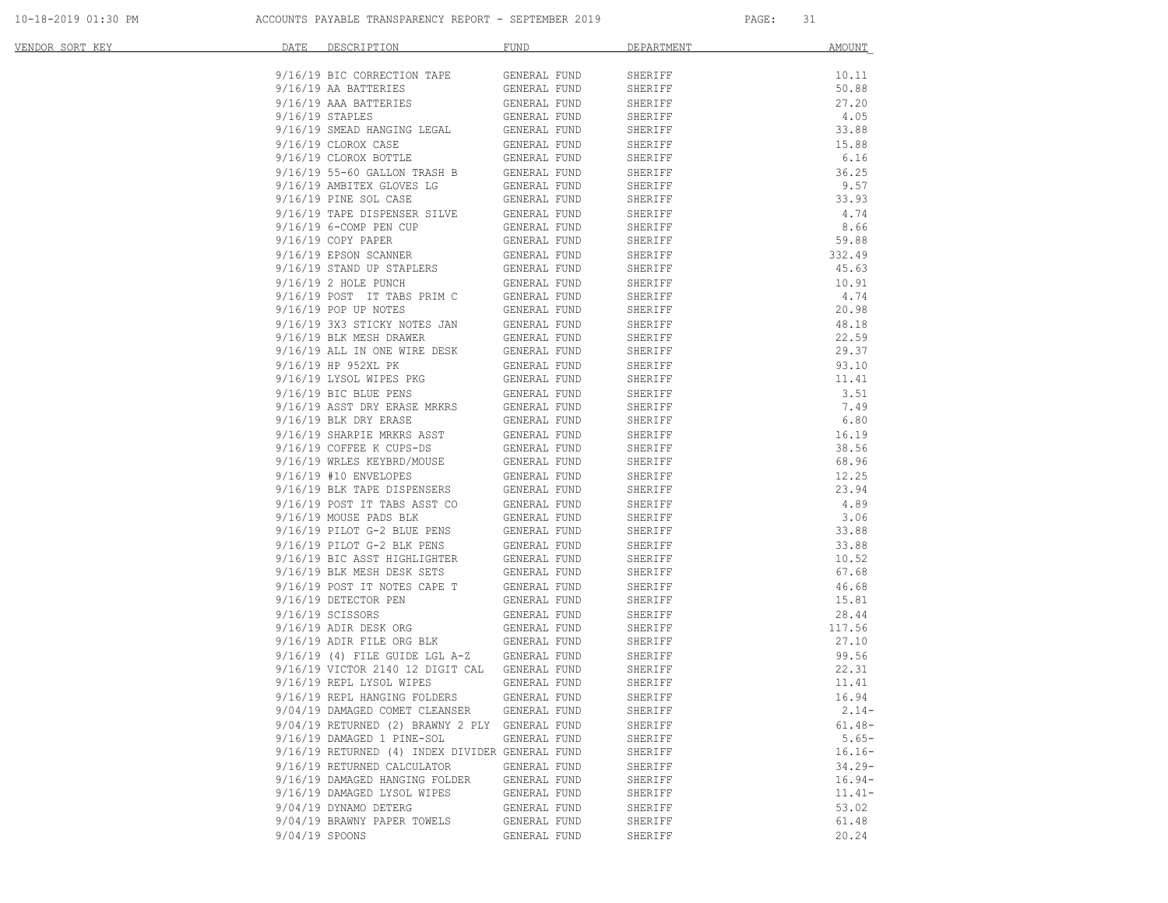| VENDOR SORT KEY | DATE<br>DESCRIPTION                                  | FUND         | DEPARTMENT | AMOUNT    |
|-----------------|------------------------------------------------------|--------------|------------|-----------|
|                 | 9/16/19 BIC CORRECTION TAPE                          | GENERAL FUND | SHERIFF    | 10.11     |
|                 | 9/16/19 AA BATTERIES                                 | GENERAL FUND | SHERIFF    | 50.88     |
|                 | 9/16/19 AAA BATTERIES                                | GENERAL FUND | SHERIFF    | 27.20     |
|                 | $9/16/19$ STAPLES                                    | GENERAL FUND | SHERIFF    | 4.05      |
|                 | 9/16/19 SMEAD HANGING LEGAL                          | GENERAL FUND | SHERIFF    | 33.88     |
|                 | 9/16/19 CLOROX CASE                                  | GENERAL FUND | SHERIFF    | 15.88     |
|                 | 9/16/19 CLOROX BOTTLE                                | GENERAL FUND | SHERIFF    | 6.16      |
|                 | 9/16/19 55-60 GALLON TRASH B                         | GENERAL FUND | SHERIFF    | 36.25     |
|                 | 9/16/19 AMBITEX GLOVES LG                            | GENERAL FUND | SHERIFF    | 9.57      |
|                 | 9/16/19 PINE SOL CASE                                | GENERAL FUND | SHERIFF    | 33.93     |
|                 | 9/16/19 TAPE DISPENSER SILVE                         | GENERAL FUND | SHERIFF    | 4.74      |
|                 | 9/16/19 6-COMP PEN CUP                               | GENERAL FUND | SHERIFF    | 8.66      |
|                 | $9/16/19$ COPY PAPER                                 | GENERAL FUND | SHERIFF    | 59.88     |
|                 | 9/16/19 EPSON SCANNER                                | GENERAL FUND | SHERIFF    | 332.49    |
|                 | 9/16/19 STAND UP STAPLERS                            | GENERAL FUND | SHERIFF    | 45.63     |
|                 | 9/16/19 2 HOLE PUNCH                                 | GENERAL FUND | SHERIFF    | 10.91     |
|                 | 9/16/19 POST IT TABS PRIM C                          | GENERAL FUND | SHERIFF    | 4.74      |
|                 | 9/16/19 POP UP NOTES                                 | GENERAL FUND | SHERIFF    | 20.98     |
|                 | 9/16/19 3X3 STICKY NOTES JAN                         | GENERAL FUND | SHERIFF    | 48.18     |
|                 | 9/16/19 BLK MESH DRAWER                              | GENERAL FUND | SHERIFF    | 22.59     |
|                 | 9/16/19 ALL IN ONE WIRE DESK                         | GENERAL FUND | SHERIFF    | 29.37     |
|                 | 9/16/19 HP 952XL PK                                  | GENERAL FUND | SHERIFF    | 93.10     |
|                 | 9/16/19 LYSOL WIPES PKG                              | GENERAL FUND | SHERIFF    | 11.41     |
|                 | 9/16/19 BIC BLUE PENS                                | GENERAL FUND | SHERIFF    | 3.51      |
|                 | 9/16/19 ASST DRY ERASE MRKRS                         | GENERAL FUND | SHERIFF    | 7.49      |
|                 | $9/16/19$ BLK DRY ERASE                              | GENERAL FUND | SHERIFF    | 6.80      |
|                 | 9/16/19 SHARPIE MRKRS ASST                           | GENERAL FUND | SHERIFF    | 16.19     |
|                 | 9/16/19 COFFEE K CUPS-DS                             | GENERAL FUND | SHERIFF    | 38.56     |
|                 | 9/16/19 WRLES KEYBRD/MOUSE                           | GENERAL FUND | SHERIFF    | 68.96     |
|                 | 9/16/19 #10 ENVELOPES<br>9/16/19 BLK TAPE DISPENSERS | GENERAL FUND | SHERIFF    | 12.25     |
|                 |                                                      | GENERAL FUND | SHERIFF    | 23.94     |
|                 | 9/16/19 POST IT TABS ASST CO                         | GENERAL FUND | SHERIFF    | 4.89      |
|                 | 9/16/19 MOUSE PADS BLK                               | GENERAL FUND | SHERIFF    | 3.06      |
|                 | 9/16/19 PILOT G-2 BLUE PENS                          | GENERAL FUND | SHERIFF    | 33.88     |
|                 | 9/16/19 PILOT G-2 BLK PENS                           | GENERAL FUND | SHERIFF    | 33.88     |
|                 | 9/16/19 BIC ASST HIGHLIGHTER                         | GENERAL FUND | SHERIFF    | 10.52     |
|                 | 9/16/19 BLK MESH DESK SETS                           | GENERAL FUND | SHERIFF    | 67.68     |
|                 | 9/16/19 POST IT NOTES CAPE T                         | GENERAL FUND | SHERIFF    | 46.68     |
|                 | 9/16/19 DETECTOR PEN                                 | GENERAL FUND | SHERIFF    | 15.81     |
|                 | 9/16/19 SCISSORS                                     | GENERAL FUND | SHERIFF    | 28.44     |
|                 | 9/16/19 ADIR DESK ORG                                | GENERAL FUND | SHERIFF    | 117.56    |
|                 | 9/16/19 ADIR FILE ORG BLK                            | GENERAL FUND | SHERIFF    | 27.10     |
|                 | $9/16/19$ (4) FILE GUIDE LGL A-Z                     | GENERAL FUND | SHERIFF    | 99.56     |
|                 | 9/16/19 VICTOR 2140 12 DIGIT CAL GENERAL FUND        |              | SHERIFF    | 22.31     |
|                 | 9/16/19 REPL LYSOL WIPES                             | GENERAL FUND | SHERIFF    | 11.41     |
|                 | 9/16/19 REPL HANGING FOLDERS                         | GENERAL FUND | SHERIFF    | 16.94     |
|                 | 9/04/19 DAMAGED COMET CLEANSER                       | GENERAL FUND | SHERIFF    | $2.14-$   |
|                 | 9/04/19 RETURNED (2) BRAWNY 2 PLY GENERAL FUND       |              | SHERIFF    | $61.48 -$ |
|                 | 9/16/19 DAMAGED 1 PINE-SOL                           | GENERAL FUND | SHERIFF    | $5.65-$   |
|                 | 9/16/19 RETURNED (4) INDEX DIVIDER GENERAL FUND      |              | SHERIFF    | $16.16-$  |
|                 | 9/16/19 RETURNED CALCULATOR                          | GENERAL FUND | SHERIFF    | $34.29 -$ |
|                 | 9/16/19 DAMAGED HANGING FOLDER                       | GENERAL FUND | SHERIFF    | $16.94-$  |
|                 | 9/16/19 DAMAGED LYSOL WIPES                          | GENERAL FUND | SHERIFF    | $11.41-$  |
|                 | 9/04/19 DYNAMO DETERG                                | GENERAL FUND | SHERIFF    | 53.02     |
|                 | 9/04/19 BRAWNY PAPER TOWELS                          | GENERAL FUND | SHERIFF    | 61.48     |
|                 | 9/04/19 SPOONS                                       | GENERAL FUND | SHERIFF    | 20.24     |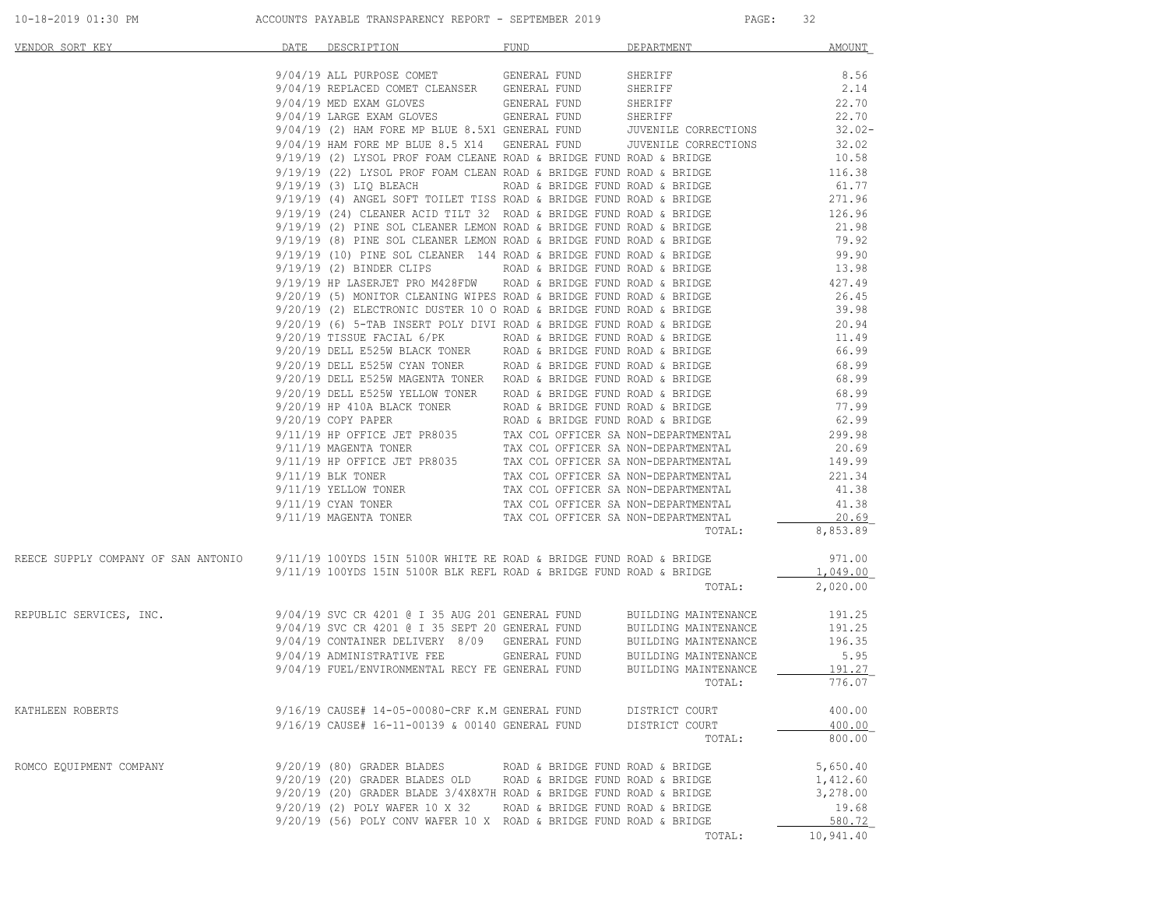| VENDOR SORT KEY                                                                                         | DATE DESCRIPTION                                                                                                                                                                                                                                                    | FUND                             | DEPARTMENT               | AMOUNT                           |
|---------------------------------------------------------------------------------------------------------|---------------------------------------------------------------------------------------------------------------------------------------------------------------------------------------------------------------------------------------------------------------------|----------------------------------|--------------------------|----------------------------------|
|                                                                                                         | 9/04/19 ALL PURPOSE COMET GENERAL FUND SHERIFF                                                                                                                                                                                                                      |                                  |                          | 8.56                             |
|                                                                                                         |                                                                                                                                                                                                                                                                     |                                  |                          | 2.14                             |
|                                                                                                         | $9/04/19 \begin{tabular}{l@{}} l@{}} \texttt{REPLACED COMET CLEANSER} & \texttt{GENERAL FUND} & \texttt{SHERIFF} \\ 9/04/19 \begin{tabular}{l@{}} l@{}} \texttt{REDLACED COMET CLEANSER} & \texttt{GENERAL FUND} & \texttt{SHERIFF} \\ \end{tabular} \end{tabular}$ |                                  |                          | 22.70                            |
|                                                                                                         |                                                                                                                                                                                                                                                                     |                                  |                          | 22.70                            |
|                                                                                                         | 9/04/19 LARGE EXAM GLOVES<br>9/04/19 (2) HAM FORE MP BLUE 8.5X1 GENERAL FUND<br>9/04/19 HAM FORE MP BLUE 8.5 X14 GENERAL FUND<br>9/04/19 HAM FORE MP BLUE 8.5 X14 GENERAL FUND JUVENILE CORRECTIONS                                                                 |                                  |                          | $32.02 -$                        |
|                                                                                                         |                                                                                                                                                                                                                                                                     |                                  |                          | 32.02                            |
|                                                                                                         | 9/19/19 (2) LYSOL PROF FOAM CLEANE ROAD & BRIDGE FUND ROAD & BRIDGE $9/19/19$ (22) LYSOL PROF FOAM CLEAN ROAD & BRIDGE FUND ROAD & BRIDGE $116.38$                                                                                                                  |                                  |                          |                                  |
|                                                                                                         |                                                                                                                                                                                                                                                                     |                                  |                          |                                  |
|                                                                                                         |                                                                                                                                                                                                                                                                     |                                  |                          |                                  |
|                                                                                                         |                                                                                                                                                                                                                                                                     |                                  |                          |                                  |
|                                                                                                         |                                                                                                                                                                                                                                                                     |                                  |                          |                                  |
|                                                                                                         | 9/19/19 (3) LIQ BLEACH<br>10.3 LIQ BLEACH<br>10.3 LIQ BLEACH<br>10.4 ROAD & BRIDGE FUND ROAD & BRIDGE<br>9/19/19 (4) ANGEL SOFT TOILET TISS ROAD & BRIDGE FUND ROAD & BRIDGE<br>9/19/19 (24) CLEANER ACID TILT 32 ROAD & BRIDGE FUND ROA                            |                                  |                          |                                  |
|                                                                                                         | 9/19/19 (2) BINDER CLIPS ROAD & BRIDGE FUND ROAD & BRIDGE 13.98                                                                                                                                                                                                     |                                  |                          |                                  |
|                                                                                                         |                                                                                                                                                                                                                                                                     |                                  |                          | 427.49                           |
|                                                                                                         |                                                                                                                                                                                                                                                                     |                                  |                          | 26.45                            |
|                                                                                                         |                                                                                                                                                                                                                                                                     |                                  |                          |                                  |
|                                                                                                         |                                                                                                                                                                                                                                                                     |                                  |                          |                                  |
|                                                                                                         |                                                                                                                                                                                                                                                                     |                                  |                          | 39.98<br>20.94<br>11.49<br>66.99 |
|                                                                                                         |                                                                                                                                                                                                                                                                     |                                  |                          |                                  |
|                                                                                                         |                                                                                                                                                                                                                                                                     |                                  |                          |                                  |
|                                                                                                         | 9/19/19 (2) BINDER CLIFS<br>9/19/19 HP LASERJET PRO M428FDW ROAD & BRIDGE FUND ROAD & BRIDGE<br>9/20/19 (3) MONITOR CLEANING WIPES ROAD & BRIDGE FUND ROAD & BRIDGE<br>9/20/19 (6) 5-TAB INSERT POLY DIVI ROAD & BRIDGE FUND ROAD &                                 |                                  |                          | 68.99<br>68.99<br>68.99          |
|                                                                                                         |                                                                                                                                                                                                                                                                     |                                  |                          |                                  |
|                                                                                                         |                                                                                                                                                                                                                                                                     |                                  |                          |                                  |
|                                                                                                         |                                                                                                                                                                                                                                                                     |                                  |                          |                                  |
|                                                                                                         | 9/20/19 DELL E525W YELLOW TONER<br>9/20/19 HP 410A BLACK TONER<br>9/20/19 HP 410A BLACK TONER<br>ROAD & BRIDGE FUND ROAD & BRIDGE<br>9/20/19 COFY PAPERR<br>ROAD & BRIDGE FUND ROAD & BRIDGE<br>9/11/19 HP OFFICE JET PR8035<br>9/11/19 HP                          |                                  |                          |                                  |
|                                                                                                         |                                                                                                                                                                                                                                                                     |                                  |                          |                                  |
|                                                                                                         |                                                                                                                                                                                                                                                                     |                                  |                          |                                  |
|                                                                                                         |                                                                                                                                                                                                                                                                     |                                  |                          |                                  |
|                                                                                                         |                                                                                                                                                                                                                                                                     |                                  |                          |                                  |
|                                                                                                         |                                                                                                                                                                                                                                                                     |                                  | TOTAL:                   | 8,853.89                         |
| REECE SUPPLY COMPANY OF SAN ANTONIO 9/11/19 100YDS 15IN 5100R WHITE RE ROAD & BRIDGE FUND ROAD & BRIDGE |                                                                                                                                                                                                                                                                     |                                  |                          | 971.00                           |
|                                                                                                         | $9/11/19$ 100YDS 15IN 5100R BLK REFL ROAD & BRIDGE FUND ROAD & BRIDGE                                                                                                                                                                                               |                                  |                          | 1,049.00                         |
|                                                                                                         |                                                                                                                                                                                                                                                                     |                                  | TOTAL:                   | 2,020.00                         |
| REPUBLIC SERVICES, INC.                                                                                 |                                                                                                                                                                                                                                                                     |                                  |                          | 191.25                           |
|                                                                                                         |                                                                                                                                                                                                                                                                     |                                  |                          | 191.25                           |
|                                                                                                         |                                                                                                                                                                                                                                                                     |                                  |                          | 196.35                           |
|                                                                                                         |                                                                                                                                                                                                                                                                     |                                  |                          | 5.95<br>191.27                   |
|                                                                                                         |                                                                                                                                                                                                                                                                     |                                  | TOTAL:                   | 776.07                           |
|                                                                                                         |                                                                                                                                                                                                                                                                     |                                  |                          |                                  |
| KATHLEEN ROBERTS                                                                                        | 9/16/19 CAUSE# 14-05-00080-CRF K.M GENERAL FUND                                                                                                                                                                                                                     |                                  | DISTRICT COURT           | 400.00                           |
|                                                                                                         | 9/16/19 CAUSE# 16-11-00139 & 00140 GENERAL FUND                                                                                                                                                                                                                     |                                  | DISTRICT COURT<br>TOTAL: | 400.00<br>800.00                 |
|                                                                                                         |                                                                                                                                                                                                                                                                     |                                  |                          |                                  |
| ROMCO EQUIPMENT COMPANY                                                                                 | $9/20/19$ (80) GRADER BLADES                                                                                                                                                                                                                                        | ROAD & BRIDGE FUND ROAD & BRIDGE |                          | 5,650.40                         |
|                                                                                                         | 9/20/19 (20) GRADER BLADES OLD                                                                                                                                                                                                                                      | ROAD & BRIDGE FUND ROAD & BRIDGE |                          | 1,412.60                         |
|                                                                                                         | $9/20/19$ (20) GRADER BLADE $3/4X8X7H$ ROAD & BRIDGE FUND ROAD & BRIDGE<br>9/20/19 (2) POLY WAFER 10 X 32                                                                                                                                                           |                                  |                          | 3,278.00                         |
|                                                                                                         | 9/20/19 (56) POLY CONV WAFER 10 X ROAD & BRIDGE FUND ROAD & BRIDGE                                                                                                                                                                                                  | ROAD & BRIDGE FUND ROAD & BRIDGE |                          | 19.68<br>580.72                  |
|                                                                                                         |                                                                                                                                                                                                                                                                     |                                  | TOTAL:                   | 10,941.40                        |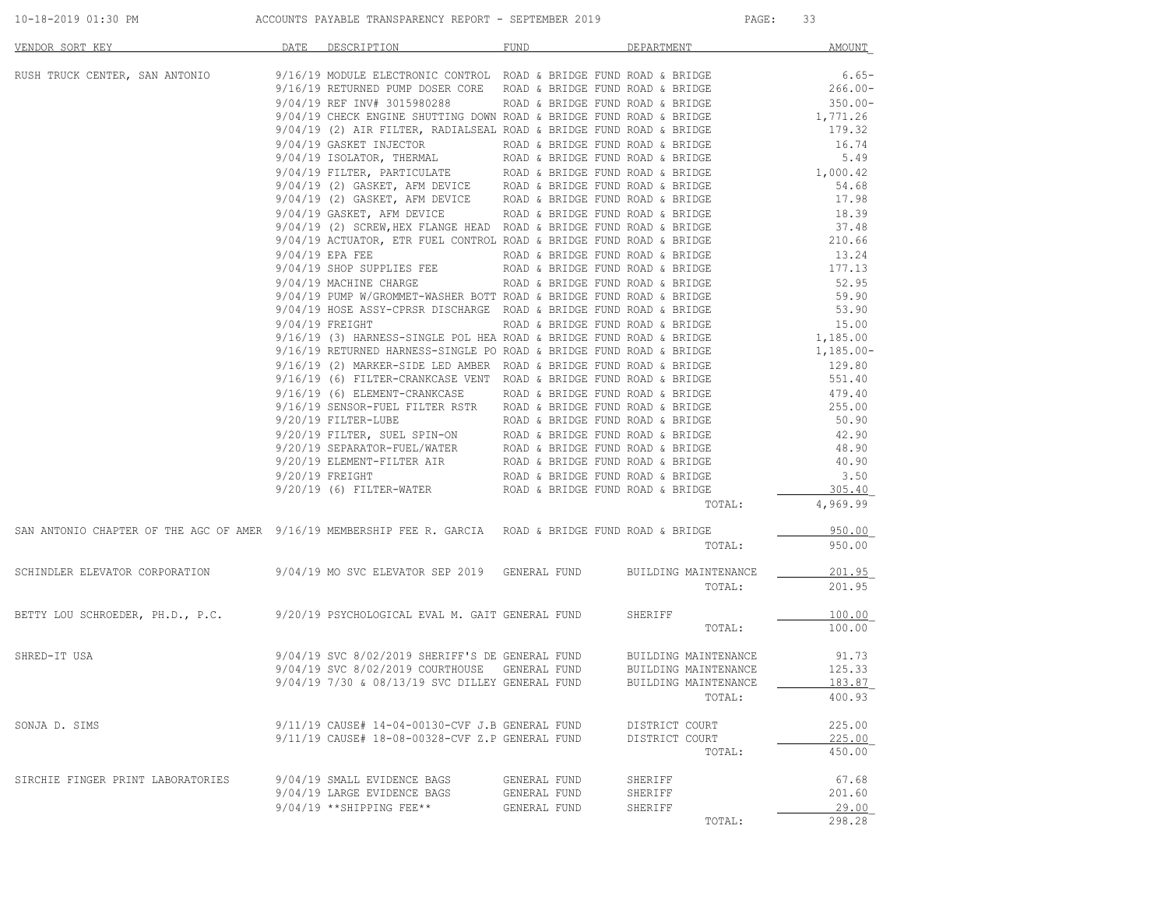| $10 - 18 - 2$<br>DAA<br>$\cdots$<br>. | PAYAR | <b>DEDODE</b><br>TRANSPARENCY<br>KEFUKI | $\bigwedge$ $\bigwedge$ $\bigwedge$<br>:MRFK<br>. | PAGE | - |
|---------------------------------------|-------|-----------------------------------------|---------------------------------------------------|------|---|
|                                       |       |                                         |                                                   |      |   |

| VENDOR SORT KEY                                                                                          | DATE | DESCRIPTION                                                                                                                                                                                                                                                  | FUND         | DEPARTMENT           | <b>AMOUNT</b>         |
|----------------------------------------------------------------------------------------------------------|------|--------------------------------------------------------------------------------------------------------------------------------------------------------------------------------------------------------------------------------------------------------------|--------------|----------------------|-----------------------|
| RUSH TRUCK CENTER, SAN ANTONIO                                                                           |      | $9/16/19$ MODULE ELECTRONIC CONTROL ROAD & BRIDGE FUND ROAD & BRIDGE<br>9/16/19 RETURNED PUMP DOSER CORE ROAD & BRIDGE FUND ROAD & BRIDGE                                                                                                                    |              |                      | $6.65-$<br>$266.00 -$ |
|                                                                                                          |      | $9/04/19$ REF INV# 3015980288 ROAD & BRIDGE FUND ROAD & BRIDGE                                                                                                                                                                                               |              |                      | $350.00 -$            |
|                                                                                                          |      | 9/04/19 CHECK ENGINE SHUTTING DOWN ROAD & BRIDGE FUND ROAD & BRIDGE                                                                                                                                                                                          |              |                      | 1,771.26              |
|                                                                                                          |      | 9/04/19 (2) AIR FILTER, RADIALSEAL ROAD & BRIDGE FUND ROAD & BRIDGE<br>9/04/19 GASKET INJECTOR<br>9/04/19 ISOLATOR, THERMAL ROAD & BRIDGE FUND ROAD & BRIDGE<br>9/04/19 ISOLATOR, THERMAL ROAD & BRIDGE FUND ROAD & BRIDGE<br>9/04/19 (2)                    |              |                      | 179.32                |
|                                                                                                          |      |                                                                                                                                                                                                                                                              |              |                      | 16.74                 |
|                                                                                                          |      |                                                                                                                                                                                                                                                              |              |                      | 5.49                  |
|                                                                                                          |      |                                                                                                                                                                                                                                                              |              |                      | 1,000.42              |
|                                                                                                          |      |                                                                                                                                                                                                                                                              |              |                      | 54.68                 |
|                                                                                                          |      | $9/04/19$ GASKET, AFM DEVICE ROAD & BRIDGE FUND ROAD & BRIDGE                                                                                                                                                                                                |              |                      | 17.98                 |
|                                                                                                          |      |                                                                                                                                                                                                                                                              |              |                      | 18.39<br>37.48        |
|                                                                                                          |      | 9/04/19 (2) SCREW, HEX FLANGE HEAD ROAD & BRIDGE FUND ROAD & BRIDGE<br>9/04/19 ACTUATOR, ETR FUEL CONTROL ROAD & BRIDGE FUND ROAD & BRIDGE                                                                                                                   |              |                      | 210.66                |
|                                                                                                          |      |                                                                                                                                                                                                                                                              |              |                      | 13.24                 |
|                                                                                                          |      | 9/04/19 EPA FEE ROAD & BRIDGE FUND ROAD & BRIDGE 9/04/19 SHOP SUPPLIES FEE ROAD & BRIDGE FUND ROAD & BRIDGE                                                                                                                                                  |              |                      | 177.13                |
|                                                                                                          |      |                                                                                                                                                                                                                                                              |              |                      | 52.95                 |
|                                                                                                          |      | 9/04/19 MACHINE CHARGE<br>9/04/19 FUMP W/GROMMET-WASHER BOTT ROAD & BRIDGE FUND ROAD & BRIDGE<br>9/04/19 HOSE ASSY-CPRSR DISCHARGE ROAD & BRIDGE FUND ROAD & BRIDGE<br>9/04/19 FREIGHT<br>9/16/19 (3) HARNESS-SINGLE POL HEA ROAD & B                        |              |                      | 59.90                 |
|                                                                                                          |      |                                                                                                                                                                                                                                                              |              |                      | 53.90                 |
|                                                                                                          |      |                                                                                                                                                                                                                                                              |              |                      | 15.00                 |
|                                                                                                          |      |                                                                                                                                                                                                                                                              |              |                      | 1,185.00              |
|                                                                                                          |      |                                                                                                                                                                                                                                                              |              |                      | $1,185.00 -$          |
|                                                                                                          |      |                                                                                                                                                                                                                                                              |              |                      | 129.80                |
|                                                                                                          |      |                                                                                                                                                                                                                                                              |              |                      | 551.40                |
|                                                                                                          |      |                                                                                                                                                                                                                                                              |              |                      | 479.40                |
|                                                                                                          |      |                                                                                                                                                                                                                                                              |              |                      | 255.00                |
|                                                                                                          |      |                                                                                                                                                                                                                                                              |              |                      | 50.90                 |
|                                                                                                          |      |                                                                                                                                                                                                                                                              |              |                      | 42.90                 |
|                                                                                                          |      |                                                                                                                                                                                                                                                              |              |                      | 48.90                 |
|                                                                                                          |      |                                                                                                                                                                                                                                                              |              |                      | 40.90                 |
|                                                                                                          |      |                                                                                                                                                                                                                                                              |              |                      | 3.50                  |
|                                                                                                          |      | 9/16/19 (3) HARNESS-SINGLE POL HEA ROAD & BRIDGE FUND ROAD & BRIDGE<br>9/16/19 RETURNED HARNESS-SINGLE PO ROAD & BRIDGE FUND ROAD & BRIDGE<br>9/16/19 (6) HARKER-SIDE LED AMBER ROAD & BRIDGE FUND ROAD & BRIDGE<br>9/16/19 (6) FILTER-                      |              | TOTAL:               | 305.40<br>4,969.99    |
|                                                                                                          |      |                                                                                                                                                                                                                                                              |              |                      |                       |
| SAN ANTONIO CHAPTER OF THE AGC OF AMER 9/16/19 MEMBERSHIP FEE R. GARCIA ROAD & BRIDGE FUND ROAD & BRIDGE |      |                                                                                                                                                                                                                                                              |              |                      | 950.00                |
|                                                                                                          |      |                                                                                                                                                                                                                                                              |              | TOTAL:               | 950.00                |
| SCHINDLER ELEVATOR CORPORATION                                                                           |      | 9/04/19 MO SVC ELEVATOR SEP 2019 - GENERAL FUND                                                                                                                                                                                                              |              | BUILDING MAINTENANCE | 201.95                |
|                                                                                                          |      |                                                                                                                                                                                                                                                              |              | TOTAL:               | 201.95                |
| BETTY LOU SCHROEDER, PH.D., P.C. 9/20/19 PSYCHOLOGICAL EVAL M. GAIT GENERAL FUND                         |      |                                                                                                                                                                                                                                                              |              | SHERIFF              | 100.00                |
|                                                                                                          |      |                                                                                                                                                                                                                                                              |              | TOTAL:               | 100.00                |
| SHRED-IT USA                                                                                             |      | $9/04/19 \text{ SVC } 8/02/2019 \text{ SHERIFF'S DE GENERAL FUND BULIDING MATIENANCE} 9/04/19 \text{ SVC } 8/02/2019 \text{ COUNTFNOSE} \text{ GENERAL FUND BULIDING MATIENANCE} 9/04/19 7/30 & 08/13/19 \text{ SVC DILLEY GENERAL FUND BULIDING MATIENANCE$ |              |                      | 91.73                 |
|                                                                                                          |      |                                                                                                                                                                                                                                                              |              |                      | 125.33                |
|                                                                                                          |      |                                                                                                                                                                                                                                                              |              |                      | 183.87                |
|                                                                                                          |      |                                                                                                                                                                                                                                                              |              | TOTAL:               | 400.93                |
| SONJA D. SIMS                                                                                            |      | 9/11/19 CAUSE# 14-04-00130-CVF J.B GENERAL FUND                                                                                                                                                                                                              |              | DISTRICT COURT       | 225.00                |
|                                                                                                          |      | 9/11/19 CAUSE# 18-08-00328-CVF Z.P GENERAL FUND                                                                                                                                                                                                              |              | DISTRICT COURT       | 225.00                |
|                                                                                                          |      |                                                                                                                                                                                                                                                              |              | TOTAL:               | 450.00                |
| SIRCHIE FINGER PRINT LABORATORIES                                                                        |      | 9/04/19 SMALL EVIDENCE BAGS                                                                                                                                                                                                                                  | GENERAL FUND | SHERIFF              | 67.68                 |
|                                                                                                          |      | 9/04/19 LARGE EVIDENCE BAGS                                                                                                                                                                                                                                  | GENERAL FUND | SHERIFF              | 201.60                |
|                                                                                                          |      | $9/04/19$ **SHIPPING FEE**                                                                                                                                                                                                                                   | GENERAL FUND | SHERIFF              | 29.00                 |
|                                                                                                          |      |                                                                                                                                                                                                                                                              |              | TOTAL:               | 298.28                |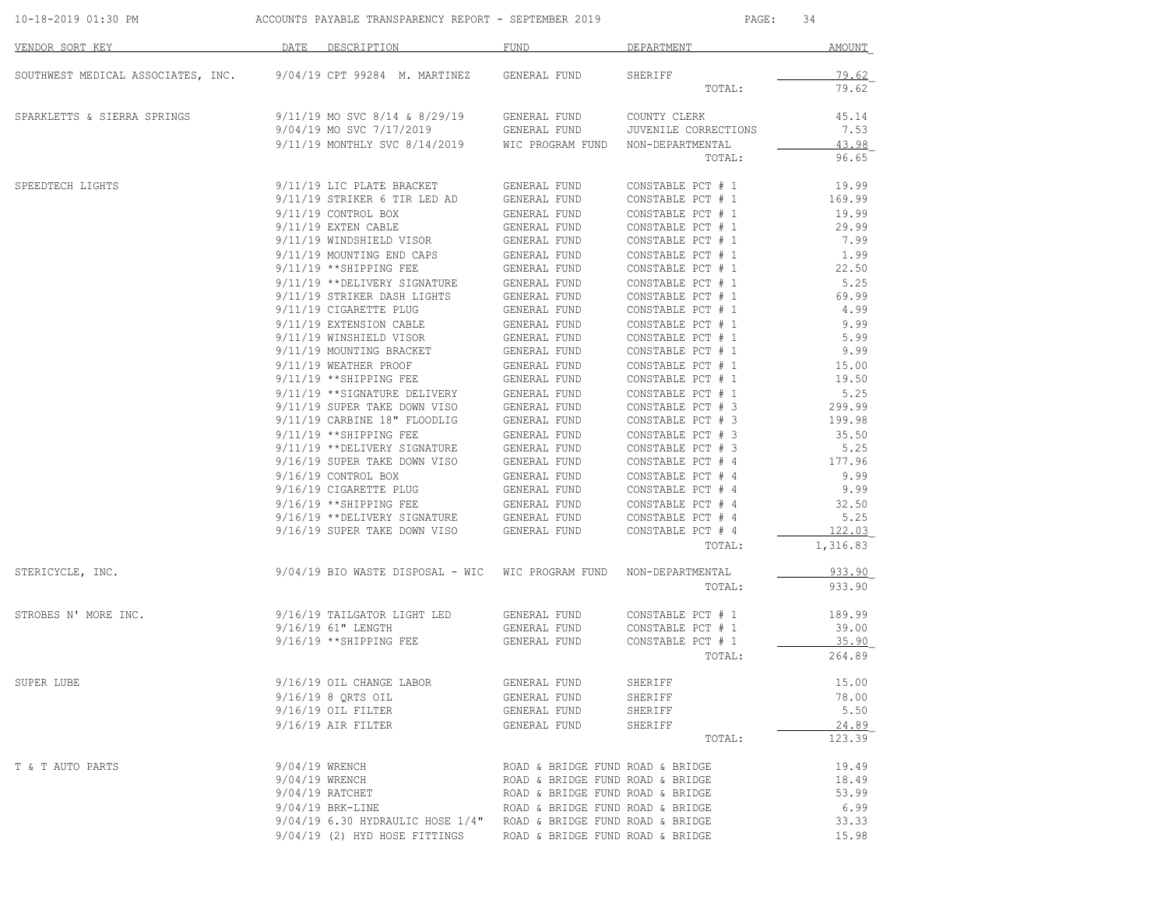| 10-18-2019 01:30 PM                | ACCOUNTS PAYABLE TRANSPARENCY REPORT - SEPTEMBER 2019 |                                                                     |                                  | 34<br>$\texttt{PAGE}$ :                |                  |  |
|------------------------------------|-------------------------------------------------------|---------------------------------------------------------------------|----------------------------------|----------------------------------------|------------------|--|
| VENDOR SORT KEY                    | DATE                                                  | DESCRIPTION                                                         | FUND                             | DEPARTMENT                             | AMOUNT           |  |
| SOUTHWEST MEDICAL ASSOCIATES, INC. |                                                       | 9/04/19 CPT 99284 M. MARTINEZ                                       | GENERAL FUND                     | SHERIFF                                | 79.62            |  |
|                                    |                                                       |                                                                     |                                  | TOTAL:                                 | 79.62            |  |
| SPARKLETTS & SIERRA SPRINGS        |                                                       | $9/11/19$ MO SVC $8/14$ & $8/29/19$                                 | GENERAL FUND                     | COUNTY CLERK                           | 45.14            |  |
|                                    |                                                       | 9/04/19 MO SVC 7/17/2019                                            | GENERAL FUND                     | <b>JUVENILE CORRECTIONS</b>            | 7.53             |  |
|                                    |                                                       | 9/11/19 MONTHLY SVC 8/14/2019                                       | WIC PROGRAM FUND                 | NON-DEPARTMENTAL                       | 43.98            |  |
|                                    |                                                       |                                                                     |                                  | TOTAL:                                 | 96.65            |  |
| SPEEDTECH LIGHTS                   |                                                       | 9/11/19 LIC PLATE BRACKET                                           | GENERAL FUND                     | CONSTABLE PCT # 1                      | 19.99            |  |
|                                    |                                                       | 9/11/19 STRIKER 6 TIR LED AD                                        | GENERAL FUND                     | CONSTABLE PCT # 1                      | 169.99           |  |
|                                    |                                                       | $9/11/19$ CONTROL BOX                                               | GENERAL FUND                     | CONSTABLE PCT # 1                      | 19.99            |  |
|                                    |                                                       | $9/11/19$ EXTEN CABLE                                               | GENERAL FUND                     | CONSTABLE PCT # 1                      | 29.99            |  |
|                                    |                                                       | 9/11/19 WINDSHIELD VISOR                                            | GENERAL FUND                     | CONSTABLE PCT # 1                      | 7.99             |  |
|                                    |                                                       | 9/11/19 MOUNTING END CAPS                                           | GENERAL FUND                     | CONSTABLE PCT # 1                      | 1.99             |  |
|                                    |                                                       | 9/11/19 **SHIPPING FEE                                              | GENERAL FUND                     | CONSTABLE PCT # 1                      | 22.50            |  |
|                                    |                                                       | 9/11/19 **DELIVERY SIGNATURE                                        | GENERAL FUND                     | CONSTABLE PCT # 1                      | 5.25             |  |
|                                    |                                                       | 9/11/19 STRIKER DASH LIGHTS                                         | GENERAL FUND                     | CONSTABLE PCT # 1                      | 69.99            |  |
|                                    |                                                       | 9/11/19 CIGARETTE PLUG                                              | GENERAL FUND                     | CONSTABLE PCT # 1                      | 4.99             |  |
|                                    |                                                       | 9/11/19 EXTENSION CABLE                                             | GENERAL FUND                     | CONSTABLE PCT # 1                      | 9.99             |  |
|                                    |                                                       | 9/11/19 WINSHIELD VISOR                                             | GENERAL FUND                     | CONSTABLE PCT # 1                      | 5.99             |  |
|                                    |                                                       | 9/11/19 MOUNTING BRACKET                                            | GENERAL FUND                     | CONSTABLE PCT # 1                      | 9.99             |  |
|                                    |                                                       | 9/11/19 WEATHER PROOF                                               | GENERAL FUND                     | CONSTABLE PCT # 1                      | 15.00            |  |
|                                    |                                                       | 9/11/19 ** SHIPPING FEE                                             | GENERAL FUND                     | CONSTABLE PCT # 1                      | 19.50            |  |
|                                    |                                                       | 9/11/19 ** SIGNATURE DELIVERY                                       | GENERAL FUND                     | CONSTABLE PCT # 1<br>CONSTABLE PCT # 3 | 5.25             |  |
|                                    |                                                       | 9/11/19 SUPER TAKE DOWN VISO<br>9/11/19 CARBINE 18" FLOODLIG        | GENERAL FUND                     |                                        | 299.99<br>199.98 |  |
|                                    |                                                       | 9/11/19 ** SHIPPING FEE                                             | GENERAL FUND                     | CONSTABLE PCT # 3<br>CONSTABLE PCT # 3 | 35.50            |  |
|                                    |                                                       | 9/11/19 **DELIVERY SIGNATURE                                        | GENERAL FUND<br>GENERAL FUND     | CONSTABLE PCT # 3                      | 5.25             |  |
|                                    |                                                       | 9/16/19 SUPER TAKE DOWN VISO                                        | GENERAL FUND                     | CONSTABLE PCT # 4                      | 177.96           |  |
|                                    |                                                       | $9/16/19$ CONTROL BOX                                               | GENERAL FUND                     | CONSTABLE PCT # 4                      | 9.99             |  |
|                                    |                                                       | 9/16/19 CIGARETTE PLUG                                              | GENERAL FUND                     | CONSTABLE PCT # 4                      | 9.99             |  |
|                                    |                                                       | $9/16/19$ **SHIPPING FEE                                            | GENERAL FUND                     | CONSTABLE PCT # 4                      | 32.50            |  |
|                                    |                                                       | 9/16/19 ** DELIVERY SIGNATURE                                       | GENERAL FUND                     | CONSTABLE PCT # 4                      | 5.25             |  |
|                                    |                                                       | 9/16/19 SUPER TAKE DOWN VISO                                        | GENERAL FUND                     | CONSTABLE PCT # 4                      | 122.03           |  |
|                                    |                                                       |                                                                     |                                  | TOTAL:                                 | 1,316.83         |  |
| STERICYCLE, INC.                   |                                                       | 9/04/19 BIO WASTE DISPOSAL - WIC WIC PROGRAM FUND                   |                                  | NON-DEPARTMENTAL                       | 933.90           |  |
|                                    |                                                       |                                                                     |                                  | TOTAL:                                 | 933.90           |  |
| STROBES N' MORE INC.               |                                                       | 9/16/19 TAILGATOR LIGHT LED                                         | GENERAL FUND                     | CONSTABLE PCT # 1                      | 189.99           |  |
|                                    |                                                       | 9/16/19 61" LENGTH                                                  | GENERAL FUND                     | CONSTABLE PCT # 1                      | 39.00            |  |
|                                    |                                                       | 9/16/19 ** SHIPPING FEE                                             | GENERAL FUND                     | CONSTABLE PCT # 1                      | 35.90            |  |
|                                    |                                                       |                                                                     |                                  | TOTAL:                                 | 264.89           |  |
| SUPER LUBE                         |                                                       | 9/16/19 OIL CHANGE LABOR                                            | GENERAL FUND                     | SHERIFF                                | 15.00            |  |
|                                    |                                                       | 9/16/19 8 ORTS OIL                                                  | GENERAL FUND                     | SHERIFF                                | 78.00            |  |
|                                    |                                                       | $9/16/19$ OIL FILTER                                                | GENERAL FUND                     | SHERIFF                                | 5.50             |  |
|                                    |                                                       | $9/16/19$ AIR FILTER                                                | GENERAL FUND                     | SHERIFF                                | 24.89            |  |
|                                    |                                                       |                                                                     |                                  | TOTAL:                                 | 123.39           |  |
| T & T AUTO PARTS                   | 9/04/19 WRENCH                                        |                                                                     | ROAD & BRIDGE FUND ROAD & BRIDGE |                                        | 19.49            |  |
|                                    | 9/04/19 WRENCH                                        |                                                                     | ROAD & BRIDGE FUND ROAD & BRIDGE |                                        | 18.49            |  |
|                                    |                                                       | $9/04/19$ RATCHET                                                   | ROAD & BRIDGE FUND ROAD & BRIDGE |                                        | 53.99            |  |
|                                    |                                                       | $9/04/19$ BRK-LINE                                                  | ROAD & BRIDGE FUND ROAD & BRIDGE |                                        | 6.99             |  |
|                                    |                                                       | $9/04/19$ 6.30 HYDRAULIC HOSE 1/4" ROAD & BRIDGE FUND ROAD & BRIDGE |                                  |                                        | 33.33            |  |
|                                    |                                                       | 9/04/19 (2) HYD HOSE FITTINGS                                       | ROAD & BRIDGE FUND ROAD & BRIDGE |                                        | 15.98            |  |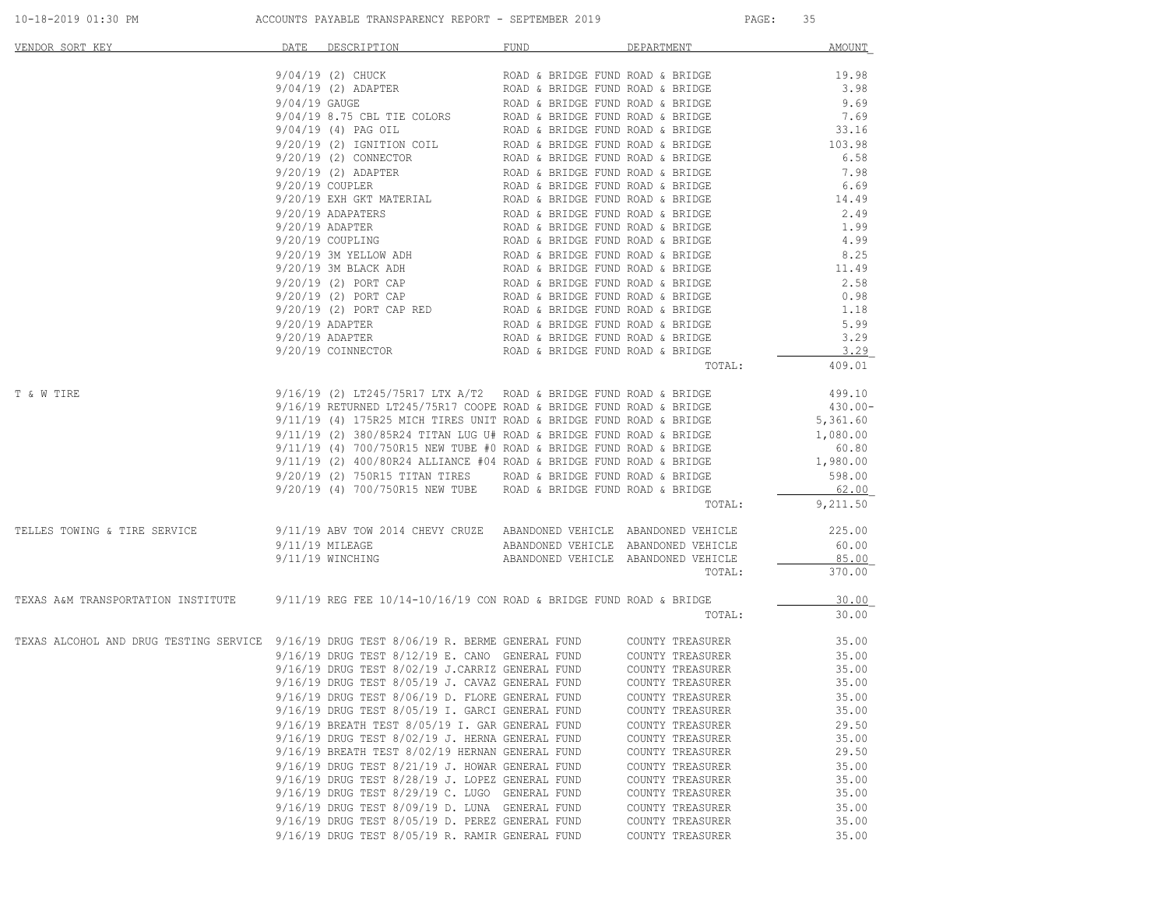| VENDOR SORT KEY                                                                                         | DATE DESCRIPTION                                                                                                                                                                                                                                  | FUND                             | DEPARTMENT                          | <b>AMOUNT</b> |
|---------------------------------------------------------------------------------------------------------|---------------------------------------------------------------------------------------------------------------------------------------------------------------------------------------------------------------------------------------------------|----------------------------------|-------------------------------------|---------------|
|                                                                                                         | 9/04/19 (2) CHUCK                                                                                                                                                                                                                                 | ROAD & BRIDGE FUND ROAD & BRIDGE |                                     | 19.98         |
|                                                                                                         |                                                                                                                                                                                                                                                   |                                  |                                     | 3.98          |
|                                                                                                         | 9/04/19 (2) CHUCK<br>9/04/19 (2) ADAPTER<br>9/04/19 GAUGE<br>9/04/19 GAUGE<br>9/04/19 GAUGE<br>9/04/19 GAUGE<br>9/04/19 GAUGE<br>9/04/19 (4) PAG OIL<br>ROAD & BRIDGE FUND ROAD & BRIDGE<br>9/20/19 (2) CONNECTOR<br>ROAD & BRIDGE FUND ROAD & BR |                                  |                                     | 9.69          |
|                                                                                                         |                                                                                                                                                                                                                                                   |                                  |                                     | 7.69          |
|                                                                                                         |                                                                                                                                                                                                                                                   |                                  |                                     | 33.16         |
|                                                                                                         |                                                                                                                                                                                                                                                   |                                  |                                     | 103.98        |
|                                                                                                         |                                                                                                                                                                                                                                                   |                                  |                                     | 6.58          |
|                                                                                                         |                                                                                                                                                                                                                                                   |                                  |                                     | 7.98          |
|                                                                                                         |                                                                                                                                                                                                                                                   |                                  |                                     | 6.69          |
|                                                                                                         |                                                                                                                                                                                                                                                   |                                  |                                     | 14.49         |
|                                                                                                         |                                                                                                                                                                                                                                                   |                                  |                                     | 2.49          |
|                                                                                                         |                                                                                                                                                                                                                                                   |                                  |                                     | 1.99          |
|                                                                                                         |                                                                                                                                                                                                                                                   |                                  |                                     | 4.99          |
|                                                                                                         |                                                                                                                                                                                                                                                   |                                  |                                     | 8.25<br>11.49 |
|                                                                                                         |                                                                                                                                                                                                                                                   |                                  |                                     |               |
|                                                                                                         |                                                                                                                                                                                                                                                   |                                  |                                     | 2.58          |
|                                                                                                         |                                                                                                                                                                                                                                                   |                                  |                                     | 0.98<br>1.18  |
|                                                                                                         |                                                                                                                                                                                                                                                   |                                  |                                     |               |
|                                                                                                         |                                                                                                                                                                                                                                                   |                                  |                                     | 5.99<br>3.29  |
|                                                                                                         |                                                                                                                                                                                                                                                   |                                  |                                     | 3.29          |
|                                                                                                         |                                                                                                                                                                                                                                                   |                                  | TOTAL:                              | 409.01        |
|                                                                                                         |                                                                                                                                                                                                                                                   |                                  |                                     |               |
| T & W TIRE                                                                                              | $9/16/19$ (2) LT245/75R17 LTX A/T2 $\,$ ROAD & BRIDGE FUND ROAD & BRIDGE                                                                                                                                                                          |                                  |                                     | 499.10        |
|                                                                                                         | 9/16/19 RETURNED LT245/75R17 COOPE ROAD & BRIDGE FUND ROAD & BRIDGE                                                                                                                                                                               |                                  |                                     | 430.00-       |
|                                                                                                         | $9/11/19$ (4) 175R25 MICH TIRES UNIT ROAD & BRIDGE FUND ROAD & BRIDGE                                                                                                                                                                             |                                  |                                     | 5,361.60      |
|                                                                                                         | $9/11/19$ (2) 380/85R24 TITAN LUG U# ROAD & BRIDGE FUND ROAD & BRIDGE                                                                                                                                                                             |                                  |                                     | 1,080.00      |
|                                                                                                         | 9/11/19 (4) 700/750R15 NEW TUBE #0 ROAD & BRIDGE FUND ROAD & BRIDGE 60.80<br>9/11/19 (2) 400/80R24 ALLIANCE #04 ROAD & BRIDGE FUND ROAD & BRIDGE 1,980.00                                                                                         |                                  |                                     |               |
|                                                                                                         |                                                                                                                                                                                                                                                   |                                  |                                     |               |
|                                                                                                         | 9/20/19 (2) 750R15 TITAN TIRES ROAD & BRIDGE FUND ROAD & BRIDGE 9/20/19 (4) 700/750R15 NEW TUBE ROAD & BRIDGE FUND ROAD & BRIDGE                                                                                                                  |                                  |                                     | 598.00        |
|                                                                                                         |                                                                                                                                                                                                                                                   |                                  |                                     | 62.00         |
|                                                                                                         |                                                                                                                                                                                                                                                   |                                  | TOTAL:                              | 9,211.50      |
| TELLES TOWING & TIRE SERVICE                                                                            | 9/11/19 ABV TOW 2014 CHEVY CRUZE ABANDONED VEHICLE ABANDONED VEHICLE                                                                                                                                                                              |                                  |                                     | 225.00        |
|                                                                                                         | $9/11/19$ MILEAGE                                                                                                                                                                                                                                 |                                  | ABANDONED VEHICLE ABANDONED VEHICLE | 60.00         |
|                                                                                                         | 9/11/19 WINCHING                                                                                                                                                                                                                                  |                                  | ABANDONED VEHICLE ABANDONED VEHICLE | 85.00         |
|                                                                                                         |                                                                                                                                                                                                                                                   |                                  | TOTAL:                              | 370.00        |
| TEXAS A&M TRANSPORTATION INSTITUTE 9/11/19 REG FEE 10/14-10/16/19 CON ROAD & BRIDGE FUND ROAD & BRIDGE  |                                                                                                                                                                                                                                                   |                                  |                                     | 30.00         |
|                                                                                                         |                                                                                                                                                                                                                                                   |                                  | TOTAL:                              | 30.00         |
| TEXAS ALCOHOL AND DRUG TESTING SERVICE 9/16/19 DRUG TEST 8/06/19 R. BERME GENERAL FUND COUNTY TREASURER |                                                                                                                                                                                                                                                   |                                  |                                     | 35.00         |
|                                                                                                         |                                                                                                                                                                                                                                                   |                                  |                                     | 35.00         |
|                                                                                                         | 9/16/19 DRUG TEST 8/12/19 E. CANO GENERAL FUND COUNTY TREASURER 9/16/19 DRUG TEST 8/02/19 J.CARRIZ GENERAL FUND COUNTY TREASURER                                                                                                                  |                                  |                                     | 35.00         |
|                                                                                                         | 9/16/19 DRUG TEST 8/05/19 J. CAVAZ GENERAL FUND                                                                                                                                                                                                   |                                  | COUNTY TREASURER                    | 35.00         |
|                                                                                                         | 9/16/19 DRUG TEST 8/06/19 D. FLORE GENERAL FUND                                                                                                                                                                                                   |                                  | COUNTY TREASURER                    | 35.00         |
|                                                                                                         | 9/16/19 DRUG TEST 8/05/19 I. GARCI GENERAL FUND                                                                                                                                                                                                   |                                  | COUNTY TREASURER                    | 35.00         |
|                                                                                                         | 9/16/19 BREATH TEST 8/05/19 I. GAR GENERAL FUND                                                                                                                                                                                                   |                                  | COUNTY TREASURER                    | 29.50         |
|                                                                                                         | 9/16/19 DRUG TEST 8/02/19 J. HERNA GENERAL FUND                                                                                                                                                                                                   |                                  | COUNTY TREASURER                    | 35.00         |
|                                                                                                         | 9/16/19 BREATH TEST 8/02/19 HERNAN GENERAL FUND                                                                                                                                                                                                   |                                  | COUNTY TREASURER                    | 29.50         |
|                                                                                                         | 9/16/19 DRUG TEST 8/21/19 J. HOWAR GENERAL FUND                                                                                                                                                                                                   |                                  | COUNTY TREASURER                    | 35.00         |
|                                                                                                         | 9/16/19 DRUG TEST 8/28/19 J. LOPEZ GENERAL FUND                                                                                                                                                                                                   |                                  | COUNTY TREASURER                    | 35.00         |
|                                                                                                         | $9/16/19$ DRUG TEST $8/29/19$ C. LUGO GENERAL FUND                                                                                                                                                                                                |                                  | COUNTY TREASURER                    | 35.00         |
|                                                                                                         | 9/16/19 DRUG TEST 8/09/19 D. LUNA GENERAL FUND                                                                                                                                                                                                    |                                  | COUNTY TREASURER                    | 35.00         |
|                                                                                                         | 9/16/19 DRUG TEST 8/05/19 D. PEREZ GENERAL FUND                                                                                                                                                                                                   |                                  | COUNTY TREASURER                    | 35.00         |
|                                                                                                         | 9/16/19 DRUG TEST 8/05/19 R. RAMIR GENERAL FUND                                                                                                                                                                                                   |                                  | COUNTY TREASURER                    | 35.00         |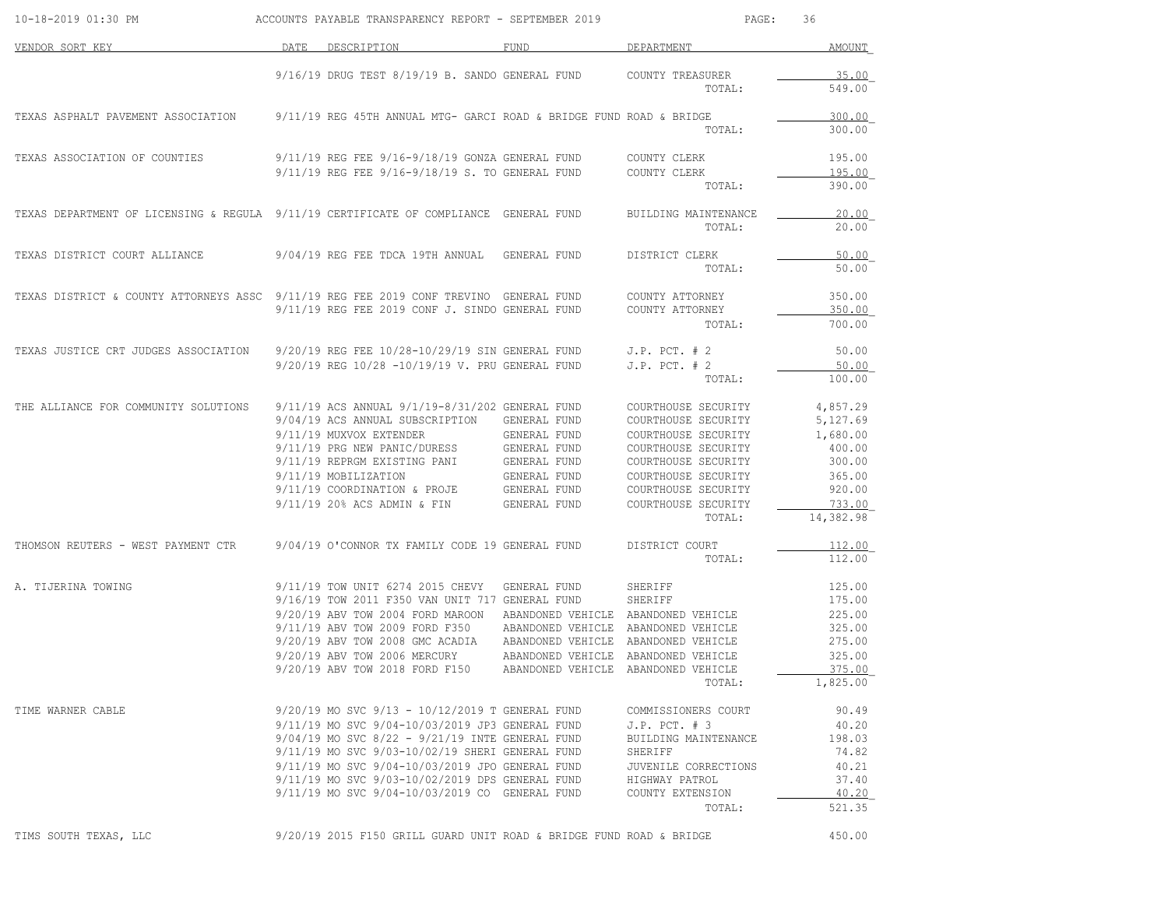| 10-18-2019 01:30 PM                                                                   | ACCOUNTS PAYABLE TRANSPARENCY REPORT - SEPTEMBER 2019                                                                                                                                                                                                                                                                                                                |                                                                                                              | PAGE:                                                                                                                                                                                          | 36                                                                                              |
|---------------------------------------------------------------------------------------|----------------------------------------------------------------------------------------------------------------------------------------------------------------------------------------------------------------------------------------------------------------------------------------------------------------------------------------------------------------------|--------------------------------------------------------------------------------------------------------------|------------------------------------------------------------------------------------------------------------------------------------------------------------------------------------------------|-------------------------------------------------------------------------------------------------|
| VENDOR SORT KEY                                                                       | DATE<br>DESCRIPTION                                                                                                                                                                                                                                                                                                                                                  | FUND                                                                                                         | DEPARTMENT                                                                                                                                                                                     | AMOUNT                                                                                          |
|                                                                                       | $9/16/19$ DRUG TEST $8/19/19$ B. SANDO GENERAL FUND                                                                                                                                                                                                                                                                                                                  |                                                                                                              | COUNTY TREASURER<br>TOTAL:                                                                                                                                                                     | 35.00<br>549.00                                                                                 |
| TEXAS ASPHALT PAVEMENT ASSOCIATION                                                    | 9/11/19 REG 45TH ANNUAL MTG- GARCI ROAD & BRIDGE FUND ROAD & BRIDGE                                                                                                                                                                                                                                                                                                  |                                                                                                              | TOTAL:                                                                                                                                                                                         | 300.00<br>300.00                                                                                |
| TEXAS ASSOCIATION OF COUNTIES                                                         | 9/11/19 REG FEE 9/16-9/18/19 GONZA GENERAL FUND                                                                                                                                                                                                                                                                                                                      |                                                                                                              | COUNTY CLERK                                                                                                                                                                                   | 195.00                                                                                          |
|                                                                                       | 9/11/19 REG FEE 9/16-9/18/19 S. TO GENERAL FUND                                                                                                                                                                                                                                                                                                                      |                                                                                                              | COUNTY CLERK<br>TOTAL:                                                                                                                                                                         | 195.00<br>390.00                                                                                |
| TEXAS DEPARTMENT OF LICENSING & REGULA 9/11/19 CERTIFICATE OF COMPLIANCE GENERAL FUND |                                                                                                                                                                                                                                                                                                                                                                      |                                                                                                              | BUILDING MAINTENANCE<br>TOTAL:                                                                                                                                                                 | 20.00<br>20.00                                                                                  |
| TEXAS DISTRICT COURT ALLIANCE                                                         | 9/04/19 REG FEE TDCA 19TH ANNUAL                                                                                                                                                                                                                                                                                                                                     | GENERAL FUND                                                                                                 | DISTRICT CLERK<br>TOTAL:                                                                                                                                                                       | 50.00<br>50.00                                                                                  |
| TEXAS DISTRICT & COUNTY ATTORNEYS ASSC 9/11/19 REG FEE 2019 CONF TREVINO GENERAL FUND | 9/11/19 REG FEE 2019 CONF J. SINDO GENERAL FUND                                                                                                                                                                                                                                                                                                                      |                                                                                                              | COUNTY ATTORNEY<br>COUNTY ATTORNEY                                                                                                                                                             | 350.00<br><u>350.00</u>                                                                         |
|                                                                                       |                                                                                                                                                                                                                                                                                                                                                                      |                                                                                                              | TOTAL:                                                                                                                                                                                         | 700.00                                                                                          |
| TEXAS JUSTICE CRT JUDGES ASSOCIATION                                                  | 9/20/19 REG FEE 10/28-10/29/19 SIN GENERAL FUND<br>9/20/19 REG 10/28 -10/19/19 V. PRU GENERAL FUND                                                                                                                                                                                                                                                                   |                                                                                                              | $J.P.$ PCT. $# 2$<br>$J.P.$ PCT. $# 2$<br>TOTAL:                                                                                                                                               | 50.00<br>50.00<br>100.00                                                                        |
| THE ALLIANCE FOR COMMUNITY SOLUTIONS                                                  | 9/11/19 ACS ANNUAL 9/1/19-8/31/202 GENERAL FUND<br>9/04/19 ACS ANNUAL SUBSCRIPTION<br>9/11/19 MUXVOX EXTENDER<br>9/11/19 PRG NEW PANIC/DURESS<br>9/11/19 REPRGM EXISTING PANI<br>9/11/19 MOBILIZATION<br>9/11/19 COORDINATION & PROJE<br>9/11/19 20% ACS ADMIN & FIN                                                                                                 | GENERAL FUND<br>GENERAL FUND<br>GENERAL FUND<br>GENERAL FUND<br>GENERAL FUND<br>GENERAL FUND<br>GENERAL FUND | COURTHOUSE SECURITY<br>COURTHOUSE SECURITY<br>COURTHOUSE SECURITY<br>COURTHOUSE SECURITY<br>COURTHOUSE SECURITY<br>COURTHOUSE SECURITY<br>COURTHOUSE SECURITY<br>COURTHOUSE SECURITY<br>TOTAL: | 4,857.29<br>5,127.69<br>1,680.00<br>400.00<br>300.00<br>365.00<br>920.00<br>733.00<br>14,382.98 |
| THOMSON REUTERS - WEST PAYMENT CTR                                                    | 9/04/19 O'CONNOR TX FAMILY CODE 19 GENERAL FUND                                                                                                                                                                                                                                                                                                                      |                                                                                                              | DISTRICT COURT<br>TOTAL:                                                                                                                                                                       | 112.00<br>112.00                                                                                |
| A. TIJERINA TOWING                                                                    | 9/11/19 TOW UNIT 6274 2015 CHEVY<br>9/16/19 TOW 2011 F350 VAN UNIT 717 GENERAL FUND<br>9/20/19 ABV TOW 2004 FORD MAROON<br>9/11/19 ABV TOW 2009 FORD F350<br>9/20/19 ABV TOW 2008 GMC ACADIA<br>9/20/19 ABV TOW 2006 MERCURY<br>9/20/19 ABV TOW 2018 FORD F150                                                                                                       | GENERAL FUND<br>ABANDONED VEHICLE<br>ABANDONED VEHICLE                                                       | SHERIFF<br>SHERIFF<br>ABANDONED VEHICLE ABANDONED VEHICLE<br>ABANDONED VEHICLE ABANDONED VEHICLE<br>ABANDONED VEHICLE ABANDONED VEHICLE<br>ABANDONED VEHICLE<br>ABANDONED VEHICLE<br>TOTAL:    | 125.00<br>175.00<br>225.00<br>325.00<br>275.00<br>325.00<br>375.00<br>1,825.00                  |
| TIME WARNER CABLE                                                                     | 9/20/19 MO SVC 9/13 - 10/12/2019 T GENERAL FUND<br>9/11/19 MO SVC 9/04-10/03/2019 JP3 GENERAL FUND<br>$9/04/19$ MO SVC $8/22 - 9/21/19$ INTE GENERAL FUND<br>9/11/19 MO SVC 9/03-10/02/19 SHERI GENERAL FUND<br>9/11/19 MO SVC 9/04-10/03/2019 JPO GENERAL FUND<br>9/11/19 MO SVC 9/03-10/02/2019 DPS GENERAL FUND<br>9/11/19 MO SVC 9/04-10/03/2019 CO GENERAL FUND |                                                                                                              | COMMISSIONERS COURT<br>$J.P.$ PCT. $# 3$<br>BUILDING MAINTENANCE<br>SHERIFF<br>JUVENILE CORRECTIONS<br>HIGHWAY PATROL<br>COUNTY EXTENSION<br>TOTAL:                                            | 90.49<br>40.20<br>198.03<br>74.82<br>40.21<br>37.40<br>40.20<br>521.35                          |
| TIMS SOUTH TEXAS, LLC                                                                 | 9/20/19 2015 F150 GRILL GUARD UNIT ROAD & BRIDGE FUND ROAD & BRIDGE                                                                                                                                                                                                                                                                                                  |                                                                                                              |                                                                                                                                                                                                | 450.00                                                                                          |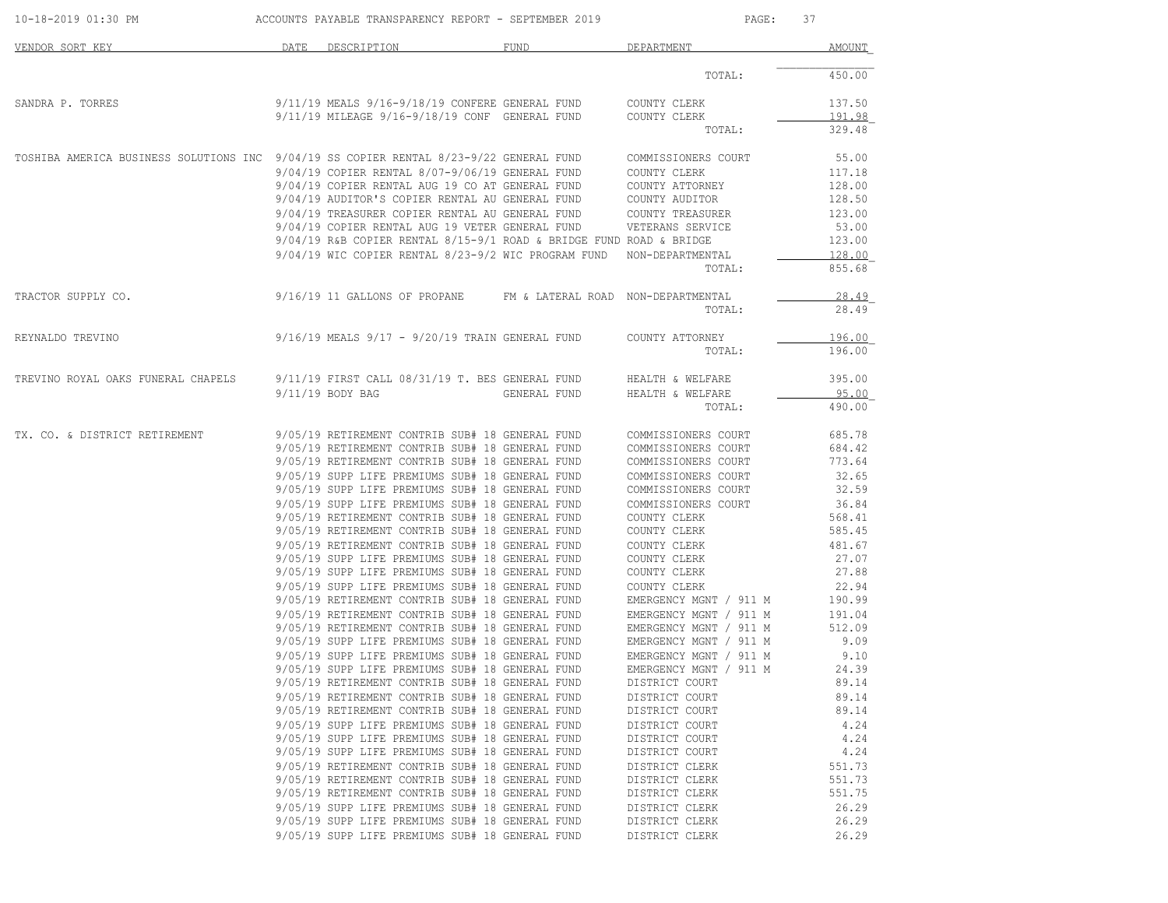| 10-18-2019 01:30 PM                                                                    | ACCOUNTS PAYABLE TRANSPARENCY REPORT - SEPTEMBER 2019 |                                                                                                       |              | PAGE:<br>37                                      |                  |
|----------------------------------------------------------------------------------------|-------------------------------------------------------|-------------------------------------------------------------------------------------------------------|--------------|--------------------------------------------------|------------------|
| VENDOR SORT KEY                                                                        | DATE                                                  | DESCRIPTION                                                                                           | FUND         | DEPARTMENT                                       | AMOUNT           |
|                                                                                        |                                                       |                                                                                                       |              | TOTAL:                                           | 450.00           |
| SANDRA P. TORRES                                                                       |                                                       | 9/11/19 MEALS 9/16-9/18/19 CONFERE GENERAL FUND<br>$9/11/19$ MILEAGE $9/16-9/18/19$ CONF GENERAL FUND |              | COUNTY CLERK<br>COUNTY CLERK                     | 137.50<br>191.98 |
|                                                                                        |                                                       |                                                                                                       |              | TOTAL:                                           | 329.48           |
| TOSHIBA AMERICA BUSINESS SOLUTIONS INC 9/04/19 SS COPIER RENTAL 8/23-9/22 GENERAL FUND |                                                       |                                                                                                       |              | COMMISSIONERS COURT                              | 55.00            |
|                                                                                        |                                                       | 9/04/19 COPIER RENTAL 8/07-9/06/19 GENERAL FUND<br>9/04/19 COPIER RENTAL AUG 19 CO AT GENERAL FUND    |              | COUNTY CLERK<br>COUNTY ATTORNEY                  | 117.18<br>128.00 |
|                                                                                        |                                                       | 9/04/19 AUDITOR'S COPIER RENTAL AU GENERAL FUND                                                       |              | COUNTY AUDITOR                                   | 128.50           |
|                                                                                        |                                                       | 9/04/19 TREASURER COPIER RENTAL AU GENERAL FUND                                                       |              | COUNTY TREASURER                                 | 123.00           |
|                                                                                        |                                                       | 9/04/19 COPIER RENTAL AUG 19 VETER GENERAL FUND                                                       |              | VETERANS SERVICE                                 | 53.00            |
|                                                                                        |                                                       | $9/04/19$ R&B COPIER RENTAL $8/15-9/1$ ROAD & BRIDGE FUND ROAD & BRIDGE                               |              |                                                  | 123.00           |
|                                                                                        |                                                       | 9/04/19 WIC COPIER RENTAL 8/23-9/2 WIC PROGRAM FUND NON-DEPARTMENTAL                                  |              |                                                  | 128.00           |
|                                                                                        |                                                       |                                                                                                       |              | TOTAL:                                           | 855.68           |
| TRACTOR SUPPLY CO.                                                                     |                                                       | 9/16/19 11 GALLONS OF PROPANE FM & LATERAL ROAD NON-DEPARTMENTAL                                      |              |                                                  | 28.49            |
|                                                                                        |                                                       |                                                                                                       |              | TOTAL:                                           | 28.49            |
| REYNALDO TREVINO                                                                       |                                                       | 9/16/19 MEALS 9/17 - 9/20/19 TRAIN GENERAL FUND                                                       |              | COUNTY ATTORNEY                                  | 196.00           |
|                                                                                        |                                                       |                                                                                                       |              | TOTAL:                                           | 196.00           |
| TREVINO ROYAL OAKS FUNERAL CHAPELS                                                     |                                                       | $9/11/19$ FIRST CALL $08/31/19$ T. BES GENERAL FUND                                                   |              | HEALTH & WELFARE                                 | 395.00           |
|                                                                                        |                                                       | 9/11/19 BODY BAG                                                                                      | GENERAL FUND | HEALTH & WELFARE                                 | 95.00            |
|                                                                                        |                                                       |                                                                                                       |              | TOTAL:                                           | 490.00           |
| TX. CO. & DISTRICT RETIREMENT                                                          |                                                       | 9/05/19 RETIREMENT CONTRIB SUB# 18 GENERAL FUND                                                       |              | COMMISSIONERS COURT                              | 685.78           |
|                                                                                        |                                                       | 9/05/19 RETIREMENT CONTRIB SUB# 18 GENERAL FUND                                                       |              | COMMISSIONERS COURT                              | 684.42           |
|                                                                                        |                                                       | 9/05/19 RETIREMENT CONTRIB SUB# 18 GENERAL FUND                                                       |              | COMMISSIONERS COURT                              | 773.64           |
|                                                                                        |                                                       | 9/05/19 SUPP LIFE PREMIUMS SUB# 18 GENERAL FUND                                                       |              | COMMISSIONERS COURT                              | 32.65            |
|                                                                                        |                                                       | 9/05/19 SUPP LIFE PREMIUMS SUB# 18 GENERAL FUND                                                       |              | COMMISSIONERS COURT                              | 32.59            |
|                                                                                        |                                                       | 9/05/19 SUPP LIFE PREMIUMS SUB# 18 GENERAL FUND<br>9/05/19 RETIREMENT CONTRIB SUB# 18 GENERAL FUND    |              | COMMISSIONERS COURT<br>COUNTY CLERK              | 36.84<br>568.41  |
|                                                                                        |                                                       | 9/05/19 RETIREMENT CONTRIB SUB# 18 GENERAL FUND                                                       |              | COUNTY CLERK                                     | 585.45           |
|                                                                                        |                                                       | 9/05/19 RETIREMENT CONTRIB SUB# 18 GENERAL FUND                                                       |              | COUNTY CLERK                                     | 481.67           |
|                                                                                        |                                                       | 9/05/19 SUPP LIFE PREMIUMS SUB# 18 GENERAL FUND                                                       |              | COUNTY CLERK                                     | 27.07            |
|                                                                                        |                                                       | 9/05/19 SUPP LIFE PREMIUMS SUB# 18 GENERAL FUND                                                       |              | COUNTY CLERK                                     | 27.88            |
|                                                                                        |                                                       | 9/05/19 SUPP LIFE PREMIUMS SUB# 18 GENERAL FUND                                                       |              | COUNTY CLERK                                     | 22.94            |
|                                                                                        |                                                       | 9/05/19 RETIREMENT CONTRIB SUB# 18 GENERAL FUND                                                       |              | EMERGENCY MGNT / 911 M                           | 190.99           |
|                                                                                        |                                                       | 9/05/19 RETIREMENT CONTRIB SUB# 18 GENERAL FUND                                                       |              | EMERGENCY MGNT / 911 M                           | 191.04           |
|                                                                                        |                                                       | 9/05/19 RETIREMENT CONTRIB SUB# 18 GENERAL FUND<br>9/05/19 SUPP LIFE PREMIUMS SUB# 18 GENERAL FUND    |              | EMERGENCY MGNT / 911 M                           | 512.09<br>9.09   |
|                                                                                        |                                                       | 9/05/19 SUPP LIFE PREMIUMS SUB# 18 GENERAL FUND                                                       |              | EMERGENCY MGNT / 911 M<br>EMERGENCY MGNT / 911 M | 9.10             |
|                                                                                        |                                                       | 9/05/19 SUPP LIFE PREMIUMS SUB# 18 GENERAL FUND                                                       |              | EMERGENCY MGNT / 911 M                           | 24.39            |
|                                                                                        |                                                       | 9/05/19 RETIREMENT CONTRIB SUB# 18 GENERAL FUND                                                       |              | DISTRICT COURT                                   | 89.14            |
|                                                                                        |                                                       | 9/05/19 RETIREMENT CONTRIB SUB# 18 GENERAL FUND                                                       |              | DISTRICT COURT                                   | 89.14            |
|                                                                                        |                                                       | 9/05/19 RETIREMENT CONTRIB SUB# 18 GENERAL FUND                                                       |              | DISTRICT COURT                                   | 89.14            |
|                                                                                        |                                                       | 9/05/19 SUPP LIFE PREMIUMS SUB# 18 GENERAL FUND                                                       |              | DISTRICT COURT                                   | 4.24             |
|                                                                                        |                                                       | 9/05/19 SUPP LIFE PREMIUMS SUB# 18 GENERAL FUND                                                       |              | DISTRICT COURT                                   | 4.24             |
|                                                                                        |                                                       | 9/05/19 SUPP LIFE PREMIUMS SUB# 18 GENERAL FUND                                                       |              | DISTRICT COURT                                   | 4.24             |
|                                                                                        |                                                       | 9/05/19 RETIREMENT CONTRIB SUB# 18 GENERAL FUND                                                       |              | DISTRICT CLERK                                   | 551.73           |
|                                                                                        |                                                       | 9/05/19 RETIREMENT CONTRIB SUB# 18 GENERAL FUND<br>9/05/19 RETIREMENT CONTRIB SUB# 18 GENERAL FUND    |              | DISTRICT CLERK                                   | 551.73<br>551.75 |
|                                                                                        |                                                       | 9/05/19 SUPP LIFE PREMIUMS SUB# 18 GENERAL FUND                                                       |              | DISTRICT CLERK<br>DISTRICT CLERK                 | 26.29            |
|                                                                                        |                                                       | 9/05/19 SUPP LIFE PREMIUMS SUB# 18 GENERAL FUND                                                       |              | DISTRICT CLERK                                   | 26.29            |
|                                                                                        |                                                       | 9/05/19 SUPP LIFE PREMIUMS SUB# 18 GENERAL FUND                                                       |              | DISTRICT CLERK                                   | 26.29            |
|                                                                                        |                                                       |                                                                                                       |              |                                                  |                  |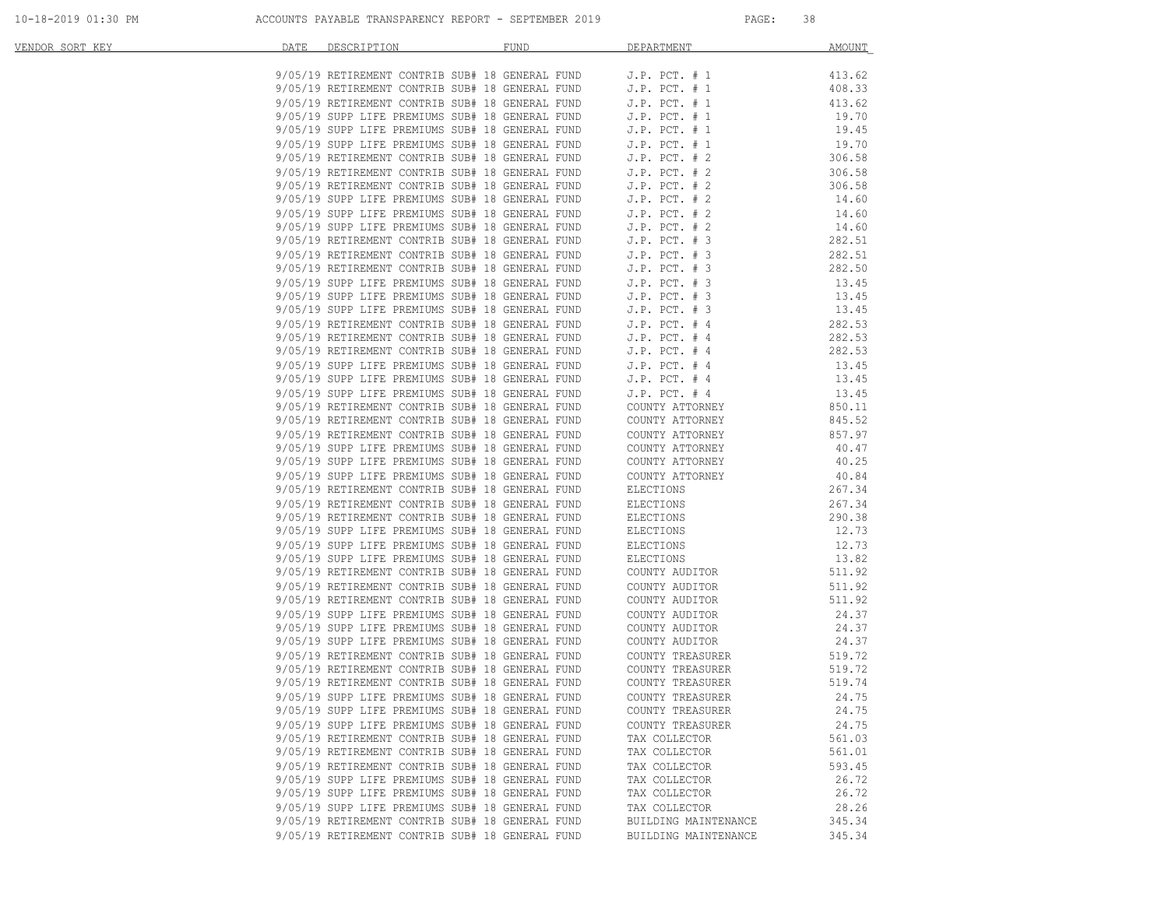| VENDOR SORT KEY | DATE | DESCRIPTION DESCRIPTION                                                                                                                                                                                                                    | FUND | DEPARTMENT                                                            | <b>AMOUNT</b>    |
|-----------------|------|--------------------------------------------------------------------------------------------------------------------------------------------------------------------------------------------------------------------------------------------|------|-----------------------------------------------------------------------|------------------|
|                 |      | $9/05/19$ RETIREMENT CONTRIB SUB# 18 GENERAL FUND J.P. PCT. # 1                                                                                                                                                                            |      |                                                                       | 413.62           |
|                 |      | 9/05/19 RETIREMENT CONTRIB SUB# 18 GENERAL FUND J.P. PCT. # 1<br>9/05/19 RETIREMENT CONTRIB SUB# 18 GENERAL FUND J.P. PCT. # 1                                                                                                             |      |                                                                       | 408.33           |
|                 |      | 9/05/19 RETIREMENT CONTRIB SUB# 18 GENERAL FUND                                                                                                                                                                                            |      | J.P. $PCT. # 1$                                                       | 413.62           |
|                 |      | 9/05/19 SUPP LIFE PREMIUMS SUB# 18 GENERAL FUND                                                                                                                                                                                            |      | J.P. PUI.<br>J.P. PCT. # 1                                            | 19.70            |
|                 |      | 9/05/19 SUPP LIFE PREMIUMS SUB# 18 GENERAL FUND                                                                                                                                                                                            |      |                                                                       | 19.45            |
|                 |      |                                                                                                                                                                                                                                            |      |                                                                       | 19.70            |
|                 |      | 9/05/19 SUPP LIFE PREMIUMS SUB# 18 GENERAL FUND<br>9/05/19 RETIREMENT CONTRIB SUB# 18 GENERAL FUND<br>9/05/19 RETIREMENT CONTRIB SUB# 18 GENERAL FUND<br>9/05/19 RETIREMENT CONTRIB SUB# 18 GENERAL FUND<br>9/05/19 RETIREMENT CONTRIB SUB |      |                                                                       | 306.58           |
|                 |      |                                                                                                                                                                                                                                            |      |                                                                       | 306.58           |
|                 |      |                                                                                                                                                                                                                                            |      |                                                                       | 306.58           |
|                 |      |                                                                                                                                                                                                                                            |      |                                                                       | 14.60            |
|                 |      | 9/05/19 SUPP LIFE PREMIUMS SUB# 18 GENERAL FUND J.P. PCT. # 2<br>9/05/19 SUPP LIFE PREMIUMS SUB# 18 GENERAL FUND J.P. PCT. # 2                                                                                                             |      |                                                                       | 14.60            |
|                 |      |                                                                                                                                                                                                                                            |      |                                                                       | 14.60            |
|                 |      |                                                                                                                                                                                                                                            |      |                                                                       | 282.51<br>282.51 |
|                 |      |                                                                                                                                                                                                                                            |      |                                                                       | 282.50           |
|                 |      |                                                                                                                                                                                                                                            |      |                                                                       | 13.45            |
|                 |      |                                                                                                                                                                                                                                            |      |                                                                       | 13.45            |
|                 |      |                                                                                                                                                                                                                                            |      |                                                                       | 13.45            |
|                 |      | 9/05/19 SUPP LIFE PREMIUMS SUB# 18 GENERAL FUND J.P. PCT. # 2<br>9/05/19 RETIREMENT CONTRIB SUB# 18 GENERAL FUND J.P. PCT. # 3<br>9/05/19 RETIREMENT CONTRIB SUB# 18 GENERAL FUND J.P. PCT. # 3<br>9/05/19 SUPP LIFE PREMIUMS SUB# 18 G    |      |                                                                       | 282.53           |
|                 |      | 9/05/19 RETIREMENT CONTRIB SUB# 18 GENERAL FUND                                                                                                                                                                                            |      | $J.P.$ PCT. # 4                                                       | 282.53           |
|                 |      | 9/05/19 RETIREMENT CONTRIB SUB# 18 GENERAL FUND                                                                                                                                                                                            |      | J.P. $PCT. # 4$                                                       | 282.53           |
|                 |      | 9/05/19 SUPP LIFE PREMIUMS SUB# 18 GENERAL FUND                                                                                                                                                                                            |      | $J.P.$ PCT. $# 4$                                                     | 13.45            |
|                 |      | 9/05/19 SUPP LIFE PREMIUMS SUB# 18 GENERAL FUND                                                                                                                                                                                            |      | $J.P.$ PCT. $#$ 4                                                     | 13.45            |
|                 |      | 9/05/19 SUPP LIFE PREMIUMS SUB# 18 GENERAL FUND                                                                                                                                                                                            |      | J.P. PCT. # 4                                                         | 13.45            |
|                 |      | 9/05/19 RETIREMENT CONTRIB SUB# 18 GENERAL FUND                                                                                                                                                                                            |      | COUNTY ATTORNEY<br>COUNTY ATTORNEY                                    | 850.11           |
|                 |      | 9/05/19 RETIREMENT CONTRIB SUB# 18 GENERAL FUND                                                                                                                                                                                            |      |                                                                       | 845.52           |
|                 |      | 9/05/19 RETIREMENT CONTRIB SUB# 18 GENERAL FUND                                                                                                                                                                                            |      | COUNTY ATTORNET<br>COUNTY ATTORNEY<br>COUNTY CONTY<br>COUNTY ATTORNEY | 857.97           |
|                 |      | 9/05/19 SUPP LIFE PREMIUMS SUB# 18 GENERAL FUND                                                                                                                                                                                            |      |                                                                       | 40.47            |
|                 |      | 9/05/19 SUPP LIFE PREMIUMS SUB# 18 GENERAL FUND                                                                                                                                                                                            |      | COUNTY ATTORNEY                                                       | 40.25            |
|                 |      | 9/05/19 SUPP LIFE PREMIUMS SUB# 18 GENERAL FUND                                                                                                                                                                                            |      | COUNTY ATTORNEY                                                       | 40.84            |
|                 |      | 9/05/19 RETIREMENT CONTRIB SUB# 18 GENERAL FUND                                                                                                                                                                                            |      | ELECTIONS                                                             | 267.34           |
|                 |      | 9/05/19 RETIREMENT CONTRIB SUB# 18 GENERAL FUND                                                                                                                                                                                            |      | ELECTIONS                                                             | 267.34           |
|                 |      | 9/05/19 RETIREMENT CONTRIB SUB# 18 GENERAL FUND<br>9/05/19 SUPP LIFE PREMIUMS SUB# 18 GENERAL FUND                                                                                                                                         |      | ELECTIONS<br>ELECTIONS                                                | 290.38<br>12.73  |
|                 |      | 9/05/19 SUPP LIFE PREMIUMS SUB# 18 GENERAL FUND                                                                                                                                                                                            |      | ELECTIONS                                                             | 12.73            |
|                 |      | 9/05/19 SUPP LIFE PREMIUMS SUB# 18 GENERAL FUND                                                                                                                                                                                            |      | ELECTIONS                                                             | 13.82            |
|                 |      | 9/05/19 RETIREMENT CONTRIB SUB# 18 GENERAL FUND                                                                                                                                                                                            |      | COUNTY AUDITOR                                                        | 511.92           |
|                 |      | 9/05/19 RETIREMENT CONTRIB SUB# 18 GENERAL FUND                                                                                                                                                                                            |      | COUNTY AUDITOR                                                        | 511.92           |
|                 |      | 9/05/19 RETIREMENT CONTRIB SUB# 18 GENERAL FUND                                                                                                                                                                                            |      | COUNTY AUDITOR                                                        | 511.92           |
|                 |      | 9/05/19 SUPP LIFE PREMIUMS SUB# 18 GENERAL FUND                                                                                                                                                                                            |      | COUNTY AUDITOR                                                        | 24.37            |
|                 |      | 9/05/19 SUPP LIFE PREMIUMS SUB# 18 GENERAL FUND                                                                                                                                                                                            |      |                                                                       | 24.37            |
|                 |      | 9/05/19 SUPP LIFE PREMIUMS SUB# 18 GENERAL FUND                                                                                                                                                                                            |      | COUNTY AUDITOR<br>COUNTY AUDITOR                                      | 24.37            |
|                 |      | 9/05/19 RETIREMENT CONTRIB SUB# 18 GENERAL FUND                                                                                                                                                                                            |      | COUNTY TREASURER<br>COUNTY TREASURER                                  | 519.72           |
|                 |      | 9/05/19 RETIREMENT CONTRIB SUB# 18 GENERAL FUND                                                                                                                                                                                            |      |                                                                       | 519.72           |
|                 |      | 9/05/19 RETIREMENT CONTRIB SUB# 18 GENERAL FUND                                                                                                                                                                                            |      | COUNTY TREASURER                                                      | 519.74           |
|                 |      | 9/05/19 SUPP LIFE PREMIUMS SUB# 18 GENERAL FUND                                                                                                                                                                                            |      | COUNTY TREASURER                                                      | 24.75            |
|                 |      | 9/05/19 SUPP LIFE PREMIUMS SUB# 18 GENERAL FUND                                                                                                                                                                                            |      | COUNTY TREASURER                                                      | 24.75            |
|                 |      | 9/05/19 SUPP LIFE PREMIUMS SUB# 18 GENERAL FUND                                                                                                                                                                                            |      | COUNTY TREASURER                                                      | 24.75            |
|                 |      | 9/05/19 RETIREMENT CONTRIB SUB# 18 GENERAL FUND                                                                                                                                                                                            |      | TAX COLLECTOR                                                         | 561.03           |
|                 |      | 9/05/19 RETIREMENT CONTRIB SUB# 18 GENERAL FUND                                                                                                                                                                                            |      | TAX COLLECTOR                                                         | 561.01           |
|                 |      | 9/05/19 RETIREMENT CONTRIB SUB# 18 GENERAL FUND<br>9/05/19 SUPP LIFE PREMIUMS SUB# 18 GENERAL FUND                                                                                                                                         |      | TAX COLLECTOR                                                         | 593.45           |
|                 |      | 9/05/19 SUPP LIFE PREMIUMS SUB# 18 GENERAL FUND                                                                                                                                                                                            |      | TAX COLLECTOR<br>TAX COLLECTOR                                        | 26.72<br>26.72   |
|                 |      | 9/05/19 SUPP LIFE PREMIUMS SUB# 18 GENERAL FUND                                                                                                                                                                                            |      | TAX COLLECTOR                                                         | 28.26            |
|                 |      | 9/05/19 RETIREMENT CONTRIB SUB# 18 GENERAL FUND                                                                                                                                                                                            |      | BUILDING MAINTENANCE                                                  | 345.34           |
|                 |      | 9/05/19 RETIREMENT CONTRIB SUB# 18 GENERAL FUND                                                                                                                                                                                            |      | BUILDING MAINTENANCE                                                  | 345.34           |
|                 |      |                                                                                                                                                                                                                                            |      |                                                                       |                  |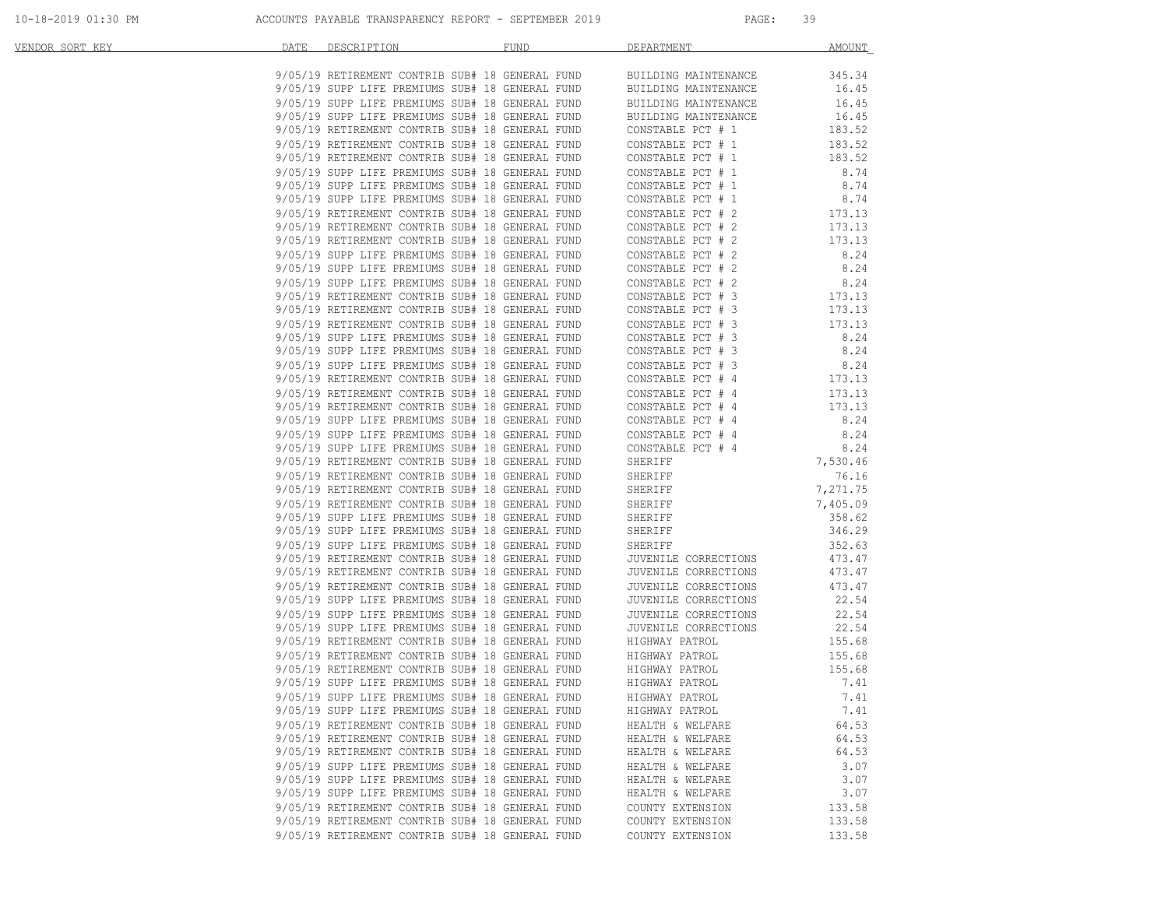| VENDOR SORT KEY | DATE DESCRIPTION                                                                                   | FUND                                            | <b>DEPARTMENT</b>                                                                                                                                                                                                                              | AMOUNT                   |
|-----------------|----------------------------------------------------------------------------------------------------|-------------------------------------------------|------------------------------------------------------------------------------------------------------------------------------------------------------------------------------------------------------------------------------------------------|--------------------------|
|                 |                                                                                                    |                                                 | 9/05/19 RETIREMENT CONTRIB SUB# 18 GENERAL FUND BUILDING MAINTENANCE<br>9/05/19 SUPP LIFE PREMIUMS SUB# 18 GENERAL FUND BUILDING MAINTENANCE<br>9/05/19 SUPP LIFE PREMIUMS SUB# 18 GENERAL FUND BUILDING MAINTENANCE<br>9/05/19 RETIRE         | 345.34                   |
|                 |                                                                                                    |                                                 |                                                                                                                                                                                                                                                | 16.45                    |
|                 |                                                                                                    |                                                 |                                                                                                                                                                                                                                                | 16.45                    |
|                 |                                                                                                    |                                                 |                                                                                                                                                                                                                                                | 16.45                    |
|                 |                                                                                                    |                                                 |                                                                                                                                                                                                                                                | 183.52                   |
|                 |                                                                                                    | 9/05/19 RETIREMENT CONTRIB SUB# 18 GENERAL FUND |                                                                                                                                                                                                                                                | 183.52                   |
|                 | 9/05/19 RETIREMENT CONTRIB SUB# 18 GENERAL FUND                                                    |                                                 | CONSTABLE PCT # 1<br>CONSTABLE PCT # 1<br>CONSTABLE PCT # 1<br>CONSTABLE PCT # 1<br>CONSTABLE PCT # 1                                                                                                                                          | 183.52                   |
|                 |                                                                                                    | 9/05/19 SUPP LIFE PREMIUMS SUB# 18 GENERAL FUND |                                                                                                                                                                                                                                                | 8.74                     |
|                 | 9/05/19 SUPP LIFE PREMIUMS SUB# 18 GENERAL FUND                                                    |                                                 |                                                                                                                                                                                                                                                | 8.74                     |
|                 | 9/05/19 SUPP LIFE PREMIUMS SUB# 18 GENERAL FUND                                                    |                                                 | CONSTABLE PCT $# 1$                                                                                                                                                                                                                            | 8.74                     |
|                 | 9/05/19 RETIREMENT CONTRIB SUB# 18 GENERAL FUND                                                    |                                                 | CONSTABLE PCT # 2 173.13<br>CONSTABLE PCT # 2 173.13                                                                                                                                                                                           |                          |
|                 | 9/05/19 RETIREMENT CONTRIB SUB# 18 GENERAL FUND                                                    |                                                 |                                                                                                                                                                                                                                                |                          |
|                 | 9/05/19 RETIREMENT CONTRIB SUB# 18 GENERAL FUND                                                    |                                                 |                                                                                                                                                                                                                                                | 173.13                   |
|                 | 9/05/19 SUPP LIFE PREMIUMS SUB# 18 GENERAL FUND                                                    |                                                 | CONSTABLE PCT # 2<br>CONSTABLE PCT # 2<br>CONSTABLE PCT # 2<br>CONSTABLE PCT # 2<br>CONSTABLE PCT # 3<br>CONSTABLE PCT # 3                                                                                                                     | 8.24                     |
|                 | 9/05/19 SUPP LIFE PREMIUMS SUB# 18 GENERAL FUND                                                    |                                                 |                                                                                                                                                                                                                                                | 8.24                     |
|                 | 9/05/19 SUPP LIFE PREMIUMS SUB# 18 GENERAL FUND                                                    |                                                 |                                                                                                                                                                                                                                                | 8.24<br>$8.24$<br>173.13 |
|                 | 9/05/19 RETIREMENT CONTRIB SUB# 18 GENERAL FUND                                                    |                                                 |                                                                                                                                                                                                                                                |                          |
|                 | 9/05/19 RETIREMENT CONTRIB SUB# 18 GENERAL FUND                                                    |                                                 | CONSTABLE PCT # 3<br>CONSTABLE PCT # 3<br>CONSTABLE PCT # 3                                                                                                                                                                                    | 173.13                   |
|                 | 9/05/19 SUPP LIFE PREMIUMS SUB# 18 GENERAL FUND                                                    | 9/05/19 RETIREMENT CONTRIB SUB# 18 GENERAL FUND |                                                                                                                                                                                                                                                | 173.13<br>8.24           |
|                 | 9/05/19 SUPP LIFE PREMIUMS SUB# 18 GENERAL FUND                                                    |                                                 | CONSTABLE PCT # 3<br>CONSTABLE PCT # 3                                                                                                                                                                                                         | 8.24                     |
|                 |                                                                                                    |                                                 |                                                                                                                                                                                                                                                | 8.24                     |
|                 |                                                                                                    |                                                 |                                                                                                                                                                                                                                                | 173.13                   |
|                 |                                                                                                    |                                                 |                                                                                                                                                                                                                                                | 173.13                   |
|                 |                                                                                                    |                                                 |                                                                                                                                                                                                                                                | 173.13                   |
|                 |                                                                                                    |                                                 | 9/05/19 SUPP LIFE PREMIUMS SUB# 18 GENERAL FUND<br>9/05/19 SUPP LIFE PREMIUMS SUB# 18 GENERAL FUND<br>9/05/19 RETIREMENT CONTRIB SUB# 18 GENERAL FUND<br>9/05/19 RETIREMENT CONTRIB SUB# 18 GENERAL FUND<br>9/05/19 SUPP LIFE PREMIUMS SUB     | 8.24                     |
|                 | 9/05/19 SUPP LIFE PREMIUMS SUB# 18 GENERAL FUND                                                    |                                                 |                                                                                                                                                                                                                                                |                          |
|                 | 9/05/19 SUPP LIFE PREMIUMS SUB# 18 GENERAL FUND                                                    |                                                 | CONSTABLE PCT # 4 0.24<br>CONSTABLE PCT # 4 8.24<br>CONSTABLE PCT # 4 8.24<br>SHERIFF 7,530.46<br>SHERIFF 7,271.75<br>SHERIFF 7,405.09<br>SHERIFF 7,405.09<br>SHERIFF 358.62<br>SHERIFF 358.62<br>SHERIFF 358.62<br>TUVENTLE CORRCTIONS 473.47 |                          |
|                 | 9/05/19 RETIREMENT CONTRIB SUB# 18 GENERAL FUND                                                    |                                                 |                                                                                                                                                                                                                                                |                          |
|                 | 9/05/19 RETIREMENT CONTRIB SUB# 18 GENERAL FUND                                                    |                                                 |                                                                                                                                                                                                                                                |                          |
|                 | 9/05/19 RETIREMENT CONTRIB SUB# 18 GENERAL FUND                                                    |                                                 |                                                                                                                                                                                                                                                |                          |
|                 | 9/05/19 RETIREMENT CONTRIB SUB# 18 GENERAL FUND                                                    |                                                 |                                                                                                                                                                                                                                                |                          |
|                 | 9/05/19 SUPP LIFE PREMIUMS SUB# 18 GENERAL FUND                                                    |                                                 |                                                                                                                                                                                                                                                |                          |
|                 |                                                                                                    |                                                 |                                                                                                                                                                                                                                                |                          |
|                 |                                                                                                    |                                                 |                                                                                                                                                                                                                                                |                          |
|                 |                                                                                                    |                                                 |                                                                                                                                                                                                                                                | 473.47                   |
|                 |                                                                                                    |                                                 |                                                                                                                                                                                                                                                | 473.47                   |
|                 |                                                                                                    |                                                 |                                                                                                                                                                                                                                                | 473.47                   |
|                 |                                                                                                    |                                                 |                                                                                                                                                                                                                                                | 22.54                    |
|                 |                                                                                                    |                                                 |                                                                                                                                                                                                                                                | 22.54                    |
|                 |                                                                                                    |                                                 |                                                                                                                                                                                                                                                | 22.54                    |
|                 |                                                                                                    |                                                 |                                                                                                                                                                                                                                                | 155.68                   |
|                 |                                                                                                    |                                                 | 9/05/19 RETIREMENT CONTRIB SUB# 18 GENERAL FUND HIGHWAY PATROL<br>9/05/19 RETIREMENT CONTRIB SUB# 18 GENERAL FUND HIGHWAY PATROL                                                                                                               | 155.68                   |
|                 |                                                                                                    |                                                 |                                                                                                                                                                                                                                                | 155.68                   |
|                 | 9/05/19 SUPP LIFE PREMIUMS SUB# 18 GENERAL FUND                                                    |                                                 | HIGHWAY PATROL                                                                                                                                                                                                                                 | 7.41                     |
|                 |                                                                                                    | 9/05/19 SUPP LIFE PREMIUMS SUB# 18 GENERAL FUND | HIGHWAY PATROL                                                                                                                                                                                                                                 | 7.41                     |
|                 | 9/05/19 SUPP LIFE PREMIUMS SUB# 18 GENERAL FUND                                                    |                                                 | HIGHWAY PATROL                                                                                                                                                                                                                                 | 7.41                     |
|                 | 9/05/19 RETIREMENT CONTRIB SUB# 18 GENERAL FUND<br>9/05/19 RETIREMENT CONTRIB SUB# 18 GENERAL FUND |                                                 | HEALTH & WELFARE                                                                                                                                                                                                                               | 64.53<br>64.53           |
|                 | 9/05/19 RETIREMENT CONTRIB SUB# 18 GENERAL FUND                                                    |                                                 | HEALTH & WELFARE                                                                                                                                                                                                                               | 64.53                    |
|                 | 9/05/19 SUPP LIFE PREMIUMS SUB# 18 GENERAL FUND                                                    |                                                 | HEALTH & WELFARE                                                                                                                                                                                                                               |                          |
|                 | 9/05/19 SUPP LIFE PREMIUMS SUB# 18 GENERAL FUND                                                    |                                                 | HEALTH & WELFARE<br>HEALTH & WELFARE                                                                                                                                                                                                           | 3.07<br>3.07             |
|                 | 9/05/19 SUPP LIFE PREMIUMS SUB# 18 GENERAL FUND                                                    |                                                 | HEALTH & WELFARE                                                                                                                                                                                                                               | 3.07                     |
|                 | 9/05/19 RETIREMENT CONTRIB SUB# 18 GENERAL FUND                                                    |                                                 | COUNTY EXTENSION                                                                                                                                                                                                                               | 133.58                   |
|                 | 9/05/19 RETIREMENT CONTRIB SUB# 18 GENERAL FUND                                                    |                                                 | COUNTY EXTENSION                                                                                                                                                                                                                               | 133.58                   |
|                 | 9/05/19 RETIREMENT CONTRIB SUB# 18 GENERAL FUND                                                    |                                                 | COUNTY EXTENSION                                                                                                                                                                                                                               | 133.58                   |
|                 |                                                                                                    |                                                 |                                                                                                                                                                                                                                                |                          |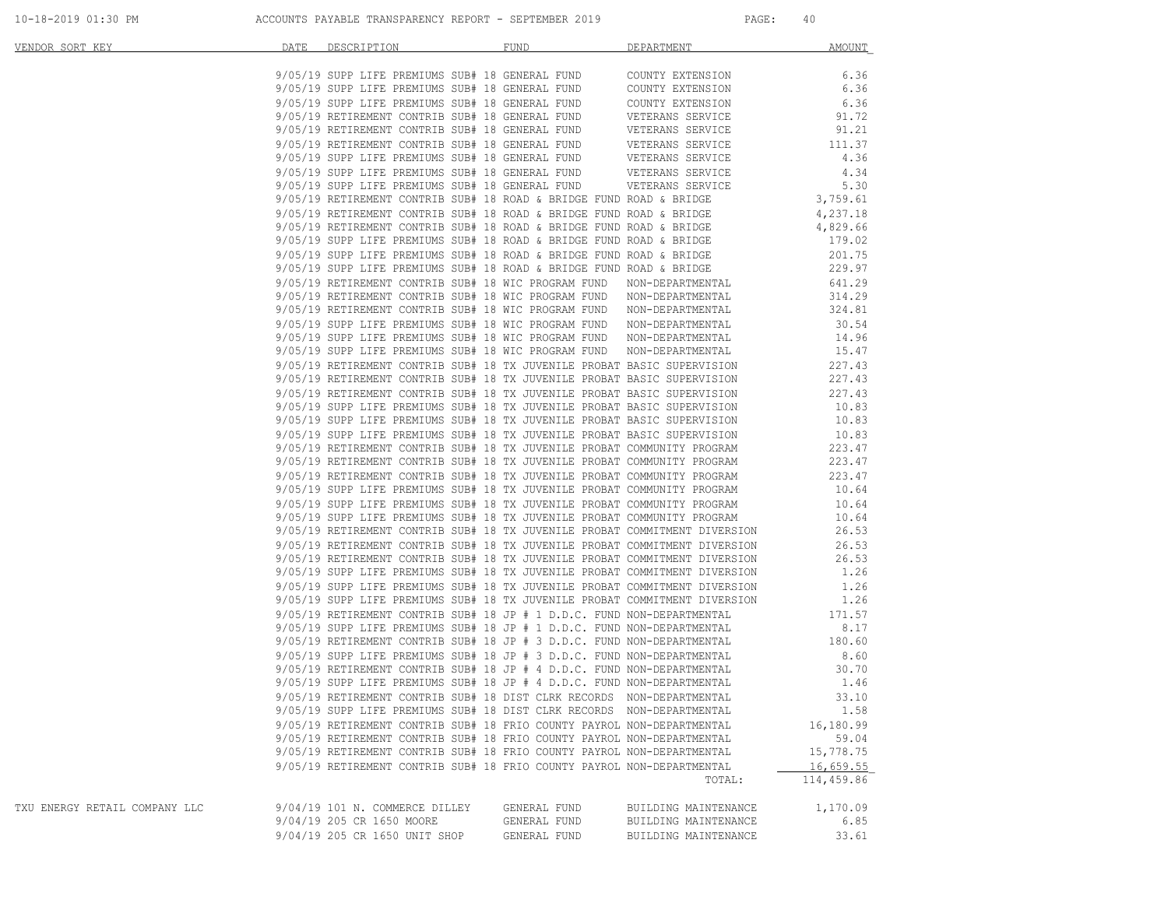| VENDOR SORT KEY               | DATE DESCRIPTION FUND          |                                                                        | DEPARTMENT AMOUNT                                                                                                                                                                                                                       |            |
|-------------------------------|--------------------------------|------------------------------------------------------------------------|-----------------------------------------------------------------------------------------------------------------------------------------------------------------------------------------------------------------------------------------|------------|
|                               |                                |                                                                        |                                                                                                                                                                                                                                         |            |
|                               |                                |                                                                        |                                                                                                                                                                                                                                         |            |
|                               |                                |                                                                        | 9/05/19 SUPP LIFE PREMIUMS SUB# 18 GENERAL FUND COUNTY EXTENSION 6.36<br>9/05/19 SUPP LIFE PREMIUMS SUB# 18 GENERAL FUND COUNTY EXTENSION 6.36                                                                                          |            |
|                               |                                |                                                                        | 9/05/19 SUPP LIFE PREMIUMS SUB# 18 GENERAL FUND COUNTY EXTENSION 6.36 6.36 9/05/19 RETIREMENT CONTRIB SUB# 18 GENERAL FUND VETERANS SERVICE 31.72                                                                                       |            |
|                               |                                |                                                                        |                                                                                                                                                                                                                                         |            |
|                               |                                |                                                                        |                                                                                                                                                                                                                                         |            |
|                               |                                |                                                                        |                                                                                                                                                                                                                                         |            |
|                               |                                |                                                                        |                                                                                                                                                                                                                                         |            |
|                               |                                |                                                                        |                                                                                                                                                                                                                                         |            |
|                               |                                |                                                                        |                                                                                                                                                                                                                                         |            |
|                               |                                |                                                                        |                                                                                                                                                                                                                                         |            |
|                               |                                |                                                                        |                                                                                                                                                                                                                                         |            |
|                               |                                |                                                                        |                                                                                                                                                                                                                                         |            |
|                               |                                |                                                                        |                                                                                                                                                                                                                                         |            |
|                               |                                |                                                                        |                                                                                                                                                                                                                                         |            |
|                               |                                |                                                                        |                                                                                                                                                                                                                                         |            |
|                               |                                |                                                                        |                                                                                                                                                                                                                                         |            |
|                               |                                |                                                                        |                                                                                                                                                                                                                                         |            |
|                               |                                |                                                                        |                                                                                                                                                                                                                                         |            |
|                               |                                |                                                                        | 9/05/19 SUPP LIFE PREMIUMS SUB# 18 WIC PROGRAM FUND NON-DEPARTMENTAL 30.54<br>9/05/19 SUPP LIFE PREMIUMS SUB# 18 WIC PROGRAM FUND NON-DEPARTMENTAL 30.54<br>9/05/19 SUPP LIFE PREMIUMS SUB# 18 WIC PROGRAM FUND NON-DEPARTMENTAL 14.    | 30.54      |
|                               |                                |                                                                        |                                                                                                                                                                                                                                         |            |
|                               |                                |                                                                        |                                                                                                                                                                                                                                         |            |
|                               |                                |                                                                        |                                                                                                                                                                                                                                         |            |
|                               |                                |                                                                        |                                                                                                                                                                                                                                         |            |
|                               |                                |                                                                        |                                                                                                                                                                                                                                         |            |
|                               |                                |                                                                        |                                                                                                                                                                                                                                         |            |
|                               |                                |                                                                        | 9/05/19 SUPP LIFE PREMIUMS SUB# 18 TX JUVENILE PROBAT BASIC SUPERVISION<br>9/05/19 SUPP LIFE PREMIUMS SUB# 18 TX JUVENILE PROBAT BASIC SUPERVISION<br>9/05/19 SUPP LIFE PREMIUMS SUB# 18 TX JUVENILE PROBAT COMMUNITY PROGRAM<br>9/05/1 |            |
|                               |                                |                                                                        |                                                                                                                                                                                                                                         |            |
|                               |                                |                                                                        |                                                                                                                                                                                                                                         |            |
|                               |                                |                                                                        |                                                                                                                                                                                                                                         |            |
|                               |                                |                                                                        |                                                                                                                                                                                                                                         |            |
|                               |                                |                                                                        |                                                                                                                                                                                                                                         |            |
|                               |                                |                                                                        |                                                                                                                                                                                                                                         |            |
|                               |                                |                                                                        |                                                                                                                                                                                                                                         |            |
|                               |                                |                                                                        |                                                                                                                                                                                                                                         |            |
|                               |                                |                                                                        |                                                                                                                                                                                                                                         |            |
|                               |                                |                                                                        |                                                                                                                                                                                                                                         |            |
|                               |                                |                                                                        |                                                                                                                                                                                                                                         |            |
|                               |                                |                                                                        |                                                                                                                                                                                                                                         |            |
|                               |                                |                                                                        |                                                                                                                                                                                                                                         |            |
|                               |                                |                                                                        |                                                                                                                                                                                                                                         |            |
|                               |                                |                                                                        |                                                                                                                                                                                                                                         |            |
|                               |                                |                                                                        | 9/05/19 RETIREMENT CONTRIB SUB# 18 TX JUVENILE PROBAT COMMITMENT DIVERSION 26.53<br>9/05/19 RETIREMENT CONTRIB SUB# 18 TX JUVENILE PROBAT COMMITMENT DIVERSION 26.53<br>9/05/19 RETIREMENT CONTRIB SUB# 18 TX JUVENILE PROBAT COMMI     |            |
|                               |                                |                                                                        |                                                                                                                                                                                                                                         |            |
|                               |                                |                                                                        |                                                                                                                                                                                                                                         |            |
|                               |                                |                                                                        |                                                                                                                                                                                                                                         |            |
|                               |                                |                                                                        |                                                                                                                                                                                                                                         |            |
|                               |                                | 9/05/19 SUPP LIFE PREMIUMS SUB# 18 DIST CLRK RECORDS NON-DEPARTMENTAL  |                                                                                                                                                                                                                                         | 1.58       |
|                               |                                | 9/05/19 RETIREMENT CONTRIB SUB# 18 FRIO COUNTY PAYROL NON-DEPARTMENTAL |                                                                                                                                                                                                                                         | 16,180.99  |
|                               |                                | 9/05/19 RETIREMENT CONTRIB SUB# 18 FRIO COUNTY PAYROL NON-DEPARTMENTAL |                                                                                                                                                                                                                                         | 59.04      |
|                               |                                | 9/05/19 RETIREMENT CONTRIB SUB# 18 FRIO COUNTY PAYROL NON-DEPARTMENTAL |                                                                                                                                                                                                                                         | 15,778.75  |
|                               |                                | 9/05/19 RETIREMENT CONTRIB SUB# 18 FRIO COUNTY PAYROL NON-DEPARTMENTAL |                                                                                                                                                                                                                                         | 16,659.55  |
|                               |                                |                                                                        | TOTAL:                                                                                                                                                                                                                                  | 114,459.86 |
| TXU ENERGY RETAIL COMPANY LLC | 9/04/19 101 N. COMMERCE DILLEY | GENERAL FUND                                                           | BUILDING MAINTENANCE                                                                                                                                                                                                                    | 1,170.09   |
|                               | 9/04/19 205 CR 1650 MOORE      | GENERAL FUND                                                           | BUILDING MAINTENANCE                                                                                                                                                                                                                    | 6.85       |
|                               | 9/04/19 205 CR 1650 UNIT SHOP  | GENERAL FUND                                                           | BUILDING MAINTENANCE                                                                                                                                                                                                                    | 33.61      |
|                               |                                |                                                                        |                                                                                                                                                                                                                                         |            |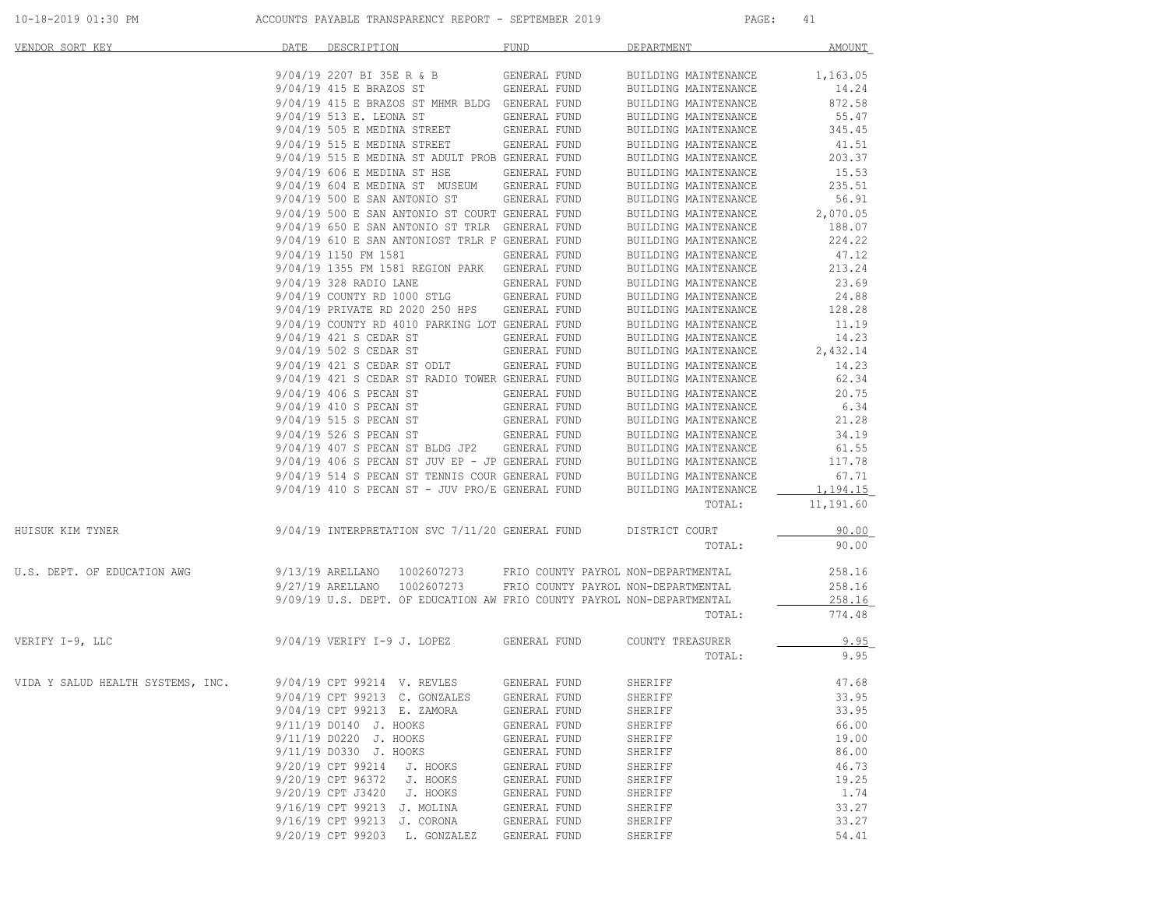| <u>VENDOR SORT KEY</u>            | DATE DESCRIPTION                                                                                                                              | FUND                         | DEPARTMENT                                   | AMOUNT         |
|-----------------------------------|-----------------------------------------------------------------------------------------------------------------------------------------------|------------------------------|----------------------------------------------|----------------|
|                                   | 9/04/19 2207 BI 35E R & B GENERAL FUND BUILDING MAINTENANCE                                                                                   |                              |                                              | 1,163.05       |
|                                   | $9/04/19$ 415 E BRAZOS ST GENERAL FUND                                                                                                        |                              | BUILDING MAINTENANCE                         | 14.24          |
|                                   | 9/04/19 415 E BRAZOS ST MHMR BLDG GENERAL FUND                                                                                                |                              | BUILDING MAINTENANCE                         | 872.58         |
|                                   | 9/04/19 513 E. LEONA ST                                                                                                                       | GENERAL FUND                 | BUILDING MAINTENANCE                         | 55.47          |
|                                   | 9/04/19 505 E MEDINA STREET                                                                                                                   | GENERAL FUND                 | BUILDING MAINTENANCE                         | 345.45         |
|                                   | 9/04/19 515 E MEDINA STREET GENERAL FUND                                                                                                      |                              | BUILDING MAINTENANCE                         | 41.51          |
|                                   | 9/04/19 515 E MEDINA ST ADULT PROB GENERAL FUND                                                                                               |                              | BUILDING MAINTENANCE                         | 203.37         |
|                                   | 9/04/19 606 E MEDINA ST HSE GENERAL FUND                                                                                                      |                              | BUILDING MAINTENANCE                         | 15.53          |
|                                   | 9/04/19 604 E MEDINA ST MUSEUM GENERAL FUND                                                                                                   |                              | BUILDING MAINTENANCE                         | 235.51         |
|                                   | 9/04/19 500 E SAN ANTONIO ST GENERAL FUND                                                                                                     |                              | BUILDING MAINTENANCE                         | 56.91          |
|                                   | 9/04/19 500 E SAN ANTONIO ST COURT GENERAL FUND                                                                                               |                              | BUILDING MAINTENANCE                         | 2,070.05       |
|                                   | 9/04/19 650 E SAN ANTONIO ST TRLR GENERAL FUND                                                                                                |                              | BUILDING MAINTENANCE                         | 188.07         |
|                                   | 9/04/19 610 E SAN ANTONIOST TRLR F GENERAL FUND                                                                                               |                              | BUILDING MAINTENANCE                         | 224.22         |
|                                   | 9/04/19 1150 FM 1581                                                                                                                          | GENERAL FUND                 | BUILDING MAINTENANCE                         | 47.12          |
|                                   | 9/04/19 1355 FM 1581 REGION PARK GENERAL FUND                                                                                                 |                              | BUILDING MAINTENANCE                         | 213.24         |
|                                   | 9/04/19 328 RADIO LANE<br>9/04/19 COUNTY RD 1000 STLG GENERAL FUND                                                                            | GENERAL FUND                 | BUILDING MAINTENANCE                         | 23.69<br>24.88 |
|                                   | 9/04/19 PRIVATE RD 2020 250 HPS GENERAL FUND                                                                                                  |                              | BUILDING MAINTENANCE<br>BUILDING MAINTENANCE | 128.28         |
|                                   | 9/04/19 COUNTY RD 4010 PARKING LOT GENERAL FUND                                                                                               |                              | BUILDING MAINTENANCE                         | 11.19          |
|                                   | 9/04/19 421 S CEDAR ST                                                                                                                        | <b>GENERAL FUND</b>          | BUILDING MAINTENANCE                         | 14.23          |
|                                   | 9/04/19 502 S CEDAR ST                                                                                                                        | GENERAL FUND                 | BUILDING MAINTENANCE                         | 2,432.14       |
|                                   | 9/04/19 421 S CEDAR ST ODLT GENERAL FUND                                                                                                      |                              | BUILDING MAINTENANCE                         | 14.23          |
|                                   | 9/04/19 421 S CEDAR ST RADIO TOWER GENERAL FUND                                                                                               |                              | BUILDING MAINTENANCE                         | 62.34          |
|                                   | 9/04/19 406 S PECAN ST                                                                                                                        | <b>GENERAL FUND</b>          | BUILDING MAINTENANCE                         | 20.75          |
|                                   |                                                                                                                                               |                              | BUILDING MAINTENANCE                         | 6.34           |
|                                   | 9/04/19 410 S PECAN ST<br>9/04/19 515 S PECAN ST                                                                                              | GENERAL FUND<br>GENERAL FUND | BUILDING MAINTENANCE                         | 21.28          |
|                                   | 9/04/19 526 S PECAN ST                                                                                                                        | GENERAL FUND                 | BUILDING MAINTENANCE                         | 34.19          |
|                                   | 9/04/19 407 S PECAN ST BLDG JP2 GENERAL FUND                                                                                                  |                              | BUILDING MAINTENANCE                         | 61.55          |
|                                   | $9/04/19$ 406 S PECAN ST JUV EP - JP GENERAL FUND BUILDING MAINTENANCE                                                                        |                              |                                              | 117.78         |
|                                   |                                                                                                                                               |                              |                                              | 67.71          |
|                                   | $9/04/19$ 514 S PECAN ST TENNIS COUR GENERAL FUND BUILDING MAINTENANCE $9/04/19$ 410 S PECAN ST – JUV PRO/E GENERAL FUND BUILDING MAINTENANCE |                              |                                              | 1,194.15       |
|                                   |                                                                                                                                               |                              | TOTAL:                                       | 11,191.60      |
| HUISUK KIM TYNER                  | 9/04/19 INTERPRETATION SVC 7/11/20 GENERAL FUND DISTRICT COURT                                                                                |                              |                                              | 90.00          |
|                                   |                                                                                                                                               |                              | TOTAL:                                       | 90.00          |
| U.S. DEPT. OF EDUCATION AWG       | 9/13/19 ARELLANO 1002607273 FRIO COUNTY PAYROL NON-DEPARTMENTAL                                                                               |                              |                                              | 258.16         |
|                                   | 9/27/19 ARELLANO 1002607273 FRIO COUNTY PAYROL NON-DEPARTMENTAL                                                                               |                              |                                              | 258.16         |
|                                   | 9/09/19 U.S. DEPT. OF EDUCATION AW FRIO COUNTY PAYROL NON-DEPARTMENTAL                                                                        |                              |                                              | 258.16         |
|                                   |                                                                                                                                               |                              | TOTAL:                                       | 774.48         |
| VERIFY I-9, LLC                   | 9/04/19 VERIFY I-9 J. LOPEZ GENERAL FUND COUNTY TREASURER                                                                                     |                              |                                              | 9.95           |
|                                   |                                                                                                                                               |                              | TOTAL:                                       | 9.95           |
| VIDA Y SALUD HEALTH SYSTEMS, INC. | 9/04/19 CPT 99214 V. REVLES                                                                                                                   | GENERAL FUND                 | SHERIFF                                      | 47.68          |
|                                   | 9/04/19 CPT 99213 C. GONZALES GENERAL FUND                                                                                                    |                              | SHERIFF                                      | 33.95          |
|                                   | 9/04/19 CPT 99213 E. ZAMORA                                                                                                                   | GENERAL FUND                 | SHERIFF                                      | 33.95          |
|                                   | 9/11/19 D0140 J. HOOKS                                                                                                                        | GENERAL FUND                 | SHERIFF                                      | 66.00          |
|                                   | 9/11/19 D0220 J. HOOKS                                                                                                                        | GENERAL FUND                 | SHERIFF                                      | 19.00          |
|                                   | 9/11/19 D0330 J. HOOKS                                                                                                                        | GENERAL FUND                 | SHERIFF                                      | 86.00          |
|                                   | 9/20/19 CPT 99214<br>J. HOOKS                                                                                                                 | GENERAL FUND                 | SHERIFF                                      | 46.73          |
|                                   | 9/20/19 CPT 96372<br>J. HOOKS                                                                                                                 | GENERAL FUND                 | SHERIFF                                      | 19.25          |
|                                   | 9/20/19 CPT J3420 J. HOOKS                                                                                                                    | GENERAL FUND                 | SHERIFF                                      | 1.74           |
|                                   | 9/16/19 CPT 99213 J. MOLINA                                                                                                                   | GENERAL FUND                 | SHERIFF                                      | 33.27          |
|                                   | 9/16/19 CPT 99213 J. CORONA                                                                                                                   | GENERAL FUND                 | SHERIFF                                      | 33.27          |
|                                   | 9/20/19 CPT 99203 L. GONZALEZ                                                                                                                 | GENERAL FUND                 | SHERIFF                                      | 54.41          |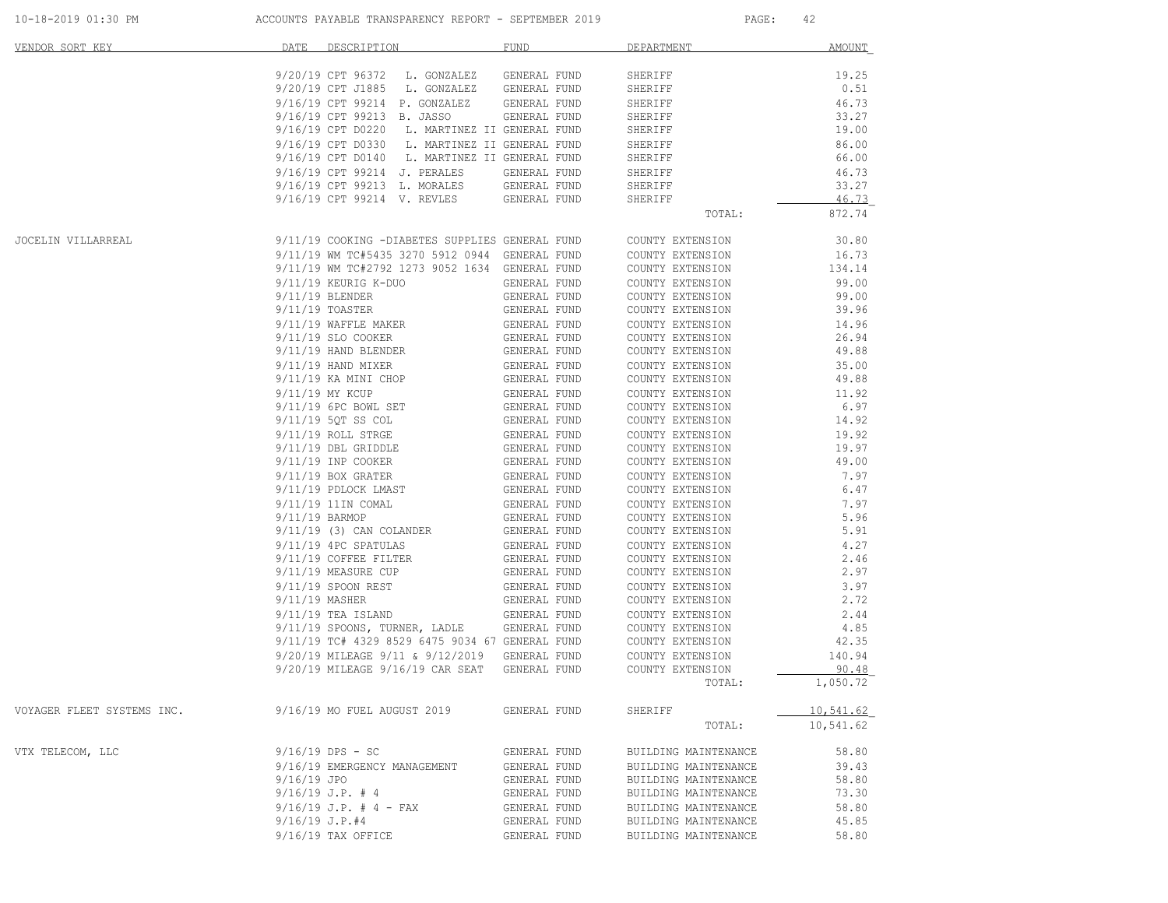| 10-18-2019 01:30 PM        | ACCOUNTS PAYABLE TRANSPARENCY REPORT - SEPTEMBER 2019                                            |                              | PAGE:                                | 42                |
|----------------------------|--------------------------------------------------------------------------------------------------|------------------------------|--------------------------------------|-------------------|
| VENDOR SORT KEY            | DATE<br>DESCRIPTION                                                                              | FUND                         | DEPARTMENT                           | AMOUNT            |
|                            | 9/20/19 CPT 96372<br>L. GONZALEZ                                                                 | GENERAL FUND                 | SHERIFF                              | 19.25             |
|                            | 9/20/19 CPT J1885<br>L. GONZALEZ                                                                 | GENERAL FUND                 | SHERIFF                              | 0.51              |
|                            | 9/16/19 CPT 99214 P. GONZALEZ                                                                    | GENERAL FUND                 | SHERIFF                              | 46.73             |
|                            | 9/16/19 CPT 99213 B. JASSO                                                                       | GENERAL FUND                 | SHERIFF                              | 33.27             |
|                            | 9/16/19 CPT D0220                                                                                | L. MARTINEZ II GENERAL FUND  | SHERIFF                              | 19.00             |
|                            | 9/16/19 CPT D0330                                                                                | L. MARTINEZ II GENERAL FUND  | SHERIFF                              | 86.00             |
|                            | 9/16/19 CPT D0140                                                                                | L. MARTINEZ II GENERAL FUND  | SHERIFF                              | 66.00             |
|                            | 9/16/19 CPT 99214 J. PERALES                                                                     | GENERAL FUND                 | SHERIFF                              | 46.73             |
|                            | 9/16/19 CPT 99213 L. MORALES                                                                     | GENERAL FUND                 | SHERIFF                              | 33.27             |
|                            | 9/16/19 CPT 99214 V. REVLES                                                                      | GENERAL FUND                 | SHERIFF<br>TOTAL:                    | 46.73<br>872.74   |
|                            |                                                                                                  |                              |                                      |                   |
| <b>JOCELIN VILLARREAL</b>  | 9/11/19 COOKING -DIABETES SUPPLIES GENERAL FUND                                                  |                              | COUNTY EXTENSION                     | 30.80             |
|                            | 9/11/19 WM TC#5435 3270 5912 0944 GENERAL FUND<br>9/11/19 WM TC#2792 1273 9052 1634 GENERAL FUND |                              | COUNTY EXTENSION                     | 16.73             |
|                            |                                                                                                  |                              | COUNTY EXTENSION                     | 134.14            |
|                            | 9/11/19 KEURIG K-DUO                                                                             | GENERAL FUND                 | COUNTY EXTENSION                     | 99.00<br>99.00    |
|                            | 9/11/19 BLENDER<br>9/11/19 TOASTER                                                               | GENERAL FUND<br>GENERAL FUND | COUNTY EXTENSION<br>COUNTY EXTENSION | 39.96             |
|                            |                                                                                                  |                              |                                      | 14.96             |
|                            | 9/11/19 WAFFLE MAKER<br>9/11/19 SLO COOKER                                                       | GENERAL FUND<br>GENERAL FUND | COUNTY EXTENSION<br>COUNTY EXTENSION | 26.94             |
|                            | 9/11/19 HAND BLENDER                                                                             | GENERAL FUND                 | COUNTY EXTENSION                     | 49.88             |
|                            | $9/11/19$ HAND MIXER                                                                             | GENERAL FUND                 | COUNTY EXTENSION                     | 35.00             |
|                            | 9/11/19 KA MINI CHOP                                                                             | GENERAL FUND                 | COUNTY EXTENSION                     | 49.88             |
|                            | 9/11/19 MY KCUP                                                                                  | GENERAL FUND                 | COUNTY EXTENSION                     | 11.92             |
|                            | 9/11/19 6PC BOWL SET                                                                             | GENERAL FUND                 | COUNTY EXTENSION                     | 6.97              |
|                            | 9/11/19 5QT SS COL                                                                               | GENERAL FUND                 | COUNTY EXTENSION                     | 14.92             |
|                            | 9/11/19 ROLL STRGE                                                                               | GENERAL FUND                 | COUNTY EXTENSION                     | 19.92             |
|                            | 9/11/19 DBL GRIDDLE                                                                              | GENERAL FUND                 | COUNTY EXTENSION                     | 19.97             |
|                            | 9/11/19 INP COOKER                                                                               | GENERAL FUND                 | COUNTY EXTENSION                     | 49.00             |
|                            | $9/11/19$ BOX GRATER                                                                             | GENERAL FUND                 | COUNTY EXTENSION                     | 7.97              |
|                            | 9/11/19 PDLOCK LMAST                                                                             | GENERAL FUND                 | COUNTY EXTENSION                     | 6.47              |
|                            | 9/11/19 11IN COMAL                                                                               | GENERAL FUND                 | COUNTY EXTENSION                     | 7.97              |
|                            | 9/11/19 BARMOP                                                                                   | GENERAL FUND                 | COUNTY EXTENSION                     | 5.96              |
|                            | $9/11/19$ (3) CAN COLANDER                                                                       | GENERAL FUND                 | COUNTY EXTENSION                     | 5.91              |
|                            | 9/11/19 4PC SPATULAS                                                                             | GENERAL FUND                 | COUNTY EXTENSION                     | 4.27              |
|                            | 9/11/19 COFFEE FILTER                                                                            | GENERAL FUND                 | COUNTY EXTENSION                     | 2.46              |
|                            | 9/11/19 MEASURE CUP                                                                              | GENERAL FUND                 | COUNTY EXTENSION                     | 2.97              |
|                            | 9/11/19 SPOON REST                                                                               | GENERAL FUND                 | COUNTY EXTENSION                     | 3.97              |
|                            | 9/11/19 MASHER                                                                                   | GENERAL FUND                 | COUNTY EXTENSION                     | 2.72              |
|                            | $9/11/19$ TEA ISLAND                                                                             | GENERAL FUND                 | COUNTY EXTENSION                     | 2.44              |
|                            | 9/11/19 SPOONS, TURNER, LADLE                                                                    | GENERAL FUND                 | COUNTY EXTENSION                     | 4.85              |
|                            | 9/11/19 TC# 4329 8529 6475 9034 67 GENERAL FUND                                                  |                              | COUNTY EXTENSION                     | 42.35             |
|                            | 9/20/19 MILEAGE 9/11 & 9/12/2019                                                                 | GENERAL FUND                 | COUNTY EXTENSION                     | 140.94            |
|                            | 9/20/19 MILEAGE 9/16/19 CAR SEAT                                                                 | GENERAL FUND                 | COUNTY EXTENSION                     | 90.48<br>1,050.72 |
|                            |                                                                                                  |                              | TOTAL:                               |                   |
| VOYAGER FLEET SYSTEMS INC. | 9/16/19 MO FUEL AUGUST 2019                                                                      | GENERAL FUND                 | SHERIFF                              | 10,541.62         |
|                            |                                                                                                  |                              | TOTAL:                               | 10,541.62         |
| VTX TELECOM, LLC           | $9/16/19$ DPS - SC                                                                               | GENERAL FUND                 | BUILDING MAINTENANCE                 | 58.80             |
|                            | 9/16/19 EMERGENCY MANAGEMENT                                                                     | GENERAL FUND                 | BUILDING MAINTENANCE                 | 39.43             |
|                            | 9/16/19 JPO                                                                                      | GENERAL FUND                 | BUILDING MAINTENANCE                 | 58.80             |
|                            | $9/16/19$ J.P. # 4                                                                               | GENERAL FUND                 | BUILDING MAINTENANCE                 | 73.30             |
|                            | $9/16/19$ J.P. # 4 - FAX                                                                         | GENERAL FUND                 | BUILDING MAINTENANCE                 | 58.80             |
|                            | $9/16/19$ J.P.#4                                                                                 | GENERAL FUND                 | BUILDING MAINTENANCE                 | 45.85             |
|                            | 9/16/19 TAX OFFICE                                                                               | GENERAL FUND                 | BUILDING MAINTENANCE                 | 58.80             |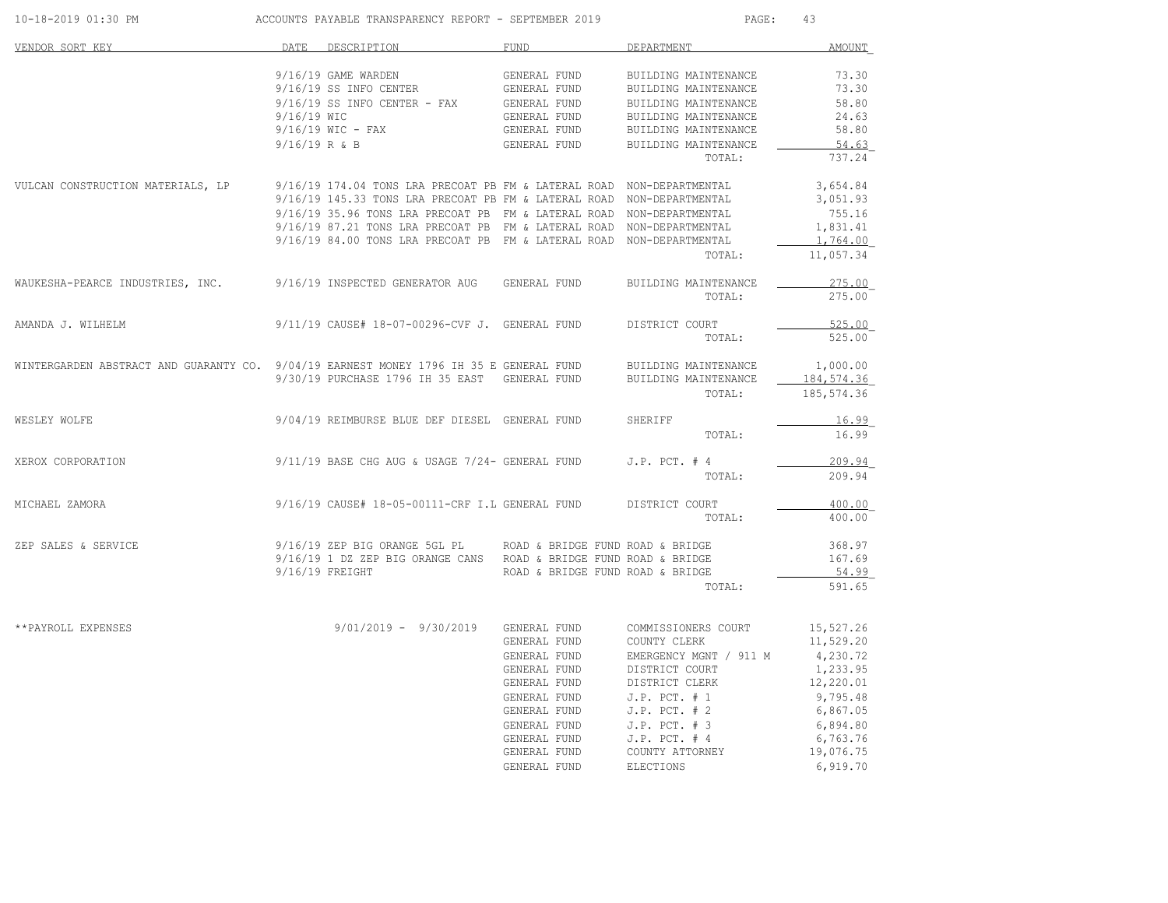| 10-18-2019 01:30 PM                                                                    |             | ACCOUNTS PAYABLE TRANSPARENCY REPORT - SEPTEMBER 2019                                                         |                                              | PAGE:                                                                                                                                                        | 43                   |
|----------------------------------------------------------------------------------------|-------------|---------------------------------------------------------------------------------------------------------------|----------------------------------------------|--------------------------------------------------------------------------------------------------------------------------------------------------------------|----------------------|
| VENDOR SORT KEY                                                                        | <b>DATE</b> | DESCRIPTION                                                                                                   | <b>FUND</b>                                  | DEPARTMENT                                                                                                                                                   | AMOUNT               |
|                                                                                        |             | 9/16/19 GAME WARDEN                                                                                           | GENERAL FUND                                 | BUILDING MAINTENANCE                                                                                                                                         | 73.30                |
|                                                                                        |             | 9/16/19 SS INFO CENTER                                                                                        | GENERAL FUND                                 | BUILDING MAINTENANCE                                                                                                                                         | 73.30                |
|                                                                                        |             | 9/16/19 SS INFO CENTER - FAX GENERAL FUND<br>9/16/19 WIC - FAX GENERAL FUND<br>9/16/19 WIC - FAX GENERAL FUND |                                              | BUILDING MAINTENANCE                                                                                                                                         | 58.80                |
|                                                                                        |             |                                                                                                               |                                              | BUILDING MAINTENANCE                                                                                                                                         | 24.63                |
|                                                                                        |             |                                                                                                               |                                              | BUILDING MAINTENANCE                                                                                                                                         | 58.80                |
|                                                                                        |             | $9/16/19$ R & B                                                                                               | GENERAL FUND                                 | BUILDING MAINTENANCE<br>TOTAL:                                                                                                                               | 54.63<br>737.24      |
| VULCAN CONSTRUCTION MATERIALS, LP                                                      |             | 9/16/19 174.04 TONS LRA PRECOAT PB FM & LATERAL ROAD NON-DEPARTMENTAL                                         |                                              |                                                                                                                                                              | 3,654.84             |
|                                                                                        |             | 9/16/19 145.33 TONS LRA PRECOAT PB FM & LATERAL ROAD NON-DEPARTMENTAL                                         |                                              |                                                                                                                                                              | 3,051.93             |
|                                                                                        |             | 9/16/19 35.96 TONS LRA PRECOAT PB FM & LATERAL ROAD NON-DEPARTMENTAL                                          |                                              |                                                                                                                                                              | 755.16               |
|                                                                                        |             | 9/16/19 87.21 TONS LRA PRECOAT PB FM & LATERAL ROAD NON-DEPARTMENTAL                                          |                                              |                                                                                                                                                              | 1,831.41             |
|                                                                                        |             | 9/16/19 84.00 TONS LRA PRECOAT PB FM & LATERAL ROAD NON-DEPARTMENTAL                                          |                                              |                                                                                                                                                              | 1,764.00             |
|                                                                                        |             |                                                                                                               |                                              | TOTAL:                                                                                                                                                       | 11,057.34            |
| WAUKESHA-PEARCE INDUSTRIES, INC. 9/16/19 INSPECTED GENERATOR AUG                       |             |                                                                                                               | GENERAL FUND                                 | BUILDING MAINTENANCE                                                                                                                                         | 275.00               |
|                                                                                        |             |                                                                                                               |                                              | TOTAL:                                                                                                                                                       | 275.00               |
| AMANDA J. WILHELM                                                                      |             | 9/11/19 CAUSE# 18-07-00296-CVF J. GENERAL FUND                                                                |                                              | DISTRICT COURT                                                                                                                                               | 525.00               |
|                                                                                        |             |                                                                                                               |                                              | TOTAL:                                                                                                                                                       | 525.00               |
| WINTERGARDEN ABSTRACT AND GUARANTY CO. 9/04/19 EARNEST MONEY 1796 IH 35 E GENERAL FUND |             |                                                                                                               |                                              | BUILDING MAINTENANCE                                                                                                                                         | 1,000.00             |
|                                                                                        |             | 9/30/19 PURCHASE 1796 IH 35 EAST GENERAL FUND                                                                 |                                              | BUILDING MAINTENANCE                                                                                                                                         | 184,574.36           |
|                                                                                        |             |                                                                                                               |                                              | TOTAL:                                                                                                                                                       | 185,574.36           |
| WESLEY WOLFE                                                                           |             | 9/04/19 REIMBURSE BLUE DEF DIESEL GENERAL FUND                                                                |                                              | SHERIFF                                                                                                                                                      | 16.99                |
|                                                                                        |             |                                                                                                               |                                              | TOTAL:                                                                                                                                                       | 16.99                |
| XEROX CORPORATION                                                                      |             | 9/11/19 BASE CHG AUG & USAGE 7/24- GENERAL FUND                                                               |                                              | $J.P.$ PCT. $#4$                                                                                                                                             | 209.94               |
|                                                                                        |             |                                                                                                               |                                              | TOTAL:                                                                                                                                                       | 209.94               |
| MICHAEL ZAMORA                                                                         |             | $9/16/19$ CAUSE# 18-05-00111-CRF I.L GENERAL FUND                                                             |                                              | DISTRICT COURT                                                                                                                                               | 400.00               |
|                                                                                        |             |                                                                                                               |                                              | TOTAL:                                                                                                                                                       | 400.00               |
| ZEP SALES & SERVICE                                                                    |             | 9/16/19 ZEP BIG ORANGE 5GL PL                                                                                 | ROAD & BRIDGE FUND ROAD & BRIDGE             |                                                                                                                                                              | 368.97               |
|                                                                                        |             | 9/16/19 1 DZ ZEP BIG ORANGE CANS ROAD & BRIDGE FUND ROAD & BRIDGE                                             |                                              |                                                                                                                                                              | 167.69               |
|                                                                                        |             | $9/16/19$ FREIGHT                                                                                             | ROAD & BRIDGE FUND ROAD & BRIDGE             |                                                                                                                                                              | 54.99                |
|                                                                                        |             |                                                                                                               |                                              | TOTAL:                                                                                                                                                       | 591.65               |
| **PAYROLL EXPENSES                                                                     |             | $9/01/2019 - 9/30/2019$                                                                                       | GENERAL FUND                                 | COMMISSIONERS COURT                                                                                                                                          | 15,527.26            |
|                                                                                        |             |                                                                                                               | GENERAL FUND                                 | COUNTY CLERK                                                                                                                                                 | 11,529.20            |
|                                                                                        |             |                                                                                                               |                                              |                                                                                                                                                              |                      |
|                                                                                        |             |                                                                                                               | GENERAL FUND<br>GENERAL FUND<br>GENERAL FUND | EMERGENCY MGNT / 911 M<br>DISTRICT COURT                                                                                                                     | 4,230.72<br>1,233.95 |
|                                                                                        |             |                                                                                                               |                                              | DISTRICT CLERK                                                                                                                                               | 12,220.01            |
|                                                                                        |             |                                                                                                               | GENERAL FUND                                 | $J.P.$ PCT. $# 1$                                                                                                                                            | 9,795.48             |
|                                                                                        |             |                                                                                                               |                                              |                                                                                                                                                              | 6,867.05             |
|                                                                                        |             |                                                                                                               |                                              | GENERAL FUND<br>J.P. PCT. #2<br>GENERAL FUND<br>J.P. PCT. #3<br>GENERAL FUND<br>J.P. PCT. #4<br>GENERAL FUND<br>COUNTY ATTORNEY<br>GENERAL FUND<br>ELECTIONS | 6,894.80             |
|                                                                                        |             |                                                                                                               |                                              |                                                                                                                                                              | 6,763.76             |
|                                                                                        |             |                                                                                                               |                                              |                                                                                                                                                              | 19,076.75            |
|                                                                                        |             |                                                                                                               |                                              |                                                                                                                                                              | 6,919.70             |
|                                                                                        |             |                                                                                                               |                                              |                                                                                                                                                              |                      |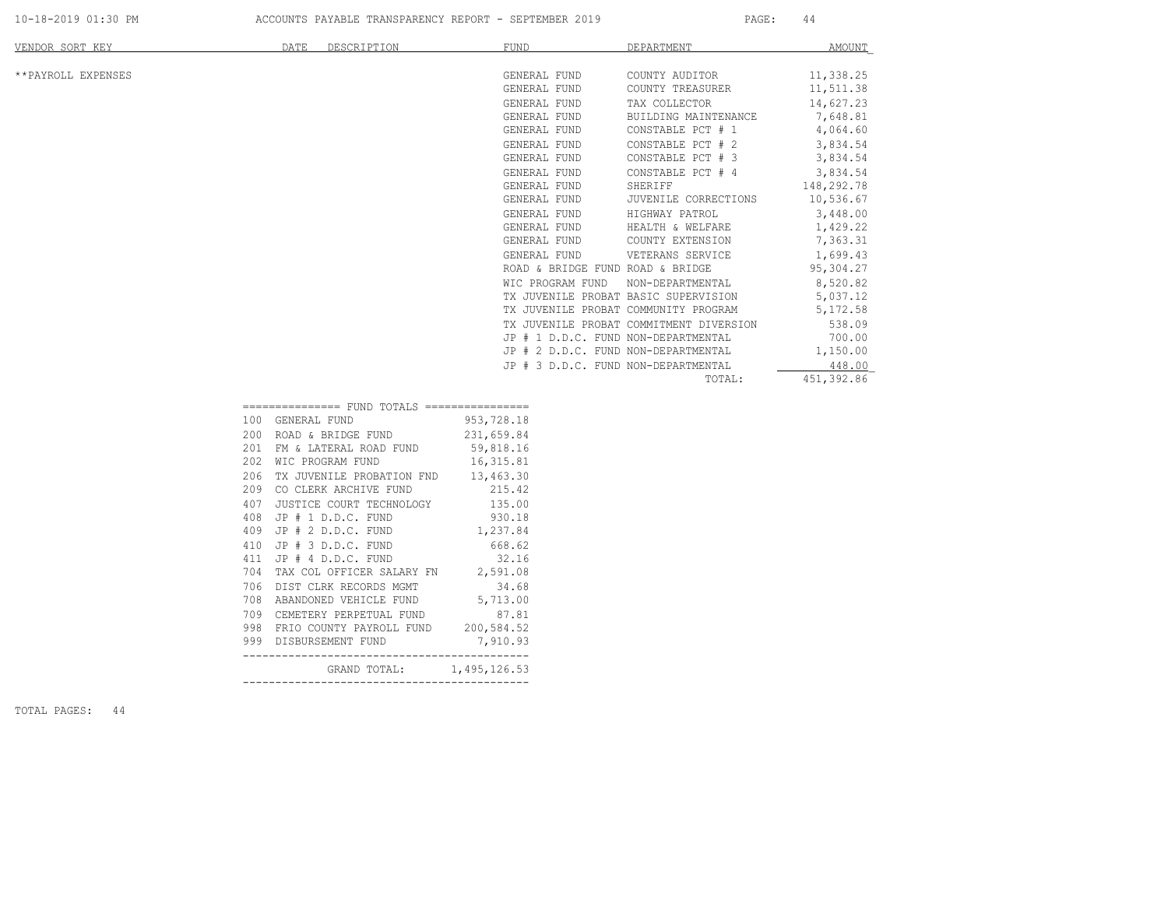| VENDOR SORT KEY    | DATE<br>DESCRIPTION                            | <b>FUND</b>                      | DEPARTMENT                              | AMOUNT     |
|--------------------|------------------------------------------------|----------------------------------|-----------------------------------------|------------|
|                    |                                                |                                  |                                         |            |
| **PAYROLL EXPENSES |                                                | GENERAL FUND                     | COUNTY AUDITOR                          | 11,338.25  |
|                    |                                                | GENERAL FUND                     | COUNTY TREASURER                        | 11,511.38  |
|                    |                                                | GENERAL FUND                     | TAX COLLECTOR                           | 14,627.23  |
|                    |                                                | GENERAL FUND                     | BUILDING MAINTENANCE                    | 7,648.81   |
|                    |                                                | GENERAL FUND                     | CONSTABLE PCT # 1                       | 4,064.60   |
|                    |                                                | GENERAL FUND                     | CONSTABLE PCT # 2                       | 3,834.54   |
|                    |                                                | GENERAL FUND                     | CONSTABLE PCT # 3                       | 3,834.54   |
|                    |                                                | GENERAL FUND                     | CONSTABLE PCT # 4                       | 3,834.54   |
|                    |                                                | GENERAL FUND                     | SHERIFF                                 | 148,292.78 |
|                    |                                                | GENERAL FUND                     | JUVENILE CORRECTIONS                    | 10,536.67  |
|                    |                                                | GENERAL FUND                     | HIGHWAY PATROL                          | 3,448.00   |
|                    |                                                | GENERAL FUND                     | HEALTH & WELFARE                        | 1,429.22   |
|                    |                                                | GENERAL FUND                     | COUNTY EXTENSION                        | 7,363.31   |
|                    |                                                | GENERAL FUND                     | VETERANS SERVICE                        | 1,699.43   |
|                    |                                                | ROAD & BRIDGE FUND ROAD & BRIDGE |                                         | 95,304.27  |
|                    |                                                | WIC PROGRAM FUND                 | NON-DEPARTMENTAL                        | 8,520.82   |
|                    |                                                |                                  | TX JUVENILE PROBAT BASIC SUPERVISION    | 5,037.12   |
|                    |                                                |                                  | TX JUVENILE PROBAT COMMUNITY PROGRAM    | 5,172.58   |
|                    |                                                |                                  | TX JUVENILE PROBAT COMMITMENT DIVERSION | 538.09     |
|                    |                                                |                                  | JP # 1 D.D.C. FUND NON-DEPARTMENTAL     | 700.00     |
|                    |                                                |                                  | JP # 2 D.D.C. FUND NON-DEPARTMENTAL     | 1,150.00   |
|                    |                                                |                                  | JP # 3 D.D.C. FUND NON-DEPARTMENTAL     | 448.00     |
|                    |                                                |                                  | TOTAL:                                  | 451,392.86 |
|                    | ================ FUND TOTALS ================= |                                  |                                         |            |
|                    | 100 GENERAL FUND                               | 953,728.18                       |                                         |            |

| 708        | ABANDONED VEHICLE FUND 5,713.00                          |            |
|------------|----------------------------------------------------------|------------|
| 706        | DIST CLRK RECORDS MGMT 34.68                             |            |
| 704        | TAX COL OFFICER SALARY FN 2,591.08                       |            |
| 411        | JP # 4 D.D.C. FUND 32.16                                 |            |
| 409<br>410 | JP # 2 D.D.C. FUND 1,237.84<br>JP # 3 D.D.C. FUND 668.62 |            |
| 408        | JP # 1 D.D.C. FUND 930.18                                |            |
| 407        | JUSTICE COURT TECHNOLOGY 135.00                          |            |
| 209        | CO CLERK ARCHIVE FUND 215.42                             |            |
| 206        | TX JUVENILE PROBATION FND 13,463.30                      |            |
| 202        | WIC PROGRAM FUND                                         | 16, 315.81 |
| 201        | FM & LATERAL ROAD FUND 59,818.16                         |            |
| 200        | ROAD & BRIDGE FUND 231,659.84                            |            |
| 100        | GENERAL FUND                                             | 953,728.18 |

TOTAL PAGES: 44